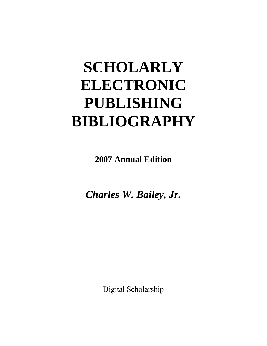# **SCHOLARLY ELECTRONIC PUBLISHING BIBLIOGRAPHY**

**2007 Annual Edition**

*Charles W. Bailey, Jr.*

Digital Scholarship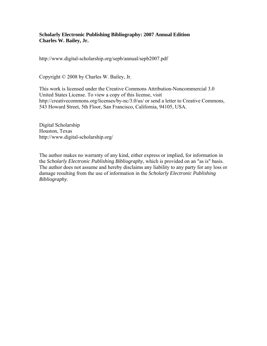#### **Scholarly Electronic Publishing Bibliography: 2007 Annual Edition Charles W. Bailey, Jr.**

http://www.digital-scholarship.org/sepb/annual/sepb2007.pdf

Copyright © 2008 by Charles W. Bailey, Jr.

This work is licensed under the Creative Commons Attribution-Noncommercial 3.0 United States License. To view a copy of this license, visit http://creativecommons.org/licenses/by-nc/3.0/us/ or send a letter to Creative Commons, 543 Howard Street, 5th Floor, San Francisco, California, 94105, USA.

Digital Scholarship Houston, Texas http://www.digital-scholarship.org/

The author makes no warranty of any kind, either express or implied, for information in the *Scholarly Electronic Publishing Bibliography*, which is provided on an "as is" basis. The author does not assume and hereby disclaims any liability to any party for any loss or damage resulting from the use of information in the *Scholarly Electronic Publishing Bibliography*.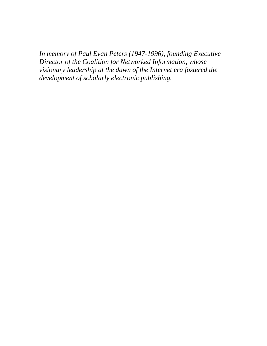*In memory of Paul Evan Peters (1947-1996), founding Executive Director of the Coalition for Networked Information, whose visionary leadership at the dawn of the Internet era fostered the development of scholarly electronic publishing.*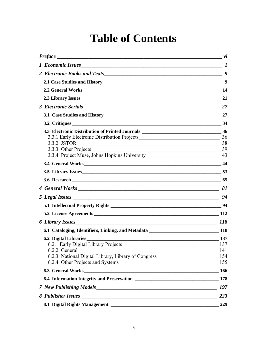### **Table of Contents**

|                                                         | 27               |
|---------------------------------------------------------|------------------|
|                                                         |                  |
|                                                         |                  |
| 3.3.1 Early Electronic Distribution Projects 36         |                  |
| 3.3.2 JSTOR<br>$\sim$ 38                                |                  |
| 3.3.3 Other Projects<br>$\frac{1}{2}$ 39                |                  |
|                                                         |                  |
|                                                         |                  |
| 3.5 Library Issues 53                                   |                  |
|                                                         |                  |
|                                                         |                  |
|                                                         | $\frac{1}{2}$ 94 |
|                                                         |                  |
|                                                         |                  |
| 6 Library Issues 118                                    |                  |
|                                                         |                  |
| <b>6.2 Digital Libraries</b>                            |                  |
| 6.2.1 Early Digital Library Projects                    | 137              |
| 6.2.2 General                                           | 141              |
| 6.2.3 National Digital Library, Library of Congress 154 |                  |
| 6.2.4 Other Projects and Systems                        | 155              |
|                                                         |                  |
|                                                         |                  |
|                                                         |                  |
|                                                         | 223              |
|                                                         | 229              |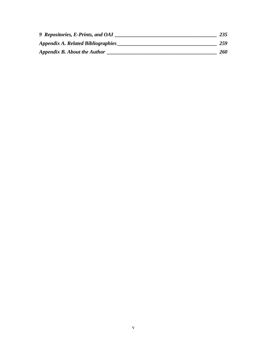| 9 Repositories, E-Prints, and OAI  | 235 |
|------------------------------------|-----|
| Appendix A. Related Bibliographies | 259 |
| Appendix B. About the Author       | 260 |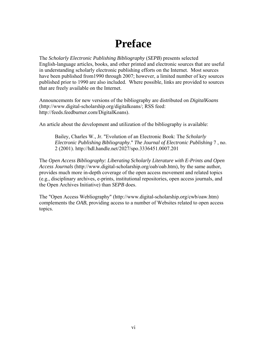### **Preface**

<span id="page-5-0"></span>The *Scholarly Electronic Publishing Bibliography* (*SEPB*) presents selected English-language articles, books, and other printed and electronic sources that are useful in understanding scholarly electronic publishing efforts on the Internet. Most sources have been published from1990 through 2007; however, a limited number of key sources published prior to 1990 are also included. Where possible, links are provided to sources that are freely available on the Internet.

Announcements for new versions of the bibliography are distributed on *DigitalKoans* (http://www.digital-scholarship.org/digitalkoans/; RSS feed: http://feeds.feedburner.com/DigitalKoans).

An article about the development and utilization of the bibliography is available:

Bailey, Charles W., Jr. "Evolution of an Electronic Book: The *Scholarly Electronic Publishing Bibliography*." *The Journal of Electronic Publishing* 7 , no. 2 (2001). http://hdl.handle.net/2027/spo.3336451.0007.201

The *Open Access Bibliography: Liberating Scholarly Literature with E-Prints and Open Access Journals* (http://www.digital-scholarship.org/oab/oab.htm), by the same author, provides much more in-depth coverage of the open access movement and related topics (e.g., disciplinary archives, e-prints, institutional repositories, open access journals, and the Open Archives Initiative) than *SEPB* does.

The "Open Access Webliography" (http://www.digital-scholarship.org/cwb/oaw.htm) complements the *OAB*, providing access to a number of Websites related to open access topics.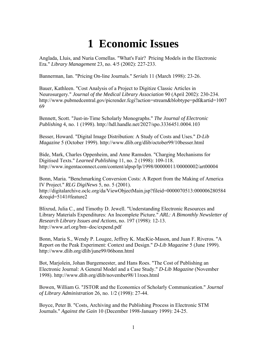## **1 Economic Issues**

<span id="page-6-0"></span>Anglada, Lluis, and Nuria Comellas. "What's Fair? Pricing Models in the Electronic Era." *Library Management* 23, no. 4/5 (2002): 227-233.

Bannerman, Ian. "Pricing On-line Journals." *Serials* 11 (March 1998): 23-26.

Bauer, Kathleen. "Cost Analysis of a Project to Digitize Classic Articles in Neurosurgery." *Journal of the Medical Library Association* 90 (April 2002): 230-234. http://www.pubmedcentral.gov/picrender.fcgi?action=stream&blobtype=pdf&artid=1007 69

Bennett, Scott. "Just-in-Time Scholarly Monographs." *The Journal of Electronic Publishing* 4, no. 1 (1998). http://hdl.handle.net/2027/spo.3336451.0004.103

Besser, Howard. "Digital Image Distribution: A Study of Costs and Uses." *D-Lib Magazine* 5 (October 1999). http://www.dlib.org/dlib/october99/10besser.html

Bide, Mark, Charles Oppenheim, and Anne Ramsden. "Charging Mechanisms for Digitised Texts." *Learned Publishing* 11, no. 2 (1998): 109-118. http://www.ingentaconnect.com/content/alpsp/lp/1998/00000011/00000002/art00004

Bonn, Maria. "Benchmarking Conversion Costs: A Report from the Making of America IV Project." *RLG DigiNews* 5, no. 5 (2001). http://digitalarchive.oclc.org/da/ViewObjectMain.jsp?fileid=0000070513:000006280584 &reqid=5141#feature2

Blixrud, Julia C., and Timothy D. Jewell. "Understanding Electronic Resources and Library Materials Expenditures: An Incomplete Picture." *ARL: A Bimonthly Newsletter of Research Library Issues and Actions*, no. 197 (1998): 12-13. http://www.arl.org/bm~doc/expend.pdf

Bonn, Maria S., Wendy P. Lougee, Jeffrey K. MacKie-Mason, and Juan F. Riveros. "A Report on the Peak Experiment: Context and Design." *D-Lib Magazine* 5 (June 1999). http://www.dlib.org/dlib/june99/06bonn.html

Bot, Marjolein, Johan Burgemeester, and Hans Roes. "The Cost of Publishing an Electronic Journal: A General Model and a Case Study." *D-Lib Magazine* (November 1998). http://www.dlib.org/dlib/november98/11roes.html

Bowen, William G. "JSTOR and the Economics of Scholarly Communication." *Journal of Library Administration* 26, no. 1/2 (1998): 27-44.

Boyce, Peter B. "Costs, Archiving and the Publishing Process in Electronic STM Journals." *Against the Gain* 10 (December 1998-January 1999): 24-25.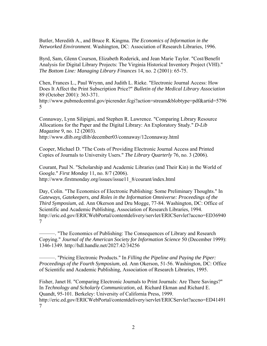Butler, Meredith A., and Bruce R. Kingma*. The Economics of Information in the Networked Environment*. Washington, DC: Association of Research Libraries, 1996.

Byrd, Sam, Glenn Courson, Elizabeth Roderick, and Jean Marie Taylor. "Cost/Benefit Analysis for Digital Library Projects: The Virginia Historical Inventory Project (VHI)." *The Bottom Line: Managing Library Finances* 14, no. 2 (2001): 65-75.

Chen, Frances L., Paul Wrynn, and Judith L. Rieke. "Electronic Journal Access: How Does It Affect the Print Subscription Price?" *Bulletin of the Medical Library Association* 89 (October 2001): 363-371.

http://www.pubmedcentral.gov/picrender.fcgi?action=stream&blobtype=pdf&artid=5796 5

Connaway, Lynn Silipigni, and Stephen R. Lawrence. "Comparing Library Resource Allocations for the Paper and the Digital Library: An Exploratory Study." *D-Lib Magazine* 9, no. 12 (2003). http://www.dlib.org/dlib/december03/connaway/12connaway.html

Cooper, Michael D. "The Costs of Providing Electronic Journal Access and Printed Copies of Journals to University Users." *The Library Quarterly* 76, no. 3 (2006).

Courant, Paul N. "Scholarship and Academic Libraries (and Their Kin) in the World of Google." *First Monday* 11, no. 8/7 (2006). http://www.firstmonday.org/issues/issue11\_8/courant/index.html

Day, Colin. "The Economics of Electronic Publishing: Some Preliminary Thoughts." In *Gateways, Gatekeepers, and Roles in the Information Omniverse: Proceedings of the Third Symposium*, ed. Ann Okerson and Dru Mogge, 77-84. Washington, DC: Office of Scientific and Academic Publishing, Association of Research Libraries, 1994. http://eric.ed.gov/ERICWebPortal/contentdelivery/servlet/ERICServlet?accno=ED36940 7

———. "The Economics of Publishing: The Consequences of Library and Research Copying." *Journal of the American Society for Information Science* 50 (December 1999): 1346-1349. http://hdl.handle.net/2027.42/34256

———. "Pricing Electronic Products." In *Filling the Pipeline and Paying the Piper: Proceedings of the Fourth Symposium*, ed. Ann Okerson, 51-56. Washington, DC: Office of Scientific and Academic Publishing, Association of Research Libraries, 1995.

Fisher, Janet H. "Comparing Electronic Journals to Print Journals: Are There Savings?" In *Technology and Scholarly Communication*, ed. Richard Ekman and Richard E. Quandt, 95-101. Berkeley: University of California Press, 1999. http://eric.ed.gov/ERICWebPortal/contentdelivery/servlet/ERICServlet?accno=ED41491 7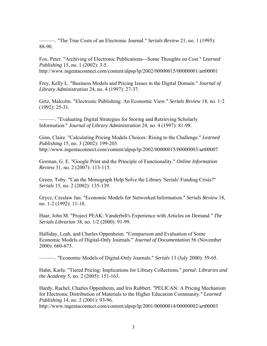———. "The True Costs of an Electronic Journal." *Serials Review* 21, no. 1 (1995): 88-90.

Fox, Peter. "Archiving of Electronic Publications—Some Thoughts on Cost." *Learned Publishing* 15, no. 1 (2002): 3-5. http://www.ingentaconnect.com/content/alpsp/lp/2002/00000015/00000001/art00001

Frey, Kelly L. "Business Models and Pricing Issues in the Digital Domain." *Journal of Library Administration* 24, no. 4 (1997): 27-37.

Getz, Malcolm. "Electronic Publishing: An Economic View." *Serials Review* 18, no. 1-2 (1992): 25-31.

———. "Evaluating Digital Strategies for Storing and Retrieving Scholarly Information." *Journal of Library Administration* 24, no. 4 (1997): 81-98.

Ginn, Claire. "Calculating Pricing Models Choices: Rising to the Challenge." *Learned Publishing* 15, no. 3 (2002): 199-203. http://www.ingentaconnect.com/content/alpsp/lp/2002/00000015/00000003/art00007

Gorman, G. E. "Google Print and the Principle of Functionality." *Online Information Review* 31, no. 2 (2007): 113-115.

Green, Toby. "Can the Monograph Help Solve the Library 'Serials' Funding Crisis?" *Serials* 15, no. 2 (2002): 135-139.

Grycz, Czeslaw Jan. "Economic Models for Networked Information." *Serials Review* 18, no. 1-2 (1992): 11-18.

Haar, John M. "Project PEAK: Vanderbilt's Experience with Articles on Demand." *The Serials Librarian* 38, no. 1/2 (2000): 91-99.

Halliday, Leah, and Charles Oppenheim. "Comparison and Evaluation of Some Economic Models of Digital-Only Journals." *Journal of Documentation* 56 (November 2000): 660-673.

———. "Economic Models of Digital-Only Journals." *Serials* 13 (July 2000): 59-65.

Hahn, Karla. "Tiered Pricing: Implications for Library Collections." *portal: Libraries and the Academy* 5, no. 2 (2005): 151-163.

Hardy, Rachel, Charles Oppenheim, and Iris Rubbert. "PELICAN: A Pricing Mechanism for Electronic Distribution of Materials to the Higher Education Community." *Learned Publishing* 14, no. 2 (2001): 93-96.

http://www.ingentaconnect.com/content/alpsp/lp/2001/00000014/00000002/art00003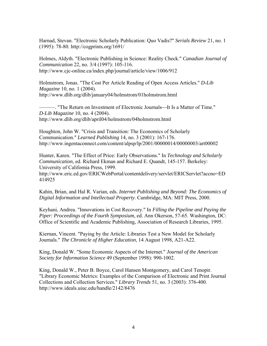Harnad, Stevan. "Electronic Scholarly Publication: Quo Vadis?" *Serials Review* 21, no. 1 (1995): 78-80. http://cogprints.org/1691/

Holmes, Aldyth. "Electronic Publishing in Science: Reality Check." *Canadian Journal of Communication* 22, no. 3/4 (1997): 105-116. http://www.cjc-online.ca/index.php/journal/article/view/1006/912

Holmstrom, Jonas. "The Cost Per Article Reading of Open Access Articles." *D-Lib Magazine* 10, no. 1 (2004). http://www.dlib.org/dlib/january04/holmstrom/01holmstrom.html

———. "The Return on Investment of Electronic Journals—It Is a Matter of Time." *D-Lib Magazine* 10, no. 4 (2004). http://www.dlib.org/dlib/april04/holmstrom/04holmstrom.html

Houghton, John W. "Crisis and Transition: The Economics of Scholarly Communication." *Learned Publishing* 14, no. 3 (2001): 167-176. http://www.ingentaconnect.com/content/alpsp/lp/2001/00000014/00000003/art00002

Hunter, Karen. "The Effect of Price: Early Observations." In *Technology and Scholarly Communication*, ed. Richard Ekman and Richard E. Quandt, 145-157. Berkeley: University of California Press, 1999.

http://www.eric.ed.gov/ERICWebPortal/contentdelivery/servlet/ERICServlet?accno=ED 414925

Kahin, Brian, and Hal R. Varian, eds. *Internet Publishing and Beyond: The Economics of Digital Information and Intellectual Property*. Cambridge, MA: MIT Press, 2000.

Keyhani, Andrea. "Innovations in Cost Recovery." In *Filling the Pipeline and Paying the Piper: Proceedings of the Fourth Symposium*, ed. Ann Okerson, 57-65. Washington, DC: Office of Scientific and Academic Publishing, Association of Research Libraries, 1995.

Kiernan, Vincent. "Paying by the Article: Libraries Test a New Model for Scholarly Journals." *The Chronicle of Higher Education*, 14 August 1998, A21-A22.

King, Donald W. "Some Economic Aspects of the Internet." *Journal of the American Society for Information Science* 49 (September 1998): 990-1002.

King, Donald W., Peter B. Boyce, Carol Hansen Montgomery, and Carol Tenopir. "Library Economic Metrics: Examples of the Comparison of Electronic and Print Journal Collections and Collection Services." *Library Trends* 51, no. 3 (2003): 376-400. http://www.ideals.uiuc.edu/handle/2142/8476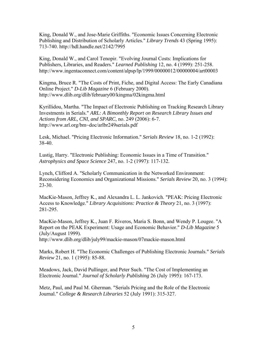King, Donald W., and Jose-Marie Griffiths. "Economic Issues Concerning Electronic Publishing and Distribution of Scholarly Articles." *Library Trends* 43 (Spring 1995): 713-740. http://hdl.handle.net/2142/7995

King, Donald W., and Carol Tenopir. "Evolving Journal Costs: Implications for Publishers, Libraries, and Readers." *Learned Publishing* 12, no. 4 (1999): 251-258. http://www.ingentaconnect.com/content/alpsp/lp/1999/00000012/00000004/art00003

Kingma, Bruce R. "The Costs of Print, Fiche, and Digital Access: The Early Canadiana Online Project." *D-Lib Magazine* 6 (February 2000). http://www.dlib.org/dlib/february00/kingma/02kingma.html

Kyrillidou, Martha. "The Impact of Electronic Publishing on Tracking Research Library Investments in Serials." *ARL: A Bimonthly Report on Research Library Issues and Actions from ARL, CNI, and SPARC*, no. 249 (2006): 6-7. http://www.arl.org/bm~doc/arlbr249serials.pdf

Lesk, Michael. "Pricing Electronic Information." *Serials Review* 18, no. 1-2 (1992): 38-40.

Lustig, Harry. "Electronic Publishing: Economic Issues in a Time of Transition." *Astrophysics and Space Science* 247, no. 1-2 (1997): 117-132.

Lynch, Clifford A. "Scholarly Communication in the Networked Environment: Reconsidering Economics and Organizational Missions." *Serials Review* 20, no. 3 (1994): 23-30.

MacKie-Mason, Jeffrey K., and Alexandra L. L. Jankovich. "PEAK: Pricing Electronic Access to Knowledge." *Library Acquisitions: Practice & Theory* 21, no. 3 (1997): 281-295.

MacKie-Mason, Jeffrey K., Juan F. Riveros, Maria S. Bonn, and Wendy P. Lougee. "A Report on the PEAK Experiment: Usage and Economic Behavior." *D-Lib Magazine* 5 (July/August 1999). http://www.dlib.org/dlib/july99/mackie-mason/07mackie-mason.html

Marks, Robert H. "The Economic Challenges of Publishing Electronic Journals." *Serials Review* 21, no. 1 (1995): 85-88.

Meadows, Jack, David Pullinger, and Peter Such. "The Cost of Implementing an Electronic Journal." *Journal of Scholarly Publishing* 26 (July 1995): 167-173.

Metz, Paul, and Paul M. Gherman. "Serials Pricing and the Role of the Electronic Journal." *College & Research Libraries* 52 (July 1991): 315-327.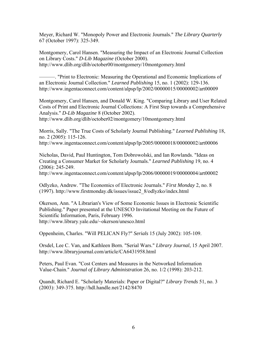Meyer, Richard W. "Monopoly Power and Electronic Journals." *The Library Quarterly* 67 (October 1997): 325-349.

Montgomery, Carol Hansen. "Measuring the Impact of an Electronic Journal Collection on Library Costs." *D-Lib Magazine* (October 2000). http://www.dlib.org/dlib/october00/montgomery/10montgomery.html

———. "Print to Electronic: Measuring the Operational and Economic Implications of an Electronic Journal Collection." *Learned Publishing* 15, no. 1 (2002): 129-136. http://www.ingentaconnect.com/content/alpsp/lp/2002/00000015/00000002/art00009

Montgomery, Carol Hansen, and Donald W. King. "Comparing Library and User Related Costs of Print and Electronic Journal Collections: A First Step towards a Comprehensive Analysis." *D-Lib Magazine* 8 (October 2002).

http://www.dlib.org/dlib/october02/montgomery/10montgomery.html

Morris, Sally. "The True Costs of Scholarly Journal Publishing." *Learned Publishing* 18, no. 2 (2005): 115-126.

http://www.ingentaconnect.com/content/alpsp/lp/2005/00000018/00000002/art00006

Nicholas, David, Paul Huntington, Tom Dobrowolski, and Ian Rowlands. "Ideas on Creating a Consumer Market for Scholarly Journals." *Learned Publishing* 19, no. 4 (2006): 245-249.

http://www.ingentaconnect.com/content/alpsp/lp/2006/00000019/00000004/art00002

Odlyzko, Andrew. "The Economics of Electronic Journals." *First Monday* 2, no. 8 (1997). http://www.firstmonday.dk/issues/issue2\_8/odlyzko/index.html

Okerson, Ann. "A Librarian's View of Some Economic Issues in Electronic Scientific Publishing." Paper presented at the UNESCO Invitational Meeting on the Future of Scientific Information, Paris, February 1996. http://www.library.yale.edu/~okerson/unesco.html

Oppenheim, Charles. "Will PELICAN Fly?" *Serials* 15 (July 2002): 105-109.

Orsdel, Lee C. Van, and Kathleen Born. "Serial Wars." *Library Journal*, 15 April 2007. http://www.libraryjournal.com/article/CA6431958.html

Peters, Paul Evan. "Cost Centers and Measures in the Networked Information Value-Chain." *Journal of Library Administration* 26, no. 1/2 (1998): 203-212.

Quandt, Richard E. "Scholarly Materials: Paper or Digital?" *Library Trends* 51, no. 3 (2003): 349-375. http://hdl.handle.net/2142/8470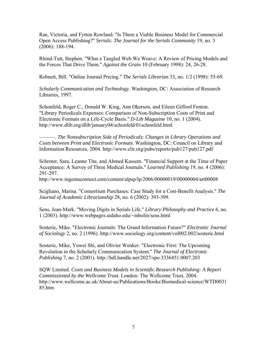Rae, Victoria, and Fytton Rowland. "Is There a Viable Business Model for Commercial Open Access Publishing?" *Serials: The Journal for the Serials Community* 19, no. 3 (2006): 188-194.

Rhind-Tutt, Stephen. "What a Tangled Web We Weave: A Review of Pricing Models and the Forces That Drive Them." *Against the Grain* 10 (February 1998): 24, 26-28.

Robnett, Bill. "Online Journal Pricing." *The Serials Librarian* 33, no. 1/2 (1998): 55-69.

*Scholarly Communication and Technology*. Washington, DC: Association of Research Libraries, 1997.

Schonfeld, Roger C., Donald W. King, Ann Okerson, and Eileen Gifford Fenton. "Library Periodicals Expenses: Comparison of Non-Subscription Costs of Print and Electronic Formats on a Life-Cycle Basis." *D-Lib Magazine* 10, no. 1 (2004). http://www.dlib.org/dlib/january04/schonfeld/01schonfeld.html

———. *The Nonsubscription Side of Periodicals: Changes in Library Operations and Costs between Print and Electronic Formats*. Washington, DC: Council on Library and Information Resources, 2004. http://www.clir.org/pubs/reports/pub127/pub127.pdf

Schroter, Sara, Leanne Tite, and Ahmed Kassem. "Financial Support at the Time of Paper Acceptance: A Survey of Three Medical Journals." *Learned Publishing* 19, no. 4 (2006): 291-297.

http://www.ingentaconnect.com/content/alpsp/lp/2006/00000019/00000004/art00008

Scigliano, Marisa. "Consortium Purchases: Case Study for a Cost-Benefit Analysis." *The Journal of Academic Librarianship* 28, no. 6 (2002): 393-399.

Sens, Jean-Mark. "Moving Digits in Serials Life." *Library Philosophy and Practice* 6, no. 1 (2003). http://www.webpages.uidaho.edu/~mbolin/sens.html

Sosteric, Mike. "Electronic Journals: The Grand Information Future?" *Electronic Journal of Sociology* 2, no. 2 (1996). http://www.sociology.org/content/vol002.002/sosteric.html

Sosteric, Mike, Yuwei Shi, and Olivier Wenker. "Electronic First: The Upcoming Revolution in the Scholarly Communication System." *The Journal of Electronic Publishing* 7, no. 2 (2001). http://hdl.handle.net/2027/spo.3336451.0007.203

SQW Limited. *Costs and Business Models in Scientific Research Publishing: A Report Commissioned by the Wellcome Trust*. London: The Wellcome Trust, 2004. http://www.wellcome.ac.uk/About-us/Publications/Books/Biomedical-science/WTD0031 85.htm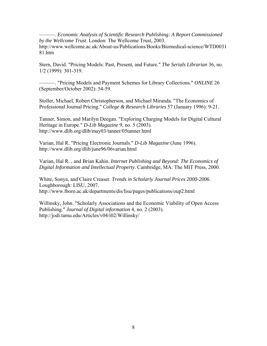———. *Economic Analysis of Scientific Research Publishing: A Report Commissioned by the Wellcome Trust*. London: The Wellcome Trust, 2003. http://www.wellcome.ac.uk/About-us/Publications/Books/Biomedical-science/WTD0031 81.htm

Stern, David. "Pricing Models: Past, Present, and Future." *The Serials Librarian* 36, no. 1/2 (1999): 301-319.

———. "Pricing Models and Payment Schemes for Library Collections." *ONLINE* 26 (September/October 2002): 54-59.

Stoller, Michael, Robert Christopherson, and Michael Miranda. "The Economics of Professional Journal Pricing." *College & Research Libraries* 57 (January 1996): 9-21.

Tanner, Simon, and Marilyn Deegan. "Exploring Charging Models for Digital Cultural Heritage in Europe." *D-Lib Magazine* 9, no. 5 (2003). http://www.dlib.org/dlib/may03/tanner/05tanner.html

Varian, Hal R. "Pricing Electronic Journals." *D-Lib Magazine* (June 1996). http://www.dlib.org/dlib/june96/06varian.html

Varian, Hal R. , and Brian Kahin. *Internet Publishing and Beyond: The Economics of Digital Information and Intellectual Property*. Cambridge, MA: The MIT Press, 2000.

White, Sonya, and Claire Creaser. *Trends in Scholarly Journal Prices 2000-2006*. Loughborough: LISU, 2007. http://www.lboro.ac.uk/departments/dis/lisu/pages/publications/oup2.html

Willinsky, John. "Scholarly Associations and the Economic Viability of Open Access Publishing." *Journal of Digital information* 4, no. 2 (2003). http://jodi.tamu.edu/Articles/v04/i02/Willinsky/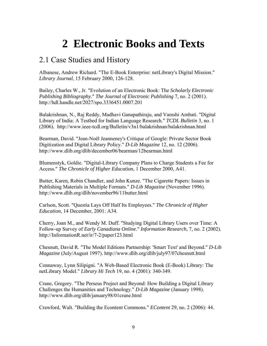### **2 Electronic Books and Texts**

### <span id="page-14-0"></span>2.1 Case Studies and History

Albanese, Andrew Richard. "The E-Book Enterprise: netLibrary's Digital Mission." *Library Journal*, 15 February 2000, 126-128.

Bailey, Charles W., Jr. "Evolution of an Electronic Book: The *Scholarly Electronic Publishing Bibliography*." *The Journal of Electronic Publishing* 7, no. 2 (2001). http://hdl.handle.net/2027/spo.3336451.0007.201

Balakrishnan, N., Raj Reddy, Madhavi Ganapathiraju, and Vamshi Ambati. "Digital Library of India: A Testbed for Indian Language Research." *TCDL Bulletin* 3, no. 1 (2006). http://www.ieee-tcdl.org/Bulletin/v3n1/balakrishnan/balakrishnan.html

Bearman, David. "Jean-Noël Jeanneney's Critique of Google: Private Sector Book Digitization and Digital Library Policy." *D-Lib Magazine* 12, no. 12 (2006). http://www.dlib.org/dlib/december06/bearman/12bearman.html

Blumenstyk, Goldie. "Digital-Library Company Plans to Charge Students a Fee for Access." *The Chronicle of Higher Education*, 1 December 2000, A41.

Butter, Karen, Robin Chandler, and John Kunze. "The Cigarette Papers: Issues in Publishing Materials in Multiple Formats." *D-Lib Magazine* (November 1996). http://www.dlib.org/dlib/november96/11butter.html

Carlson, Scott. "Questia Lays Off Half Its Employees." *The Chronicle of Higher Education*, 14 December, 2001: A34.

Cherry, Joan M., and Wendy M. Duff. "Studying Digital Library Users over Time: A Follow-up Survey of *Early Canadiana Online*." *Information Research*, 7, no. 2 (2002). http://InformationR.net/ir/7-2/paper123.html

Chesnutt, David R. "The Model Editions Partnership: 'Smart Text' and Beyond." *D-Lib Magazine* (July/August 1997). http://www.dlib.org/dlib/july97/07chesnutt.html

Connaway, Lynn Silipigni. "A Web-Based Electronic Book (E-Book) Library: The netLibrary Model." *Library Hi Tech* 19, no. 4 (2001): 340-349.

Crane, Gregory. "The Perseus Project and Beyond: How Building a Digital Library Challenges the Humanities and Technology." *D-Lib Magazine* (January 1998). http://www.dlib.org/dlib/january98/01crane.html

Crawford, Walt. "Building the Econtent Commons." *EContent* 29, no. 2 (2006): 44.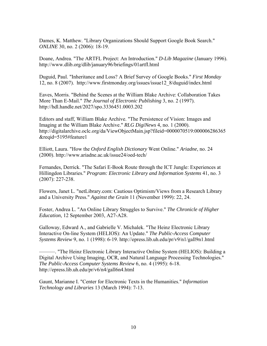Dames, K. Matthew. "Library Organizations Should Support Google Book Search." *ONLINE* 30, no. 2 (2006): 18-19.

Doane, Andrea. "The ARTFL Project: An Introduction." *D-Lib Magazine* (January 1996). http://www.dlib.org/dlib/january96/briefings/01artfl.html

Duguid, Paul. "Inheritance and Loss? A Brief Survey of Google Books." *First Monday* 12, no. 8 (2007). http://www.firstmonday.org/issues/issue12\_8/duguid/index.html

Eaves, Morris. "Behind the Scenes at the William Blake Archive: Collaboration Takes More Than E-Mail." *The Journal of Electronic Publishing* 3, no. 2 (1997). http://hdl.handle.net/2027/spo.3336451.0003.202

Editors and staff, William Blake Archive. "The Persistence of Vision: Images and Imaging at the William Blake Archive." *RLG DigiNews* 4, no. 1 (2000). http://digitalarchive.oclc.org/da/ViewObjectMain.jsp?fileid=0000070519:000006286365 &reqid=5195#feature1

Elliott, Laura. "How the *Oxford English Dictionary* Went Online." *Ariadne*, no. 24 (2000). http://www.ariadne.ac.uk/issue24/oed-tech/

Fernandes, Derrick. "The Safari E-Book Route through the ICT Jungle: Experiences at Hillingdon Libraries." *Program: Electronic Library and Information Systems* 41, no. 3 (2007): 227-238.

Flowers, Janet L. "netLibrary.com: Cautious Optimism/Views from a Research Library and a University Press." *Against the Grain* 11 (November 1999): 22, 24.

Foster, Andrea L. "An Online Library Struggles to Survive." *The Chronicle of Higher Education*, 12 September 2003, A27-A28.

Galloway, Edward A., and Gabrielle V. Michalek. "The Heinz Electronic Library Interactive On-line System (HELIOS): An Update." *The Public-Access Computer Systems Review* 9, no. 1 (1998): 6-19. http://epress.lib.uh.edu/pr/v9/n1/gall9n1.html

———. "The Heinz Electronic Library Interactive Online System (HELIOS): Building a Digital Archive Using Imaging, OCR, and Natural Language Processing Technologies." *The Public-Access Computer Systems Review* 6, no. 4 (1995): 6-18. http://epress.lib.uh.edu/pr/v6/n4/gall6n4.html

Gaunt, Marianne I. "Center for Electronic Texts in the Humanities." *Information Technology and Libraries* 13 (March 1994): 7-13.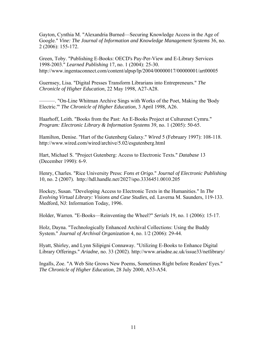Gayton, Cynthia M. "Alexandria Burned—Securing Knowledge Access in the Age of Google." *Vine: The Journal of Information and Knowledge Management Systems* 36, no. 2 (2006): 155-172.

Green, Toby. "Publishing E-Books: OECD's Pay-Per-View and E-Library Services 1998-2003." *Learned Publishing* 17, no. 1 (2004): 25-30. http://www.ingentaconnect.com/content/alpsp/lp/2004/00000017/00000001/art00005

Guernsey, Lisa. "Digital Presses Transform Librarians into Entrepreneurs." *The Chronicle of Higher Education*, 22 May 1998, A27-A28.

———. "On-Line Whitman Archive Sings with Works of the Poet, Making the 'Body Electric.'" *The Chronicle of Higher Education*, 3 April 1998, A26.

Haarhoff, Leith. "Books from the Past: An E-Books Project at Culturenet Cymru." *Program: Electronic Library & Information Systems* 39, no. 1 (2005): 50-65.

Hamilton, Denise. "Hart of the Gutenberg Galaxy." *Wired* 5 (February 1997): 108-118. http://www.wired.com/wired/archive/5.02/esgutenberg.html

Hart, Michael S. "Project Gutenberg: Access to Electronic Texts." *Database* 13 (December 1990): 6-9.

Henry, Charles. "Rice University Press: *Fons et Origo*." *Journal of Electronic Publishing* 10, no. 2 (2007). http://hdl.handle.net/2027/spo.3336451.0010.205

Hockey, Susan. "Developing Access to Electronic Texts in the Humanities." In *The Evolving Virtual Library: Visions and Case Studies*, ed. Laverna M. Saunders, 119-133. Medford, NJ: Information Today, 1996.

Holder, Warren. "E-Books—Reinventing the Wheel?" *Serials* 19, no. 1 (2006): 15-17.

Holz, Dayna. "Technologically Enhanced Archival Collections: Using the Buddy System." *Journal of Archival Organization* 4, no. 1/2 (2006): 29-44.

Hyatt, Shirley, and Lynn Silipigni Connaway. "Utilizing E-Books to Enhance Digital Library Offerings." *Ariadne*, no. 33 (2002). http://www.ariadne.ac.uk/issue33/netlibrary/

Ingalls, Zoe. "A Web Site Grows New Poems, Sometimes Right before Readers' Eyes." *The Chronicle of Higher Education*, 28 July 2000, A53-A54.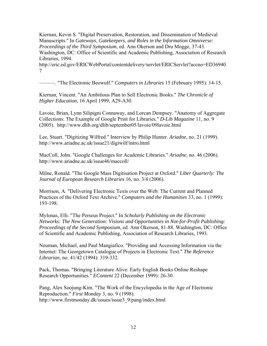Kiernan, Kevin S. "Digital Preservation, Restoration, and Dissemination of Medieval Manuscripts." In *Gateways, Gatekeepers, and Roles in the Information Omniverse: Proceedings of the Third Symposium*, ed. Ann Okerson and Dru Mogge, 37-43. Washington, DC: Office of Scientific and Academic Publishing, Association of Research Libraries, 1994.

http://eric.ed.gov/ERICWebPortal/contentdelivery/servlet/ERICServlet?accno=ED36940 7

———. "The Electronic Beowulf." *Computers in Libraries* 15 (February 1995): 14-15.

Kiernan, Vincent. "An Ambitious Plan to Sell Electronic Books." *The Chronicle of Higher Education*, 16 April 1999, A29-A30.

Lavoie, Brian, Lynn Silipigni Connaway, and Lorcan Dempsey. "Anatomy of Aggregate Collections: The Example of Google Print for Libraries." *D-Lib Magazine* 11, no. 9 (2005). http://www.dlib.org/dlib/september05/lavoie/09lavoie.html

Lee, Stuart. "Digitizing Wilfred." Interview by Philip Hunter. *Ariadne*, no. 21 (1999). http://www.ariadne.ac.uk/issue21/digiwilf/intro.html

MacColl, John. "Google Challenges for Academic Libraries." *Ariadne*, no. 46 (2006). http://www.ariadne.ac.uk/issue46/maccoll/

Milne, Ronald. "The Google Mass Digitisation Project at Oxford." *Liber Quarterly: The Journal of European Research Libraries* 16, no. 3/4 (2006).

Morrison, A. "Delivering Electronic Texts over the Web: The Current and Planned Practices of the Oxford Text Archive." *Computers and the Humanities* 33, no. 1 (1999): 193-198.

Mylonas, Elli. "The Perseus Project." In *Scholarly Publishing on the Electronic Networks: The New Generation: Visions and Opportunities in Not-for-Profit Publishing: Proceedings of the Second Symposium*, ed. Ann Okerson, 81-88. Washington, DC: Office of Scientific and Academic Publishing, Association of Research Libraries, 1993.

Neuman, Michael, and Paul Mangiafico. "Providing and Accessing Information via the Internet: The Georgetown Catalogue of Projects in Electronic Text." *The Reference Librarian*, no. 41/42 (1994): 319-332.

Pack, Thomas. "Bringing Literature Alive: Early English Books Online Reshape Research Opportunities." *EContent* 22 (December 1999): 26-30.

Pang, Alex Soojung-Kim. "The Work of the Encyclopedia in the Age of Electronic Reproduction." *First Monday* 3, no. 9 (1998). http://www.firstmonday.dk/issues/issue3\_9/pang/index.html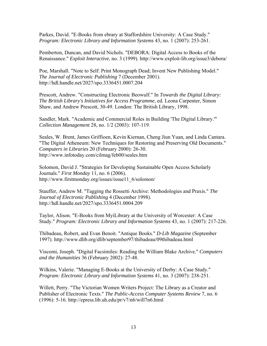Parkes, David. "E-Books from ebrary at Staffordshire University: A Case Study." *Program: Electronic Library and Information Systems* 43, no. 1 (2007): 253-261.

Pemberton, Duncan, and David Nichols. "DEBORA: Digital Access to Books of the Renaissance." *Exploit Interactive*, no. 3 (1999). http://www.exploit-lib.org/issue3/debora/

Poe, Marshall. "Note to Self: Print Monograph Dead; Invent New Publishing Model." *The Journal of Electronic Publishing* 7 (December 2001). http://hdl.handle.net/2027/spo.3336451.0007.204

Prescott, Andrew. "Constructing Electronic Beowulf." In *Towards the Digital Library: The British Library's Initiatives for Access Programme*, ed. Leona Carpenter, Simon Shaw, and Andrew Prescott, 30-49. London: The British Library, 1998.

Sandler, Mark. "Academic and Commercial Roles in Building 'The Digital Library.'" *Collection Management* 28, no. 1/2 (2003): 107-119.

Seales, W. Brent, James Griffioen, Kevin Kiernan, Cheng Jiun Yuan, and Linda Cantara. "The Digital Atheneum: New Techniques for Restoring and Preserving Old Documents." *Computers in Libraries* 20 (February 2000): 26-30. http://www.infotoday.com/cilmag/feb00/seales.htm

Solomon, David J. "Strategies for Developing Sustainable Open Access Scholarly Journals." *First Monday* 11, no. 6 (2006). http://www.firstmonday.org/issues/issue11\_6/solomon/

Stauffer, Andrew M. "Tagging the Rossetti Archive: Methodologies and Praxis." *The Journal of Electronic Publishing* 4 (December 1998). http://hdl.handle.net/2027/spo.3336451.0004.209

Taylor, Alison. "E-Books from MyiLibrary at the University of Worcester: A Case Study." *Program: Electronic Library and Information Systems* 43, no. 1 (2007): 217-226.

Thibadeau, Robert, and Evan Benoit. "Antique Books." *D-Lib Magazine* (September 1997). http://www.dlib.org/dlib/september97/thibadeau/09thibadeau.html

Viscomi, Joseph. "Digital Facsimiles: Reading the William Blake Archive." *Computers and the Humanities* 36 (February 2002): 27-48.

Wilkins, Valerie. "Managing E-Books at the University of Derby: A Case Study." *Program: Electronic Library and Information Systems* 41, no. 3 (2007): 238-251.

Willett, Perry. "The Victorian Women Writers Project: The Library as a Creator and Publisher of Electronic Texts." *The Public-Access Computer Systems Review* 7, no. 6  $(1996)$ : 5-16. http://epress.lib.uh.edu/pr/v7/n6/will7n6.html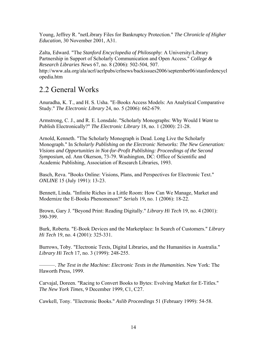<span id="page-19-0"></span>Young, Jeffrey R. "netLibrary Files for Bankruptcy Protection." *The Chronicle of Higher Education*, 30 November 2001, A31.

Zalta, Edward. "The *Stanford Encyclopedia of Philosophy*: A University/Library Partnership in Support of Scholarly Communication and Open Access." *College & Research Libraries News* 67, no. 8 (2006): 502-504, 507. http://www.ala.org/ala/acrl/acrlpubs/crlnews/backissues2006/september06/stanfordencycl opedia.htm

### 2.2 General Works

Anuradha, K. T., and H. S. Usha. "E-Books Access Models: An Analytical Comparative Study." *The Electronic Library* 24, no. 5 (2006): 662-679.

Armstrong, C. J., and R. E. Lonsdale. "Scholarly Monographs: Why Would I *Want* to Publish Electronically?" *The Electronic Library* 18, no. 1 (2000): 21-28.

Arnold, Kenneth. "The Scholarly Monograph is Dead. Long Live the Scholarly Monograph." In *Scholarly Publishing on the Electronic Networks: The New Generation: Visions and Opportunities in Not-for-Profit Publishing: Proceedings of the Second Symposium*, ed. Ann Okerson, 73-79. Washington, DC: Office of Scientific and Academic Publishing, Association of Research Libraries, 1993.

Basch, Reva. "Books Online: Visions, Plans, and Perspectives for Electronic Text." *ONLINE* 15 (July 1991): 13-23.

Bennett, Linda. "Infinite Riches in a Little Room: How Can We Manage, Market and Modernize the E-Books Phenomenon?" *Serials* 19, no. 1 (2006): 18-22.

Brown, Gary J. "Beyond Print: Reading Digitally." *Library Hi Tech* 19, no. 4 (2001): 390-399.

Burk, Roberta. "E-Book Devices and the Marketplace: In Search of Customers." *Library Hi Tech* 19, no. 4 (2001): 325-331.

Burrows, Toby. "Electronic Texts, Digital Libraries, and the Humanities in Australia." *Library Hi Tech* 17, no. 3 (1999): 248-255.

———. *The Text in the Machine: Electronic Texts in the Humanities*. New York: The Haworth Press, 1999.

Carvajal, Doreen. "Racing to Convert Books to Bytes: Evolving Market for E-Titles." *The New York Times*, 9 December 1999, C1, C27.

Cawkell, Tony. "Electronic Books." *Aslib Proceedings* 51 (February 1999): 54-58.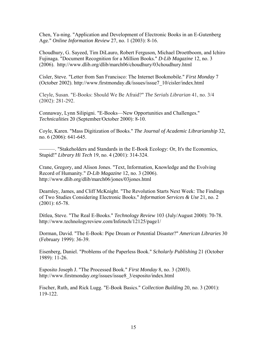Chen, Ya-ning. "Application and Development of Electronic Books in an E-Gutenberg Age." *Online Information Review* 27, no. 1 (2003): 8-16.

Choudhury, G. Sayeed, Tim DiLauro, Robert Ferguson, Michael Droettboom, and Ichiro Fujinaga. "Document Recognition for a Million Books." *D-Lib Magazine* 12, no. 3 (2006). http://www.dlib.org/dlib/march06/choudhury/03choudhury.html

Cisler, Steve. "Letter from San Francisco: The Internet Bookmobile." *First Monday* 7 (October 2002). http://www.firstmonday.dk/issues/issue7\_10/cisler/index.html

Cleyle, Susan. "E-Books: Should We Be Afraid?" *The Serials Librarian* 41, no. 3/4 (2002): 281-292.

Connaway, Lynn Silipigni. "E-Books—New Opportunities and Challenges." *Technicalities* 20 (September/October 2000): 8-10.

Coyle, Karen. "Mass Digitization of Books." *The Journal of Academic Librarianship* 32, no. 6 (2006): 641-645.

———. "Stakeholders and Standards in the E-Book Ecology: Or, It's the Economics, Stupid!" *Library Hi Tech* 19, no. 4 (2001): 314-324.

Crane, Gregory, and Alison Jones. "Text, Information, Knowledge and the Evolving Record of Humanity." *D-Lib Magazine* 12, no. 3 (2006). http://www.dlib.org/dlib/march06/jones/03jones.html

Dearnley, James, and Cliff McKnight. "The Revolution Starts Next Week: The Findings of Two Studies Considering Electronic Books." *Information Services & Use* 21, no. 2 (2001): 65-78.

Ditlea, Steve. "The Real E-Books." *Technology Review* 103 (July/August 2000): 70-78. http://www.technologyreview.com/Infotech/12125/page1/

Dorman, David. "The E-Book: Pipe Dream or Potential Disaster?" *American Libraries* 30 (February 1999): 36-39.

Eisenberg, Daniel. "Problems of the Paperless Book." *Scholarly Publishing* 21 (October 1989): 11-26.

Esposito Joseph J. "The Processed Book." *First Monday* 8, no. 3 (2003). http://www.firstmonday.org/issues/issue8\_3/esposito/index.html

Fischer, Ruth, and Rick Lugg. "E-Book Basics." *Collection Building* 20, no. 3 (2001): 119-122.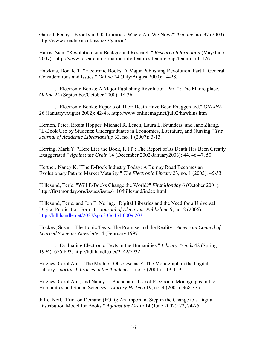Garrod, Penny. "Ebooks in UK Libraries: Where Are We Now?" *Ariadne*, no. 37 (2003). http://www.ariadne.ac.uk/issue37/garrod/

Harris, Siân. "Revolutionising Background Research." *Research Information* (May/June 2007). http://www.researchinformation.info/features/feature.php?feature\_id=126

Hawkins, Donald T. "Electronic Books: A Major Publishing Revolution. Part 1: General Considerations and Issues." *Online* 24 (July/August 2000): 14-28.

———. "Electronic Books: A Major Publishing Revolution. Part 2: The Marketplace." *Online* 24 (September/October 2000): 18-36.

———. "Electronic Books: Reports of Their Death Have Been Exaggerated." *ONLINE* 26 (January/August 2002): 42-48. http://www.onlinemag.net/jul02/hawkins.htm

Hernon, Peter, Rosita Hopper, Michael R. Leach, Laura L. Saunders, and Jane Zhang. "E-Book Use by Students: Undergraduates in Economics, Literature, and Nursing." *The Journal of Academic Librarianship* 33, no. 1 (2007): 3-13.

Herring, Mark Y. "Here Lies the Book, R.I.P.: The Report of Its Death Has Been Greatly Exaggerated." *Against the Grain* 14 (December 2002-January2003): 44, 46-47, 50.

Herther, Nancy K. "The E-Book Industry Today: A Bumpy Road Becomes an Evolutionary Path to Market Maturity." *The Electronic Library* 23, no. 1 (2005): 45-53.

Hillesund, Terje. "Will E-Books Change the World?" *First Monday* 6 (October 2001). http://firstmonday.org/issues/issue6\_10/hillesund/index.html

Hillesund, Terje, and Jon E. Noring. "Digital Libraries and the Need for a Universal Digital Publication Format." *Journal of Electronic Publishing* 9, no. 2 (2006). <http://hdl.handle.net/2027/spo.3336451.0009.203>

Hockey, Susan. "Electronic Texts: The Promise and the Reality." *American Council of Learned Societies Newsletter* 4 (February 1997).

———. "Evaluating Electronic Texts in the Humanities." *Library Trends* 42 (Spring 1994): 676-693. http://hdl.handle.net/2142/7932

Hughes, Carol Ann. "The Myth of 'Obsolescence': The Monograph in the Digital Library." *portal: Libraries in the Academy* 1, no. 2 (2001): 113-119.

Hughes, Carol Ann, and Nancy L. Buchanan. "Use of Electronic Monographs in the Humanities and Social Sciences." *Library Hi Tech* 19, no. 4 (2001): 368-375.

Jaffe, Neil. "Print on Demand (POD): An Important Step in the Change to a Digital Distribution Model for Books." *Against the Grain* 14 (June 2002): 72, 74-75.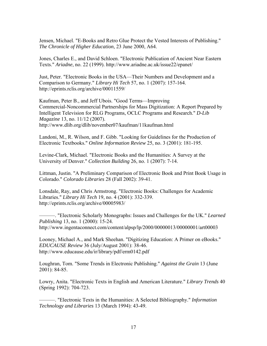Jensen, Michael. "E-Books and Retro Glue Protect the Vested Interests of Publishing." *The Chronicle of Higher Education*, 23 June 2000, A64.

Jones, Charles E., and David Schloen. "Electronic Publication of Ancient Near Eastern Texts." *Ariadne*, no. 22 (1999). http://www.ariadne.ac.uk/issue22/epanet/

Just, Peter. "Electronic Books in the USA—Their Numbers and Development and a Comparison to Germany." *Library Hi Tech* 57, no. 1 (2007): 157-164. http://eprints.rclis.org/archive/00011559/

Kaufman, Peter B., and Jeff Ubois. "Good Terms—Improving Commercial-Noncommercial Partnerships for Mass Digitization: A Report Prepared by Intelligent Television for RLG Programs, OCLC Programs and Research." *D-Lib Magazine* 13, no. 11/12 (2007). http://www.dlib.org/dlib/november07/kaufman/11kaufman.html

Landoni, M., R. Wilson, and F. Gibb. "Looking for Guidelines for the Production of Electronic Textbooks." *Online Information Review* 25, no. 3 (2001): 181-195.

Levine-Clark, Michael. "Electronic Books and the Humanities: A Survey at the University of Denver." *Collection Building* 26, no. 1 (2007): 7-14.

Littman, Justin. "A Preliminary Comparison of Electronic Book and Print Book Usage in Colorado." *Colorado Libraries* 28 (Fall 2002): 39-41.

Lonsdale, Ray, and Chris Armstrong. "Electronic Books: Challenges for Academic Libraries." *Library Hi Tech* 19, no. 4 (2001): 332-339. http://eprints.rclis.org/archive/00005983/

———. "Electronic Scholarly Monographs: Issues and Challenges for the UK." *Learned Publishing* 13, no. 1 (2000): 15-24. http://www.ingentaconnect.com/content/alpsp/lp/2000/00000013/00000001/art00003

Looney, Michael A., and Mark Sheehan. "Digitizing Education: A Primer on eBooks." *EDUCAUSE Review* 36 (July/August 2001): 38-46. http://www.educause.edu/ir/library/pdf/erm0142.pdf

Loughran, Tom. "Some Trends in Electronic Publishing." *Against the Grain* 13 (June 2001): 84-85.

Lowry, Anita. "Electronic Texts in English and American Literature." *Library Trends* 40 (Spring 1992): 704-723.

———. "Electronic Texts in the Humanities: A Selected Bibliography." *Information Technology and Libraries* 13 (March 1994): 43-49.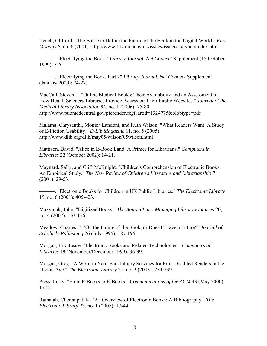Lynch, Clifford. "The Battle to Define the Future of the Book in the Digital World." *First Monday* 6, no. 6 (2001). http://www.firstmonday.dk/issues/issue6\_6/lynch/index.html

———. "Electrifying the Book." *Library Journal*, *Net Connect* Supplement (15 October 1999): 3-6.

———. "Electrifying the Book, Part 2" *Library Journal*, *Net Connect* Supplement (January 2000): 24-27.

MacCall, Steven L. "Online Medical Books: Their Availability and an Assessment of How Health Sciences Libraries Provide Access on Their Public Websites." *Journal of the Medical Library Association* 94, no. 1 (2006): 75-80. http://www.pubmedcentral.gov/picrender.fcgi?artid=1324775&blobtype=pdf

Malama, Chrysanthi, Monica Landoni, and Ruth Wilson. "What Readers Want: A Study of E-Fiction Usability." *D-Lib Magazine* 11, no. 5 (2005). http://www.dlib.org/dlib/may05/wilson/05wilson.html

Mattison, David. "Alice in E-Book Land: A Primer for Librarians." *Computers in Libraries* 22 (October 2002): 14-21.

Maynard, Sally, and Cliff McKnight. "Children's Comprehension of Electronic Books: An Empirical Study." *The New Review of Children's Literature and Librarianship* 7 (2001): 29-53.

———. "Electronic Books for Children in UK Public Libraries." *The Electronic Library* 19, no. 6 (2001): 405-423.

Maxymuk, John. "Digitized Books." *The Bottom Line: Managing Library Finances* 20, no. 4 (2007): 153-156.

Meadow, Charles T. "On the Future of the Book, or Does It Have a Future?" *Journal of Scholarly Publishing* 26 (July 1995): 187-196.

Morgan, Eric Lease. "Electronic Books and Related Technologies." *Computers in Libraries* 19 (November/December 1999): 36-39.

Morgan, Greg. "A Word in Your Ear: Library Services for Print Disabled Readers in the Digital Age." *The Electronic Library* 21, no. 3 (2003): 234-239.

Press, Larry. "From P-Books to E-Books." *Communications of the ACM* 43 (May 2000): 17-21.

Ramaiah, Chennupati K. "An Overview of Electronic Books: A Bibliography." *The Electronic Library* 23, no. 1 (2005): 17-44.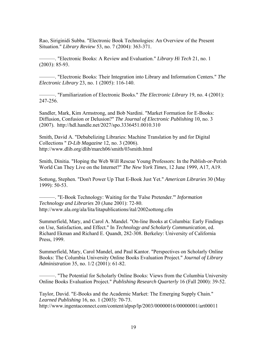Rao, Siriginidi Subba. "Electronic Book Technologies: An Overview of the Present Situation." *Library Review* 53, no. 7 (2004): 363-371.

———. "Electronic Books: A Review and Evaluation." *Library Hi Tech* 21, no. 1 (2003): 85-93.

———. "Electronic Books: Their Integration into Library and Information Centers." *The Electronic Library* 23, no. 1 (2005): 116-140.

———. "Familiarization of Electronic Books." *The Electronic Library* 19, no. 4 (2001): 247-256.

Sandler, Mark, Kim Armstrong, and Bob Nardini. "Market Formation for E-Books: Diffusion, Confusion or Delusion?" *The Journal of Electronic Publishing* 10, no. 3 (2007). http://hdl.handle.net/2027/spo.3336451.0010.310

Smith, David A. "Debabelizing Libraries: Machine Translation by and for Digital Collections " *D-Lib Magazine* 12, no. 3 (2006). http://www.dlib.org/dlib/march06/smith/03smith.html

Smith, Dinitia. "Hoping the Web Will Rescue Young Professors: In the Publish-or-Perish World Can They Live on the Internet?" *The New York Times*, 12 June 1999, A17, A19.

Sottong, Stephen. "Don't Power Up That E-Book Just Yet." *American Libraries* 30 (May 1999): 50-53.

———. "E-Book Technology: Waiting for the 'False Pretender.'" *Information Technology and Libraries* 20 (June 2001): 72-80. http://www.ala.org/ala/lita/litapublications/ital/2002sottong.cfm

Summerfield, Mary, and Carol A. Mandel. "On-line Books at Columbia: Early Findings on Use, Satisfaction, and Effect." In *Technology and Scholarly Communication*, ed. Richard Ekman and Richard E. Quandt, 282-308. Berkeley: University of California Press, 1999.

Summerfield, Mary, Carol Mandel, and Paul Kantor. "Perspectives on Scholarly Online Books: The Columbia University Online Books Evaluation Project." *Journal of Library Administration* 35, no. 1/2 (2001): 61-82.

———. "The Potential for Scholarly Online Books: Views from the Columbia University Online Books Evaluation Project." *Publishing Research Quarterly* 16 (Fall 2000): 39-52.

Taylor, David. "E-Books and the Academic Market: The Emerging Supply Chain." *Learned Publishing* 16, no. 1 (2003): 70-73. http://www.ingentaconnect.com/content/alpsp/lp/2003/00000016/00000001/art00011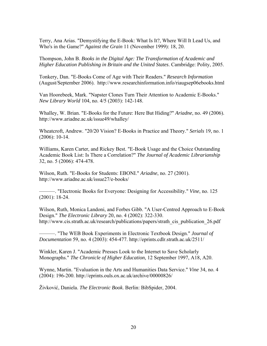Terry, Ana Arias. "Demystifying the E-Book: What Is It?, Where Will It Lead Us, and Who's in the Game?" *Against the Grain* 11 (November 1999): 18, 20.

Thompson, John B. *Books in the Digital Age: The Transformation of Academic and Higher Education Publishing in Britain and the United States*. Cambridge: Polity, 2005.

Tonkery, Dan. "E-Books Come of Age with Their Readers." *Research Information* (August/September 2006). http://www.researchinformation.info/riaugsep06ebooks.html

Van Hoorebeek, Mark. "Napster Clones Turn Their Attention to Academic E-Books." *New Library World* 104, no. 4/5 (2003): 142-148.

Whalley, W. Brian. "E-Books for the Future: Here But Hiding?" *Ariadne*, no. 49 (2006). http://www.ariadne.ac.uk/issue49/whalley/

Wheatcroft, Andrew. "20/20 Vision? E-Books in Practice and Theory." *Serials* 19, no. 1 (2006): 10-14.

Williams, Karen Carter, and Rickey Best. "E-Book Usage and the Choice Outstanding Academic Book List: Is There a Correlation?" *The Journal of Academic Librarianship*  32, no. 5 (2006): 474-478.

Wilson, Ruth. "E-Books for Students: EBONI." *Ariadne*, no. 27 (2001). http://www.ariadne.ac.uk/issue27/e-books/

———. "Electronic Books for Everyone: Designing for Accessibility." *Vine*, no. 125 (2001): 18-24.

Wilson, Ruth, Monica Landoni, and Forbes Gibb. "A User-Centred Approach to E-Book Design." *The Electronic Library* 20, no. 4 (2002): 322-330. http://www.cis.strath.ac.uk/research/publications/papers/strath\_cis\_publication\_26.pdf

———. "The WEB Book Experiments in Electronic Textbook Design." *Journal of Documentation* 59, no. 4 (2003): 454-477. http://eprints.cdlr.strath.ac.uk/2511/

Winkler, Karen J. "Academic Presses Look to the Internet to Save Scholarly Monographs." *The Chronicle of Higher Education*, 12 September 1997, A18, A20.

Wynne, Martin. "Evaluation in the Arts and Humanities Data Service." *Vine* 34, no. 4 (2004): 196-200. http://eprints.ouls.ox.ac.uk/archive/00000826/

Živković, Daniela. *The Electronic Book*. Berlin: BibSpider, 2004.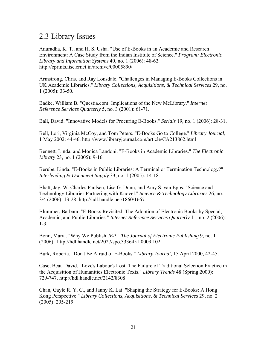#### <span id="page-26-0"></span>2.3 Library Issues

Anuradha, K. T., and H. S. Usha. "Use of E-Books in an Academic and Research Environment: A Case Study from the Indian Institute of Science." *Program: Electronic Library and Information Systems* 40, no. 1 (2006): 48-62. http://eprints.iisc.ernet.in/archive/00005890/

Armstrong, Chris, and Ray Lonsdale. "Challenges in Managing E-Books Collections in UK Academic Libraries." *Library Collections, Acquisitions, & Technical Services* 29, no. 1 (2005): 33-50.

Badke, William B. "Questia.com: Implications of the New McLibrary." *Internet Reference Services Quarterly* 5, no. 3 (2001): 61-71.

Ball, David. "Innovative Models for Procuring E-Books." *Serials* 19, no. 1 (2006): 28-31.

Bell, Lori, Virginia McCoy, and Tom Peters. "E-Books Go to College." *Library Journal*, 1 May 2002: 44-46. http://www.libraryjournal.com/article/CA213862.html

Bennett, Linda, and Monica Landoni. "E-Books in Academic Libraries." *The Electronic Library* 23, no. 1 (2005): 9-16.

Berube, Linda. "E-Books in Public Libraries: A Terminal or Termination Technology?" *Interlending & Document Supply* 33, no. 1 (2005): 14-18.

Bhatt, Jay, W. Charles Paulsen, Lisa G. Dunn, and Amy S. van Epps. "Science and Technology Libraries Partnering with Knovel." *Science & Technology Libraries* 26, no. 3/4 (2006): 13-28. http://hdl.handle.net/1860/1667

Blummer, Barbara. "E-Books Revisited: The Adoption of Electronic Books by Special, Academic, and Public Libraries." *Internet Reference Services Quarterly* 11, no. 2 (2006): 1-3.

Bonn, Maria. "Why We Publish *JEP*." *The Journal of Electronic Publishing* 9, no. 1 (2006). http://hdl.handle.net/2027/spo.3336451.0009.102

Burk, Roberta. "Don't Be Afraid of E-Books." *Library Journal*, 15 April 2000, 42-45.

Case, Beau David. "Love's Labour's Lost: The Failure of Traditional Selection Practice in the Acquisition of Humanities Electronic Texts." *Library Trends* 48 (Spring 2000): 729-747. http://hdl.handle.net/2142/8308

Chan, Gayle R. Y. C., and Janny K. Lai. "Shaping the Strategy for E-Books: A Hong Kong Perspective." *Library Collections, Acquisitions, & Technical Services* 29, no. 2 (2005): 205-219.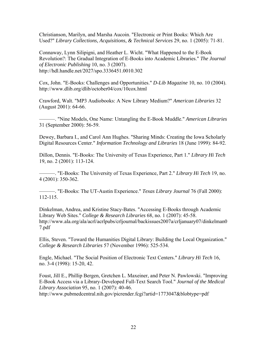Christianson, Marilyn, and Marsha Aucoin. "Electronic or Print Books: Which Are Used?" *Library Collections, Acquisitions, & Technical Services* 29, no. 1 (2005): 71-81.

Connaway, Lynn Silipigni, and Heather L. Wicht. "What Happened to the E-Book Revolution?: The Gradual Integration of E-Books into Academic Libraries." *The Journal of Electronic Publishing* 10, no. 3 (2007). http://hdl.handle.net/2027/spo.3336451.0010.302

Cox, John. "E-Books: Challenges and Opportunities." *D-Lib Magazine* 10, no. 10 (2004). http://www.dlib.org/dlib/october04/cox/10cox.html

Crawford, Walt. "MP3 Audiobooks: A New Library Medium?" *American Libraries* 32 (August 2001): 64-66.

———. "Nine Models, One Name: Untangling the E-Book Muddle." *American Libraries* 31 (September 2000): 56-59.

Dewey, Barbara I., and Carol Ann Hughes. "Sharing Minds: Creating the Iowa Scholarly Digital Resources Center." *Information Technology and Libraries* 18 (June 1999): 84-92.

Dillon, Dennis. "E-Books: The University of Texas Experience, Part 1." *Library Hi Tech* 19, no. 2 (2001): 113-124.

———. "E-Books: The University of Texas Experience, Part 2." *Library Hi Tech* 19, no. 4 (2001): 350-362.

———. "E-Books: The UT-Austin Experience." *Texas Library Journal* 76 (Fall 2000): 112-115.

Dinkelman, Andrea, and Kristine Stacy-Bates. "Accessing E-Books through Academic Library Web Sites." *College & Research Libraries* 68, no. 1 (2007): 45-58. http://www.ala.org/ala/acrl/acrlpubs/crljournal/backissues2007a/crljanuary07/dinkelman0 7.pdf

Ellis, Steven. "Toward the Humanities Digital Library: Building the Local Organization." *College & Research Libraries* 57 (November 1996): 525-534.

Engle, Michael. "The Social Position of Electronic Text Centers." *Library Hi Tech* 16, no. 3-4 (1998): 15-20, 42.

Foust, Jill E., Phillip Bergen, Gretchen L. Maxeiner, and Peter N. Pawlowski. "Improving E-Book Access via a Library-Developed Full-Text Search Tool." *Journal of the Medical Library Association* 95, no. 1 (2007): 40-46. http://www.pubmedcentral.nih.gov/picrender.fcgi?artid=1773047&blobtype=pdf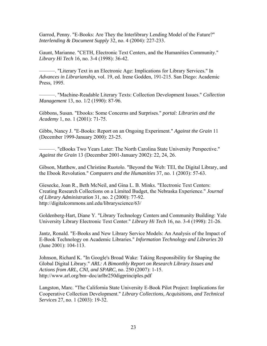Garrod, Penny. "E-Books: Are They the Interlibrary Lending Model of the Future?" *Interlending & Document Supply* 32, no. 4 (2004): 227-233.

Gaunt, Marianne. "CETH, Electronic Text Centers, and the Humanities Community." *Library Hi Tech* 16, no. 3-4 (1998): 36-42.

———. "Literary Text in an Electronic Age: Implications for Library Services." In *Advances in Librarianship*, vol. 19, ed. Irene Godden, 191-215. San Diego: Academic Press, 1995.

———. "Machine-Readable Literary Texts: Collection Development Issues." *Collection Management* 13, no. 1/2 (1990): 87-96.

Gibbons, Susan. "Ebooks: Some Concerns and Surprises." *portal: Libraries and the Academy* 1, no. 1 (2001): 71-75.

Gibbs, Nancy J. "E-Books: Report on an Ongoing Experiment." *Against the Grain* 11 (December 1999-January 2000): 23-25.

———. "eBooks Two Years Later: The North Carolina State University Perspective." *Against the Grain* 13 (December 2001-January 2002): 22, 24, 26.

Gibson, Matthew, and Christine Ruotolo. "Beyond the Web: TEI, the Digital Library, and the Ebook Revolution." *Computers and the Humanities* 37, no. 1 (2003): 57-63.

Giesecke, Joan R., Beth McNeil, and Gina L. B. Minks. "Electronic Text Centers: Creating Research Collections on a Limited Budget, the Nebraska Experience." *Journal of Library Administration* 31, no. 2 (2000): 77-92. http://digitalcommons.unl.edu/libraryscience/63/

Goldenberg-Hart, Diane Y. "Library Technology Centers and Community Building: Yale University Library Electronic Text Center." *Library Hi Tech* 16, no. 3-4 (1998): 21-26.

Jantz, Ronald. "E-Books and New Library Service Models: An Analysis of the Impact of E-Book Technology on Academic Libraries." *Information Technology and Libraries* 20 (June 2001): 104-113.

Johnson, Richard K. "In Google's Broad Wake: Taking Responsibility for Shaping the Global Digital Library." *ARL: A Bimonthly Report on Research Library Issues and Actions from ARL, CNI, and SPARC*, no. 250 (2007): 1-15. http://www.arl.org/bm~doc/arlbr250digprinciples.pdf

Langston, Marc. "The California State University E-Book Pilot Project: Implications for Cooperative Collection Development." *Library Collections, Acquisitions, and Technical Services* 27, no. 1 (2003): 19-32.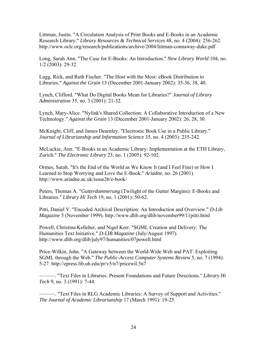Littman, Justin. "A Circulation Analysis of Print Books and E-Books in an Academic Research Library." *Library Resources & Technical Services* 48, no. 4 (2004): 256-262. http://www.oclc.org/research/publications/archive/2004/littman-connaway-duke.pdf

Long, Sarah Ann. "The Case for E-Books: An Introduction." *New Library World* 104, no. 1/2 (2003): 29-32.

Lugg, Rick, and Ruth Fischer. "The Host with the Most: eBook Distribution to Libraries." *Against the Grain* 13 (December 2001-January 2002): 35-36, 38, 40.

Lynch, Clifford. "What Do Digital Books Mean for Libraries?" *Journal of Library Administration* 35, no. 3 (2001): 21-32.

Lynch, Mary-Alice. "Nylink's Shared Collection: A Collaborative Introduction of a New Technology." *Against the Grain* 13 (December 2001-January 2002): 26, 28, 30.

McKnight, Cliff, and James Dearnley. "Electronic Book Use in a Public Library." *Journal of Librarianship and Information Science* 35, no. 4 (2003): 235-242.

McLuckie, Ann. "E-Books in an Academic Library: Implementation at the ETH Library, Zurich." *The Electronic Library* 23, no. 1 (2005): 92-102.

Ormes, Sarah. "It's the End of the World as We Know It (and I Feel Fine) or How I Learned to Stop Worrying and Love the E-Book." *Ariadne*, no. 26 (2001). http://www.ariadne.ac.uk/issue26/e-book/

Peters, Thomas A. "*Gutterdammerung* (Twilight of the Gutter Margins): E-Books and Libraries." *Library Hi Tech* 19, no. 1 (2001): 50-62.

Pitti, Daniel V. "Encoded Archival Description: An Introduction and Overview." *D-Lib Magazine* 5 (November 1999). http://www.dlib.org/dlib/november99/11pitti.html

Powell, Christina Kelleher, and Nigel Kerr. "SGML Creation and Delivery: The Humanities Text Initiative." *D-LIB Magazine* (July/August 1997). http://www.dlib.org/dlib/july97/humanities/07powell.html

Price-Wilkin, John. "A Gateway between the World-Wide Web and PAT: Exploiting SGML through the Web." *The Public-Access Computer Systems Review* 5, no. 7 (1994): 5-27. http://epress.lib.uh.edu/pr/v5/n7/pricewil.5n7

———. "Text Files in Libraries: Present Foundations and Future Directions*." Library Hi Tech* 9, no. 3 (1991): 7-44.

———. "Text Files in RLG Academic Libraries: A Survey of Support and Activities." *The Journal of Academic Librarianship* 17 (March 1991): 19-25.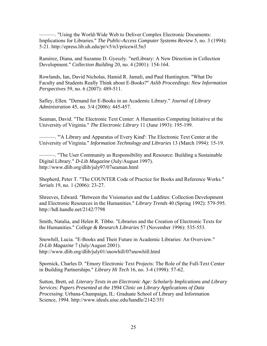———. "Using the World-Wide Web to Deliver Complex Electronic Documents: Implications for Libraries." *The Public-Access Computer Systems Review* 5, no. 3 (1994): 5-21. http://epress.lib.uh.edu/pr/v5/n3/pricewil.5n3

Ramirez, Diana, and Suzanne D. Gyeszly. "netLibrary: A New Direction in Collection Development." *Collection Building* 20, no. 4 (2001): 154-164.

Rowlands, Ian, David Nicholas, Hamid R. Jamali, and Paul Huntington. "What Do Faculty and Students Really Think about E-Books?" *Aslib Proceedings: New Information Perspectives* 59, no. 6 (2007): 489-511.

Safley, Ellen. "Demand for E-Books in an Academic Library." *Journal of Library Administration* 45, no. 3/4 (2006): 445-457.

Seaman, David. "The Electronic Text Center: A Humanities Computing Initiative at the University of Virginia." *The Electronic Library* 11 (June 1993): 195-199.

———. "'A Library and Apparatus of Every Kind': The Electronic Text Center at the University of Virginia." *Information Technology and Libraries* 13 (March 1994): 15-19.

———. "The User Community as Responsibility and Resource: Building a Sustainable Digital Library." *D-Lib Magazine* (July/August 1997). http://www.dlib.org/dlib/july97/07seaman.html

Shepherd, Peter T. "The COUNTER Code of Practice for Books and Reference Works." *Serials* 19, no. 1 (2006): 23-27.

Shreeves, Edward. "Between the Visionaries and the Luddites: Collection Development and Electronic Resources in the Humanities." *Library Trends* 40 (Spring 1992): 579-595. http://hdl.handle.net/2142/7798

Smith, Natalia, and Helen R. Tibbo. "Libraries and the Creation of Electronic Texts for the Humanities." *College & Research Libraries* 57 (November 1996): 535-553.

Snowhill, Lucia. "E-Books and Their Future in Academic Libraries: An Overview." *D-Lib Magazine* 7 (July/August 2001). http://www.dlib.org/dlib/july01/snowhill/07snowhill.html

Spornick, Charles D. "Emory Electronic Text Projects: The Role of the Full-Text Center in Building Partnerships." *Library Hi Tech* 16, no. 3-4 (1998): 57-62.

Sutton, Brett, ed. *Literary Texts in an Electronic Age: Scholarly Implications and Library Services: Papers Presented at the 1994 Clinic on Library Applications of Data Processing.* Urbana-Champaign, IL: Graduate School of Library and Information Science, 1994. http://www.ideals.uiuc.edu/handle/2142/351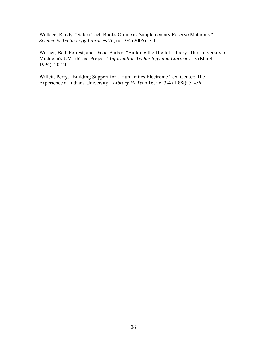Wallace, Randy. "Safari Tech Books Online as Supplementary Reserve Materials." *Science & Technology Libraries* 26, no. 3/4 (2006): 7-11.

Warner, Beth Forrest, and David Barber. "Building the Digital Library: The University of Michigan's UMLibText Project." *Information Technology and Libraries* 13 (March 1994): 20-24.

Willett, Perry. "Building Support for a Humanities Electronic Text Center: The Experience at Indiana University." *Library Hi Tech* 16, no. 3-4 (1998): 51-56.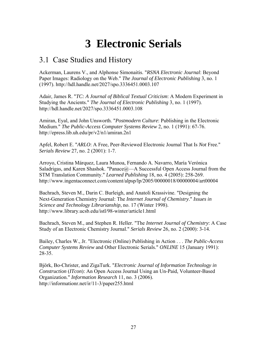## **3 Electronic Serials**

### <span id="page-32-0"></span>3.1 Case Studies and History

Ackerman, Laurens V., and Alphonse Simonaitis. "*RSNA Electronic Journal*: Beyond Paper Images: Radiology on the Web." *The Journal of Electronic Publishing* 3, no. 1 (1997). http://hdl.handle.net/2027/spo.3336451.0003.107

Adair, James R. "*TC: A Journal of Biblical Textual Criticism*: A Modern Experiment in Studying the Ancients." *The Journal of Electronic Publishing* 3, no. 1 (1997). http://hdl.handle.net/2027/spo.3336451.0003.108

Amiran, Eyal, and John Unsworth. "*Postmodern Culture*: Publishing in the Electronic Medium." *The Public-Access Computer Systems Review* 2, no. 1 (1991): 67-76. http://epress.lib.uh.edu/pr/v2/n1/amiran.2n1

Apfel, Robert E. "*ARLO*: A Free, Peer-Reviewed Electronic Journal That Is *Not* Free." *Serials Review* 27, no. 2 (2001): 1-7.

Arroyo, Cristina Márquez, Laura Munoa, Fernando A. Navarro, María Verónica Saladrigas, and Karen Shashok. "Panace $@{\rightarrow}A$  Successful Open Access Journal from the STM Translation Community." *Learned Publishing* 18, no. 4 (2005): 258-269. http://www.ingentaconnect.com/content/alpsp/lp/2005/00000018/00000004/art00004

Bachrach, Steven M., Darin C. Burleigh, and Anatoli Krassivine. "Designing the Next-Generation Chemistry Journal: The *Internet Journal of Chemistry*." *Issues in Science and Technology Librarianship*, no. 17 (Winter 1998). http://www.library.ucsb.edu/istl/98-winter/article1.html

Bachrach, Steven M., and Stephen R. Heller. "The *Internet Journal of Chemistry*: A Case Study of an Electronic Chemistry Journal." *Serials Review* 26, no. 2 (2000): 3-14.

Bailey, Charles W., Jr. "Electronic (Online) Publishing in Action . . . *The Public-Access Computer Systems Review* and Other Electronic Serials." *ONLINE* 15 (January 1991): 28-35.

Björk, Bo-Christer, and ZigaTurk. "*Electronic Journal of Information Technology in Construction* (*ITcon*): An Open Access Journal Using an Un-Paid, Volunteer-Based Organization." *Information Research* 11, no. 3 (2006). http://informationr.net/ir/11-3/paper255.html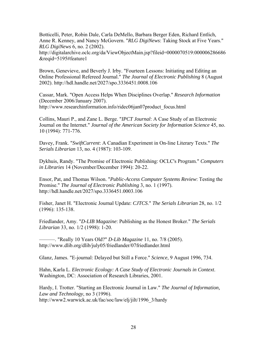Botticelli, Peter, Robin Dale, Carla DeMello, Barbara Berger Eden, Richard Entlich, Anne R. Kenney, and Nancy McGovern. "*RLG DigiNews*: Taking Stock at Five Years." *RLG DigiNews* 6, no. 2 (2002).

http://digitalarchive.oclc.org/da/ViewObjectMain.jsp?fileid=0000070519:000006286686 &reqid=5195#feature1

Brown, Genevieve, and Beverly J. Irby. "Fourteen Lessons: Initiating and Editing an Online Professional Refereed Journal." *The Journal of Electronic Publishing* 8 (August 2002). http://hdl.handle.net/2027/spo.3336451.0008.106

Cassar, Mark. "Open Access Helps When Disciplines Overlap." *Research Information* (December 2006/January 2007). http://www.researchinformation.info/ridec06jan07product\_focus.html

Collins, Mauri P., and Zane L. Berge. "*IPCT Journal*: A Case Study of an Electronic Journal on the Internet." *Journal of the American Society for Information Science* 45, no. 10 (1994): 771-776.

Davey, Frank. "*SwiftCurrent*: A Canadian Experiment in On-line Literary Texts." *The Serials Librarian* 13, no. 4 (1987): 103-109.

Dykhuis, Randy. "The Promise of Electronic Publishing: OCLC's Program." *Computers in Libraries* 14 (November/December 1994): 20-22.

Ensor, Pat, and Thomas Wilson. "*Public-Access Computer Systems Review*: Testing the Promise." *The Journal of Electronic Publishing* 3, no. 1 (1997). http://hdl.handle.net/2027/spo.3336451.0003.106

Fisher, Janet H. "Electronic Journal Update: *CJTCS*." *The Serials Librarian* 28, no. 1/2 (1996): 135-138.

Friedlander, Amy. "*D-LIB Magazine*: Publishing as the Honest Broker." *The Serials Librarian* 33, no. 1/2 (1998): 1-20.

———. "Really 10 Years Old?" *D-Lib Magazine* 11, no. 7/8 (2005). http://www.dlib.org/dlib/july05/friedlander/07friedlander.html

Glanz, James. "E-journal: Delayed but Still a Force." *Science*, 9 August 1996, 734.

Hahn, Karla L. *Electronic Ecology: A Case Study of Electronic Journals in Context*. Washington, DC: Association of Research Libraries, 2001.

Hardy, I. Trotter. "Starting an Electronic Journal in Law." *The Journal of Information, Law and Technology*, no 3 (1996). http://www2.warwick.ac.uk/fac/soc/law/elj/jilt/1996\_3/hardy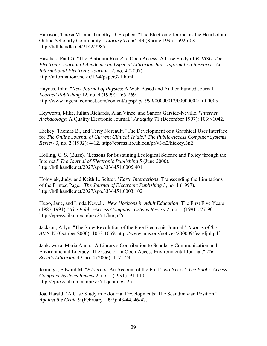Harrison, Teresa M., and Timothy D. Stephen. "The Electronic Journal as the Heart of an Online Scholarly Community." *Library Trends* 43 (Spring 1995): 592-608. http://hdl.handle.net/2142/7985

Haschak, Paul G. "The 'Platinum Route' to Open Access: A Case Study of *E-JASL*: *The Electronic Journal of Academic and Special Librarianship*." *Information Research: An International Electronic Journal* 12, no. 4 (2007). http://informationr.net/ir/12-4/paper321.html

Haynes, John. "*New Journal of Physics*: A Web-Based and Author-Funded Journal." *Learned Publishing* 12, no. 4 (1999): 265-269. http://www.ingentaconnect.com/content/alpsp/lp/1999/00000012/00000004/art00005

Heyworth, Mike, Julian Richards, Alan Vince, and Sandra Garside-Neville. "*Internet Archaeology*: A Quality Electronic Journal." *Antiquity* 71 (December 1997): 1039-1042.

Hickey, Thomas B., and Terry Noreault. "The Development of a Graphical User Interface for *The Online Journal of Current Clinical Trials*." *The Public-Access Computer Systems Review* 3, no. 2 (1992): 4-12. http://epress.lib.uh.edu/pr/v3/n2/hickey.3n2

Holling, C. S. (Buzz). "Lessons for Sustaining Ecological Science and Policy through the Internet." *The Journal of Electronic Publishing* 5 (June 2000). http://hdl.handle.net/2027/spo.3336451.0005.401

Holoviak, Judy, and Keith L. Seitter. "*Earth Interactions*: Transcending the Limitations of the Printed Page." *The Journal of Electronic Publishing* 3, no. 1 (1997). http://hdl.handle.net/2027/spo.3336451.0003.102

Hugo, Jane, and Linda Newell. "*New Horizons in Adult Education*: The First Five Years (1987-1991)." *The Public-Access Computer Systems Review* 2, no. 1 (1991): 77-90. http://epress.lib.uh.edu/pr/v2/n1/hugo.2n1

Jackson, Allyn. "The Slow Revolution of the Free Electronic Journal." *Notices of the AMS* 47 (October 2000): 1053-1059. http://www.ams.org/notices/200009/fea-eljnl.pdf

Jankowska, Maria Anna. "A Library's Contribution to Scholarly Communication and Environmental Literacy: The Case of an Open-Access Environmental Journal." *The Serials Librarian* 49, no. 4 (2006): 117-124.

Jennings, Edward M. "*EJournal*: An Account of the First Two Years." *The Public-Access Computer Systems Review* 2, no. 1 (1991): 91-110. http://epress.lib.uh.edu/pr/v2/n1/jennings.2n1

Joa, Harald. "A Case Study in E-Journal Developments: The Scandinavian Position." *Against the Grain* 9 (February 1997): 43-44, 46-47.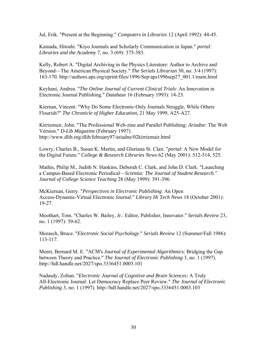Jul, Erik. "Present at the Beginning." *Computers in Libraries* 12 (April 1992): 44-45.

Kamada, Hitoshi. "Kiyo Journals and Scholarly Communication in Japan." *portal: Libraries and the Academy* 7, no. 3 (69): 375-383.

Kelly, Robert A. "Digital Archiving in the Physics Literature: Author to Archive and Beyond—The American Physical Society." *The Serials Librarian* 30, no. 3/4 (1997): 163-170. http://authors.aps.org/eprint/files/1996/Sep/aps1996sep27\_001.1/main.html

Keyhani, Andrea. "*The Online Journal of Current Clinical Trials*: An Innovation in Electronic Journal Publishing." *Database* 16 (February 1993): 14-23.

Kiernan, Vincent. "Why Do Some Electronic-Only Journals Struggle, While Others Flourish?" *The Chronicle of Higher Education*, 21 May 1999, A25-A27.

Kirriemuir, John. "The Professional Web-zine and Parallel Publishing: *Ariadne*: The Web Version." *D-Lib Magazine* (February 1997). http://www.dlib.org/dlib/february97/ariadne/02kirriemuir.html

Lowry, Charles B., Susan K. Martin, and Gloriana St. Clair. "*portal*: A New Model for the Digital Future." *College & Research Libraries News* 62 (May 2001): 512-514, 525.

Mathis, Philip M., Judith N. Hankins, Deborah C. Clark, and John D. Clark. "Launching a Campus-Based Electronic Periodical—*Scientia: The Journal of Student Research." Journal of College Science Teaching* 28 (May 1999): 391-396.

McKiernan, Gerry. "*Perspectives in Electronic Publishing*: An Open Access-Dynamic-Virtual Electronic Journal." *Library Hi Tech News* 18 (October 2001): 19-27.

Moothart, Tom. "Charles W. Bailey, Jr.: Editor, Publisher, Innovator." *Serials Review* 23, no. 1 (1997): 59-62.

Morasch, Bruce. "*Electronic Social Psychology*." *Serials Review* 12 (Summer/Fall 1986): 113-117.

Moret, Bernard M. E. "ACM's *Journal of Experimental Algorithmics*: Bridging the Gap between Theory and Practice." *The Journal of Electronic Publishing* 3, no. 1 (1997). http://hdl.handle.net/2027/spo.3336451.0003.101

Nadasdy, Zoltan. "*Electronic Journal of Cognitive and Brain Sciences*: A Truly All-Electronic Journal: Let Democracy Replace Peer Review." *The Journal of Electronic Publishing* 3, no. 1 (1997). http://hdl.handle.net/2027/spo.3336451.0003.103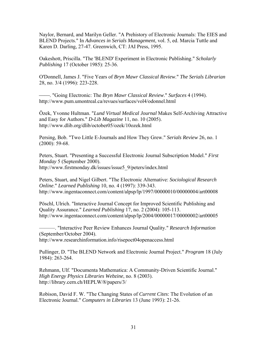Naylor, Bernard, and Marilyn Geller. "A Prehistory of Electronic Journals: The EIES and BLEND Projects." In *Advances in Serials Management*, vol. 5, ed. Marcia Tuttle and Karen D. Darling, 27-47. Greenwich, CT: JAI Press, 1995.

Oakeshott, Priscilla. "The 'BLEND' Experiment in Electronic Publishing." *Scholarly Publishing* 17 (October 1985): 25-36.

O'Donnell, James J. "Five Years of *Bryn Mawr Classical Review*." *The Serials Librarian* 28, no. 3/4 (1996): 223-228.

⎯⎯. "Going Electronic: The *Bryn Mawr Classical Review*." *Surfaces* 4 (1994). http://www.pum.umontreal.ca/revues/surfaces/vol4/odonnel.html

Özek, Yvonne Hultman. "*Lund Virtual Medical Journal* Makes Self-Archiving Attractive and Easy for Authors." *D-Lib Magazine* 11, no. 10 (2005). http://www.dlib.org/dlib/october05/ozek/10ozek.html

Persing, Bob. "Two Little E-Journals and How They Grew." *Serials Review* 26, no. 1 (2000): 59-68.

Peters, Stuart. "Presenting a Successful Electronic Journal Subscription Model." *First Monday* 5 (September 2000). http://www.firstmonday.dk/issues/issue5\_9/peters/index.html

Peters, Stuart, and Nigel Gilbert. "The Electronic Alternative: *Sociological Research Online*." *Learned Publishing* 10, no. 4 (1997): 339-343. http://www.ingentaconnect.com/content/alpsp/lp/1997/00000010/00000004/art00008

Pöschl, Ulrich. "Interactive Journal Concept for Improved Scientific Publishing and Quality Assurance." *Learned Publishing* 17, no. 2 (2004): 105-113. http://www.ingentaconnect.com/content/alpsp/lp/2004/00000017/00000002/art00005

———. "Interactive Peer Review Enhances Journal Quality." *Research Information* (September/October 2004).

http://www.researchinformation.info/risepoct04openaccess.html

Pullinger, D. "The BLEND Network and Electronic Journal Project." *Program* 18 (July 1984): 263-264.

Rehmann, Ulf. "Documenta Mathematica: A Community-Driven Scientific Journal." *High Energy Physics Libraries Webzine*, no. 8 (2003). http://library.cern.ch/HEPLW/8/papers/3/

Robison, David F. W. "The Changing States of *Current Cites*: The Evolution of an Electronic Journal." *Computers in Libraries* 13 (June 1993): 21-26.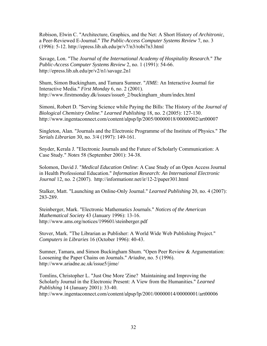Robison, Elwin C. "Architecture, Graphics, and the Net: A Short History of *Architronic*, a Peer-Reviewed E-Journal." *The Public-Access Computer Systems Review* 7, no. 3  $(1996)$ : 5-12. http://epress.lib.uh.edu/pr/v7/n3/robi7n3.html

Savage, Lon. "The *Journal of the International Academy of Hospitality Research*." *The Public-Access Computer Systems Review* 2, no. 1 (1991): 54-66. http://epress.lib.uh.edu/pr/v2/n1/savage.2n1

Shum, Simon Buckingham, and Tamara Sumner. "*JIME*: An Interactive Journal for Interactive Media." *First Monday* 6, no. 2 (2001). http://www.firstmonday.dk/issues/issue6\_2/buckingham\_shum/index.html

Simoni, Robert D. "Serving Science while Paying the Bills: The History of the *Journal of Biological Chemistry Online*." *Learned Publishing* 18, no. 2 (2005): 127-130. http://www.ingentaconnect.com/content/alpsp/lp/2005/00000018/00000002/art00007

Singleton, Alan. "Journals and the Electronic Programme of the Institute of Physics." *The Serials Librarian* 30, no. 3/4 (1997): 149-161.

Snyder, Kerala J. "Electronic Journals and the Future of Scholarly Communication: A Case Study." *Notes* 58 (September 2001): 34-38.

Solomon, David J. "*Medical Education Online*: A Case Study of an Open Access Journal in Health Professional Education." *Information Research: An International Electronic Journal* 12, no. 2 (2007). http://informationr.net/ir/12-2/paper301.html

Stalker, Matt. "Launching an Online-Only Journal." *Learned Publishing* 20, no. 4 (2007): 283-289.

Steinberger, Mark. "Electronic Mathematics Journals." *Notices of the American Mathematical Society* 43 (January 1996): 13-16. http://www.ams.org/notices/199601/steinberger.pdf

Stover, Mark. "The Librarian as Publisher: A World Wide Web Publishing Project." *Computers in Libraries* 16 (October 1996): 40-43.

Sumner, Tamara, and Simon Buckingham Shum. "Open Peer Review & Argumentation: Loosening the Paper Chains on Journals." *Ariadne,* no. 5 (1996). http://www.ariadne.ac.uk/issue5/jime/

Tomlins, Christopher L. "Just One More 'Zine? Maintaining and Improving the Scholarly Journal in the Electronic Present: A View from the Humanities." *Learned Publishing* 14 (January 2001): 33-40. http://www.ingentaconnect.com/content/alpsp/lp/2001/00000014/00000001/art00006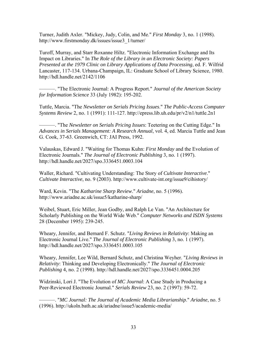Turner, Judith Axler. "Mickey, Judy, Colin, and Me." *First Monday* 3, no. 1 (1998). http://www.firstmonday.dk/issues/issue3\_1/turner/

Turoff, Murray, and Starr Roxanne Hiltz. "Electronic Information Exchange and Its Impact on Libraries." In *The Role of the Library in an Electronic Society: Papers Presented at the 1979 Clinic on Library Applications of Data Processing*, ed. F. Wilfrid Lancaster, 117-134. Urbana-Champaign, IL: Graduate School of Library Science, 1980. http://hdl.handle.net/2142/1106

———. "The Electronic Journal: A Progress Report." *Journal of the American Society for Information Science* 33 (July 1982): 195-202.

Tuttle, Marcia. "The *Newsletter on Serials Pricing Issues*." *The Public-Access Computer Systems Review* 2, no. 1 (1991): 111-127. http://epress.lib.uh.edu/pr/v2/n1/tuttle.2n1

———. "The *Newsletter on Serials Pricing Issues*: Teetering on the Cutting Edge." In *Advances in Serials Management: A Research Annual*, vol. 4, ed. Marcia Tuttle and Jean G. Cook, 37-63. Greenwich, CT: JAI Press, 1992.

Valauskas, Edward J. "Waiting for Thomas Kuhn: *First Monday* and the Evolution of Electronic Journals." *The Journal of Electronic Publishing* 3, no. 1 (1997). http://hdl.handle.net/2027/spo.3336451.0003.104

Waller, Richard. "Cultivating Understanding: The Story of *Cultivate Interactive*." *Cultivate Interactive*, no. 9 (2003). http://www.cultivate-int.org/issue9/cihistory/

Ward, Kevin. "The *Katharine Sharp Review*." *Ariadne*, no. 5 (1996). http://www.ariadne.ac.uk/issue5/katharine-sharp/

Weibel, Stuart, Eric Miller, Jean Godby, and Ralph Le Van. "An Architecture for Scholarly Publishing on the World Wide Web." *Computer Networks and ISDN Systems* 28 (December 1995): 239-245.

Wheary, Jennifer, and Bernard F. Schutz. "*Living Reviews in Relativity*: Making an Electronic Journal Live." *The Journal of Electronic Publishing* 3, no. 1 (1997). http://hdl.handle.net/2027/spo.3336451.0003.105

Wheary, Jennifer, Lee Wild, Bernard Schutz, and Christina Weyher. "*Living Reviews in Relativity*: Thinking and Developing Electronically." *The Journal of Electronic Publishing* 4, no. 2 (1998). http://hdl.handle.net/2027/spo.3336451.0004.205

Widzinski, Lori J. "The Evolution of *MC Journal*: A Case Study in Producing a Peer-Reviewed Electronic Journal." *Serials Review* 23, no. 2 (1997): 59-72.

———. "*MC Journal: The Journal of Academic Media Librarianship*." *Ariadne*, no. 5 (1996). http://ukoln.bath.ac.uk/ariadne/issue5/academic-media/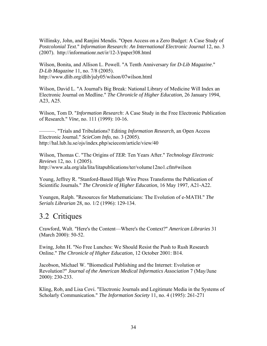Willinsky, John, and Ranjini Mendis. "Open Access on a Zero Budget: A Case Study of *Postcolonial Text*." *Information Research: An International Electronic Journal* 12, no. 3 (2007). http://informationr.net/ir/12-3/paper308.html

Wilson, Bonita, and Allison L. Powell. "A Tenth Anniversary for *D-Lib Magazine*." *D-Lib Magazine* 11, no. 7/8 (2005). http://www.dlib.org/dlib/july05/wilson/07wilson.html

Wilson, David L. "A Journal's Big Break: National Library of Medicine Will Index an Electronic Journal on Medline." *The Chronicle of Higher Education*, 26 January 1994, A23, A25.

Wilson, Tom D. "*Information Research*: A Case Study in the Free Electronic Publication of Research." *Vine*, no. 111 (1999): 10-16.

———. "Trials and Tribulations? Editing *Information Research*, an Open Access Electronic Journal." *ScieCom Info*, no. 3 (2005). http://hal.lub.lu.se/ojs/index.php/sciecom/article/view/40

Wilson, Thomas C. "The Origins of *TER*: Ten Years After." *Technology Electronic Reviews* 12, no. 1 (2005). http://www.ala.org/ala/lita/litapublications/ter/volume12no1.cfm#wilson

Young, Jeffrey R. "Stanford-Based High Wire Press Transforms the Publication of Scientific Journals." *The Chronicle of Higher Education*, 16 May 1997, A21-A22.

Youngen, Ralph. "Resources for Mathematicians: The Evolution of e-MATH." *The Serials Librarian* 28, no. 1/2 (1996): 129-134.

# 3.2 Critiques

Crawford, Walt. "Here's the Content—Where's the Context?" *American Libraries* 31 (March 2000): 50-52.

Ewing, John H. "No Free Lunches: We Should Resist the Push to Rush Research Online." *The Chronicle of Higher Education*, 12 October 2001: B14.

Jacobson, Michael W. "Biomedical Publishing and the Internet: Evolution or Revolution?" *Journal of the American Medical Informatics Association* 7 (May/June 2000): 230-233.

Kling, Rob, and Lisa Covi. "Electronic Journals and Legitimate Media in the Systems of Scholarly Communication." *The Information Society* 11, no. 4 (1995): 261-271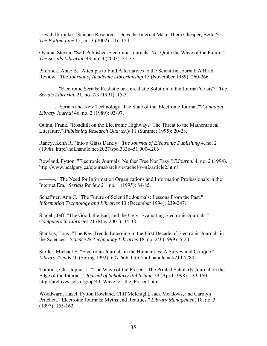Lawal, Ibironke. "Science Resources: Does the Internet Make Them Cheaper, Better?" *The Bottom Line* 15, no. 3 (2002): 116-124.

Ovadia, Steven. "Self-Published Electronic Journals: Not Quite the Wave of the Future." *The Serials Librarian* 43, no. 3 (2003): 31-37.

Piternick, Anne B. "Attempts to Find Alternatives to the Scientific Journal: A Brief Review." *The Journal of Academic Librarianship* 15 (November 1989): 260-266.

 ———. "Electronic Serials: Realistic or Unrealistic Solution to the Journal 'Crisis'?" *The Serials Librarian* 21, no. 2/3 (1991): 15-31.

———. "Serials and New Technology: The State of the 'Electronic Journal.'" *Canadian Library Journal* 46, no. 2 (1989): 93-97.

Quinn, Frank. "Roadkill on the Electronic Highway? The Threat to the Mathematical Literature." *Publishing Research Quarterly* 11 (Summer 1995): 20-28.

Raney, Keith R. "Into a Glass Darkly." *The Journal of Electronic Publishing* 4, no. 2 (1998). http://hdl.handle.net/2027/spo.3336451.0004.206

Rowland, Fytton. "Electronic Journals: Neither Free Nor Easy." *EJournal* 4, no. 2 (1994). http://www.ucalgary.ca/ejournal/archive/rachel/v4n2/article2.html

———. "The Need for Information Organizations and Information Professionals in the Internet Era." *Serials Review* 21, no. 1 (1995): 84-85.

Schaffner, Ann C. "The Future of Scientific Journals: Lessons From the Past." *Information Technology and Libraries* 13 (December 1994): 239-247.

Slagell, Jeff. "The Good, the Bad, and the Ugly: Evaluating Electronic Journals." *Computers in Libraries* 21 (May 2001): 34-38.

Stankus, Tony. "The Key Trends Emerging in the First Decade of Electronic Journals in the Sciences." *Science & Technology Libraries* 18, no. 2/3 (1999): 5-20.

Stoller, Michael E. "Electronic Journals in the Humanities: A Survey and Critique." *Library Trends* 40 (Spring 1992): 647-666. http://hdl.handle.net/2142/7805

Tomlins, Christopher L. "The Wave of the Present: The Printed Scholarly Journal on the Edge of the Internet." *Journal of Scholarly Publishing* 29 (April 1998): 133-150. http://archives.acls.org/op/43 Wave of the Present.htm

Woodward, Hazel, Fytton Rowland, Cliff McKnight, Jack Meadows, and Carolyn Pritchett. "Electronic Journals: Myths and Realities." *Library Management* 18, no. 3 (1997): 155-162.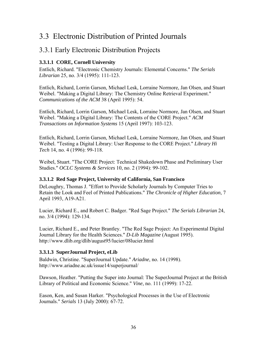# 3.3 Electronic Distribution of Printed Journals

## 3.3.1 Early Electronic Distribution Projects

#### **3.3.1.1 CORE, Cornell University**

Entlich, Richard. "Electronic Chemistry Journals: Elemental Concerns." *The Serials Librarian* 25, no. 3/4 (1995): 111-123.

Entlich, Richard, Lorrin Garson, Michael Lesk, Lorraine Normore, Jan Olsen, and Stuart Weibel. "Making a Digital Library: The Chemistry Online Retrieval Experiment." *Communications of the ACM* 38 (April 1995): 54.

Entlich, Richard, Lorrin Garson, Michael Lesk, Lorraine Normore, Jan Olsen, and Stuart Weibel. "Making a Digital Library: The Contents of the CORE Project." *ACM Transactions on Information Systems* 15 (April 1997): 103-123.

Entlich, Richard, Lorrin Garson, Michael Lesk, Lorraine Normore, Jan Olsen, and Stuart Weibel. "Testing a Digital Library: User Response to the CORE Project." *Library Hi Tech* 14, no. 4 (1996): 99-118.

Weibel, Stuart. "The CORE Project: Technical Shakedown Phase and Preliminary User Studies." *OCLC Systems & Services* 10, no. 2 (1994): 99-102.

#### **3.3.1.2 Red Sage Project, University of California, San Francisco**

DeLoughry, Thomas J. "Effort to Provide Scholarly Journals by Computer Tries to Retain the Look and Feel of Printed Publications." *The Chronicle of Higher Education*, 7 April 1993, A19-A21.

Lucier, Richard E., and Robert C. Badger. "Red Sage Project." *The Serials Librarian* 24, no. 3/4 (1994): 129-134.

Lucier, Richard E., and Peter Brantley. "The Red Sage Project: An Experimental Digital Journal Library for the Health Sciences." *D-Lib Magazine* (August 1995). http://www.dlib.org/dlib/august95/lucier/08lucier.html

#### **3.3.1.3 SuperJournal Project, eLib**

Baldwin, Christine. "SuperJournal Update." *Ariadne*, no. 14 (1998). http://www.ariadne.ac.uk/issue14/superjournal/

Dawson, Heather. "Putting the Super into Journal: The SuperJournal Project at the British Library of Political and Economic Science." *Vine*, no. 111 (1999): 17-22.

Eason, Ken, and Susan Harker. "Psychological Processes in the Use of Electronic Journals." *Serials* 13 (July 2000): 67-72.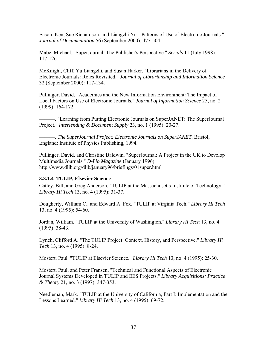Eason, Ken, Sue Richardson, and Liangzhi Yu. "Patterns of Use of Electronic Journals." *Journal of Documentation* 56 (September 2000): 477-504.

Mabe, Michael. "SuperJournal: The Publisher's Perspective." *Serials* 11 (July 1998): 117-126.

McKnight, Cliff, Yu Liangzhi, and Susan Harker. "Librarians in the Delivery of Electronic Journals: Roles Revisited." *Journal of Librarianship and Information Science* 32 (September 2000): 117-134.

Pullinger, David. "Academics and the New Information Environment: The Impact of Local Factors on Use of Electronic Journals." *Journal of Information Science* 25, no. 2 (1999): 164-172.

———. "Learning from Putting Electronic Journals on SuperJANET: The SuperJournal Project." *Interlending & Document Supply* 23, no. 1 (1995): 20-27.

———. *The SuperJournal Project: Electronic Journals on SuperJANET*. Bristol, England: Institute of Physics Publishing, 1994.

Pullinger, David, and Christine Baldwin. "SuperJournal: A Project in the UK to Develop Multimedia Journals." *D-Lib Magazine* (January 1996). http://www.dlib.org/dlib/january96/briefings/01super.html

#### **3.3.1.4 TULIP, Elsevier Science**

Cattey, Bill, and Greg Anderson. "TULIP at the Massachusetts Institute of Technology." *Library Hi Tech* 13, no. 4 (1995): 31-37.

Dougherty, William C., and Edward A. Fox. "TULIP at Virginia Tech." *Library Hi Tech* 13, no. 4 (1995): 54-60.

Jordan, William. "TULIP at the University of Washington." *Library Hi Tech* 13, no. 4 (1995): 38-43.

Lynch, Clifford A. "The TULIP Project: Context, History, and Perspective." *Library Hi Tech* 13, no. 4 (1995): 8-24.

Mostert, Paul. "TULIP at Elsevier Science." *Library Hi Tech* 13, no. 4 (1995): 25-30.

Mostert, Paul, and Peter Fransen, "Technical and Functional Aspects of Electronic Journal Systems Developed in TULIP and EES Projects." *Library Acquisitions: Practice & Theory* 21, no. 3 (1997): 347-353.

Needleman, Mark. "TULIP at the University of California, Part I: Implementation and the Lessons Learned." *Library Hi Tech* 13, no. 4 (1995): 69-72.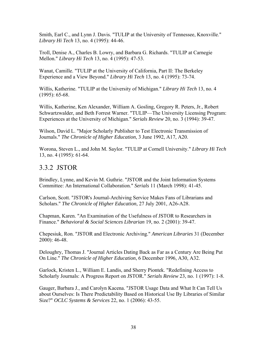Smith, Earl C., and Lynn J. Davis. "TULIP at the University of Tennessee, Knoxville." *Library Hi Tech* 13, no. 4 (1995): 44-46.

Troll, Denise A., Charles B. Lowry, and Barbara G. Richards. "TULIP at Carnegie Mellon." *Library Hi Tech* 13, no. 4 (1995): 47-53.

Wanat, Camille. "TULIP at the University of California, Part II: The Berkeley Experience and a View Beyond." *Library Hi Tech* 13, no. 4 (1995): 73-74.

Willis, Katherine. "TULIP at the University of Michigan." *Library Hi Tech* 13, no. 4 (1995): 65-68.

Willis, Katherine, Ken Alexander, William A. Gosling, Gregory R. Peters, Jr., Robert Schwartzwalder, and Beth Forrest Warner. "TULIP—The University Licensing Program: Experiences at the University of Michigan." *Serials Review* 20, no. 3 (1994): 39-47.

Wilson, David L. "Major Scholarly Publisher to Test Electronic Transmission of Journals." *The Chronicle of Higher Education*, 3 June 1992, A17, A20.

Worona, Steven L., and John M. Saylor. "TULIP at Cornell University." *Library Hi Tech* 13, no. 4 (1995): 61-64.

## 3.3.2 JSTOR

Brindley, Lynne, and Kevin M. Guthrie. "JSTOR and the Joint Information Systems Committee: An International Collaboration." *Serials* 11 (March 1998): 41-45.

Carlson, Scott. "JSTOR's Journal-Archiving Service Makes Fans of Librarians and Scholars." *The Chronicle of Higher Education*, 27 July 2001, A26-A28.

Chapman, Karen. "An Examination of the Usefulness of JSTOR to Researchers in Finance." *Behavioral & Social Sciences Librarian* 19, no. 2 (2001): 39-47.

Chepesiuk, Ron. "JSTOR and Electronic Archiving." *American Libraries* 31 (December 2000): 46-48.

Deloughry, Thomas J. "Journal Articles Dating Back as Far as a Century Are Being Put On Line." *The Chronicle of Higher Education*, 6 December 1996, A30, A32.

Garlock, Kristen L., William E. Landis, and Sherry Piontek. "Redefining Access to Scholarly Journals: A Progress Report on JSTOR." *Serials Review* 23, no. 1 (1997): 1-8.

Gauger, Barbara J., and Carolyn Kacena. "JSTOR Usage Data and What It Can Tell Us about Ourselves: Is There Predictability Based on Historical Use By Libraries of Similar Size?" *OCLC Systems & Services* 22, no. 1 (2006): 43-55.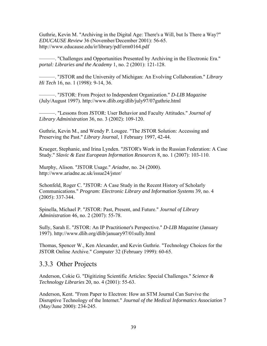Guthrie, Kevin M. "Archiving in the Digital Age: There's a Will, but Is There a Way?" *EDUCAUSE Review* 36 (November/December 2001): 56-65. http://www.educause.edu/ir/library/pdf/erm0164.pdf

———. "Challenges and Opportunities Presented by Archiving in the Electronic Era." *portal: Libraries and the Academy* 1, no. 2 (2001): 121-128.

———. "JSTOR and the University of Michigan: An Evolving Collaboration." *Library Hi Tech* 16, no. 1 (1998): 9-14, 36.

———. "JSTOR: From Project to Independent Organization." *D-LIB Magazine* (July/August 1997). http://www.dlib.org/dlib/july97/07guthrie.html

———. "Lessons from JSTOR: User Behavior and Faculty Attitudes." *Journal of Library Administration* 36, no. 3 (2002): 109-120.

Guthrie, Kevin M., and Wendy P. Lougee. "The JSTOR Solution: Accessing and Preserving the Past." *Library Journal*, 1 February 1997, 42-44.

Krueger, Stephanie, and Irina Lynden. "JSTOR's Work in the Russian Federation: A Case Study." *Slavic & East European Information Resources* 8, no. 1 (2007): 103-110.

Murphy, Alison. "JSTOR Usage." *Ariadne*, no. 24 (2000). http://www.ariadne.ac.uk/issue24/jstor/

Schonfeld, Roger C. "JSTOR: A Case Study in the Recent History of Scholarly Communications." *Program: Electronic Library and Information Systems* 39, no. 4 (2005): 337-344.

Spinella, Michael P. "JSTOR: Past, Present, and Future." *Journal of Library Administration* 46, no. 2 (2007): 55-78.

Sully, Sarah E. "JSTOR: An IP Practitioner's Perspective." *D-LIB Magazine* (January 1997). http://www.dlib.org/dlib/january97/01sully.html

Thomas, Spencer W., Ken Alexander, and Kevin Guthrie. "Technology Choices for the JSTOR Online Archive." *Computer* 32 (February 1999): 60-65.

## 3.3.3 Other Projects

Anderson, Cokie G. "Digitizing Scientific Articles: Special Challenges." *Science & Technology Libraries* 20, no. 4 (2001): 55-63.

Anderson, Kent. "From Paper to Electron: How an STM Journal Can Survive the Disruptive Technology of the Internet." *Journal of the Medical Informatics Association* 7 (May/June 2000): 234-245.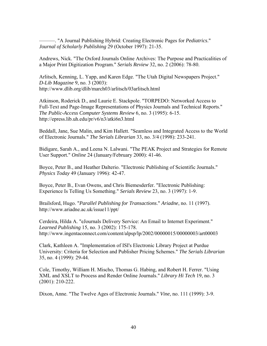———. "A Journal Publishing Hybrid: Creating Electronic Pages for *Pediatrics*." *Journal of Scholarly Publishing* 29 (October 1997): 21-35.

Andrews, Nick. "The Oxford Journals Online Archives: The Purpose and Practicalities of a Major Print Digitization Program." *Serials Review* 32, no. 2 (2006): 78-80.

Arlitsch, Kenning, L. Yapp, and Karen Edge. "The Utah Digital Newspapers Project." *D-Lib Magazine* 9, no. 3 (2003): http://www.dlib.org/dlib/march03/arlitsch/03arlitsch.html

Atkinson, Roderick D., and Laurie E. Stackpole. "TORPEDO: Networked Access to Full-Text and Page-Image Representations of Physics Journals and Technical Reports." *The Public-Access Computer Systems Review* 6, no. 3 (1995): 6-15. http://epress.lib.uh.edu/pr/v6/n3/atki6n3.html

Beddall, Jane, Sue Malin, and Kim Hallett. "Seamless and Integrated Access to the World of Electronic Journals." *The Serials Librarian* 33, no. 3/4 (1998): 233-241.

Bidigare, Sarah A., and Leena N. Lalwani. "The PEAK Project and Strategies for Remote User Support." *Online* 24 (January/February 2000): 41-46.

Boyce, Peter B., and Heather Dalterio. "Electronic Publishing of Scientific Journals." *Physics Today* 49 (January 1996): 42-47.

Boyce, Peter B., Evan Owens, and Chris Biemesderfer. "Electronic Publishing: Experience Is Telling Us Something." *Serials Review* 23, no. 3 (1997): 1-9.

Brailsford, Hugo. "*Parallel Publishing for Transactions*." *Ariadne*, no. 11 (1997). http://www.ariadne.ac.uk/issue11/ppt/

Cerdeira, Hilda A. "eJournals Delivery Service: An Email to Internet Experiment." *Learned Publishing* 15, no. 3 (2002): 175-178. http://www.ingentaconnect.com/content/alpsp/lp/2002/00000015/00000003/art00003

Clark, Kathleen A. "Implementation of ISI's Electronic Library Project at Purdue University: Criteria for Selection and Publisher Pricing Schemes." *The Serials Librarian* 35, no. 4 (1999): 29-44.

Cole, Timothy, William H. Mischo, Thomas G. Habing, and Robert H. Ferrer. "Using XML and XSLT to Process and Render Online Journals." *Library Hi Tech* 19, no. 3 (2001): 210-222.

Dixon, Anne. "The Twelve Ages of Electronic Journals." *Vine*, no. 111 (1999): 3-9.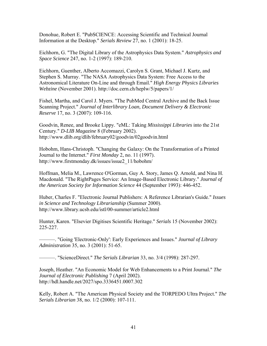Donohue, Robert E. "PubSCIENCE: Accessing Scientific and Technical Journal Information at the Desktop." *Serials Review* 27, no. 1 (2001): 18-25.

Eichhorn, G. "The Digital Library of the Astrophysics Data System." *Astrophysics and Space Science* 247, no. 1-2 (1997): 189-210.

Eichhorn, Guenther, Alberto Accomazzi, Carolyn S. Grant, Michael J. Kurtz, and Stephen S. Murray. "The NASA Astrophysics Data System: Free Access to the Astronomical Literature On-Line and through Email." *High Energy Physics Libraries Webzine* (November 2001). http://doc.cern.ch/heplw/5/papers/1/

Fishel, Martha, and Carol J. Myers. "The PubMed Central Archive and the Back Issue Scanning Project." *Journal of Interlibrary Loan, Document Delivery & Electronic Reserve* 17, no. 3 (2007): 109-116.

Goodvin, Renee, and Brooke Lippy. "eML: Taking *Mississippi Libraries* into the 21st Century." *D-LIB Magazine* 8 (February 2002). http://www.dlib.org/dlib/february02/goodvin/02goodvin.html

Hobohm, Hans-Christoph. "Changing the Galaxy: On the Transformation of a Printed Journal to the Internet." *First Monday* 2, no. 11 (1997). http://www.firstmonday.dk/issues/issue2\_11/hobohm/

Hoffman, Melia M., Lawrence O'Gorman, Guy A. Story, James Q. Arnold, and Nina H. Macdonald. "The RightPages Service: An Image-Based Electronic Library." *Journal of the American Society for Information Science* 44 (September 1993): 446-452.

Huber, Charles F. "Electronic Journal Publishers: A Reference Librarian's Guide." *Issues in Science and Technology Librarianship* (Summer 2000). http://www.library.ucsb.edu/istl/00-summer/article2.html

Hunter, Karen. "Elsevier Digitises Scientific Heritage." *Serials* 15 (November 2002): 225-227.

———. "Going 'Electronic-Only': Early Experiences and Issues." *Journal of Library Administration* 35, no. 3 (2001): 51-65.

———. "ScienceDirect." *The Serials Librarian* 33, no. 3/4 (1998): 287-297.

Joseph, Heather. "An Economic Model for Web Enhancements to a Print Journal." *The Journal of Electronic Publishing* 7 (April 2002). http://hdl.handle.net/2027/spo.3336451.0007.302

Kelly, Robert A. "The American Physical Society and the TORPEDO Ultra Project." *The Serials Librarian* 38, no. 1/2 (2000): 107-111.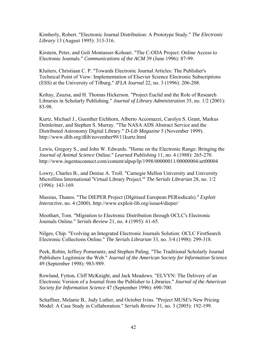Kimberly, Robert. "Electronic Journal Distribution: A Prototype Study." *The Electronic Library* 13 (August 1995): 313-316.

Kirstein, Peter, and Goli Montasser-Kohsari. "The C-ODA Project: Online Access to Electronic Journals." *Communications of the ACM* 39 (June 1996): 87-99.

Kluiters, Christiaan C. P. "Towards Electronic Journal Articles: The Publisher's Technical Point of View: Implementation of Elsevier Science Electronic Subscriptions (ESS) at the University of Tilburg." *IFLA Journal* 22, no. 3 (1996): 206-208.

Koltay, Zsuzsa, and H. Thomas Hickerson. "Project Euclid and the Role of Research Libraries in Scholarly Publishing." *Journal of Library Administration* 35, no. 1/2 (2001): 83-98.

Kurtz, Michael J., Guenther Eichhorn, Alberto Accomazzi, Carolyn S. Grant, Markus Demleitner, and Stephen S. Murray. "The NASA ADS Abstract Service and the Distributed Astronomy Digital Library." *D-Lib Magazine* 5 (November 1999). http://www.dlib.org/dlib/november99/11kurtz.html

Lewis, Gregory S., and John W. Edwards. "Home on the Electronic Range: Bringing the *Journal of Animal Science* Online." *Learned Publishing* 11, no. 4 (1988): 265-270. http://www.ingentaconnect.com/content/alpsp/lp/1998/00000011/00000004/art00004

Lowry, Charles B., and Denise A. Troll. "Carnegie Mellon University and University Microfilms International 'Virtual Library Project.'" *The Serials Librarian* 28, no. 1/2 (1996): 143-169.

Massias, Thanos. "The DIEPER Project (DIgitised European PERiodicals)." *Exploit Interactive*, no. 4 (2000). http://www.exploit-lib.org/issue4/dieper/

Moothart, Tom. "Migration to Electronic Distribution through OCLC's Electronic Journals Online." *Serials Review* 21, no. 4 (1995): 61-65.

Nilges, Chip. "Evolving an Integrated Electronic Journals Solution: OCLC FirstSearch Electronic Collections Online." *The Serials Librarian* 33, no. 3/4 (1998): 299-318.

Peek, Robin, Jeffrey Pomerantz, and Stephen Paling. "The Traditional Scholarly Journal Publishers Legitimize the Web." *Journal of the American Society for Information Science* 49 (September 1998): 983-989.

Rowland, Fytton, Cliff McKnight, and Jack Meadows. "ELVYN: The Delivery of an Electronic Version of a Journal from the Publisher to Libraries." *Journal of the American Society for Information Science* 47 (September 1996): 690-700.

Schaffner, Melanie B., Judy Luther, and October Ivins. "Project MUSE's New Pricing Model: A Case Study in Collaboration." *Serials Review* 31, no. 3 (2005): 192-199.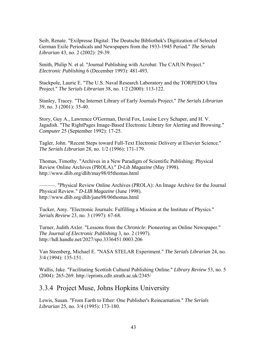Seib, Renate. "Exilpresse Digital: The Deutsche Bibliothek's Digitization of Selected German Exile Periodicals and Newspapers from the 1933-1945 Period." *The Serials Librarian* 43, no. 2 (2002): 29-39.

Smith, Philip N. et al. "Journal Publishing with Acrobat: The CAJUN Project." *Electronic Publishing* 6 (December 1993): 481-493.

Stackpole, Laurie E. "The U.S. Naval Research Laboratory and the TORPEDO Ultra Project." *The Serials Librarian* 38, no. 1/2 (2000): 113-122.

Stanley, Tracey. "The Internet Library of Early Journals Project." *The Serials Librarian* 39, no. 3 (2001): 35-40.

Story, Guy A., Lawrence O'Gorman, David Fox, Louise Levy Schaper, and H. V. Jagadish. "The RightPages Image-Based Electronic Library for Alerting and Browsing." *Computer* 25 (September 1992): 17-25.

Tagler, John. "Recent Steps toward Full-Text Electronic Delivery at Elsevier Science." *The Serials Librarian* 28, no. 1/2 (1996): 171-179.

Thomas, Timothy. "Archives in a New Paradigm of Scientific Publishing: Physical Review Online Archives (PROLA)." *D-Lib Magazine* (May 1998). http://www.dlib.org/dlib/may98/05thomas.html

———. "Physical Review Online Archives (PROLA): An Image Archive for the Journal Physical Review." *D-LIB Magazine* (June 1998). http://www.dlib.org/dlib/june98/06thomas.html

Tucker, Amy. "Electronic Journals: Fulfilling a Mission at the Institute of Physics." *Serials Review* 23, no. 3 (1997): 67-68.

Turner, Judith Axler. "Lessons from the *Chronicle*: Pioneering an Online Newspaper." *The Journal of Electronic Publishing* 3, no. 2 (1997). http://hdl.handle.net/2027/spo.3336451.0003.206

Van Steenberg, Michael E. "NASA STELAR Experiment." *The Serials Librarian* 24, no. 3/4 (1994): 135-151.

Wallis, Jake. "Facilitating Scottish Cultural Publishing Online." *Library Review* 53, no. 5 (2004): 265-269. http://eprints.cdlr.strath.ac.uk/2345/

### 3.3.4 Project Muse, Johns Hopkins University

Lewis, Susan. "From Earth to Ether: One Publisher's Reincarnation." *The Serials Librarian* 25, no. 3/4 (1995): 173-180.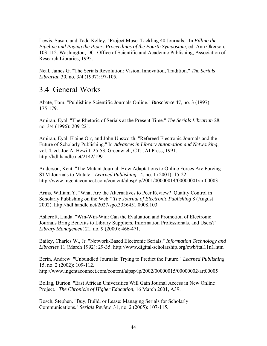Lewis, Susan, and Todd Kelley. "Project Muse: Tackling 40 Journals." In *Filling the Pipeline and Paying the Piper: Proceedings of the Fourth Symposium*, ed. Ann Okerson, 103-112. Washington, DC: Office of Scientific and Academic Publishing, Association of Research Libraries, 1995.

Neal, James G. "The Serials Revolution: Vision, Innovation, Tradition." *The Serials Librarian* 30, no. 3/4 (1997): 97-105.

## 3.4 General Works

Abate, Tom. "Publishing Scientific Journals Online." *Bioscience* 47, no. 3 (1997): 175-179.

Amiran, Eyal. "The Rhetoric of Serials at the Present Time." *The Serials Librarian* 28, no. 3/4 (1996): 209-221.

Amiran, Eyal, Elaine Orr, and John Unsworth. "Refereed Electronic Journals and the Future of Scholarly Publishing." In *Advances in Library Automation and Networking*, vol. 4, ed. Joe A. Hewitt, 25-53. Greenwich, CT: JAI Press, 1991. http://hdl.handle.net/2142/199

Anderson, Kent. "The Mutant Journal: How Adaptations to Online Forces Are Forcing STM Journals to Mutate." *Learned Publishing* 14, no. 1 (2001): 15-22. http://www.ingentaconnect.com/content/alpsp/lp/2001/00000014/00000001/art00003

Arms, William Y. "What Are the Alternatives to Peer Review? Quality Control in Scholarly Publishing on the Web." *The Journal of Electronic Publishing* 8 (August 2002). http://hdl.handle.net/2027/spo.3336451.0008.103

Ashcroft, Linda. "Win-Win-Win: Can the Evaluation and Promotion of Electronic Journals Bring Benefits to Library Suppliers, Information Professionals, and Users?" *Library Management* 21, no. 9 (2000): 466-471.

Bailey, Charles W., Jr. "Network-Based Electronic Serials." *Information Technology and Libraries* 11 (March 1992): 29-35. http://www.digital-scholarship.org/cwb/ital11n1.htm

Berin, Andrew. "Unbundled Journals: Trying to Predict the Future." *Learned Publishing* 15, no. 2 (2002): 109-112. http://www.ingentaconnect.com/content/alpsp/lp/2002/00000015/00000002/art00005

Bollag, Burton. "East African Universities Will Gain Journal Access in New Online Project." *The Chronicle of Higher Education*, 16 March 2001, A39.

Bosch, Stephen. "Buy, Build, or Lease: Managing Serials for Scholarly Communications." *Serials Review* 31, no. 2 (2005): 107-115.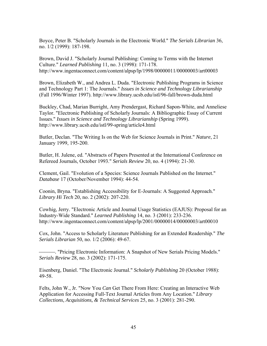Boyce, Peter B. "Scholarly Journals in the Electronic World." *The Serials Librarian* 36, no. 1/2 (1999): 187-198.

Brown, David J. "Scholarly Journal Publishing: Coming to Terms with the Internet Culture." *Learned Publishing* 11, no. 3 (1998): 171-178. http://www.ingentaconnect.com/content/alpsp/lp/1998/00000011/00000003/art00003

Brown, Elizabeth W., and Andrea L. Duda. "Electronic Publishing Programs in Science and Technology Part 1: The Journals." *Issues in Science and Technology Librarianship* (Fall 1996/Winter 1997). http://www.library.ucsb.edu/istl/96-fall/brown-duda.html

Buckley, Chad, Marian Burright, Amy Prendergast, Richard Sapon-White, and Anneliese Taylor. "Electronic Publishing of Scholarly Journals: A Bibliographic Essay of Current Issues." *Issues in Science and Technology Librarianship* (Spring 1999). http://www.library.ucsb.edu/istl/99-spring/article4.html

Butler, Declan. "The Writing Is on the Web for Science Journals in Print." *Nature*, 21 January 1999, 195-200.

Butler, H. Julene, ed. "Abstracts of Papers Presented at the International Conference on Refereed Journals, October 1993." *Serials Review* 20, no. 4 (1994): 21-30.

Clement, Gail. "Evolution of a Species: Science Journals Published on the Internet." *Database* 17 (October/November 1994): 44-54.

Coonin, Bryna. "Establishing Accessibility for E-Journals: A Suggested Approach." *Library Hi Tech* 20, no. 2 (2002): 207-220.

Cowhig, Jerry. "Electronic Article and Journal Usage Statistics (EAJUS): Proposal for an Industry-Wide Standard." *Learned Publishing* 14, no. 3 (2001): 233-236. http://www.ingentaconnect.com/content/alpsp/lp/2001/00000014/00000003/art00010

Cox, John. "Access to Scholarly Literature Publishing for an Extended Readership." *The Serials Librarian* 50, no. 1/2 (2006): 49-67.

⎯⎯⎯. "Pricing Electronic Information: A Snapshot of New Serials Pricing Models." *Serials Review* 28, no. 3 (2002): 171-175.

Eisenberg, Daniel. "The Electronic Journal." *Scholarly Publishing* 20 (October 1988): 49-58.

Felts, John W., Jr. "Now You *Can* Get There From Here: Creating an Interactive Web Application for Accessing Full-Text Journal Articles from Any Location." *Library Collections, Acquisitions, & Technical Services* 25, no. 3 (2001): 281-290.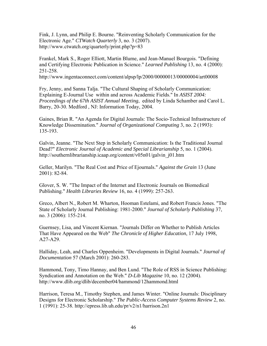Fink, J. Lynn, and Philip E. Bourne. "Reinventing Scholarly Communication for the Electronic Age." *CTWatch Quarterly* 3, no. 3 (2007). http://www.ctwatch.org/quarterly/print.php?p=83

Frankel, Mark S., Roger Elliott, Martin Blume, and Jean-Manuel Bourgois. "Defining and Certifying Electronic Publication in Science." *Learned Publishing* 13, no. 4 (2000): 251-258.

http://www.ingentaconnect.com/content/alpsp/lp/2000/00000013/00000004/art00008

Fry, Jenny, and Sanna Talja. "The Cultural Shaping of Scholarly Communication: Explaining E-Journal Use within and across Academic Fields." In *ASIST 2004: Proceedings of the 67th ASIST Annual Meeting*, edited by Linda Schamber and Carol L. Barry, 20-30. Medford , NJ: Information Today, 2004.

Gaines, Brian R. "An Agenda for Digital Journals: The Socio-Technical Infrastructure of Knowledge Dissemination." *Journal of Organizational Computing* 3, no. 2 (1993): 135-193.

Galvin, Jeanne. "The Next Step in Scholarly Communication: Is the Traditional Journal Dead?" *Electronic Journal of Academic and Special Librarianship* 5, no. 1 (2004). http://southernlibrarianship.icaap.org/content/v05n01/galvin\_j01.htm

Geller, Marilyn. "The Real Cost and Price of Ejournals." *Against the Grain* 13 (June 2001): 82-84.

Glover, S. W. "The Impact of the Internet and Electronic Journals on Biomedical Publishing." *Health Libraries Review* 16, no. 4 (1999): 257-263.

Greco, Albert N., Robert M. Wharton, Hooman Estelami, and Robert Francis Jones. "The State of Scholarly Journal Publishing: 1981-2000." *Journal of Scholarly Publishing* 37, no. 3 (2006): 155-214.

Guernsey, Lisa, and Vincent Kiernan. "Journals Differ on Whether to Publish Articles That Have Appeared on the Web" *The Chronicle of Higher Education*, 17 July 1998, A27-A29.

Halliday, Leah, and Charles Oppenheim. "Developments in Digital Journals." *Journal of Documentation* 57 (March 2001): 260-283.

Hammond, Tony, Timo Hannay, and Ben Lund. "The Role of RSS in Science Publishing: Syndication and Annotation on the Web." *D-Lib Magazine* 10, no. 12 (2004). http://www.dlib.org/dlib/december04/hammond/12hammond.html

Harrison, Teresa M., Timothy Stephen, and James Winter. "Online Journals: Disciplinary Designs for Electronic Scholarship." *The Public-Access Computer Systems Review* 2, no. 1 (1991): 25-38. http://epress.lib.uh.edu/pr/v2/n1/harrison.2n1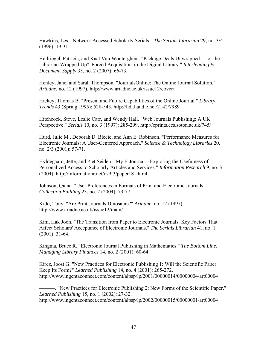Hawkins, Les. "Network Accessed Scholarly Serials." *The Serials Librarian* 29, no. 3/4 (1996): 19-31.

Hellriegel, Patricia, and Kaat Van Wonterghem. "Package Deals Unwrapped. . . or the Librarian Wrapped Up? 'Forced Acquisition' in the Digital Library." *Interlending & Document Supply* 35, no. 2 (2007): 66-73.

Henley, Jane, and Sarah Thompson. "JournalsOnline: The Online Journal Solution." *Ariadne*, no. 12 (1997). http://www.ariadne.ac.uk/issue12/cover/

Hickey, Thomas B. "Present and Future Capabilities of the Online Journal." *Library Trends* 43 (Spring 1995): 528-543. http://hdl.handle.net/2142/7989

Hitchcock, Steve, Leslie Carr, and Wendy Hall. "Web Journals Publishing: A UK Perspective." *Serials* 10, no. 3 (1997): 285-299. http://eprints.ecs.soton.ac.uk/745/

Hurd, Julie M., Deborah D. Blecic, and Ann E. Robinson. "Performance Measures for Electronic Journals: A User-Centered Approach." *Science & Technology Libraries* 20, no. 2/3 (2001): 57-71.

Hyldegaard, Jette, and Piet Seiden. "My E-Journal—Exploring the Usefulness of Personalized Access to Scholarly Articles and Services." *Information Research* 9, no. 3 (2004). http://informationr.net/ir/9-3/paper181.html

Johnson, Qiana. "User Preferences in Formats of Print and Electronic Journals." *Collection Building* 23, no. 2 (2004): 73-77.

Kidd, Tony. "Are Print Journals Dinosaurs?" *Ariadne*, no. 12 (1997). http://www.ariadne.ac.uk/issue12/main/

Kim, Hak Joon. "The Transition from Paper to Electronic Journals: Key Factors That Affect Scholars' Acceptance of Electronic Journals." *The Serials Librarian* 41, no. 1 (2001): 31-64.

Kingma, Bruce R. "Electronic Journal Publishing in Mathematics." *The Bottom Line: Managing Library Finances* 14, no. 2 (2001): 60-64.

Kircz, Joost G. "New Practices for Electronic Publishing 1: Will the Scientific Paper Keep Its Form?" *Learned Publishing* 14, no. 4 (2001): 265-272. http://www.ingentaconnect.com/content/alpsp/lp/2001/00000014/00000004/art00004

———. "New Practices for Electronic Publishing 2: New Forms of the Scientific Paper." *Learned Publishing* 15, no. 1 (2002): 27-32. http://www.ingentaconnect.com/content/alpsp/lp/2002/00000015/00000001/art00004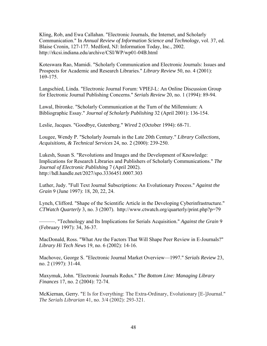Kling, Rob, and Ewa Callahan. "Electronic Journals, the Internet, and Scholarly Communication." In *Annual Review of Information Science and Technology*, vol. 37, ed. Blaise Cronin, 127-177. Medford, NJ: Information Today, Inc., 2002. http://rkcsi.indiana.edu/archive/CSI/WP/wp01-04B.html

Koteswara Rao, Mamidi. "Scholarly Communication and Electronic Journals: Issues and Prospects for Academic and Research Libraries." *Library Review* 50, no. 4 (2001): 169-175.

Langschied, Linda. "Electronic Journal Forum: VPIEJ-L: An Online Discussion Group for Electronic Journal Publishing Concerns." *Serials Review* 20, no. 1 (1994): 89-94.

Lawal, Ibironke. "Scholarly Communication at the Turn of the Millennium: A Bibliographic Essay." *Journal of Scholarly Publishing* 32 (April 2001): 136-154.

Leslie, Jacques. "Goodbye, Gutenberg." *Wired* 2 (October 1994): 68-71.

Lougee, Wendy P. "Scholarly Journals in the Late 20th Century." *Library Collections, Acquisitions, & Technical Services* 24, no. 2 (2000): 239-250.

Lukesh, Susan S. "Revolutions and Images and the Development of Knowledge: Implications for Research Libraries and Publishers of Scholarly Communications." *The Journal of Electronic Publishing* 7 (April 2002). http://hdl.handle.net/2027/spo.3336451.0007.303

Luther, Judy. "Full Text Journal Subscriptions: An Evolutionary Process." *Against the Grain* 9 (June 1997): 18, 20, 22, 24.

Lynch, Clifford. "Shape of the Scientific Article in the Developing Cyberinfrastructure." *CTWatch Quarterly* 3, no. 3 (2007). http://www.ctwatch.org/quarterly/print.php?p=79

———. "Technology and Its Implications for Serials Acquisition." *Against the Grain* 9 (February 1997): 34, 36-37.

MacDonald, Ross. "What Are the Factors That Will Shape Peer Review in E-Journals?" *Library Hi Tech News* 19, no. 6 (2002): 14-16.

Machovec, George S. "Electronic Journal Market Overview—1997." *Serials Review* 23, no. 2 (1997): 31-44.

Maxymuk, John. "Electronic Journals Redux." *The Bottom Line: Managing Library Finances* 17, no. 2 (2004): 72-74.

McKiernan, Gerry. "E Is for Everything: The Extra-Ordinary, Evolutionary [E-]Journal." *The Serials Librarian* 41, no. 3/4 (2002): 293-321.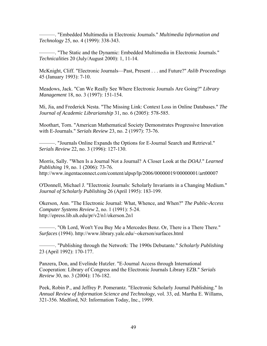———. "Embedded Multimedia in Electronic Journals." *Multimedia Information and Technology* 25, no. 4 (1999): 338-343.

———. "The Static and the Dynamic: Embedded Multimedia in Electronic Journals." *Technicalities* 20 (July/August 2000): 1, 11-14.

McKnight, Cliff. "Electronic Journals—Past, Present . . . and Future?" *Aslib Proceedings* 45 (January 1993): 7-10.

Meadows, Jack. "Can We Really See Where Electronic Journals Are Going?" *Library Management* 18, no. 3 (1997): 151-154.

Mi, Jia, and Frederick Nesta. "The Missing Link: Context Loss in Online Databases." *The Journal of Academic Librarianship* 31, no. 6 (2005): 578-585.

Moothart, Tom. "American Mathematical Society Demonstrates Progressive Innovation with E-Journals." *Serials Review* 23, no. 2 (1997): 73-76.

———. "Journals Online Expands the Options for E-Journal Search and Retrieval." *Serials Review* 22, no. 3 (1996): 127-130.

Morris, Sally. "When Is a Journal Not a Journal? A Closer Look at the *DOAJ*." *Learned Publishing* 19, no. 1 (2006): 73-76. http://www.ingentaconnect.com/content/alpsp/lp/2006/00000019/00000001/art00007

O'Donnell, Michael J. "Electronic Journals: Scholarly Invariants in a Changing Medium." *Journal of Scholarly Publishing* 26 (April 1995): 183-199.

Okerson, Ann. "The Electronic Journal: What, Whence, and When?" *The Public-Access Computer Systems Review* 2, no. 1 (1991): 5-24. http://epress.lib.uh.edu/pr/v2/n1/okerson.2n1

———. "Oh Lord, Won't You Buy Me a Mercedes Benz. Or, There is a There There." *Surfaces* (1994). http://www.library.yale.edu/~okerson/surfaces.html

———. "Publishing through the Network: The 1990s Debutante." *Scholarly Publishing* 23 (April 1992): 170-177.

Panzera, Don, and Evelinde Hutzler. "E-Journal Access through International Cooperation: Library of Congress and the Electronic Journals Library EZB." *Serials Review* 30, no. 3 (2004): 176-182.

Peek, Robin P., and Jeffrey P. Pomerantz. "Electronic Scholarly Journal Publishing." In *Annual Review of Information Science and Technology*, vol. 33, ed. Martha E. Willams, 321-356. Medford, NJ: Information Today, Inc., 1999.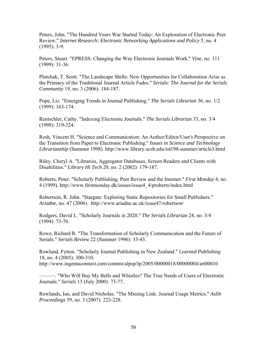Peters, John. "The Hundred Years War Started Today: An Exploration of Electronic Peer Review." *Internet Research: Electronic Networking Applications and Policy* 5, no. 4 (1995): 3-9.

Peters, Stuart. "EPRESS: Changing the Way Electronic Journals Work." *Vine*, no. 111 (1999): 31-36.

Plutchak, T. Scott. "The Landscape Shifts: New Opportunities for Collaboration Arise as the Primacy of the Traditional Journal Article Fades." *Serials: The Journal for the Serials Community* 19, no. 3 (2006): 184-187.

Pope, Liz. "Emerging Trends in Journal Publishing." *The Serials Librarian* 36, no. 1/2 (1999): 163-174.

Rentschler, Cathy. "Indexing Electronic Journals." *The Serials Librarian* 33, no. 3/4 (1998): 319-324.

Resh, Vincent H. "Science and Communication: An Author/Editor/User's Perspective on the Transition from Paper to Electronic Publishing." *Issues in Science and Technology Librarianship* (Summer 1998). http://www.library.ucsb.edu/istl/98-summer/article3.html

Riley, Cheryl A. "Libraries, Aggregator Databases, Screen Readers and Clients with Disabilities." *Library Hi Tech* 20, no. 2 (2002): 179-187.

Roberts, Peter. "Scholarly Publishing, Peer Review and the Internet." *First Monday* 4, no. 4 (1999). http://www.firstmonday.dk/issues/issue4\_4/proberts/index.html

Robertson, R. John. "Stargate: Exploring Static Repositories for Small Publishers." *Ariadne*, no. 47 (2006). http://www.ariadne.ac.uk/issue47/robertson/

Rodgers, David L. "Scholarly Journals in 2020." *The Serials Librarian* 24, no. 3/4 (1994): 73-76.

Rowe, Richard R. "The Transformation of Scholarly Communication and the Future of Serials." *Serials Review* 22 (Summer 1996): 33-43.

Rowland, Fytton. "Scholarly Journal Publishing in New Zealand." *Learned Publishing* 18, no. 4 (2005): 300-310. http://www.ingentaconnect.com/content/alpsp/lp/2005/00000018/00000004/art00010

———. "Who Will Buy My Bells and Whistles? The True Needs of Users of Electronic Journals." *Serials* 13 (July 2000): 73-77.

Rowlands, Ian, and David Nicholas. "The Missing Link: Journal Usage Metrics." *Aslib Proceedings* 59, no. 3 (2007): 222-228.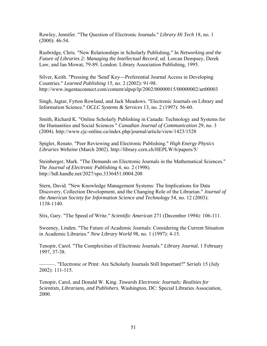Rowley, Jennifer. "The Question of Electronic Journals." *Library Hi Tech* 18, no. 1 (2000): 46-54.

Rusbridge, Chris. "New Relationships in Scholarly Publishing." In *Networking and the Future of Libraries 2: Managing the Intellectual Record*, ed. Lorcan Dempsey, Derek Law, and Ian Mowat, 79-89. London: Library Association Publishing, 1995.

Silver, Keith. "Pressing the 'Send' Key—Preferential Journal Access in Developing Countries." *Learned Publishing* 15, no. 2 (2002): 91-98. http://www.ingentaconnect.com/content/alpsp/lp/2002/00000015/00000002/art00003

Singh, Jagtar, Fytton Rowland, and Jack Meadows. "Electronic Journals on Library and Information Science." *OCLC Systems & Services* 13, no. 2 (1997): 56-60.

Smith, Richard K. "Online Scholarly Publishing in Canada: Technology and Systems for the Humanities and Social Sciences " *Canadian Journal of Communication* 29, no. 3 (2004). http://www.cjc-online.ca/index.php/journal/article/view/1423/1528

Spigler, Renato. "Peer Reviewing and Electronic Publishing." *High Energy Physics Libraries Webzine* (March 2002). http://library.cern.ch/HEPLW/6/papers/5/

Steinberger, Mark. "The Demands on Electronic Journals in the Mathematical Sciences." *The Journal of Electronic Publishing* 4, no. 2 (1998). http://hdl.handle.net/2027/spo.3336451.0004.208

Stern, David. "New Knowledge Management Systems: The Implications for Data Discovery, Collection Development, and the Changing Role of the Librarian." *Journal of the American Society for Information Science and Technology* 54, no. 12 (2003): 1138-1140.

Stix, Gary. "The Speed of Write." *Scientific American* 271 (December 1994): 106-111.

Sweeney, Linden. "The Future of Academic Journals: Considering the Current Situation in Academic Libraries." *New Library World* 98, no. 1 (1997): 4-15.

Tenopir, Carol. "The Complexities of Electronic Journals." *Library Journal*, 1 February 1997, 37-38.

———. "Electronic or Print: Are Scholarly Journals Still Important?" *Serials* 15 (July 2002): 111-115.

Tenopir, Carol, and Donald W. King. *Towards Electronic Journals: Realities for Scientists, Librarians, and Publishers*. Washington, DC: Special Libraries Association, 2000.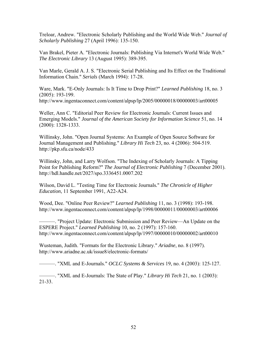Treloar, Andrew. "Electronic Scholarly Publishing and the World Wide Web." *Journal of Scholarly Publishing* 27 (April 1996): 135-150.

Van Brakel, Pieter A. "Electronic Journals: Publishing Via Internet's World Wide Web." *The Electronic Library* 13 (August 1995): 389-395.

Van Marle, Gerald A. J. S. "Electronic Serial Publishing and Its Effect on the Traditional Information Chain." *Serials* (March 1994): 17-28.

Ware, Mark. "E-Only Journals: Is It Time to Drop Print?" *Learned Publishing* 18, no. 3 (2005): 193-199.

http://www.ingentaconnect.com/content/alpsp/lp/2005/00000018/00000003/art00005

Weller, Ann C. "Editorial Peer Review for Electronic Journals: Current Issues and Emerging Models." *Journal of the American Society for Information Science* 51, no. 14 (2000): 1328-1333.

Willinsky, John. "Open Journal Systems: An Example of Open Source Software for Journal Management and Publishing." *Library Hi Tech* 23, no. 4 (2006): 504-519. http://pkp.sfu.ca/node/433

Willinsky, John, and Larry Wolfson. "The Indexing of Scholarly Journals: A Tipping Point for Publishing Reform?" *The Journal of Electronic Publishing* 7 (December 2001). http://hdl.handle.net/2027/spo.3336451.0007.202

Wilson, David L. "Testing Time for Electronic Journals*.*" *The Chronicle of Higher Education*, 11 September 1991, A22-A24.

Wood, Dee. "Online Peer Review?" *Learned Publishing* 11, no. 3 (1998): 193-198. http://www.ingentaconnect.com/content/alpsp/lp/1998/00000011/00000003/art00006

———. "Project Update: Electronic Submission and Peer Review—An Update on the ESPERE Project." *Learned Publishing* 10, no. 2 (1997): 157-160. http://www.ingentaconnect.com/content/alpsp/lp/1997/00000010/00000002/art00010

Wusteman, Judith. "Formats for the Electronic Library." *Ariadne*, no. 8 (1997). http://www.ariadne.ac.uk/issue8/electronic-formats/

———. "XML and E-Journals." *OCLC Systems & Services* 19, no. 4 (2003): 125-127.

———. "XML and E-Journals: The State of Play." *Library Hi Tech* 21, no. 1 (2003): 21-33.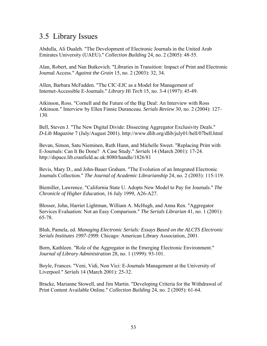## 3.5 Library Issues

Abdulla, Ali Dualeh. "The Development of Electronic Journals in the United Arab Emirates University (UAEU)." *Collection Building* 24, no. 2 (2005): 48-55.

Alan, Robert, and Nan Butkovich. "Libraries in Transition: Impact of Print and Electronic Journal Access." *Against the Grain* 15, no. 2 (2003): 32, 34.

Allen, Barbara McFadden. "The CIC-EJC as a Model for Management of Internet-Accessible E-Journals." *Library Hi Tech* 15, no. 3-4 (1997): 45-49.

Atkinson, Ross. "Cornell and the Future of the Big Deal: An Interview with Ross Atkinson." Interview by Ellen Finnie Duranceau. *Serials Review* 30, no. 2 (2004): 127– 130.

Bell, Steven J. "The New Digital Divide: Dissecting Aggregator Exclusivity Deals." *D-Lib Magazine* 7 (July/August 2001). http://www.dlib.org/dlib/july01/bell/07bell.html

Bevan, Simon, Satu Nieminen, Ruth Hunn, and Michelle Sweet. "Replacing Print with E-Journals: Can It Be Done? A Case Study." *Serials* 14 (March 2001): 17-24. http://dspace.lib.cranfield.ac.uk:8080/handle/1826/81

Bevis, Mary D., and John-Bauer Graham. "The Evolution of an Integrated Electronic Journals Collection." *The Journal of Academic Librarianship* 24, no. 2 (2003): 115-119.

Biemiller, Lawrence. "California State U. Adopts New Model to Pay for Journals." *The Chronicle of Higher Education*, 16 July 1999, A26-A27.

Blosser, John, Harriet Lightman, William A. McHugh, and Anna Ren. "Aggregator Services Evaluation: Not an Easy Comparison." *The Serials Librarian* 41, no. 1 (2001): 65-78.

Bluh, Pamela, ed. *Managing Electronic Serials: Essays Based on the ALCTS Electronic Serials Institutes 1997-1999*. Chicago: American Library Association, 2001.

Born, Kathleen. "Role of the Aggregator in the Emerging Electronic Environment." *Journal of Library Administration* 28, no. 1 (1999): 93-101.

Boyle, Frances. "Veni, Vidi, Non Vici: E-Journals Management at the University of Liverpool." *Serials* 14 (March 2001): 25-32.

Bracke, Marianne Stowell, and Jim Martin. "Developing Criteria for the Withdrawal of Print Content Available Online." *Collection Building* 24, no. 2 (2005): 61-64.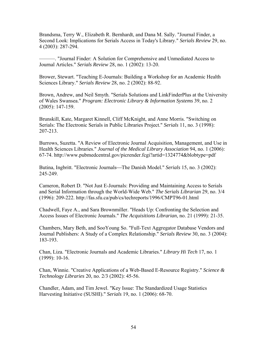Brandsma, Terry W., Elizabeth R. Bernhardt, and Dana M. Sally. "Journal Finder, a Second Look: Implications for Serials Access in Today's Library." *Serials Review* 29, no. 4 (2003): 287-294.

———. "Journal Finder: A Solution for Comprehensive and Unmediated Access to Journal Articles." *Serials Review* 28, no. 1 (2002): 13-20.

Brower, Stewart. "Teaching E-Journals: Building a Workshop for an Academic Health Sciences Library." *Serials Review* 28, no. 2 (2002): 88-92.

Brown, Andrew, and Neil Smyth. "Serials Solutions and LinkFinderPlus at the University of Wales Swansea." *Program: Electronic Library & Information Systems* 39, no. 2 (2005): 147-159.

Brunskill, Kate, Margaret Kinnell, Cliff McKnight, and Anne Morris. "Switching on Serials: The Electronic Serials in Public Libraries Project." *Serials* 11, no. 3 (1998): 207-213.

Burrows, Suzetta. "A Review of Electronic Journal Acquisition, Management, and Use in Health Sciences Libraries." *Journal of the Medical Library Association* 94, no. 1 (2006): 67-74. http://www.pubmedcentral.gov/picrender.fcgi?artid=1324774&blobtype=pdf

Butina, Ingbritt. "Electronic Journals—The Danish Model." *Serials* 15, no. 3 (2002): 245-249.

Cameron, Robert D. "Not Just E-Journals: Providing and Maintaining Access to Serials and Serial Information through the World-Wide Web." *The Serials Librarian* 29, no. 3/4 (1996): 209-222. http://fas.sfu.ca/pub/cs/techreports/1996/CMPT96-01.html

Chadwell, Faye A., and Sara Brownmiller. "Heads Up: Confronting the Selection and Access Issues of Electronic Journals." *The Acquisitions Librarian*, no. 21 (1999): 21-35.

Chambers, Mary Beth, and SooYoung So. "Full-Text Aggregator Database Vendors and Journal Publishers: A Study of a Complex Relationship." *Serials Review* 30, no. 3 (2004): 183-193.

Chan, Liza. "Electronic Journals and Academic Libraries." *Library Hi Tech* 17, no. 1 (1999): 10-16.

Chan, Winnie. "Creative Applications of a Web-Based E-Resource Registry." *Science & Technology Libraries* 20, no. 2/3 (2002): 45-56.

Chandler, Adam, and Tim Jewel. "Key Issue: The Standardized Usage Statistics Harvesting Initiative (SUSHI)." *Serials* 19, no. 1 (2006): 68-70.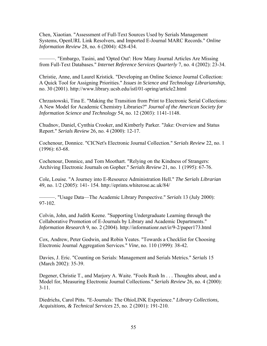Chen, Xiaotian. "Assessment of Full-Text Sources Used by Serials Management Systems, OpenURL Link Resolvers, and Imported E-Journal MARC Records." *Online Information Review* 28, no. 6 (2004): 428-434.

———. "Embargo, Tasini, and 'Opted Out': How Many Journal Articles Are Missing from Full-Text Databases." *Internet Reference Services Quarterly* 7, no. 4 (2002): 23-34.

Christie, Anne, and Laurel Kristick. "Developing an Online Science Journal Collection: A Quick Tool for Assigning Priorities." *Issues in Science and Technology Librarianship*, no. 30 (2001). http://www.library.ucsb.edu/istl/01-spring/article2.html

Chrzastowski, Tina E. "Making the Transition from Print to Electronic Serial Collections: A New Model for Academic Chemistry Libraries?" *Journal of the American Society for Information Science and Technology* 54, no. 12 (2003): 1141-1148.

Chudnov, Daniel, Cynthia Crooker, and Kimberly Parker. "Jake: Overview and Status Report." *Serials Review* 26, no. 4 (2000): 12-17.

Cochenour, Donnice. "CICNet's Electronic Journal Collection." *Serials Review* 22, no. 1 (1996): 63-68.

Cochenour, Donnice, and Tom Moothart. "Relying on the Kindness of Strangers: Archiving Electronic Journals on Gopher." *Serials Review* 21, no. 1 (1995): 67-76.

Cole, Louise. "A Journey into E-Resource Administration Hell." *The Serials Librarian* 49, no. 1/2 (2005): 141- 154. http://eprints.whiterose.ac.uk/84/

———. "Usage Data—The Academic Library Perspective." *Serials* 13 (July 2000): 97-102.

Colvin, John, and Judith Keene. "Supporting Undergraduate Learning through the Collaborative Promotion of E-Journals by Library and Academic Departments." *Information Research* 9, no. 2 (2004). http://informationr.net/ir/9-2/paper173.html

Cox, Andrew, Peter Godwin, and Robin Yeates. "Towards a Checklist for Choosing Electronic Journal Aggregation Services." *Vine*, no. 110 (1999): 38-42.

Davies, J. Eric. "Counting on Serials: Management and Serials Metrics." *Serials* 15 (March 2002): 35-39.

Degener, Christie T., and Marjory A. Waite. "Fools Rush In . . . Thoughts about, and a Model for, Measuring Electronic Journal Collections." *Serials Review* 26, no. 4 (2000): 3-11.

Diedrichs, Carol Pitts. "E-Journals: The OhioLINK Experience." *Library Collections, Acquisitions, & Technical Services* 25, no. 2 (2001): 191-210.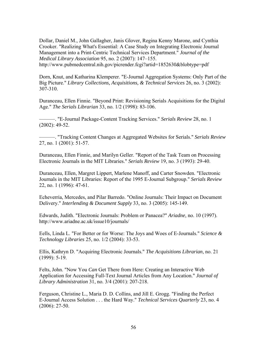Dollar, Daniel M., John Gallagher, Janis Glover, Regina Kenny Marone, and Cynthia Crooker. "Realizing What's Essential: A Case Study on Integrating Electronic Journal Management into a Print-Centric Technical Services Department." *Journal of the Medical Library Association* 95, no. 2 (2007): 147–155. http://www.pubmedcentral.nih.gov/picrender.fcgi?artid=1852630&blobtype=pdf

Dorn, Knut, and Katharina Klemperer. "E-Journal Aggregation Systems: Only Part of the Big Picture." *Library Collections, Acquisitions, & Technical Services* 26, no. 3 (2002): 307-310.

Duranceau, Ellen Finnie. "Beyond Print: Revisioning Serials Acquisitions for the Digital Age." *The Serials Librarian* 33, no. 1/2 (1998): 83-106.

———. "E-Journal Package-Content Tracking Services." *Serials Review* 28, no. 1 (2002): 49-52.

———. "Tracking Content Changes at Aggregated Websites for Serials." *Serials Review* 27, no. 1 (2001): 51-57.

Duranceau, Ellen Finnie, and Marilyn Geller. "Report of the Task Team on Processing Electronic Journals in the MIT Libraries." *Serials Review* 19, no. 3 (1993): 29-40.

Duranceau, Ellen, Margret Lippert, Marlene Manoff, and Carter Snowden. "Electronic Journals in the MIT Libraries: Report of the 1995 E-Journal Subgroup." *Serials Review* 22, no. 1 (1996): 47-61.

Echeverria, Mercedes, and Pilar Barredo. "Online Journals: Their Impact on Document Delivery." *Interlending & Document Supply* 33, no. 3 (2005): 145-149.

Edwards, Judith. "Electronic Journals: Problem or Panacea?" *Ariadne*, no. 10 (1997). http://www.ariadne.ac.uk/issue10/journals/

Eells, Linda L. "For Better or for Worse: The Joys and Woes of E-Journals." *Science & Technology Libraries* 25, no. 1/2 (2004): 33-53.

Ellis, Kathryn D. "Acquiring Electronic Journals." *The Acquisitions Librarian*, no. 21 (1999): 5-19.

Felts, John. "Now You *Can* Get There from Here: Creating an Interactive Web Application for Accessing Full-Text Journal Articles from Any Location." *Journal of Library Administration* 31, no. 3/4 (2001): 207-218.

Ferguson, Christine L., Maria D. D. Collins, and Jill E. Grogg. "Finding the Perfect E-Journal Access Solution . . . the Hard Way." *Technical Services Quarterly* 23, no. 4 (2006): 27-50.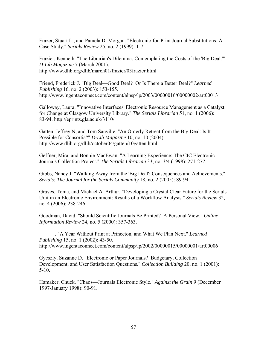Frazer, Stuart L., and Pamela D. Morgan. "Electronic-for-Print Journal Substitutions: A Case Study." *Serials Review* 25, no. 2 (1999): 1-7.

Frazier, Kenneth. "The Librarian's Dilemma: Contemplating the Costs of the 'Big Deal.'" *D-Lib Magazine* 7 (March 2001). http://www.dlib.org/dlib/march01/frazier/03frazier.html

Friend, Frederick J. "Big Deal-Good Deal? Or Is There a Better Deal?" *Learned Publishing* 16, no. 2 (2003): 153-155. http://www.ingentaconnect.com/content/alpsp/lp/2003/00000016/00000002/art00013

Galloway, Laura. "Innovative Interfaces' Electronic Resource Management as a Catalyst for Change at Glasgow University Library." *The Serials Librarian* 51, no. 1 (2006): 83-94. http://eprints.gla.ac.uk/3110/

Gatten, Jeffrey N, and Tom Sanville. "An Orderly Retreat from the Big Deal: Is It Possible for Consortia?" *D-Lib Magazine* 10, no. 10 (2004). http://www.dlib.org/dlib/october04/gatten/10gatten.html

Geffner, Mira, and Bonnie MacEwan. "A Learning Experience: The CIC Electronic Journals Collection Project." *The Serials Librarian* 33, no. 3/4 (1998): 271-277.

Gibbs, Nancy J. "Walking Away from the 'Big Deal': Consequences and Achievements." *Serials: The Journal for the Serials Community* 18, no. 2 (2005): 89-94.

Graves, Tonia, and Michael A. Arthur. "Developing a Crystal Clear Future for the Serials Unit in an Electronic Environment: Results of a Workflow Analysis." *Serials Review* 32, no. 4 (2006): 238-246.

Goodman, David. "Should Scientific Journals Be Printed? A Personal View." *Online Information Review* 24, no. 5 (2000): 357-363.

———. "A Year Without Print at Princeton, and What We Plan Next." *Learned Publishing* 15, no. 1 (2002): 43-50. http://www.ingentaconnect.com/content/alpsp/lp/2002/00000015/00000001/art00006

Gyeszly, Suzanne D. "Electronic or Paper Journals? Budgetary, Collection Development, and User Satisfaction Questions." *Collection Building* 20, no. 1 (2001):  $5-10$ .

Hamaker, Chuck. "Chaos—Journals Electronic Style." *Against the Grain* 9 (December 1997-January 1998): 90-91.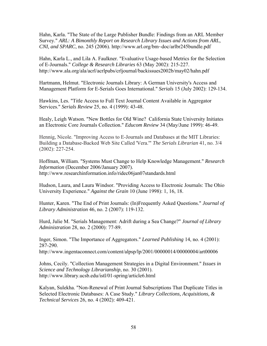Hahn, Karla. "The State of the Large Publisher Bundle: Findings from an ARL Member Survey." *ARL: A Bimonthly Report on Research Library Issues and Actions from ARL, CNI, and SPARC*, no. 245 (2006). http://www.arl.org/bm~doc/arlbr245bundle.pdf

Hahn, Karla L., and Lila A. Faulkner. "Evaluative Usage-based Metrics for the Selection of E-Journals." *College & Research Libraries* 63 (May 2002): 215-227. http://www.ala.org/ala/acrl/acrlpubs/crljournal/backissues2002b/may02/hahn.pdf

Hartmann, Helmut. "Electronic Journals Library: A German University's Access and Management Platform for E-Serials Goes International." *Serials* 15 (July 2002): 129-134.

Hawkins, Les. "Title Access to Full Text Journal Content Available in Aggregator Services." *Serials Review* 25, no. 4 (1999): 43-48.

Healy, Leigh Watson. "New Bottles for Old Wine? California State University Initiates an Electronic Core Journals Collection." *Educom Review* 34 (May/June 1999): 46-49.

Hennig, Nicole. "Improving Access to E-Journals and Databases at the MIT Libraries: Building a Database-Backed Web Site Called 'Vera.'" *The Serials Librarian* 41, no. 3/4 (2002): 227-254.

Hoffman, William. "Systems Must Change to Help Knowledge Management." *Research Information* (December 2006/January 2007). http://www.researchinformation.info/ridec06jan07standards.html

Hudson, Laura, and Laura Windsor. "Providing Access to Electronic Journals: The Ohio University Experience." *Against the Grain* 10 (June 1998): 1, 16, 18.

Hunter, Karen. "The End of Print Journals: (In)Frequently Asked Questions." *Journal of Library Administration* 46, no. 2 (2007): 119-132.

Hurd, Julie M. "Serials Management: Adrift during a Sea Change?" *Journal of Library Administration* 28, no. 2 (2000): 77-89.

Inger, Simon. "The Importance of Aggregators." *Learned Publishing* 14, no. 4 (2001): 287-290.

http://www.ingentaconnect.com/content/alpsp/lp/2001/00000014/00000004/art00006

Johns, Cecily. "Collection Management Strategies in a Digital Environment." *Issues in Science and Technology Librarianship*, no. 30 (2001). http://www.library.ucsb.edu/istl/01-spring/article6.html

Kalyan, Sulekha. "Non-Renewal of Print Journal Subscriptions That Duplicate Titles in Selected Electronic Databases: A Case Study." *Library Collections, Acquisitions, & Technical Services* 26, no. 4 (2002): 409-421.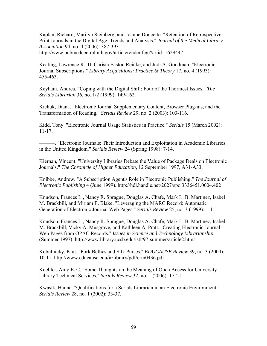Kaplan, Richard, Marilyn Steinberg, and Joanne Doucette. "Retention of Retrospective Print Journals in the Digital Age: Trends and Analysis." *Journal of the Medical Library Association* 94, no. 4 (2006): 387-393. http://www.pubmedcentral.nih.gov/articlerender.fcgi?artid=1629447

Keating, Lawrence R., II, Christa Easton Reinke, and Judi A. Goodman. "Electronic Journal Subscriptions." *Library Acquisitions: Practice & Theory* 17, no. 4 (1993): 455-463.

Keyhani, Andrea. "Coping with the Digital Shift: Four of the Thorniest Issues." *The Serials Librarian* 36, no. 1/2 (1999): 149-162.

Kichuk, Diana. "Electronic Journal Supplementary Content, Browser Plug-ins, and the Transformation of Reading." *Serials Review* 29, no. 2 (2003): 103-116.

Kidd, Tony. "Electronic Journal Usage Statistics in Practice." *Serials* 15 (March 2002): 11-17.

———. "Electronic Journals: Their Introduction and Exploitation in Academic Libraries in the United Kingdom." *Serials Review* 24 (Spring 1998): 7-14.

Kiernan, Vincent. "University Libraries Debate the Value of Package Deals on Electronic Journals." *The Chronicle of Higher Education*, 12 September 1997, A31-A33.

Knibbe, Andrew. "A Subscription Agent's Role in Electronic Publishing." *The Journal of Electronic Publishing* 4 (June 1999). http://hdl.handle.net/2027/spo.3336451.0004.402

Knudson, Frances L., Nancy R. Sprague, Douglas A. Chafe, Mark L. B. Martinez, Isabel M. Brackbill, and Miriam E. Blake. "Leveraging the MARC Record: Automatic Generation of Electronic Journal Web Pages." *Serials Review* 25, no. 3 (1999): 1-11.

Knudson, Frances L., Nancy R. Sprague, Douglas A. Chafe, Mark L. B. Martinez, Isabel M. Brackbill, Vicky A. Musgrave, and Kathleen A. Pratt. "Creating Electronic Journal Web Pages from OPAC Records." *Issues in Science and Technology Librarianship* (Summer 1997). http://www.library.ucsb.edu/istl/97-summer/article2.html

Kobulnicky, Paul. "Pork Bellies and Silk Purses." *EDUCAUSE Review* 39, no. 3 (2004): 10-11. http://www.educause.edu/ir/library/pdf/erm0436.pdf

Koehler, Amy E. C. "Some Thoughts on the Meaning of Open Access for University Library Technical Services." *Serials Review* 32, no. 1 (2006): 17-21.

Kwasik, Hanna. "Qualifications for a Serials Librarian in an Electronic Environment." *Serials Review* 28, no. 1 (2002): 33-37.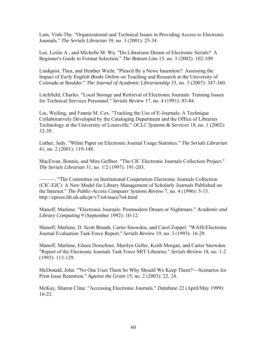Lam, Vinh-The. "Organizational and Technical Issues in Providing Access to Electronic Journals." *The Serials Librarian* 39, no. 3 (2001): 25-34.

Lee, Leslie A., and Michelle M. Wu. "Do Librarians Dream of Electronic Serials? A Beginner's Guide to Format Selection." *The Bottom Line* 15, no. 3 (2002): 102-109.

Lindquist, Thea, and Heather Wicht. "Pleas'd By a Newe Inuention?: Assessing the Impact of *Early English Books Online* on Teaching and Research at the University of Colorado at Boulder." *The Journal of Academic Librarianship* 33, no. 3 (2007): 347-360.

Litchfield, Charles. "Local Storage and Retrieval of Electronic Journals: Training Issues for Technical Services Personnel." *Serials Review* 17, no. 4 (1991): 83-84.

Liu, Weiling, and Fannie M. Cox. "Tracking the Use of E-Journals: A Technique Collaboratively Developed by the Cataloging Department and the Office of Libraries Technology at the University of Louisville." *OCLC Systems & Services* 18, no. 1 (2002): 32-39.

Luther, Judy. "White Paper on Electronic Journal Usage Statistics." *The Serials Librarian* 41, no. 2 (2001): 119-148.

MacEwan, Bonnie, and Mira Geffner. "The CIC Electronic Journals Collection Project." *The Serials Librarian* 31, no. 1/2 (1997): 191-203.

———. "The Committee on Institutional Cooperation Electronic Journals Collection (CIC-EJC): A New Model for Library Management of Scholarly Journals Published on the Internet." *The Public-Access Computer Systems Review* 7, no. 4 (1996): 5-15. http://epress.lib.uh.edu/pr/v7/n4/mace7n4.html

Manoff, Marlene. "Electronic Journals: Postmodern Dream or Nightmare." *Academic and Library Computing* 9 (September 1992): 10-12.

Manoff, Marlene, D. Scott Brandt, Carter Snowden, and Carol Zoppel. "WAIS/Electronic Journal Evaluation Task Force Report." *Serials Review* 19, no. 3 (1993): 16-29.

Manoff, Marlene, Eileen Dorschner, Marilyn Geller, Keith Morgan, and Carter Snowden. "Report of the Electronic Journals Task Force MIT Libraries." *Serials Review* 18, no. 1-2 (1992): 113-129.

McDonald, John. "'No One Uses Them So Why Should We Keep Them?'—Scenarios for Print Issue Retention." *Against the Grain* 15, no. 2 (2003): 22, 24.

McKay, Sharon Cline. "Accessing Electronic Journals." *Database* 22 (April/May 1999): 16-23.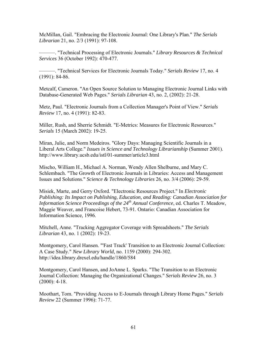McMillan, Gail. "Embracing the Electronic Journal: One Library's Plan." *The Serials Librarian* 21, no. 2/3 (1991): 97-108.

———. "Technical Processing of Electronic Journals." *Library Resources & Technical Services* 36 (October 1992): 470-477.

———. "Technical Services for Electronic Journals Today." *Serials Review* 17, no. 4 (1991): 84-86.

Metcalf, Cameron. "An Open Source Solution to Managing Electronic Journal Links with Database-Generated Web Pages." *Serials Librarian* 43, no. 2, (2002): 21-28.

Metz, Paul. "Electronic Journals from a Collection Manager's Point of View." *Serials Review* 17, no. 4 (1991): 82-83.

Miller, Rush, and Sherrie Schmidt. "E-Metrics: Measures for Electronic Resources." *Serials* 15 (March 2002): 19-25.

Miran, Julie, and Norm Medeiros. "Glory Days: Managing Scientific Journals in a Liberal Arts College." *Issues in Science and Technology Librarianship* (Summer 2001). http://www.library.ucsb.edu/istl/01-summer/article3.html

Mischo, William H., Michael A. Norman, Wendy Allen Shelburne, and Mary C. Schlembach. "The Growth of Electronic Journals in Libraries: Access and Management Issues and Solutions." *Science & Technology Libraries* 26, no. 3/4 (2006): 29-59.

Misiek, Marte, and Gerry Oxford. "Electronic Resources Project." In *Electronic Publishing: Its Impact on Publishing, Education, and Reading: Canadian Association for Information Science Proceedings of the 24th Annual Conference*, ed. Charles T. Meadow, Maggie Weaver, and Francoise Hebert, 73-91. Ontario: Canadian Association for Information Science, 1996.

Mitchell, Anne. "Tracking Aggregator Coverage with Spreadsheets." *The Serials Librarian* 43, no. 1 (2002): 19-23.

Montgomery, Carol Hansen. "'Fast Track' Transition to an Electronic Journal Collection: A Case Study." *New Library World*, no. 1159 (2000): 294-302. http://idea.library.drexel.edu/handle/1860/584

Montgomery, Carol Hansen, and JoAnne L. Sparks. "The Transition to an Electronic Journal Collection: Managing the Organizational Changes." *Serials Review* 26, no. 3  $(2000): 4-18.$ 

Moothart, Tom. "Providing Access to E-Journals through Library Home Pages." *Serials Review* 22 (Summer 1996): 71-77.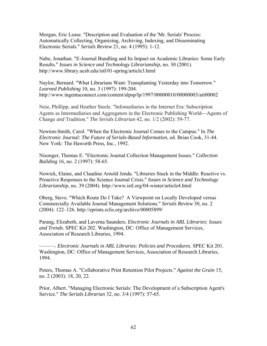Morgan, Eric Lease. "Description and Evaluation of the 'Mr. Serials' Process: Automatically Collecting, Organizing, Archiving, Indexing, and Disseminating Electronic Serials." *Serials Review* 21, no. 4 (1995): 1-12.

Nabe, Jonathan. "E-Journal Bundling and Its Impact on Academic Libraries: Some Early Results." *Issues in Science and Technology Librarianship*, no. 30 (2001). http://www.library.ucsb.edu/istl/01-spring/article3.html

Naylor, Bernard. "What Librarians Want: Transplanting Yesterday into Tomorrow." *Learned Publishing* 10, no. 3 (1997): 199-204. http://www.ingentaconnect.com/content/alpsp/lp/1997/00000010/00000003/art00002

Neie, Phillipp, and Heather Steele. "Infomediaries in the Internet Era: Subscription Agents as Intermediaries and Aggregators in the Electronic Publishing World—Agents of Change *and* Tradition." *The Serials Librarian* 42, no. 1/2 (2002): 59-77.

Newton-Smith, Carol. "When the Electronic Journal Comes to the Campus." In *The Electronic Journal: The Future of Serials-Based Information*, ed. Brian Cook, 31-44. New York: The Haworth Press, Inc., 1992.

Nisonger, Thomas E. "Electronic Journal Collection Management Issues." *Collection Building* 16, no. 2 (1997): 58-65.

Nowick, Elaine, and Claudine Arnold Jenda. "Libraries Stuck in the Middle: Reactive vs. Proactive Responses to the Science Journal Crisis." *Issues in Science and Technology Librarianship*, no. 39 (2004). http://www.istl.org/04-winter/article4.html

Oberg, Steve. "Which Route Do I Take? A Viewpoint on Locally Developed versus Commercially Available Journal Management Solutions." *Serials Review* 30, no. 2 (2004): 122–126. http://eprints.rclis.org/archive/00005899/

Parang, Elizabeth, and Laverna Saunders*. Electronic Journals in ARL Libraries: Issues and Trends*. SPEC Kit 202. Washington, DC: Office of Management Services, Association of Research Libraries, 1994.

———. *Electronic Journals in ARL Libraries: Policies and Procedures*. SPEC Kit 201. Washington, DC: Office of Management Services, Association of Research Libraries, 1994.

Peters, Thomas A. "Collaborative Print Retention Pilot Projects." *Against the Grain* 15, no. 2 (2003): 18, 20, 22.

Prior, Albert. "Managing Electronic Serials: The Development of a Subscription Agent's Service." *The Serials Librarian* 32, no. 3/4 (1997): 57-65.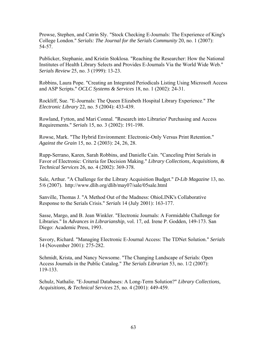Prowse, Stephen, and Catrin Sly. "Stock Checking E-Journals: The Experience of King's College London." *Serials: The Journal for the Serials Community* 20, no. 1 (2007): 54-57.

Publicker, Stephanie, and Kristin Stoklosa. "Reaching the Researcher: How the National Institutes of Health Library Selects and Provides E-Journals Via the World Wide Web." *Serials Review* 25, no. 3 (1999): 13-23.

Robbins, Laura Pope. "Creating an Integrated Periodicals Listing Using Microsoft Access and ASP Scripts." *OCLC Systems & Services* 18, no. 1 (2002): 24-31.

Rockliff, Sue. "E-Journals: The Queen Elizabeth Hospital Library Experience." *The Electronic Library* 22, no. 5 (2004): 433-439.

Rowland, Fytton, and Mari Connal. "Research into Libraries' Purchasing and Access Requirements." *Serials* 15, no. 3 (2002): 191-198.

Rowse, Mark. "The Hybrid Environment: Electronic-Only Versus Print Retention." *Against the Grain* 15, no. 2 (2003): 24, 26, 28.

Rupp-Serrano, Karen, Sarah Robbins, and Danielle Cain. "Canceling Print Serials in Favor of Electronic: Criteria for Decision Making." *Library Collections, Acquisitions, & Technical Services* 26, no. 4 (2002): 369-378.

Sale, Arthur. "A Challenge for the Library Acquisition Budget." *D-Lib Magazine* 13, no. 5/6 (2007). http://www.dlib.org/dlib/may07/sale/05sale.html

Sanville, Thomas J. "A Method Out of the Madness: OhioLINK's Collaborative Response to the Serials Crisis." *Serials* 14 (July 2001): 163-177.

Sasse, Margo, and B. Jean Winkler. "Electronic Journals: A Formidable Challenge for Libraries." In *Advances in Librarianship*, vol. 17, ed. Irene P. Godden, 149-173. San Diego: Academic Press, 1993.

Savory, Richard. "Managing Electronic E-Journal Access: The TDNet Solution." *Serials* 14 (November 2001): 275-282.

Schmidt, Krista, and Nancy Newsome. "The Changing Landscape of Serials: Open Access Journals in the Public Catalog." *The Serials Librarian* 53, no. 1/2 (2007): 119-133.

Schulz, Nathalie. "E-Journal Databases: A Long-Term Solution?" *Library Collections, Acquisitions, & Technical Services* 25, no. 4 (2001): 449-459.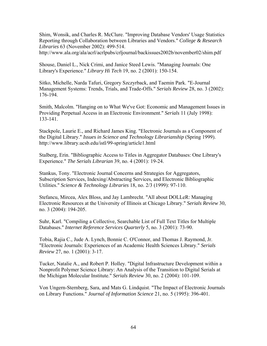Shim, Wonsik, and Charles R. McClure. "Improving Database Vendors' Usage Statistics Reporting through Collaboration between Libraries and Vendors." *College & Research Libraries* 63 (November 2002): 499-514.

http://www.ala.org/ala/acrl/acrlpubs/crljournal/backissues2002b/november02/shim.pdf

Shouse, Daniel L., Nick Crimi, and Janice Steed Lewis. "Managing Journals: One Library's Experience." *Library Hi Tech* 19, no. 2 (2001): 150-154.

Sitko, Michelle, Narda Tafuri, Gregory Szczyrback, and Taemin Park. "E-Journal Management Systems: Trends, Trials, and Trade-Offs." *Serials Review* 28, no. 3 (2002): 176-194.

Smith, Malcolm. "Hanging on to What We've Got: Economic and Management Issues in Providing Perpetual Access in an Electronic Environment." *Serials* 11 (July 1998): 133-141.

Stackpole, Laurie E., and Richard James King. "Electronic Journals as a Component of the Digital Library." *Issues in Science and Technology Librarianship* (Spring 1999). http://www.library.ucsb.edu/istl/99-spring/article1.html

Stalberg, Erin. "Bibliographic Access to Titles in Aggregator Databases: One Library's Experience." *The Serials Librarian* 39, no. 4 (2001): 19-24.

Stankus, Tony. "Electronic Journal Concerns and Strategies for Aggregators, Subscription Services, Indexing/Abstracting Services, and Electronic Bibliographic Utilities." *Science & Technology Libraries* 18, no. 2/3 (1999): 97-110.

Stefancu, Mircea, Alex Bloss, and Jay Lambrecht. "All about DOLLeR: Managing Electronic Resources at the University of Illinois at Chicago Library." *Serials Review* 30, no. 3 (2004): 194-205.

Suhr, Karl. "Compiling a Collective, Searchable List of Full Text Titles for Multiple Databases." *Internet Reference Services Quarterly* 5, no. 3 (2001): 73-90.

Tobia, Rajia C., Jude A. Lynch, Bonnie C. O'Connor, and Thomas J. Raymond, Jr. "Electronic Journals: Experiences of an Academic Health Sciences Library." *Serials Review* 27, no. 1 (2001): 3-17.

Tucker, Natalie A., and Robert P. Holley. "Digital Infrastructure Development within a Nonprofit Polymer Science Library: An Analysis of the Transition to Digital Serials at the Michigan Molecular Institute." *Serials Review* 30, no. 2 (2004): 101-109.

Von Ungern-Sternberg, Sara, and Mats G. Lindquist. "The Impact of Electronic Journals on Library Functions." *Journal of Information Science* 21, no. 5 (1995): 396-401.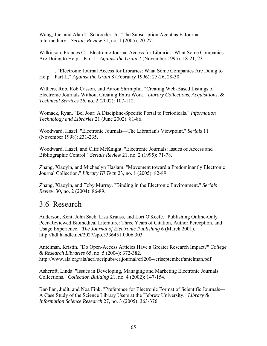Wang, Jue, and Alan T. Schroeder, Jr. "The Subscription Agent as E-Journal Intermediary." *Serials Review* 31, no. 1 (2005): 20-27.

Wilkinson, Frances C. "Electronic Journal Access for Libraries: What Some Companies Are Doing to Help—Part I." *Against the Grain* 7 (November 1995): 18-21, 23.

———. "Electronic Journal Access for Libraries: What Some Companies Are Doing to Help—Part II." *Against the Grain* 8 (February 1996): 25-26, 28-30.

Withers, Rob, Rob Casson, and Aaron Shrimplin. "Creating Web-Based Listings of Electronic Journals Without Creating Extra Work." *Library Collections, Acquisitions, & Technical Services* 26, no. 2 (2002): 107-112.

Womack, Ryan. "Bel Jour: A Discipline-Specific Portal to Periodicals." *Information Technology and Libraries* 21 (June 2002): 81-86.

Woodward, Hazel. "Electronic Journals—The Librarian's Viewpoint." *Serials* 11 (November 1998): 231-235.

Woodward, Hazel, and Cliff McKnight. "Electronic Journals: Issues of Access and Bibliographic Control." *Serials Review* 21, no. 2 (1995): 71-78.

Zhang, Xiaoyin, and Michaelyn Haslam. "Movement toward a Predominantly Electronic Journal Collection." *Library Hi Tech* 23, no. 1 (2005): 82-89.

Zhang, Xiaoyin, and Toby Murray. "Binding in the Electronic Environment." *Serials Review* 30, no. 2 (2004): 86-89.

# 3.6 Research

Anderson, Kent, John Sack, Lisa Krauss, and Lori O'Keefe. "Publishing Online-Only Peer-Reviewed Biomedical Literature: Three Years of Citation, Author Perception, and Usage Experience." *The Journal of Electronic Publishing* 6 (March 2001). http://hdl.handle.net/2027/spo.3336451.0006.303

Antelman, Kristin. "Do Open-Access Articles Have a Greater Research Impact?" *College & Research Libraries* 65, no. 5 (2004): 372-382. http://www.ala.org/ala/acrl/acrlpubs/crljournal/crl2004/crlseptember/antelman.pdf

Ashcroft, Linda. "Issues in Developing, Managing and Marketing Electronic Journals Collections." *Collection Building* 21, no. 4 (2002): 147-154.

Bar-Ilan, Judit, and Noa Fink. "Preference for Electronic Format of Scientific Journals— A Case Study of the Science Library Users at the Hebrew University." *Library & Information Science Research* 27, no. 3 (2005): 363-376.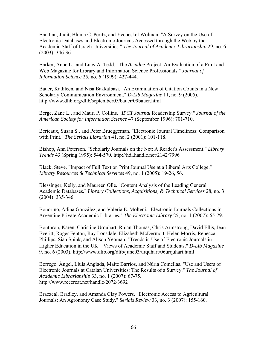Bar-Ilan, Judit, Bluma C. Peritz, and Yecheskel Wolman. "A Survey on the Use of Electronic Databases and Electronic Journals Accessed through the Web by the Academic Staff of Israeli Universities." *The Journal of Academic Librarianship* 29, no. 6 (2003): 346-361.

Barker, Anne L., and Lucy A. Tedd. "The *Ariadne* Project: An Evaluation of a Print and Web Magazine for Library and Information Science Professionals." *Journal of Information Science* 25, no. 6 (1999): 427-444.

Bauer, Kathleen, and Nisa Bakkalbasi. "An Examination of Citation Counts in a New Scholarly Communication Environment." *D-Lib Magazine* 11, no. 9 (2005). http://www.dlib.org/dlib/september05/bauer/09bauer.html

Berge, Zane L., and Mauri P. Collins. "*IPCT Journal* Readership Survey." *Journal of the American Society for Information Science* 47 (September 1996): 701-710.

Berteaux, Susan S., and Peter Brueggeman. "Electronic Journal Timeliness: Comparison with Print." *The Serials Librarian* 41, no. 2 (2001): 101-118.

Bishop, Ann Peterson. "Scholarly Journals on the Net: A Reader's Assessment." *Library Trends* 43 (Spring 1995): 544-570. http://hdl.handle.net/2142/7996

Black, Steve. "Impact of Full Text on Print Journal Use at a Liberal Arts College." *Library Resources & Technical Services* 49, no. 1 (2005): 19-26, 56.

Blessinger, Kelly, and Maureen Olle. "Content Analysis of the Leading General Academic Databases." *Library Collections, Acquisitions, & Technical Services* 28, no. 3 (2004): 335-346.

Bonorino, Adina González, and Valeria E. Molteni. "Electronic Journals Collections in Argentine Private Academic Libraries." *The Electronic Library* 25, no. 1 (2007): 65-79.

Bonthron, Karen, Christine Urquhart, Rhian Thomas, Chris Armstrong, David Ellis, Jean Everitt, Roger Fenton, Ray Lonsdale, Elizabeth McDermott, Helen Morris, Rebecca Phillips, Sian Spink, and Alison Yeoman. "Trends in Use of Electronic Journals in Higher Education in the UK—Views of Academic Staff and Students." *D-Lib Magazine* 9, no. 6 (2003). http://www.dlib.org/dlib/june03/urquhart/06urquhart.html

Borrego, Àngel, Lluís Anglada, Maite Barrios, and Núria Comellas. "Use and Users of Electronic Journals at Catalan Universities: The Results of a Survey." *The Journal of Academic Librarianship* 33, no. 1 (2007): 67-75. http://www.recercat.net/handle/2072/3692

Brazzeal, Bradley, and Amanda Clay Powers. "Electronic Access to Agricultural Journals: An Agronomy Case Study." *Serials Review* 33, no. 3 (2007): 155-160.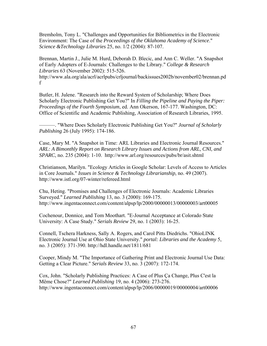Bremholm, Tony L. "Challenges and Opportunities for Bibliometrics in the Electronic Environment: The Case of the *Proceedings of the Oklahoma Academy of Science*." *Science &Technology Libraries* 25, no. 1/2 (2004): 87-107.

Brennan, Martin J., Julie M. Hurd, Deborah D. Blecic, and Ann C. Weller. "A Snapshot of Early Adopters of E-Journals: Challenges to the Library." *College & Research Libraries* 63 (November 2002): 515-526.

http://www.ala.org/ala/acrl/acrlpubs/crljournal/backissues2002b/november02/brennan.pd f

Butler, H. Julene. "Research into the Reward System of Scholarship; Where Does Scholarly Electronic Publishing Get You?" In *Filling the Pipeline and Paying the Piper: Proceedings of the Fourth Symposium*, ed. Ann Okerson, 167-177. Washington, DC: Office of Scientific and Academic Publishing, Association of Research Libraries, 1995.

———. "Where Does Scholarly Electronic Publishing Get You?" *Journal of Scholarly Publishing* 26 (July 1995): 174-186.

Case, Mary M. "A Snapshot in Time: ARL Libraries and Electronic Journal Resources." *ARL: A Bimonthly Report on Research Library Issues and Actions from ARL, CNI, and SPARC*, no. 235 (2004): 1-10. http://www.arl.org/resources/pubs/br/asit.shtml

Christianson, Marilyn. "Ecology Articles in Google Scholar: Levels of Access to Articles in Core Journals." *Issues in Science & Technology Librarianship*, no. 49 (2007). http://www.istl.org/07-winter/refereed.html

Chu, Heting. "Promises and Challenges of Electronic Journals: Academic Libraries Surveyed." *Learned Publishing* 13, no. 3 (2000): 169-175. http://www.ingentaconnect.com/content/alpsp/lp/2000/00000013/00000003/art00005

Cochenour, Donnice, and Tom Moothart. "E-Journal Acceptance at Colorado State University: A Case Study." *Serials Review* 29, no. 1 (2003): 16-25.

Connell, Tschera Harkness, Sally A. Rogers, and Carol Pitts Diedrichs. "OhioLINK Electronic Journal Use at Ohio State University." *portal: Libraries and the Academy* 5, no. 3 (2005): 371-390. http://hdl.handle.net/1811/681

Cooper, Mindy M. "The Importance of Gathering Print and Electronic Journal Use Data: Getting a Clear Picture." *Serials Review* 33, no. 3 (2007): 172-174.

Cox, John. "Scholarly Publishing Practices: A Case of Plus Ça Change, Plus C'est la Même Chose?" *Learned Publishing* 19, no. 4 (2006): 273-276. http://www.ingentaconnect.com/content/alpsp/lp/2006/00000019/00000004/art00006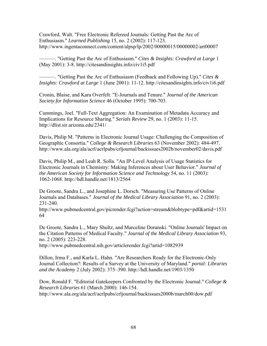Crawford, Walt. "Free Electronic Refereed Journals: Getting Past the Arc of Enthusiasm." *Learned Publishing* 15, no. 2 (2002): 117-123. http://www.ingentaconnect.com/content/alpsp/lp/2002/00000015/00000002/art00007

———. "Getting Past the Arc of Enthusiasm." *Cites & Insights: Crawford at Large* 1 (May 2001): 3-8. http://citesandinsights.info/civ1i5.pdf

———. "Getting Past the Arc of Enthusiasm (Feedback and Following Up)." *Cites & Insights: Crawford at Large* 1 (June 2001): 11-12. http://citesandinsights.info/civ1i6.pdf

Cronin, Blaise, and Kara Overfelt. "E-Journals and Tenure." *Journal of the American Society for Information Science* 46 (October 1995): 700-703.

Cummings, Joel. "Full-Text Aggregation: An Examination of Metadata Accuracy and Implications for Resource Sharing." *Serials Review* 29, no. 1 (2003): 11-15. http://dlist.sir.arizona.edu/2341/

Davis, Philip M. "Patterns in Electronic Journal Usage: Challenging the Composition of Geographic Consortia." *College & Research Libraries* 63 (November 2002): 484-497. http://www.ala.org/ala/acrl/acrlpubs/crljournal/backissues2002b/november02/davis.pdf

Davis, Philip M., and Leah R. Solla. "An IP-Level Analysis of Usage Statistics for Electronic Journals in Chemistry: Making Inferences about User Behavior." *Journal of the American Society for Information Science and Technology* 54, no. 11 (2003): 1062-1068. http://hdl.handle.net/1813/2564

De Groote, Sandra L., and Josephine L. Dorsch. "Measuring Use Patterns of Online Journals and Databases." *Journal of the Medical Library Association* 91, no. 2 (2003): 231-240.

http://www.pubmedcentral.gov/picrender.fcgi?action=stream&blobtype=pdf&artid=1531 64

De Groote, Sandra L., Mary Shultz, and Marceline Doranski. "Online Journals' Impact on the Citation Patterns of Medical Faculty." *Journal of the Medical Library Association* 93, no. 2 (2005): 223-228.

http://www.pubmedcentral.nih.gov/articlerender.fcgi?artid=1082939

Dillon, Irma F., and Karla L. Hahn. "Are Researchers Ready for the Electronic-Only Journal Collection?: Results of a Survey at the University of Maryland." *portal: Libraries and the Academy* 2 (July 2002): 375–390. http://hdl.handle.net/1903/1350

Dow, Ronald F. "Editorial Gatekeepers Confronted by the Electronic Journal." *College & Research Libraries* 61 (March 2000): 146-154. http://www.ala.org/ala/acrl/acrlpubs/crljournal/backissues2000b/march00/dow.pdf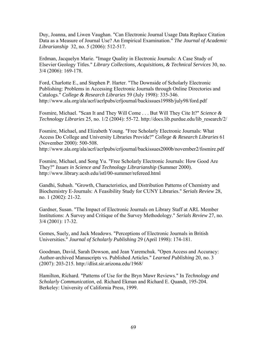Duy, Joanna, and Liwen Vaughan. "Can Electronic Journal Usage Data Replace Citation Data as a Measure of Journal Use? An Empirical Examination." *The Journal of Academic Librarianship* 32, no. 5 (2006): 512-517.

Erdman, Jacquelyn Marie. "Image Quality in Electronic Journals: A Case Study of Elsevier Geology Titles." *Library Collections, Acquisitions, & Technical Services* 30, no. 3/4 (2006): 169-178.

Ford, Charlotte E., and Stephen P. Harter. "The Downside of Scholarly Electronic Publishing: Problems in Accessing Electronic Journals through Online Directories and Catalogs." *College & Research Libraries* 59 (July 1998): 335-346. http://www.ala.org/ala/acrl/acrlpubs/crljournal/backissues1998b/july98/ford.pdf

Fosmire, Michael. "Scan It and They Will Come . . . But Will They Cite It?" *Science & Technology Libraries* 25, no. 1/2 (2004): 55-72. http://docs.lib.purdue.edu/lib\_research/2/

Fosmire, Michael, and Elizabeth Young. "Free Scholarly Electronic Journals: What Access Do College and University Libraries Provide?" *College & Research Libraries* 61 (November 2000): 500-508. http://www.ala.org/ala/acrl/acrlpubs/crljournal/backissues2000b/november2/fosmire.pdf

Fosmire, Michael, and Song Yu. "Free Scholarly Electronic Journals: How Good Are They?" *Issues in Science and Technology Librarianship* (Summer 2000). http://www.library.ucsb.edu/istl/00-summer/refereed.html

Gandhi, Subash. "Growth, Characteristics, and Distribution Patterns of Chemistry and Biochemistry E-Journals: A Feasibility Study for CUNY Libraries." *Serials Review* 28, no. 1 (2002): 21-32.

Gardner, Susan. "The Impact of Electronic Journals on Library Staff at ARL Member Institutions: A Survey and Critique of the Survey Methodology." *Serials Review* 27, no. 3/4 (2001): 17-32.

Gomes, Suely, and Jack Meadows. "Perceptions of Electronic Journals in British Universities." *Journal of Scholarly Publishing* 29 (April 1998): 174-181.

Goodman, David, Sarah Dowson, and Jean Yaremchuk. "Open Access and Accuracy: Author-archived Manuscripts vs. Published Articles." *Learned Publishing* 20, no. 3 (2007): 203-215. http://dlist.sir.arizona.edu/1968/

Hamilton, Richard. "Patterns of Use for the Bryn Mawr Reviews." In *Technology and Scholarly Communication*, ed. Richard Ekman and Richard E. Quandt, 195-204. Berkeley: University of California Press, 1999.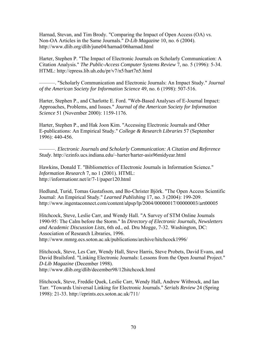Harnad, Stevan, and Tim Brody. "Comparing the Impact of Open Access (OA) vs. Non-OA Articles in the Same Journals." *D-Lib Magazine* 10, no. 6 (2004). http://www.dlib.org/dlib/june04/harnad/06harnad.html

Harter, Stephen P. "The Impact of Electronic Journals on Scholarly Communication: A Citation Analysis." *The Public-Access Computer Systems Review* 7, no. 5 (1996): 5-34. HTML: http://epress.lib.uh.edu/pr/v7/n5/hart7n5.html

———. "Scholarly Communication and Electronic Journals: An Impact Study." *Journal of the American Society for Information Science* 49, no. 6 (1998): 507-516.

Harter, Stephen P., and Charlotte E. Ford. "Web-Based Analyses of E-Journal Impact: Approaches, Problems, and Issues." *Journal of the American Society for Information Science* 51 (November 2000): 1159-1176.

Harter, Stephen P., and Hak Joon Kim. "Accessing Electronic Journals and Other E-publications: An Empirical Study." *College & Research Libraries* 57 (September 1996): 440-456.

———. *Electronic Journals and Scholarly Communication: A Citation and Reference Study*. http://ezinfo.ucs.indiana.edu/~harter/harter-asis96midyear.html

Hawkins, Donald T. "Bibliometrics of Electronic Journals in Information Science." *Information Research* 7, no 1 (2001). HTML: http://informationr.net/ir/7-1/paper120.html

Hedlund, Turid, Tomas Gustafsson, and Bo-Christer Björk. "The Open Access Scientific Journal: An Empirical Study." *Learned Publishing* 17, no. 3 (2004): 199-209. http://www.ingentaconnect.com/content/alpsp/lp/2004/00000017/00000003/art00005

Hitchcock, Steve, Leslie Carr, and Wendy Hall. "A Survey of STM Online Journals 1990-95: The Calm before the Storm." In *Directory of Electronic Journals, Newsletters and Academic Discussion Lists*, 6th ed., ed. Dru Mogge, 7-32. Washington, DC: Association of Research Libraries, 1996.

http://www.mmrg.ecs.soton.ac.uk/publications/archive/hitchcock1996/

Hitchcock, Steve, Les Carr, Wendy Hall, Steve Harris, Steve Probets, David Evans, and David Brailsford. "Linking Electronic Journals: Lessons from the Open Journal Project." *D-Lib Magazine* (December 1998). http://www.dlib.org/dlib/december98/12hitchcock.html

Hitchcock, Steve, Freddie Quek, Leslie Carr, Wendy Hall, Andrew Witbrock, and Ian Tarr. "Towards Universal Linking for Electronic Journals." *Serials Review* 24 (Spring 1998): 21-33. http://eprints.ecs.soton.ac.uk/711/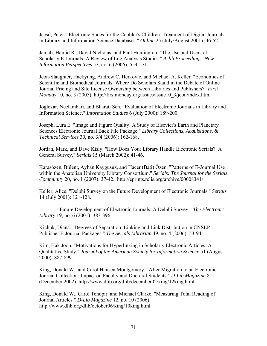Jacsó, Petér. "Electronic Shoes for the Cobbler's Children: Treatment of Digital Journals in Library and Information Science Databases." *Online* 25 (July/August 2001): 46-52.

Jamali, Hamid R., David Nicholas, and Paul Huntington. "The Use and Users of Scholarly E-Journals: A Review of Log Analysis Studies." *Aslib Proceedings: New Information Perspectives* 57, no. 6 (2006): 554-571.

Jeon-Slaughter, Haekyung, Andrew C. Herkovic, and Michael A. Keller. "Economics of Scientific and Biomedical Journals: Where Do Scholars Stand in the Debate of Online Journal Pricing and Site License Ownership between Libraries and Publishers?" *First Monday* 10, no. 3 (2005). http://firstmonday.org/issues/issue10\_3/jeon/index.html

Joglekar, Neelambari, and Bharati Sen. "Evaluation of Electronic Journals in Library and Information Science." *Information Studies* 6 (July 2000): 189-200.

Joseph, Lura E. "Image and Figure Quality: A Study of Elsevier's Earth and Planetary Sciences Electronic Journal Back File Package." *Library Collections, Acquisitions, & Technical Services* 30, no. 3/4 (2006): 162-168.

Jordan, Mark, and Dave Kisly. "How Does Your Library Handle Electronic Serials? A General Survey." *Serials* 15 (March 2002): 41-46.

Karasözen, Bülent, Ayhan Kaygusuz, and Hacer (Bati) Özen. "Patterns of E-Journal Use within the Anatolian University Library Consortium." *Serials: The Journal for the Serials Community* 20, no. 1 (2007): 37-42. http://eprints.rclis.org/archive/00008341/

Keller, Alice. "Delphi Survey on the Future Development of Electronic Journals." *Serials* 14 (July 2001): 121-128.

———. "Future Development of Electronic Journals: A Delphi Survey." *The Electronic Library* 19, no. 6 (2001): 383-396.

Kichuk, Diana. "Degrees of Separation: Linking and Link Distribution in CNSLP Publisher E-Journal Packages." *The Serials Librarian* 49, no. 4 (2006): 53-94.

Kim, Hak Joon. "Motivations for Hyperlinking in Scholarly Electronic Articles: A Qualitative Study." *Journal of the American Society for Information Science* 51 (August 2000): 887-899.

King, Donald W., and Carol Hansen Montgomery. "After Migration to an Electronic Journal Collection: Impact on Faculty and Doctoral Students." *D-Lib Magazine* 8 (December 2002). http://www.dlib.org/dlib/december02/king/12king.html

King, Donald W., Carol Tenopir, and Michael Clarke. "Measuring Total Reading of Journal Articles." *D-Lib Magazine* 12, no. 10 (2006). http://www.dlib.org/dlib/october06/king/10king.html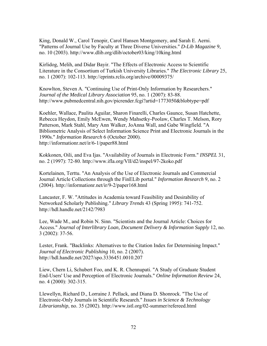King, Donald W., Carol Tenopir, Carol Hansen Montgomery, and Sarah E. Aerni. "Patterns of Journal Use by Faculty at Three Diverse Universities." *D-Lib Magazine* 9, no. 10 (2003). http://www.dlib.org/dlib/october03/king/10king.html

Kirlidog, Melih, and Didar Bayir. "The Effects of Electronic Access to Scientific Literature in the Consortium of Turkish University Libraries." *The Electronic Library* 25, no. 1 (2007): 102-113. http://eprints.rclis.org/archive/00009375/

Knowlton, Steven A. "Continuing Use of Print-Only Information by Researchers." *Journal of the Medical Library Association* 95, no. 1 (2007): 83-88. http://www.pubmedcentral.nih.gov/picrender.fcgi?artid=1773050&blobtype=pdf

Koehler, Wallace, Paulita Aguilar, Sharon Finarelli, Charles Gaunce, Susan Hatchette, Rebecca Heydon, Emily McEwen, Wendy Mahsetky-Poolaw, Charles T. Melson, Rory Patterson, Mark Stahl, Mary Ann Walker, JoAnna Wall, and Gabe Wingfield. "A Bibliometric Analysis of Select Information Science Print and Electronic Journals in the 1990s." *Information Research* 6 (October 2000). http://informationr.net/ir/6-1/paper88.html

Kokkonen, Oili, and Eva Ijas. "Availability of Journals in Electronic Form." *INSPEL* 31, no. 2 (1997): 72-80. http://www.ifla.org/VII/d2/inspel/97-2koko.pdf

Kortelainen, Terttu. "An Analysis of the Use of Electronic Journals and Commercial Journal Article Collections through the FinELib portal." *Information Research* 9, no. 2 (2004). http://informationr.net/ir/9-2/paper168.html

Lancaster, F. W. "Attitudes in Academia toward Feasibility and Desirability of Networked Scholarly Publishing." *Library Trends* 43 (Spring 1995): 741-752. http://hdl.handle.net/2142/7983

Lee, Wade M., and Robin N. Sinn. "Scientists and the Journal Article: Choices for Access." *Journal of Interlibrary Loan, Document Delivery & Information Supply* 12, no. 3 (2002): 37-56.

Lester, Frank. "Backlinks: Alternatives to the Citation Index for Determining Impact." *Journal of Electronic Publishing* 10, no. 2 (2007). http://hdl.handle.net/2027/spo.3336451.0010.207

Liew, Chern Li, Schubert Foo, and K. R. Chennupati. "A Study of Graduate Student End-Users' Use and Perception of Electronic Journals." *Online Information Review* 24, no. 4 (2000): 302-315.

Llewellyn, Richard D., Lorraine J. Pellack, and Diana D. Shonrock. "The Use of Electronic-Only Journals in Scientific Research." *Issues in Science & Technology Librarianship*, no. 35 (2002). http://www.istl.org/02-summer/refereed.html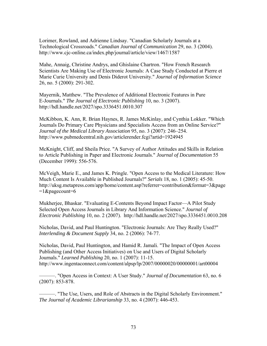Lorimer, Rowland, and Adrienne Lindsay. "Canadian Scholarly Journals at a Technological Crossroads." *Canadian Journal of Communication* 29, no. 3 (2004). http://www.cjc-online.ca/index.php/journal/article/view/1467/1587

Mahe, Annaig, Christine Andrys, and Ghislaine Chartron. "How French Research Scientists Are Making Use of Electronic Journals: A Case Study Conducted at Pierre et Marie Curie University and Denis Diderot University." *Journal of Information Science* 26, no. 5 (2000): 291-302.

Mayernik, Matthew. "The Prevalence of Additional Electronic Features in Pure E-Journals." *The Journal of Electronic Publishing* 10, no. 3 (2007). http://hdl.handle.net/2027/spo.3336451.0010.307

McKibbon, K. Ann, R. Brian Haynes, R. James McKinlay, and Cynthia Lokker. "Which Journals Do Primary Care Physicians and Specialists Access from an Online Service?" *Journal of the Medical Library Association* 95, no. 3 (2007): 246–254. http://www.pubmedcentral.nih.gov/articlerender.fcgi?artid=1924945

McKnight, Cliff, and Sheila Price. "A Survey of Author Attitudes and Skills in Relation to Article Publishing in Paper and Electronic Journals." *Journal of Documentation* 55 (December 1999): 556-576.

McVeigh, Marie E., and James K. Pringle. "Open Access to the Medical Literature: How Much Content Is Available in Published Journals?" *Serials* 18, no. 1 (2005): 45-50. http://uksg.metapress.com/app/home/content.asp?referrer=contribution&format=3&page  $=1$ &pagecount=6

Mukherjee, Bhaskar. "Evaluating E-Contents Beyond Impact Factor—A Pilot Study Selected Open Access Journals in Library And Information Science." *Journal of Electronic Publishing* 10, no. 2 (2007). http://hdl.handle.net/2027/spo.3336451.0010.208

Nicholas, David, and Paul Huntington. "Electronic Journals: Are They Really Used?" *Interlending & Document Supply* 34, no. 2 (2006): 74-77.

Nicholas, David, Paul Huntington, and Hamid R. Jamali. "The Impact of Open Access Publishing (and Other Access Initiatives) on Use and Users of Digital Scholarly Journals." *Learned Publishing* 20, no. 1 (2007): 11-15. http://www.ingentaconnect.com/content/alpsp/lp/2007/00000020/00000001/art00004

———. "Open Access in Context: A User Study." *Journal of Documentation* 63, no. 6 (2007): 853-878.

———. "The Use, Users, and Role of Abstracts in the Digital Scholarly Environment." *The Journal of Academic Librarianship* 33, no. 4 (2007): 446-453.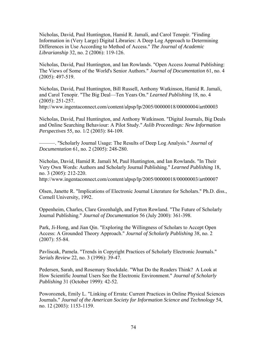Nicholas, David, Paul Huntington, Hamid R. Jamali, and Carol Tenopir. "Finding Information in (Very Large) Digital Libraries: A Deep Log Approach to Determining Differences in Use According to Method of Access." *The Journal of Academic Librarianship* 32, no. 2 (2006): 119-126.

Nicholas, David, Paul Huntington, and Ian Rowlands. "Open Access Journal Publishing: The Views of Some of the World's Senior Authors." *Journal of Documentation* 61, no. 4 (2005): 497-519.

Nicholas, David, Paul Huntington, Bill Russell, Anthony Watkinson, Hamid R. Jamali, and Carol Tenopir. "The Big Deal—Ten Years On." *Learned Publishing* 18, no. 4 (2005): 251-257.

http://www.ingentaconnect.com/content/alpsp/lp/2005/00000018/00000004/art00003

Nicholas, David, Paul Huntington, and Anthony Watkinson. "Digital Journals, Big Deals and Online Searching Behaviour: A Pilot Study." *Aslib Proceedings: New Information Perspectives* 55, no. 1/2 (2003): 84-109.

———. "Scholarly Journal Usage: The Results of Deep Log Analysis." *Journal of Documentation* 61, no. 2 (2005): 248-280.

Nicholas, David, Hamid R. Jamali M, Paul Huntington, and Ian Rowlands. "In Their Very Own Words: Authors and Scholarly Journal Publishing." *Learned Publishing* 18, no. 3 (2005): 212-220.

http://www.ingentaconnect.com/content/alpsp/lp/2005/00000018/00000003/art00007

Olsen, Janette R. "Implications of Electronic Journal Literature for Scholars." Ph.D. diss., Cornell University, 1992.

Oppenheim, Charles, Clare Greenhalgh, and Fytton Rowland. "The Future of Scholarly Journal Publishing." *Journal of Documentation* 56 (July 2000): 361-398.

Park, Ji-Hong, and Jian Qin. "Exploring the Willingness of Scholars to Accept Open Access: A Grounded Theory Approach." *Journal of Scholarly Publishing* 38, no. 2 (2007): 55-84.

Pavliscak, Pamela. "Trends in Copyright Practices of Scholarly Electronic Journals." *Serials Review* 22, no. 3 (1996): 39-47.

Pedersen, Sarah, and Rosemary Stockdale. "What Do the Readers Think? A Look at How Scientific Journal Users See the Electronic Environment." *Journal of Scholarly Publishing* 31 (October 1999): 42-52.

Poworoznek, Emily L. "Linking of Errata: Current Practices in Online Physical Sciences Journals." *Journal of the American Society for Information Science and Technology* 54, no. 12 (2003): 1153-1159.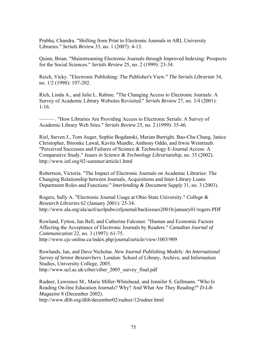Prabha, Chandra. "Shifting from Print to Electronic Journals in ARL University Libraries." *Serials Review* 33, no. 1 (2007): 4-13.

Quinn, Brian. "Mainstreaming Electronic Journals through Improved Indexing: Prospects for the Social Sciences." *Serials Review* 25, no. 2 (1999): 23-34.

Reich, Vicky. "Electronic Publishing: The Publisher's View." *The Serials Librarian* 34, no. 1/2 (1998): 197-202.

Rich, Linda A., and Julie L. Rabine. "The Changing Access to Electronic Journals: A Survey of Academic Library Websites Revisited." *Serials Review* 27, no. 3/4 (2001): 1-16.

———. "How Libraries Are Providing Access to Electronic Serials: A Survey of Academic Library Web Sites." *Serials Review* 25, no. 2 (1999): 35-46.

Riel, Steven J., Tom Auger, Sophie Bogdanski, Marian Burright, Bao-Chu Chang, Janice Christopher, Ibironke Lawal, Kavita Mundle, Anthony Oddo, and Irwin Weintraub. "Perceived Successes and Failures of Science & Technology E-Journal Access: A Comparative Study." *Issues in Science & Technology Librarianship*, no. 35 (2002). http://www.istl.org/02-summer/article1.html

Robertson, Victoria. "The Impact of Electronic Journals on Academic Libraries: The Changing Relationship between Journals, Acquisitions and Inter-Library Loans Department Roles and Functions." *Interlending & Document Supply* 31, no. 3 (2003).

Rogers, Sally A. "Electronic Journal Usage at Ohio State University." *College & Research Libraries* 62 (January 2001): 25-34. http://www.ala.org/ala/acrl/acrlpubs/crljournal/backissues2001b/january01/rogers.PDF

Rowland, Fytton, Ian Bell, and Catherine Falconer. "Human and Economic Factors Affecting the Acceptance of Electronic Journals by Readers." *Canadian Journal of Communication* 22, no. 3 (1997): 61-75. http://www.cjc-online.ca/index.php/journal/article/view/1003/909

Rowlands, Ian, and Dave Nicholas. *New Journal Publishing Models: An International Survey of Senior Researchers*. London: School of Library, Archive, and Information Studies, University College, 2005. http://www.ucl.ac.uk/ciber/ciber\_2005\_survey\_final.pdf

Rudner, Lawrence M., Marie Miller-Whitehead, and Jennifer S. Gellmann. "Who Is Reading On-line Education Journals? Why? And What Are They Reading?" *D-Lib Magazine* 8 (December 2002). http://www.dlib.org/dlib/december02/rudner/12rudner.html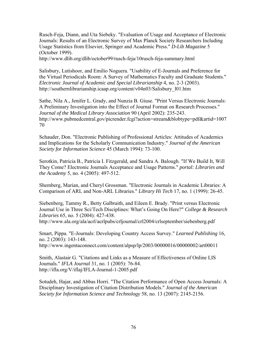Rusch-Feja, Diann, and Uta Siebeky. "Evaluation of Usage and Acceptance of Electronic Journals: Results of an Electronic Survey of Max Planck Society Researchers Including Usage Statistics from Elsevier, Springer and Academic Press." *D-Lib Magazine* 5 (October 1999).

http://www.dlib.org/dlib/october99/rusch-feja/10rusch-feja-summary.html

Salisbury, Lutishoor, and Emilio Noguera. "Usability of E-Journals and Preference for the Virtual Periodicals Room: A Survey of Mathematics Faculty and Graduate Students." *Electronic Journal of Academic and Special Librarianship* 4, no. 2-3 (2003). http://southernlibrarianship.icaap.org/content/v04n03/Salisbury\_l01.htm

Sathe, Nila A., Jenifer L. Grady, and Nunzia B. Giuse. "Print Versus Electronic Journals: A Preliminary Investigation into the Effect of Journal Format on Research Processes." *Journal of the Medical Library Association* 90 (April 2002): 235-243. http://www.pubmedcentral.gov/picrender.fcgi?action=stream&blobtype=pdf&artid=1007 70

Schauder, Don. "Electronic Publishing of Professional Articles: Attitudes of Academics and Implications for the Scholarly Communication Industry." *Journal of the American Society for Information Science* 45 (March 1994): 73-100.

Serotkin, Patricia B., Patricia I. Fitzgerald, and Sandra A. Balough. "If We Build It, Will They Come? Electronic Journals Acceptance and Usage Patterns." *portal: Libraries and the Academy* 5, no. 4 (2005): 497-512.

Shemberg, Marian, and Cheryl Grossman. "Electronic Journals in Academic Libraries: A Comparison of ARL and Non-ARL Libraries." *Library Hi Tech* 17, no. 1 (1999): 26-45.

Siebenberg, Tammy R., Betty Galbraith, and Eileen E. Brady. "Print versus Electronic Journal Use in Three Sci/Tech Disciplines: What's Going On Here?" *College & Research Libraries* 65, no. 5 (2004): 427-438.

http://www.ala.org/ala/acrl/acrlpubs/crljournal/crl2004/crlseptember/siebenberg.pdf

Smart, Pippa. "E-Journals: Developing Country Access Survey." *Learned Publishing* 16, no. 2 (2003): 143-148.

http://www.ingentaconnect.com/content/alpsp/lp/2003/00000016/00000002/art00011

Smith, Alastair G. "Citations and Links as a Measure of Effectiveness of Online LIS Journals." *IFLA Journal* 31, no. 1 (2005): 76-84. http://ifla.org/V/iflaj/IFLA-Journal-1-2005.pdf

Sotudeh, Hajar, and Abbas Horri. "The Citation Performance of Open Access Journals: A Disciplinary Investigation of Citation Distribution Models." *Journal of the American Society for Information Science and Technology* 58, no. 13 (2007): 2145-2156.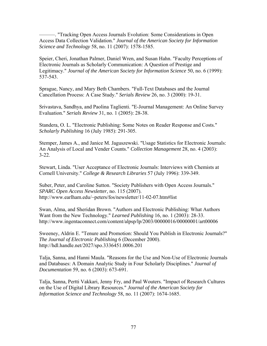———. "Tracking Open Access Journals Evolution: Some Considerations in Open Access Data Collection Validation." *Journal of the American Society for Information Science and Technology* 58, no. 11 (2007): 1578-1585.

Speier, Cheri, Jonathan Palmer, Daniel Wren, and Susan Hahn. "Faculty Perceptions of Electronic Journals as Scholarly Communication: A Question of Prestige and Legitimacy." *Journal of the American Society for Information Science* 50, no. 6 (1999): 537-543.

Sprague, Nancy, and Mary Beth Chambers. "Full-Text Databases and the Journal Cancellation Process: A Case Study." *Serials Review* 26, no. 3 (2000): 19-31.

Srivastava, Sandhya, and Paolina Taglienti. "E-Journal Management: An Online Survey Evaluation." *Serials Review* 31, no. 1 (2005): 28-38.

Standera, O. L. "Electronic Publishing: Some Notes on Reader Response and Costs." *Scholarly Publishing* 16 (July 1985): 291-305.

Stemper, James A., and Janice M. Jaguszewski. "Usage Statistics for Electronic Journals: An Analysis of Local and Vender Counts." *Collection Management* 28, no. 4 (2003): 3-22.

Stewart, Linda. "User Acceptance of Electronic Journals: Interviews with Chemists at Cornell University." *College & Research Libraries* 57 (July 1996): 339-349.

Suber, Peter, and Caroline Sutton. "Society Publishers with Open Access Journals." *SPARC Open Access Newsletter*, no. 115 (2007). http://www.earlham.edu/~peters/fos/newsletter/11-02-07.htm#list

Swan, Alma, and Sheridan Brown. "Authors and Electronic Publishing: What Authors Want from the New Technology." *Learned Publishing* 16, no. 1 (2003): 28-33. http://www.ingentaconnect.com/content/alpsp/lp/2003/00000016/00000001/art00006

Sweeney, Aldrin E. "Tenure and Promotion: Should You Publish in Electronic Journals?" *The Journal of Electronic Publishing* 6 (December 2000). http://hdl.handle.net/2027/spo.3336451.0006.201

Talja, Sanna, and Hanni Maula. "Reasons for the Use and Non-Use of Electronic Journals and Databases: A Domain Analytic Study in Four Scholarly Disciplines." *Journal of Documentation* 59, no. 6 (2003): 673-691.

Talja, Sanna, Pertti Vakkari, Jenny Fry, and Paul Wouters. "Impact of Research Cultures on the Use of Digital Library Resources." *Journal of the American Society for Information Science and Technology* 58, no. 11 (2007): 1674-1685.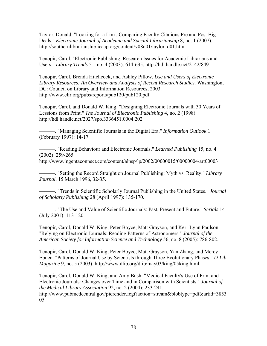Taylor, Donald. "Looking for a Link: Comparing Faculty Citations Pre and Post Big Deals." *Electronic Journal of Academic and Special Librarianship* 8, no. 1 (2007). http://southernlibrarianship.icaap.org/content/v08n01/taylor\_d01.htm

Tenopir, Carol. "Electronic Publishing: Research Issues for Academic Librarians and Users." *Library Trends* 51, no. 4 (2003): 614-635. http://hdl.handle.net/2142/8491

Tenopir, Carol, Brenda Hitchcock, and Ashley Pillow. *Use and Users of Electronic Library Resources: An Overview and Analysis of Recent Research Studies*. Washington, DC: Council on Library and Information Resources, 2003. http://www.clir.org/pubs/reports/pub120/pub120.pdf

Tenopir, Carol, and Donald W. King. "Designing Electronic Journals with 30 Years of Lessions from Print." *The Journal of Electronic Publishing* 4, no. 2 (1998). http://hdl.handle.net/2027/spo.3336451.0004.202

———. "Managing Scientific Journals in the Digital Era." *Information Outlook* 1 (February 1997): 14-17.

———. "Reading Behaviour and Electronic Journals." *Learned Publishing* 15, no. 4 (2002): 259-265.

http://www.ingentaconnect.com/content/alpsp/lp/2002/00000015/00000004/art00003

———. "Setting the Record Straight on Journal Publishing: Myth vs. Reality." *Library Journal*, 15 March 1996, 32-35.

———. "Trends in Scientific Scholarly Journal Publishing in the United States." *Journal of Scholarly Publishing* 28 (April 1997): 135-170.

———. "The Use and Value of Scientific Journals: Past, Present and Future." *Serials* 14 (July 2001): 113-120.

Tenopir, Carol, Donald W. King, Peter Boyce, Matt Grayson, and Keri-Lynn Paulson. "Relying on Electronic Journals: Reading Patterns of Astronomers." *Journal of the American Society for Information Science and Technology* 56, no. 8 (2005): 786-802.

Tenopir, Carol, Donald W. King, Peter Boyce, Matt Grayson, Yan Zhang, and Mercy Ebuen. "Patterns of Journal Use by Scientists through Three Evolutionary Phases." *D-Lib Magazine* 9, no. 5 (2003). http://www.dlib.org/dlib/may03/king/05king.html

Tenopir, Carol, Donald W. King, and Amy Bush. "Medical Faculty's Use of Print and Electronic Journals: Changes over Time and in Comparison with Scientists." *Journal of the Medical Library Association* 92, no. 2 (2004): 233-241. http://www.pubmedcentral.gov/picrender.fcgi?action=stream&blobtype=pdf&artid=3853 05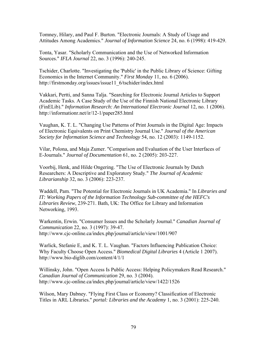Tomney, Hilary, and Paul F. Burton. "Electronic Journals: A Study of Usage and Attitudes Among Academics." *Journal of Information Science* 24, no. 6 (1998): 419-429.

Tonta, Yasar. "Scholarly Communication and the Use of Networked Information Sources." *IFLA Journal* 22, no. 3 (1996): 240-245.

Tschider, Charlotte. "Investigating the 'Public' in the Public Library of Science: Gifting Economics in the Internet Community." *First Monday* 11, no. 6 (2006). http://firstmonday.org/issues/issue11\_6/tschider/index.html

Vakkari, Pertti, and Sanna Talja. "Searching for Electronic Journal Articles to Support Academic Tasks. A Case Study of the Use of the Finnish National Electronic Library (FinELib)." *Information Research: An International Electronic Journal* 12, no. 1 (2006). http://informationr.net/ir/12-1/paper285.html

Vaughan, K. T. L. "Changing Use Patterns of Print Journals in the Digital Age: Impacts of Electronic Equivalents on Print Chemistry Journal Use." *Journal of the American Society for Information Science and Technology* 54, no. 12 (2003): 1149-1152.

Vilar, Polona, and Maja Zumer. "Comparison and Evaluation of the User Interfaces of E-Journals." *Journal of Documentation* 61, no. 2 (2005): 203-227.

Voorbij, Henk, and Hilde Ongering. "The Use of Electronic Journals by Dutch Researchers: A Descriptive and Exploratory Study." *The Journal of Academic Librarianship* 32, no. 3 (2006): 223-237.

Waddell, Pam. "The Potential for Electronic Journals in UK Academia." In *Libraries and IT: Working Papers of the Information Technology Sub-committee of the HEFC's Libraries Review*, 239-271. Bath, UK: The Office for Library and Information Networking, 1993.

Warkentin, Erwin. "Consumer Issues and the Scholarly Journal." *Canadian Journal of Communication* 22, no. 3 (1997): 39-47. http://www.cjc-online.ca/index.php/journal/article/view/1001/907

Warlick, Stefanie E, and K. T. L. Vaughan. "Factors Influencing Publication Choice: Why Faculty Choose Open Access." *Biomedical Digital Libraries* 4 (Article 1 2007). http://www.bio-diglib.com/content/4/1/1

Willinsky, John. "Open Access Is Public Access: Helping Policymakers Read Research." *Canadian Journal of Communication* 29, no. 3 (2004). http://www.cjc-online.ca/index.php/journal/article/view/1422/1526

Wilson, Mary Dabney. "Flying First Class or Economy? Classification of Electronic Titles in ARL Libraries." *portal: Libraries and the Academy* 1, no. 3 (2001): 225-240.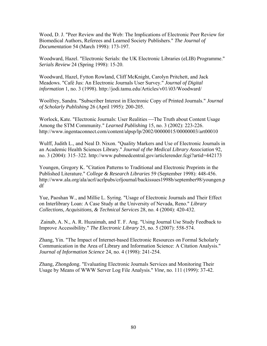Wood, D. J. "Peer Review and the Web: The Implications of Electronic Peer Review for Biomedical Authors, Referees and Learned Society Publishers." *The Journal of Documentation* 54 (March 1998): 173-197.

Woodward, Hazel. "Electronic Serials: the UK Electronic Libraries (eLIB) Programme." *Serials Review* 24 (Spring 1998): 15-20.

Woodward, Hazel, Fytton Rowland, Cliff McKnight, Carolyn Pritchett, and Jack Meadows. "Café Jus: An Electronic Journals User Survey." *Journal of Digital information* 1, no. 3 (1998). http://jodi.tamu.edu/Articles/v01/i03/Woodward/

Woolfrey, Sandra. "Subscriber Interest in Electronic Copy of Printed Journals." *Journal of Scholarly Publishing* 26 (April 1995): 200-205.

Worlock, Kate. "Electronic Journals: User Realities — The Truth about Content Usage Among the STM Community." *Learned Publishing* 15, no. 3 (2002): 223-226. http://www.ingentaconnect.com/content/alpsp/lp/2002/00000015/00000003/art00010

Wulff, Judith L., and Neal D. Nixon. "Quality Markers and Use of Electronic Journals in an Academic Health Sciences Library." *Journal of the Medical Library Association* 92, no. 3 (2004): 315–322. http://www.pubmedcentral.gov/articlerender.fcgi?artid=442173

Youngen, Gregory K. "Citation Patterns to Traditional and Electronic Preprints in the Published Literature." *College & Research Libraries* 59 (September 1998): 448-456. http://www.ala.org/ala/acrl/acrlpubs/crljournal/backissues1998b/september98/youngen.p df

Yue, Paoshan W., and Millie L. Syring. "Usage of Electronic Journals and Their Effect on Interlibrary Loan: A Case Study at the University of Nevada, Reno." *Library Collections, Acquisitions, & Technical Services* 28, no. 4 (2004): 420-432.

 Zainab, A. N., A. R. Huzaimah, and T. F. Ang. "Using Journal Use Study Feedback to Improve Accessibility." *The Electronic Library* 25, no. 5 (2007): 558-574.

Zhang, Yin. "The Impact of Internet-based Electronic Resources on Formal Scholarly Communication in the Area of Library and Information Science: A Citation Analysis." *Journal of Information Science* 24, no. 4 (1998): 241-254.

Zhang, Zhongdong. "Evaluating Electronic Journals Services and Monitoring Their Usage by Means of WWW Server Log File Analysis." *Vine*, no. 111 (1999): 37-42.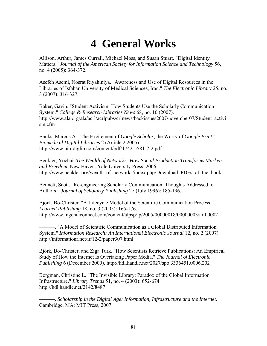## **4 General Works**

Allison, Arthur, James Currall, Michael Moss, and Susan Stuart. "Digital Identity Matters." *Journal of the American Society for Information Science and Technology* 56, no. 4 (2005): 364-372.

Asefeh Asemi, Nosrat Riyahiniya. "Awareness and Use of Digital Resources in the Libraries of Isfahan University of Medical Sciences, Iran." *The Electronic Library* 25, no. 3 (2007): 316-327.

Baker, Gavin. "Student Activism: How Students Use the Scholarly Communication System." *College & Research Libraries News* 68, no. 10 (2007). http://www.ala.org/ala/acrl/acrlpubs/crlnews/backissues2007/november07/Student\_activi sm.cfm

Banks, Marcus A. "The Excitement of *Google Scholar*, the Worry of *Google Print*." *Biomedical Digital Libraries* 2 (Article 2 2005). http://www.bio-diglib.com/content/pdf/1742-5581-2-2.pdf

Benkler, Yochai. *The Wealth of Networks: How Social Production Transforms Markets and Freedom*. New Haven: Yale University Press, 2006. http://www.benkler.org/wealth\_of\_networks/index.php/Download\_PDFs\_of\_the\_book

Bennett, Scott. "Re-engineering Scholarly Communication: Thoughts Addressed to Authors." *Journal of Scholarly Publishing* 27 (July 1996): 185-196.

Björk, Bo-Christer. "A Lifecycle Model of the Scientific Communication Process." *Learned Publishing* 18, no. 3 (2005): 165-176. http://www.ingentaconnect.com/content/alpsp/lp/2005/00000018/00000003/art00002

———. "A Model of Scientific Communication as a Global Distributed Information System." *Information Research: An International Electronic Journal* 12, no. 2 (2007). http://informationr.net/ir/12-2/paper307.html

Björk, Bo-Christer, and Ziga Turk. "How Scientists Retrieve Publications: An Empirical Study of How the Internet Is Overtaking Paper Media." *The Journal of Electronic Publishing* 6 (December 2000). http://hdl.handle.net/2027/spo.3336451.0006.202

Borgman, Christine L. "The Invisible Library: Paradox of the Global Information Infrastructure." *Library Trends* 51, no. 4 (2003): 652-674. http://hdl.handle.net/2142/8487

———. *Scholarship in the Digital Age: Information, Infrastructure and the Internet*. Cambridge, MA: MIT Press, 2007.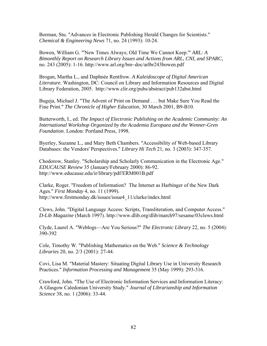Borman, Stu. "Advances in Electronic Publishing Herald Changes for Scientists." *Chemical & Engineering News* 71, no. 24 (1993): 10-24.

Bowen, William G. "'New Times Always; Old Time We Cannot Keep.'" *ARL: A Bimonthly Report on Research Library Issues and Actions from ARL, CNI, and SPARC*, no. 243 (2005): 1-16. http://www.arl.org/bm~doc/arlbr243bowen.pdf

Brogan, Martha L., and Daphnée Rentfrow. *A Kaleidoscope of Digital American Literature*. Washington, DC: Council on Library and Information Resources and Digital Library Federation, 2005. http://www.clir.org/pubs/abstract/pub132abst.html

Bugeja, Michael J. "The Advent of Print on Demand . . . but Make Sure You Read the Fine Print." *The Chronicle of Higher Education*, 30 March 2001, B9-B10.

Butterworth, I., ed. *The Impact of Electronic Publishing on the Academic Community: An International Workshop Organized by the Academia Europaea and the Wenner-Gren Foundation*. London: Portland Press, 1998.

Byerley, Suzanne L., and Mary Beth Chambers. "Accessibility of Web-based Library Databases: the Vendors' Perspectives." *Library Hi Tech* 21, no. 3 (2003): 347-357.

Chodorow, Stanley. "Scholarship and Scholarly Communication in the Electronic Age." *EDUCAUSE Review* 35 (January/February 2000): 86-92. http://www.educause.edu/ir/library/pdf/ERM001B.pdf

Clarke, Roger. "Freedom of Information? The Internet as Harbinger of the New Dark Ages." *First Monday* 4, no. 11 (1999). http://www.firstmonday.dk/issues/issue4\_11/clarke/index.html

Clews, John. "Digital Language Access: Scripts, Transliteration, and Computer Access." *D-Lib Magazine* (March 1997). http://www.dlib.org/dlib/march97/sesame/03clews.html

Clyde, Laurel A. "Weblogs—Are You Serious?" *The Electronic Library* 22, no. 5 (2004): 390-392

Cole, Timothy W. "Publishing Mathematics on the Web." *Science & Technology Libraries* 20, no. 2/3 (2001): 27-44.

Covi, Lisa M. "Material Mastery: Situating Digital Library Use in University Research Practices." *Information Processing and Management* 35 (May 1999): 293-316.

Crawford, John. "The Use of Electronic Information Services and Information Literacy: A Glasgow Caledonian University Study." *Journal of Librarianship and Information Science* 38, no. 1 (2006): 33-44.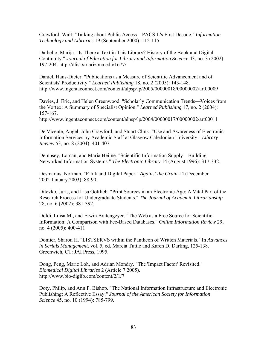Crawford, Walt. "Talking about Public Access—PACS-L's First Decade." *Information Technology and Libraries* 19 (September 2000): 112-115.

Dalbello, Marija. "Is There a Text in This Library? History of the Book and Digital Continuity." *Journal of Education for Library and Information Science* 43, no. 3 (2002): 197-204. http://dlist.sir.arizona.edu/1677/

Daniel, Hans-Dieter. "Publications as a Measure of Scientific Advancement and of Scientists' Productivity." *Learned Publishing* 18, no. 2 (2005): 143-148. http://www.ingentaconnect.com/content/alpsp/lp/2005/00000018/00000002/art00009

Davies, J. Eric, and Helen Greenwood. "Scholarly Communication Trends—Voices from the Vortex: A Summary of Specialist Opinion." *Learned Publishing* 17, no. 2 (2004): 157-167.

http://www.ingentaconnect.com/content/alpsp/lp/2004/00000017/00000002/art00011

De Vicente, Angel, John Crawford, and Stuart Clink. "Use and Awareness of Electronic Information Services by Academic Staff at Glasgow Caledonian University." *Library Review* 53, no. 8 (2004): 401-407.

Dempsey, Lorcan, and Maria Heijne. "Scientific Information Supply—Building Networked Information Systems." *The Electronic Library* 14 (August 1996): 317-332.

Desmarais, Norman. "E Ink and Digital Paper." *Against the Grain* 14 (December 2002-January 2003): 88-90.

Dilevko, Juris, and Lisa Gottlieb. "Print Sources in an Electronic Age: A Vital Part of the Research Process for Undergraduate Students." *The Journal of Academic Librarianship* 28, no. 6 (2002): 381-392.

Doldi, Luisa M., and Erwin Bratengeyer. "The Web as a Free Source for Scientific Information: A Comparison with Fee-Based Databases." *Online Information Review* 29, no. 4 (2005): 400-411

Domier, Sharon H. "LISTSERVS within the Pantheon of Written Materials." In *Advances in Serials Management*, vol. 5, ed. Marcia Tuttle and Karen D. Darling, 125-138. Greenwich, CT: JAI Press, 1995.

Dong, Peng, Marie Loh, and Adrian Mondry. "The 'Impact Factor' Revisited." *Biomedical Digital Libraries* 2 (Article 7 2005). http://www.bio-diglib.com/content/2/1/7

Doty, Philip, and Ann P. Bishop. "The National Information Infrastructure and Electronic Publishing: A Reflective Essay." *Journal of the American Society for Information Science* 45, no. 10 (1994): 785-799.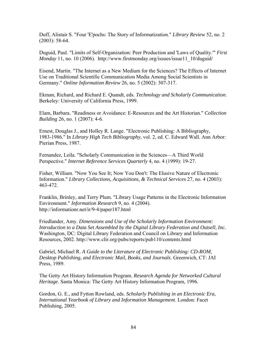Duff, Alistair S. "Four 'E'pochs: The Story of Informatization." *Library Review* 52, no. 2 (2003): 58-64.

Duguid, Paul. "Limits of Self-Organization: Peer Production and 'Laws of Quality.'" *First Monday* 11, no. 10 (2006). http://www.firstmonday.org/issues/issue11\_10/duguid/

Eisend, Martin. "The Internet as a New Medium for the Sciences? The Effects of Internet Use on Traditional Scientific Communication Media Among Social Scientists in Germany." *Online Information Review* 26, no. 5 (2002): 307-317.

Ekman, Richard, and Richard E. Quandt, eds. *Technology and Scholarly Communication*. Berkeley: University of California Press, 1999.

Elam, Barbara. "Readiness or Avoidance: E-Resources and the Art Historian." *Collection Building* 26, no. 1 (2007): 4-6.

Ernest, Douglas J., and Holley R. Lange. "Electronic Publishing: A Bibliography, 1983-1986." In *Library High Tech Bibliography*, vol. 2, ed. C. Edward Wall. Ann Arbor: Pierian Press, 1987.

Fernandez, Leila. "Scholarly Communication in the Sciences—A Third World Perspective." *Internet Reference Services Quarterly* 4, no. 4 (1999): 19-27.

Fisher, William. "Now You See It; Now You Don't: The Elusive Nature of Electronic Information." *Library Collections, Acquisitions, & Technical Services* 27, no. 4 (2003): 463-472.

Franklin, Brinley, and Terry Plum. "Library Usage Patterns in the Electronic Information Environment." *Information Research* 9, no. 4 (2004). http://informationr.net/ir/9-4/paper187.html

Friedlander, Amy. *Dimensions and Use of the Scholarly Information Environment: Introduction to a Data Set Assembled by the Digital Library Federation and Outsell, Inc.*  Washington, DC: Digital Library Federation and Council on Library and Information Resources, 2002. http://www.clir.org/pubs/reports/pub110/contents.html

Gabriel, Michael R. *A Guide to the Literature of Electronic Publishing: CD-ROM, Desktop Publishing, and Electronic Mail, Books, and Journals*. Greenwich, CT: JAI Press, 1989.

The Getty Art History Information Program. *Research Agenda for Networked Cultural Heritage*. Santa Monica: The Getty Art History Information Program, 1996.

Gordon, G. E., and Fytton Rowland, eds. *Scholarly Publishing in an Electronic Era*, *International Yearbook of Library and Information Management*. London: Facet Publishing, 2005.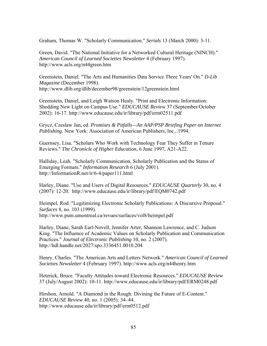Graham, Thomas W. "Scholarly Communication." *Serials* 13 (March 2000): 3-11.

Green, David. "The National Initiative for a Networked Cultural Heritage (NINCH)." *American Council of Learned Societies Newsletter* 4 (February 1997). http://www.acls.org/n44green.htm

Greenstein, Daniel. "The Arts and Humanities Data Service Three Years' On." *D-Lib Magazine* (December 1998). http://www.dlib.org/dlib/december98/greenstein/12greenstein.html

Greenstein, Daniel, and Leigh Watson Healy. "Print and Electronic Information: Shedding New Light on Campus Use." *EDUCAUSE Review* 37 (September/October 2002): 16-17. http://www.educause.edu/ir/library/pdf/erm02511.pdf

Grycz, Czeslaw Jan, ed. *Promises & Pitfalls—An AAP/PSP Briefing Paper on Internet Publishing*. New York: Association of American Publishers, Inc., 1994.

Guernsey, Lisa. "Scholars Who Work with Technology Fear They Suffer in Tenure Reviews." *The Chronicle of Higher Education*, 6 June 1997, A21-A22.

Halliday, Leah. "Scholarly Communication, Scholarly Publication and the Status of Emerging Formats." *Information Research* 6 (July 2001). http://InformationR.net/ir/6-4/paper111.html

Harley, Diane. "Use and Users of Digital Resources." *EDUCAUSE Quarterly* 30, no. 4 (2007): 12-20. http://www.educause.edu/ir/library/pdf/EQM0742.pdf

Heimpel, Rod. "Legitimizing Electronic Scholarly Publications: A Discursive Proposal." *Surfaces* 8, no. 103 (1999). http://www.pum.umontreal.ca/revues/surfaces/vol8/heimpel.pdf

Harley, Diane, Sarah Earl-Novell, Jennifer Arter, Shannon Lawrence, and C. Judson King. "The Influence of Academic Values on Scholarly Publication and Communication Practices." *Journal of Electronic Publishing* 10, no. 2 (2007). http://hdl.handle.net/2027/spo.3336451.0010.204

Henry, Charles. "The American Arts and Letters Network." *American Council of Learned Societies Newsletter* 4 (February 1997). http://www.acls.org/n44henry.htm

Heterick, Bruce. "Faculty Attitudes toward Electronic Resources." *EDUCAUSE Review* 37 (July/August 2002): 10-11. http://www.educause.edu/ir/library/pdf/ERM0248.pdf

Hirshon, Arnold. "A Diamond in the Rough: Divining the Future of E-Content." *EDUCAUSE Review* 40, no. 1 (2005): 34–44. http://www.educause.edu/ir/library/pdf/erm0512.pdf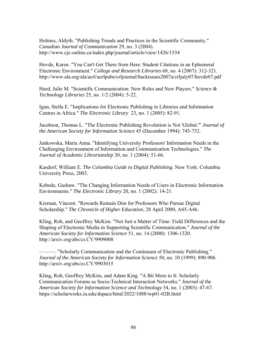Holmes, Aldyth. "Publishing Trends and Practices in the Scientific Community." *Canadian Journal of Communication* 29, no. 3 (2004). http://www.cjc-online.ca/index.php/journal/article/view/1426/1534

Hovde, Karen. "You Can't Get There from Here: Student Citations in an Ephemeral Electronic Environment." *College and Research Libraries* 68, no. 4 (2007): 312-321. http://www.ala.org/ala/acrl/acrlpubs/crljournal/backissues2007a/crljuly07/hovde07.pdf

Hurd, Julie M. "Scientific Communication: New Roles and New Players." *Science & Technology Libraries* 25, no. 1/2 (2004): 5-22.

Igun, Stella E. "Implications for Electronic Publishing in Libraries and Information Centres in Africa." *The Electronic Library* 23, no. 1 (2005): 82-91.

Jacobson, Thomas L. "The Electronic Publishing Revolution is Not 'Global.'" *Journal of the American Society for Information Science* 45 (December 1994): 745-752.

Jankowska, Maria Anna. "Identifying University Professors' Information Needs in the Challenging Environment of Information and Communication Technologies." *The Journal of Academic Librarianship* 30, no. 1 (2004): 51-66.

Kasdorf, William E. *The Columbia Guide to Digital Publishing*. New York: Columbia University Press, 2003.

Kebede, Gashaw. "The Changing Information Needs of Users in Electronic Information Environments." *The Electronic Library* 20, no. 1 (2002): 14-21.

Kiernan, Vincent. "Rewards Remain Dim for Professors Who Pursue Digital Scholarship." *The Chronicle of Higher Education*, 28 April 2000, A45-A46.

Kling, Rob, and Geoffrey McKim. "Not Just a Matter of Time: Field Differences and the Shaping of Electronic Media in Supporting Scientific Communication." *Journal of the American Society for Information Science* 51, no. 14 (2000): 1306-1320. http://arxiv.org/abs/cs.CY/9909008

———. "Scholarly Communication and the Continuum of Electronic Publishing." *Journal of the American Society for Information Science* 50, no. 10 (1999): 890-906. http://arxiv.org/abs/cs.CY/9903015

Kling, Rob, Geoffrey McKim, and Adam King. "A Bit More to It: Scholarly Communication Forums as Socio-Technical Interaction Networks." *Journal of the American Society for Information Science and Technology* 54, no. 1 (2003): 47-67. https://scholarworks.iu.edu/dspace/html/2022/1088/wp01-02B.html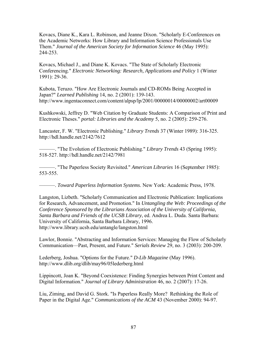Kovacs, Diane K., Kara L. Robinson, and Jeanne Dixon. "Scholarly E-Conferences on the Academic Networks: How Library and Information Science Professionals Use Them." *Journal of the American Society for Information Science* 46 (May 1995): 244-253.

Kovacs, Michael J., and Diane K. Kovacs. "The State of Scholarly Electronic Conferencing." *Electronic Networking: Research, Applications and Policy* 1 (Winter 1991): 29-36.

Kubota, Teruzo. "How Are Electronic Journals and CD-ROMs Being Accepted in Japan?" *Learned Publishing* 14, no. 2 (2001): 139-143. http://www.ingentaconnect.com/content/alpsp/lp/2001/00000014/00000002/art00009

Kushkowski, Jeffrey D. "Web Citation by Graduate Students: A Comparison of Print and Electronic Theses." *portal: Libraries and the Academy* 5, no. 2 (2005): 259-276.

Lancaster, F. W. "Electronic Publishing." *Library Trends* 37 (Winter 1989): 316-325. http://hdl.handle.net/2142/7612

———. "The Evolution of Electronic Publishing." *Library Trends* 43 (Spring 1995): 518-527. http://hdl.handle.net/2142/7981

———. "The Paperless Society Revisited." *American Libraries* 16 (September 1985): 553-555.

———. *Toward Paperless Information Systems*. New York: Academic Press, 1978.

Langston, Lizbeth. "Scholarly Communication and Electronic Publication: Implications for Research, Advancement, and Promotion." In *Untangling the Web: Proceedings of the Conference Sponsored by the Librarians Association of the University of California, Santa Barbara and Friends of the UCSB Library*, ed. Andrea L. Duda. Santa Barbara: University of California, Santa Barbara Library, 1996. http://www.library.ucsb.edu/untangle/langston.html

Lawlor, Bonnie. "Abstracting and Information Services: Managing the Flow of Scholarly Communication––Past, Present, and Future." *Serials Review* 29, no. 3 (2003): 200-209.

Lederberg, Joshua. "Options for the Future." *D-Lib Magazine* (May 1996). http://www.dlib.org/dlib/may96/05lederberg.html

Lippincott, Joan K. "Beyond Coexistence: Finding Synergies between Print Content and Digital Information." *Journal of Library Administration* 46, no. 2 (2007): 17-26.

Liu, Ziming, and David G. Stork. "Is Paperless Really More? Rethinking the Role of Paper in the Digital Age." *Communications of the ACM* 43 (November 2000): 94-97.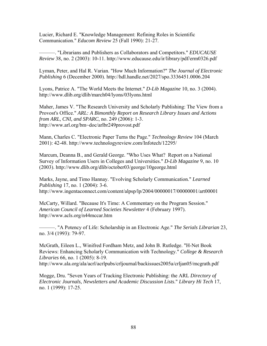Lucier, Richard E. "Knowledge Management: Refining Roles in Scientific Communication." *Educom Review* 25 (Fall 1990): 21-27.

———. "Librarians and Publishers as Collaborators and Competitors." *EDUCAUSE Review* 38, no. 2 (2003): 10-11. http://www.educause.edu/ir/library/pdf/erm0326.pdf

Lyman, Peter, and Hal R. Varian. "How Much Information?" *The Journal of Electronic Publishing* 6 (December 2000). http://hdl.handle.net/2027/spo.3336451.0006.204

Lyons, Patrice A. "The World Meets the Internet." *D-Lib Magazine* 10, no. 3 (2004). http://www.dlib.org/dlib/march04/lyons/03lyons.html

Maher, James V. "The Research University and Scholarly Publishing: The View from a Provost's Office." *ARL: A Bimonthly Report on Research Library Issues and Actions from ARL, CNI, and SPARC*, no. 249 (2006): 1-3. http://www.arl.org/bm~doc/arlbr249provost.pdf

Mann, Charles C. "Electronic Paper Turns the Page." *Technology Review* 104 (March 2001): 42-48. http://www.technologyreview.com/Infotech/12295/

Marcum, Deanna B., and Gerald George. "Who Uses What? Report on a National Survey of Information Users in Colleges and Universities." *D-Lib Magazine* 9, no. 10 (2003). http://www.dlib.org/dlib/october03/george/10george.html

Marks, Jayne, and Timo Hannay. "Evolving Scholarly Communication." *Learned Publishing* 17, no. 1 (2004): 3-6. http://www.ingentaconnect.com/content/alpsp/lp/2004/00000017/00000001/art00001

McCarty, Willard. "Because It's Time: A Commentary on the Program Session." *American Council of Learned Societies Newsletter* 4 (February 1997). http://www.acls.org/n44mccar.htm

———. "A Potency of Life: Scholarship in an Electronic Age." *The Serials Librarian* 23, no. 3/4 (1993): 79-97.

McGrath, Eileen L., Winifred Fordham Metz, and John B. Rutledge. "H-Net Book Reviews: Enhancing Scholarly Communication with Technology." *College & Research Libraries* 66, no. 1 (2005): 8-19.

http://www.ala.org/ala/acrl/acrlpubs/crljournal/backissues2005a/crljan05/mcgrath.pdf

Mogge, Dru. "Seven Years of Tracking Electronic Publishing: the ARL *Directory of Electronic Journals, Newsletters and Academic Discussion Lists*." *Library Hi Tech* 17, no. 1 (1999): 17-25.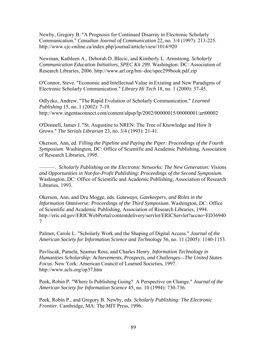Newby, Gregory B. "A Prognosis for Continued Disarray in Electronic Scholarly Communication." *Canadian Journal of Communication* 22, no. 3/4 (1997): 213-225. http://www.cjc-online.ca/index.php/journal/article/view/1014/920

Newman, Kathleen A., Deborah D. Blecic, and Kimberly L. Armstrong. *Scholarly Communication Education Initiatives, SPEC Kit 299*. Washington: DC: Association of Research Libraries, 2006. http://www.arl.org/bm~doc/spec299book.pdf.zip

O'Connor, Steve. "Economic and Intellectual Value in Existing and New Paradigms of Electronic Scholarly Communication." *Library Hi Tech* 18, no. 1 (2000): 37-45.

Odlyzko, Andrew. "The Rapid Evolution of Scholarly Communication." *Learned Publishing* 15, no. 1 (2002): 7-19. http://www.ingentaconnect.com/content/alpsp/lp/2002/00000015/00000001/art00002

O'Donnell, James J. "St. Augustine to NREN: The Tree of Knowledge and How It Grows." *The Serials Librarian* 23, no. 3/4 (1993): 21-41.

Okerson, Ann, ed. *Filling the Pipeline and Paying the Piper: Proceedings of the Fourth Symposium*. Washington, DC: Office of Scientific and Academic Publishing, Association of Research Libraries, 1995.

———. *Scholarly Publishing on the Electronic Networks: The New Generation: Visions and Opportunities in Not-for-Profit Publishing: Proceedings of the Second Symposium*. Washington, DC: Office of Scientific and Academic Publishing, Association of Research Libraries, 1993.

Okerson, Ann, and Dru Mogge, eds. *Gateways, Gatekeepers, and Roles in the Information Omniverse: Proceedings of the Third Symposium*. Washington, DC: Office of Scientific and Academic Publishing, Association of Research Libraries, 1994. http://eric.ed.gov/ERICWebPortal/contentdelivery/servlet/ERICServlet?accno=ED36940 7

Palmer, Carole L. "Scholarly Work and the Shaping of Digital Access." *Journal of the American Society for Information Science and Technology* 56, no. 11 (2005): 1140-1153.

Pavliscak, Pamela, Seamus Ross, and Charles Henry. *Information Technology in Humanities Scholarship: Achievements, Prospects, and Challenges—The United States Focus*. New York: American Council of Learned Societies, 1997. http://www.acls.org/op37.htm

Peek, Robin P. "Where Is Publishing Going? A Perspective on Change." *Journal of the American Society for Information Science* 45, no. 10 (1994): 730-736.

Peek, Robin P., and Gregory B. Newby, eds. *Scholarly Publishing: The Electronic Frontier*. Cambridge, MA: The MIT Press, 1996.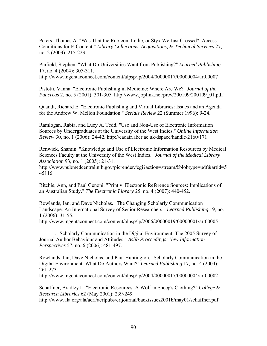Peters, Thomas A. "Was That the Rubicon, Lethe, or Styx We Just Crossed? Access Conditions for E-Content." *Library Collections, Acquisitions, & Technical Services* 27, no. 2 (2003): 215-223.

Pinfield, Stephen. "What Do Universities Want from Publishing?" *Learned Publishing* 17, no. 4 (2004): 305-311.

http://www.ingentaconnect.com/content/alpsp/lp/2004/00000017/00000004/art00007

Pistotti, Vanna. "Electronic Publishing in Medicine: Where Are We?" *Journal of the Pancreas* 2, no. 5 (2001): 301-305. http://www.joplink.net/prev/200109/200109\_01.pdf

Quandt, Richard E. "Electronic Publishing and Virtual Libraries: Issues and an Agenda for the Andrew W. Mellon Foundation." *Serials Review* 22 (Summer 1996): 9-24.

Ramlogan, Rabia, and Lucy A. Tedd. "Use and Non-Use of Electronic Information Sources by Undergraduates at the University of the West Indies." *Online Information Review* 30, no. 1 (2006): 24-42. http://cadair.aber.ac.uk/dspace/handle/2160/171

Renwick, Shamin. "Knowledge and Use of Electronic Information Resources by Medical Sciences Faculty at the University of the West Indies." *Journal of the Medical Library Association* 93, no. 1 (2005): 21-31.

http://www.pubmedcentral.nih.gov/picrender.fcgi?action=stream&blobtype=pdf&artid=5 45116

Ritchie, Ann, and Paul Genoni. "Print v. Electronic Reference Sources: Implications of an Australian Study." *The Electronic Library* 25, no. 4 (2007): 440-452.

Rowlands, Ian, and Dave Nicholas. "The Changing Scholarly Communication Landscape: An International Survey of Senior Researchers." *Learned Publishing* 19, no. 1 (2006): 31-55.

http://www.ingentaconnect.com/content/alpsp/lp/2006/00000019/00000001/art00005

———. "Scholarly Communication in the Digital Environment: The 2005 Survey of Journal Author Behaviour and Attitudes." *Aslib Proceedings: New Information Perspectives* 57, no. 6 (2006): 481-497.

Rowlands, Ian, Dave Nicholas, and Paul Huntington. "Scholarly Communication in the Digital Environment: What Do Authors Want?" *Learned Publishing* 17, no. 4 (2004): 261-273.

http://www.ingentaconnect.com/content/alpsp/lp/2004/00000017/00000004/art00002

Schaffner, Bradley L. "Electronic Resources: A Wolf in Sheep's Clothing?" *College & Research Libraries* 62 (May 2001): 239-249.

http://www.ala.org/ala/acrl/acrlpubs/crljournal/backissues2001b/may01/schaffner.pdf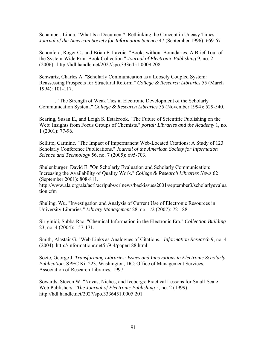Schamber, Linda. "What Is a Document? Rethinking the Concept in Uneasy Times." *Journal of the American Society for Information Science* 47 (September 1996): 669-671.

Schonfeld, Roger C., and Brian F. Lavoie. "Books without Boundaries: A Brief Tour of the System-Wide Print Book Collection." *Journal of Electronic Publishing* 9, no. 2 (2006). http://hdl.handle.net/2027/spo.3336451.0009.208

Schwartz, Charles A. "Scholarly Communication as a Loosely Coupled System: Reassessing Prospects for Structural Reform." *College & Research Libraries* 55 (March 1994): 101-117.

———. "The Strength of Weak Ties in Electronic Development of the Scholarly Communication System." *College & Research Libraries* 55 (November 1994): 529-540.

Searing, Susan E., and Leigh S. Estabrook. "The Future of Scientific Publishing on the Web: Insights from Focus Groups of Chemists." *portal: Libraries and the Academy* 1, no. 1 (2001): 77-96.

Sellitto, Carmine. "The Impact of Impermanent Web-Located Citations: A Study of 123 Scholarly Conference Publications." *Journal of the American Society for Information Science and Technology* 56, no. 7 (2005): 695-703.

Shulenburger, David E. "On Scholarly Evaluation and Scholarly Communication: Increasing the Availability of Quality Work." *College & Research Libraries News* 62 (September 2001): 808-811.

http://www.ala.org/ala/acrl/acrlpubs/crlnews/backissues2001/september3/scholarlyevalua tion.cfm

Shuling, Wu. "Investigation and Analysis of Current Use of Electronic Resources in University Libraries." *Library Management* 28, no. 1/2 (2007): 72 - 88.

Siriginidi, Subba Rao. "Chemical Information in the Electronic Era." *Collection Building* 23, no. 4 (2004): 157-171.

Smith, Alastair G. "Web Links as Analogues of Citations." *Information Research* 9, no. 4 (2004). http://informationr.net/ir/9-4/paper188.html

Soete, George J. *Transforming Libraries: Issues and Innovations in Electronic Scholarly Publication*. SPEC Kit 223. Washington, DC: Office of Management Services, Association of Research Libraries, 1997.

Sowards, Steven W. "Novas, Niches, and Icebergs: Practical Lessons for Small-Scale Web Publishers." *The Journal of Electronic Publishing* 5, no. 2 (1999). http://hdl.handle.net/2027/spo.3336451.0005.201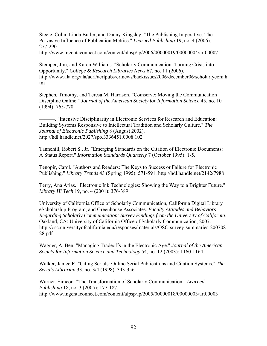Steele, Colin, Linda Butler, and Danny Kingsley. "The Publishing Imperative: The Pervasive Influence of Publication Metrics." *Learned Publishing* 19, no. 4 (2006): 277-290.

http://www.ingentaconnect.com/content/alpsp/lp/2006/00000019/00000004/art00007

Stemper, Jim, and Karen Williams. "Scholarly Communication: Turning Crisis into Opportunity." *College & Research Libraries News* 67, no. 11 (2006). http://www.ala.org/ala/acrl/acrlpubs/crlnews/backissues2006/december06/scholarlycom.h tm

Stephen, Timothy, and Teresa M. Harrison. "Comserve: Moving the Communication Discipline Online." *Journal of the American Society for Information Science* 45, no. 10 (1994): 765-770.

———. "Intensive Disciplinarity in Electronic Services for Research and Education: Building Systems Responsive to Intellectual Tradition and Scholarly Culture." *The Journal of Electronic Publishing* 8 (August 2002). http://hdl.handle.net/2027/spo.3336451.0008.102

Tannehill, Robert S., Jr. "Emerging Standards on the Citation of Electronic Documents: A Status Report." *Information Standards Quarterly* 7 (October 1995): 1-5.

Tenopir, Carol. "Authors and Readers: The Keys to Success or Failure for Electronic Publishing." *Library Trends* 43 (Spring 1995): 571-591. http://hdl.handle.net/2142/7988

Terry, Ana Arias. "Electronic Ink Technologies: Showing the Way to a Brighter Future." *Library Hi Tech* 19, no. 4 (2001): 376-389.

University of California Office of Scholarly Communication, California Digital Library eScholarship Program, and Greenhouse Associates. *Faculty Attitudes and Behaviors Regarding Scholarly Communication: Survey Findings from the University of California*. Oakland, CA: University of California Office of Scholarly Communication, 2007. http://osc.universityofcalifornia.edu/responses/materials/OSC-survey-summaries-200708 28.pdf

Wagner, A. Ben. "Managing Tradeoffs in the Electronic Age." *Journal of the American Society for Information Science and Technology* 54, no. 12 (2003): 1160-1164.

Walker, Janice R. "Citing Serials: Online Serial Publications and Citation Systems." *The Serials Librarian* 33, no. 3/4 (1998): 343-356.

Warner, Simeon. "The Transformation of Scholarly Communication." *Learned Publishing* 18, no. 3 (2005): 177-187. http://www.ingentaconnect.com/content/alpsp/lp/2005/00000018/00000003/art00003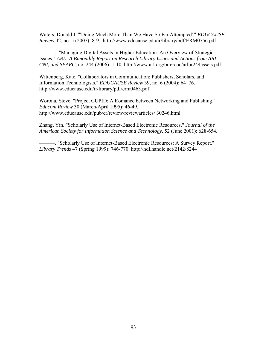Waters, Donald J. "'Doing Much More Than We Have So Far Attempted'." *EDUCAUSE Review* 42, no. 5 (2007): 8-9. http://www.educause.edu/ir/library/pdf/ERM0756.pdf

———. "Managing Digital Assets in Higher Education: An Overview of Strategic Issues." *ARL: A Bimonthly Report on Research Library Issues and Actions from ARL, CNI, and SPARC*, no. 244 (2006): 1-10. http://www.arl.org/bm~doc/arlbr244assets.pdf

Wittenberg, Kate. "Collaborators in Communication: Publishers, Scholars, and Information Technologists." *EDUCAUSE Review* 39, no. 6 (2004): 64–76. http://www.educause.edu/ir/library/pdf/erm0463.pdf

Worona, Steve. "Project CUPID: A Romance between Networking and Publishing." *Educom Review* 30 (March/April 1995): 46-49. http://www.educause.edu/pub/er/review/reviewarticles/ 30246.html

Zhang, Yin. "Scholarly Use of Internet-Based Electronic Resources." *Journal of the American Society for Information Science and Technology*. 52 (June 2001): 628-654.

———. "Scholarly Use of Internet-Based Electronic Resources: A Survey Report." *Library Trends* 47 (Spring 1999): 746-770. http://hdl.handle.net/2142/8244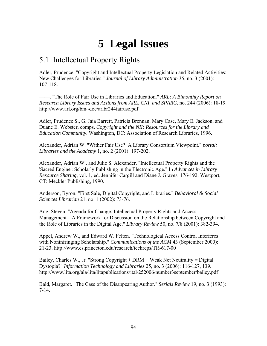## **5 Legal Issues**

## 5.1 Intellectual Property Rights

Adler, Prudence. "Copyright and Intellectual Property Legislation and Related Activities: New Challenges for Libraries." *Journal of Library Administration* 35, no. 3 (2001): 107-118.

⎯⎯. "The Role of Fair Use in Libraries and Education." *ARL: A Bimonthly Report on Research Library Issues and Actions from ARL, CNI, and SPARC*, no. 244 (2006): 18-19. http://www.arl.org/bm~doc/arlbr244fairuse.pdf

Adler, Prudence S., G. Jaia Barrett, Patricia Brennan, Mary Case, Mary E. Jackson, and Duane E. Webster, comps. *Copyright and the NII: Resources for the Library and Education Community*. Washington, DC: Association of Research Libraries, 1996.

Alexander, Adrian W. "Wither Fair Use? A Library Consortium Viewpoint." *portal: Libraries and the Academy* 1, no. 2 (2001): 197-202.

Alexander, Adrian W., and Julie S. Alexander. "Intellectual Property Rights and the 'Sacred Engine': Scholarly Publishing in the Electronic Age." In *Advances in Library Resource Sharing*, vol. 1, ed. Jennifer Cargill and Diane J. Graves, 176-192. Westport, CT: Meckler Publishing, 1990.

Anderson, Byron. "First Sale, Digital Copyright, and Libraries." *Behavioral & Social Sciences Librarian* 21, no. 1 (2002): 73-76.

Ang, Steven. "Agenda for Change: Intellectual Property Rights and Access Management—A Framework for Discussion on the Relationship between Copyright and the Role of Libraries in the Digital Age." *Library Review* 50, no. 7/8 (2001): 382-394.

Appel, Andrew W., and Edward W. Felten. "Technological Access Control Interferes with Noninfringing Scholarship." *Communications of the ACM* 43 (September 2000): 21-23. http://www.cs.princeton.edu/research/techreps/TR-617-00

Bailey, Charles W., Jr. "Strong Copyright + DRM + Weak Net Neutrality = Digital Dystopia?" *Information Technology and Libraries* 25, no. 3 (2006): 116-127, 139. http://www.lita.org/ala/lita/litapublications/ital/252006/number3september/bailey.pdf

Bald, Margaret. "The Case of the Disappearing Author." *Serials Review* 19, no. 3 (1993): 7-14.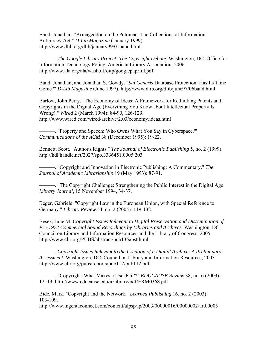Band, Jonathan. "Armageddon on the Potomac: The Collections of Information Antipiracy Act." *D-Lib Magazine* (January 1999). http://www.dlib.org/dlib/january99/01band.html

———. *The Google Library Project: The Copyright Debate*. Washington, DC: Office for Information Technology Policy, American Library Association, 2006. http://www.ala.org/ala/washoff/oitp/googlepaprfnl.pdf

Band, Jonathan, and Jonathan S. Gowdy. "*Sui Generis* Database Protection: Has Its Time Come?" *D-Lib Magazine* (June 1997). http://www.dlib.org/dlib/june97/06band.html

Barlow, John Perry. "The Economy of Ideas: A Framework for Rethinking Patents and Copyrights in the Digital Age (Everything You Know about Intellectual Property Is Wrong)." *Wired* 2 (March 1994): 84-90, 126-129. http://www.wired.com/wired/archive/2.03/economy.ideas.html

———. "Property and Speech: Who Owns What You Say in Cyberspace?" *Communications of the ACM* 38 (December 1995): 19-22.

Bennett, Scott. "Author's Rights." *The Journal of Electronic Publishing* 5, no. 2 (1999). http://hdl.handle.net/2027/spo.3336451.0005.203

———. "Copyright and Innovation in Electronic Publishing: A Commentary." *The Journal of Academic Librarianship* 19 (May 1993): 87-91.

———. "The Copyright Challenge: Strengthening the Public Interest in the Digital Age." *Library Journal*, 15 November 1994, 34-37.

Beger, Gabriele. "Copyright Law in the European Union, with Special Reference to Germany." *Library Review* 54, no. 2 (2005): 119-132.

Besek, June M. *Copyright Issues Relevant to Digital Preservation and Dissemination of Pre-1972 Commercial Sound Recordings by Libraries and Archives*. Washington, DC: Council on Library and Information Resources and the Library of Congress, 2005. http://www.clir.org/PUBS/abstract/pub135abst.html

———. *Copyright Issues Relevant to the Creation of a Digital Archive: A Preliminary Assessment*. Washington, DC: Council on Library and Information Resources, 2003. http://www.clir.org/pubs/reports/pub112/pub112.pdf

———. "Copyright: What Makes a Use 'Fair'?" *EDUCAUSE Review* 38, no. 6 (2003): 12–13. http://www.educause.edu/ir/library/pdf/ERM0368.pdf

Bide, Mark. "Copyright and the Network." *Learned Publishing* 16, no. 2 (2003): 103-109.

http://www.ingentaconnect.com/content/alpsp/lp/2003/00000016/00000002/art00005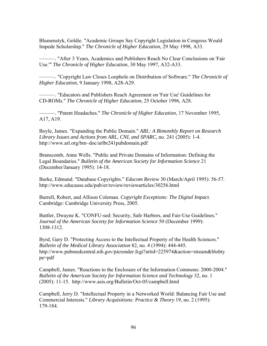Blumenstyk, Goldie. "Academic Groups Say Copyright Legislation in Congress Would Impede Scholarship." *The Chronicle of Higher Education*, 29 May 1998, A33.

———. "After 3 Years, Academics and Publishers Reach No Clear Conclusions on 'Fair Use.'" *The Chronicle of Higher Education*, 30 May 1997, A32-A33.

———. "Copyright Law Closes Loophole on Distribution of Software." *The Chronicle of Higher Education*, 9 January 1998, A28-A29.

———. "Educators and Publishers Reach Agreement on 'Fair Use' Guidelines for CD-ROMs." *The Chronicle of Higher Education*, 25 October 1996, A28.

———. "Patent Headaches." *The Chronicle of Higher Education*, 17 November 1995, A17, A19.

Boyle, James. "Expanding the Public Domain." *ARL: A Bimonthly Report on Research Library Issues and Actions from ARL, CNI, and SPARC*, no. 241 (2005): 1-4. http://www.arl.org/bm~doc/arlbr241pubdomain.pdf

Branscomb, Anne Wells. "Public and Private Domains of Information: Defining the Legal Boundaries." *Bulletin of the American Society for Information Science* 21 (December/January 1995): 14-18.

Burke, Edmund. "Database Copyrights." *Educom Review* 30 (March/April 1995): 56-57. http://www.educause.edu/pub/er/review/reviewarticles/30256.html

Burrell, Robert, and Allison Coleman. *Copyright Exceptions: The Digital Impact*. Cambridge: Cambridge University Press, 2005.

Buttler, Dwayne K. "CONFU-sed: Security, Safe Harbors, and Fair-Use Guidelines." *Journal of the American Society for Information Science* 50 (December 1999): 1308-1312.

Byrd, Gary D. "Protecting Access to the Intellectual Property of the Health Sciences." *Bulletin of the Medical Library Association* 82, no. 4 (1994): 444-445. http://www.pubmedcentral.nih.gov/picrender.fcgi?artid=225974&action=stream&blobty pe=pdf

Campbell, James. "Reactions to the Enclosure of the Information Commons: 2000-2004." *Bulletin of the American Society for Information Science and Technology* 32, no. 1 (2005): 11-15. http://www.asis.org/Bulletin/Oct-05/campbell.html

Campbell, Jerry D. "Intellectual Property in a Networked World: Balancing Fair Use and Commercial Interests." *Library Acquisitions: Practice & Theory* 19, no. 2 (1995): 179-184.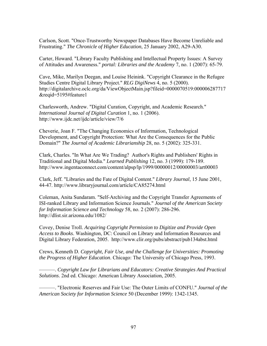Carlson, Scott. "Once-Trustworthy Newspaper Databases Have Become Unreliable and Frustrating." *The Chronicle of Higher Education*, 25 January 2002, A29-A30.

Carter, Howard. "Library Faculty Publishing and Intellectual Property Issues: A Survey of Attitudes and Awareness." *portal: Libraries and the Academy* 7, no. 1 (2007): 65-79.

Cave, Mike, Marilyn Deegan, and Louise Heinink. "Copyright Clearance in the Refugee Studies Centre Digital Library Project." *RLG DigiNews* 4, no. 5 (2000). http://digitalarchive.oclc.org/da/ViewObjectMain.jsp?fileid=0000070519:000006287717 &reqid=5195#feature1

Charlesworth, Andrew. "Digital Curation, Copyright, and Academic Research." *International Journal of Digital Curation* 1, no. 1 (2006). http://www.ijdc.net/ijdc/article/view/7/6

Cheverie, Joan F. "The Changing Economics of Information, Technological Development, and Copyright Protection: What Are the Consequences for the Public Domain?" *The Journal of Academic Librarianship* 28, no. 5 (2002): 325-331.

Clark, Charles. "In What Are We Trading? Author's Rights and Publishers' Rights in Traditional and Digital Media." *Learned Publishing* 12, no. 3 (1999): 179-189. http://www.ingentaconnect.com/content/alpsp/lp/1999/00000012/00000003/art00003

Clark, Jeff. "Libraries and the Fate of Digital Content." *Library Journal*, 15 June 2001, 44-47. http://www.libraryjournal.com/article/CA85274.html

Coleman, Anita Sundaram. "Self-Archiving and the Copyright Transfer Agreements of ISI-ranked Library and Information Science Journals." *Journal of the American Society for Information Science and Technology* 58, no. 2 (2007): 286-296. http://dlist.sir.arizona.edu/1082/

Covey, Denise Troll. *Acquiring Copyright Permission to Digitize and Provide Open Access to Books*. Washington, DC: Council on Library and Information Resources and Digital Library Federation, 2005. http://www.clir.org/pubs/abstract/pub134abst.html

Crews, Kenneth D. *Copyright, Fair Use, and the Challenge for Universities: Promoting the Progress of Higher Education*. Chicago: The University of Chicago Press, 1993.

———. *Copyright Law for Librarians and Educators: Creative Strategies And Practical Solutions*. 2nd ed. Chicago: American Library Association, 2005.

———. "Electronic Reserves and Fair Use: The Outer Limits of CONFU." *Journal of the American Society for Information Science* 50 (December 1999): 1342-1345.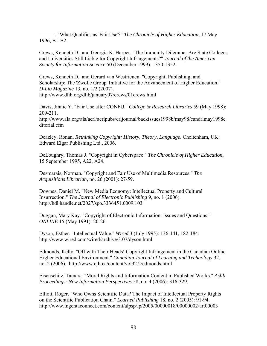———. "What Qualifies as 'Fair Use'?" *The Chronicle of Higher Education*, 17 May 1996, B1-B2.

Crews, Kenneth D., and Georgia K. Harper. "The Immunity Dilemma: Are State Colleges and Universities Still Liable for Copyright Infringements?" *Journal of the American Society for Information Science* 50 (December 1999): 1350-1352.

Crews, Kenneth D., and Gerard van Westrienen. "Copyright, Publishing, and Scholarship: The 'Zwolle Group' Initiative for the Advancement of Higher Education." *D-Lib Magazine* 13, no. 1/2 (2007). http://www.dlib.org/dlib/january07/crews/01crews.html

Davis, Jinnie Y. "Fair Use after CONFU." *College & Research Libraries* 59 (May 1998): 209-211. http://www.ala.org/ala/acrl/acrlpubs/crljournal/backissues1998b/may98/candrlmay1998e ditorial.cfm

Deazley, Ronan. *Rethinking Copyright: History, Theory, Language*. Cheltenham, UK: Edward Elgar Publishing Ltd., 2006.

DeLoughry, Thomas J. "Copyright in Cyberspace." *The Chronicle of Higher Education*, 15 September 1995, A22, A24.

Desmarais, Norman. "Copyright and Fair Use of Multimedia Resources." *The Acquisitions Librarian*, no. 26 (2001): 27-59.

Downes, Daniel M. "New Media Economy: Intellectual Property and Cultural Insurrection." *The Journal of Electronic Publishing* 9, no. 1 (2006). http://hdl.handle.net/2027/spo.3336451.0009.103

Duggan, Mary Kay. "Copyright of Electronic Information: Issues and Questions." *ONLINE* 15 (May 1991): 20-26.

Dyson, Esther. "Intellectual Value." *Wired* 3 (July 1995): 136-141, 182-184. http://www.wired.com/wired/archive/3.07/dyson.html

Edmonds, Kelly. "Off with Their Heads! Copyright Infringement in the Canadian Online Higher Educational Environment." *Canadian Journal of Learning and Technology* 32, no. 2 (2006). http://www.cjlt.ca/content/vol32.2/edmonds.html

Eisenschitz, Tamara. "Moral Rights and Information Content in Published Works." *Aslib Proceedings: New Information Perspectives* 58, no. 4 (2006): 316-329.

Elliott, Roger. "Who Owns Scientific Data? The Impact of Intellectual Property Rights on the Scientific Publication Chain." *Learned Publishing* 18, no. 2 (2005): 91-94. http://www.ingentaconnect.com/content/alpsp/lp/2005/00000018/00000002/art00003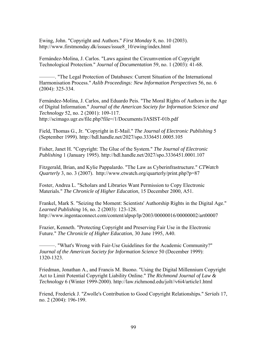Ewing, John. "Copyright and Authors." *First Monday* 8, no. 10 (2003). http://www.firstmonday.dk/issues/issue8\_10/ewing/index.html

Fernández-Molina, J. Carlos. "Laws against the Circumvention of Copyright Technological Protection." *Journal of Documentation* 59, no. 1 (2003): 41-68.

———. "The Legal Protection of Databases: Current Situation of the International Harmonisation Process." *Aslib Proceedings: New Information Perspectives* 56, no. 6 (2004): 325-334.

Fernández-Molina, J. Carlos, and Eduardo Peis. "The Moral Rights of Authors in the Age of Digital Information." *Journal of the American Society for Information Science and Technology* 52, no. 2 (2001): 109-117. http://scimago.ugr.es/file.php?file=/1/Documents/JASIST-01b.pdf

Field, Thomas G., Jr. "Copyright in E-Mail." *The Journal of Electronic Publishing* 5 (September 1999). http://hdl.handle.net/2027/spo.3336451.0005.105

Fisher, Janet H. "Copyright: The Glue of the System." *The Journal of Electronic Publishing* 1 (January 1995). http://hdl.handle.net/2027/spo.3336451.0001.107

Fitzgerald, Brian, and Kylie Pappalardo. "The Law as Cyberinfrastructure." *CTWatch Quarterly* 3, no. 3 (2007). http://www.ctwatch.org/quarterly/print.php?p=87

Foster, Andrea L. "Scholars and Libraries Want Permission to Copy Electronic Materials." *The Chronicle of Higher Education*, 15 December 2000, A51.

Frankel, Mark S. "Seizing the Moment: Scientists' Authorship Rights in the Digital Age." *Learned Publishing* 16, no. 2 (2003): 123-128. http://www.ingentaconnect.com/content/alpsp/lp/2003/00000016/00000002/art00007

Frazier, Kenneth. "Protecting Copyright and Preserving Fair Use in the Electronic Future." *The Chronicle of Higher Education*, 30 June 1995, A40.

———. "What's Wrong with Fair-Use Guidelines for the Academic Community?" *Journal of the American Society for Information Science* 50 (December 1999): 1320-1323.

Friedman, Jonathan A., and Francis M. Buono. "Using the Digital Millennium Copyright Act to Limit Potential Copyright Liability Online." *The Richmond Journal of Law & Technology* 6 (Winter 1999-2000). http://law.richmond.edu/jolt//v6i4/article1.html

Friend, Frederick J. "Zwolle's Contribution to Good Copyright Relationships." *Serials* 17, no. 2 (2004): 196-199.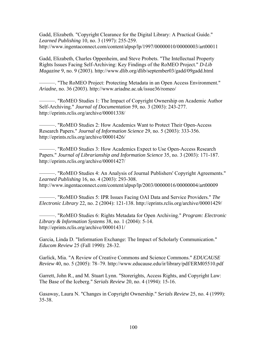Gadd, Elizabeth. "Copyright Clearance for the Digital Library: A Practical Guide." *Learned Publishing* 10, no. 3 (1997): 255-259. http://www.ingentaconnect.com/content/alpsp/lp/1997/00000010/00000003/art00011

Gadd, Elizabeth, Charles Oppenheim, and Steve Probets. "The Intellectual Property Rights Issues Facing Self-Archiving: Key Findings of the RoMEO Project." *D-Lib Magazine* 9, no. 9 (2003). http://www.dlib.org/dlib/september03/gadd/09gadd.html

———. "The RoMEO Project: Protecting Metadata in an Open Access Environment." *Ariadne*, no. 36 (2003). http://www.ariadne.ac.uk/issue36/romeo/

———. "RoMEO Studies 1: The Impact of Copyright Ownership on Academic Author Self-Archiving." *Journal of Documentation* 59, no. 3 (2003): 243-277. http://eprints.rclis.org/archive/00001338/

———. "RoMEO Studies 2: How Academics Want to Protect Their Open-Access Research Papers." *Journal of Information Science* 29, no. 5 (2003): 333-356. http://eprints.rclis.org/archive/00001426/

———. "RoMEO Studies 3: How Academics Expect to Use Open-Access Research Papers." *Journal of Librarianship and Information Science* 35, no. 3 (2003): 171-187. http://eprints.rclis.org/archive/00001427/

———. "RoMEO Studies 4: An Analysis of Journal Publishers' Copyright Agreements." *Learned Publishing* 16, no. 4 (2003): 293-308. http://www.ingentaconnect.com/content/alpsp/lp/2003/00000016/00000004/art00009

———. "RoMEO Studies 5: IPR Issues Facing OAI Data and Service Providers." *The Electronic Library* 22, no. 2 (2004): 121-138. http://eprints.rclis.org/archive/00001429/

———. "RoMEO Studies 6: Rights Metadata for Open Archiving." *Program: Electronic Library & Information Systems* 38, no. 1 (2004): 5-14. http://eprints.rclis.org/archive/00001431/

Garcia, Linda D. "Information Exchange: The Impact of Scholarly Communication." *Educom Review* 25 (Fall 1990): 28-32.

Garlick, Mia. "A Review of Creative Commons and Science Commons." *EDUCAUSE Review* 40, no. 5 (2005): 78–79. http://www.educause.edu/ir/library/pdf/ERM05510.pdf

Garrett, John R., and M. Stuart Lynn. "Storerights, Access Rights, and Copyright Law: The Base of the Iceberg." *Serials Review* 20, no. 4 (1994): 15-16.

Gasaway, Laura N. "Changes in Copyright Ownership." *Serials Review* 25, no. 4 (1999): 35-38.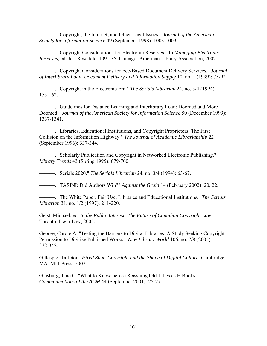———. "Copyright, the Internet, and Other Legal Issues." *Journal of the American Society for Information Science* 49 (September 1998): 1003-1009.

———. "Copyright Considerations for Electronic Reserves." In *Managing Electronic Reserves*, ed. Jeff Rosedale, 109-135. Chicago: American Library Association, 2002.

———. "Copyright Considerations for Fee-Based Document Delivery Services." *Journal of Interlibrary Loan, Document Delivery and Information Supply* 10, no. 1 (1999): 75-92.

———. "Copyright in the Electronic Era." *The Serials Librarian* 24, no. 3/4 (1994): 153-162.

———. "Guidelines for Distance Learning and Interlibrary Loan: Doomed and More Doomed." *Journal of the American Society for Information Science* 50 (December 1999): 1337-1341.

———. "Libraries, Educational Institutions, and Copyright Proprietors: The First Collision on the Information Highway." *The Journal of Academic Librarianship* 22 (September 1996): 337-344.

———. "Scholarly Publication and Copyright in Networked Electronic Publishing." *Library Trends* 43 (Spring 1995): 679-700.

———. "Serials 2020." *The Serials Librarian* 24, no. 3/4 (1994): 63-67.

———. "TASINI: Did Authors Win?" *Against the Grain* 14 (February 2002): 20, 22.

———. "The White Paper, Fair Use, Libraries and Educational Institutions." *The Serials Librarian* 31, no. 1/2 (1997): 211-220.

Geist, Michael, ed. *In the Public Interest: The Future of Canadian Copyright Law*. Toronto: Irwin Law, 2005.

George, Carole A. "Testing the Barriers to Digital Libraries: A Study Seeking Copyright Permission to Digitize Published Works." *New Library World* 106, no. 7/8 (2005): 332-342.

Gillespie, Tarleton. *Wired Shut: Copyright and the Shape of Digital Culture*. Cambridge, MA: MIT Press, 2007.

Ginsburg, Jane C. "What to Know before Reissuing Old Titles as E-Books." *Communications of the ACM* 44 (September 2001): 25-27.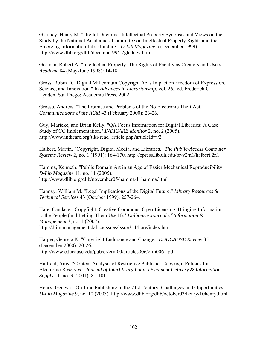Gladney, Henry M. "Digital Dilemma: Intellectual Property Synopsis and Views on the Study by the National Academies' Committee on Intellectual Property Rights and the Emerging Information Infrastructure." *D-Lib Magazine* 5 (December 1999). http://www.dlib.org/dlib/december99/12gladney.html

Gorman, Robert A. "Intellectual Property: The Rights of Faculty as Creators and Users." *Academe* 84 (May-June 1998): 14-18.

Gross, Robin D. "Digital Millennium Copyright Act's Impact on Freedom of Expression, Science, and Innovation." In *Advances in Librarianship*, vol. 26., ed. Frederick C. Lynden. San Diego: Academic Press, 2002.

Grosso, Andrew. "The Promise and Problems of the No Electronic Theft Act." *Communications of the ACM* 43 (February 2000): 23-26.

Guy, Marieke, and Brian Kelly. "QA Focus Information for Digital Libraries: A Case Study of CC Implementation." *INDICARE Monitor* 2, no. 2 (2005). http://www.indicare.org/tiki-read\_article.php?articleId=92

Halbert, Martin. "Copyright, Digital Media, and Libraries." *The Public-Access Computer Systems Review* 2, no. 1 (1991): 164-170. http://epress.lib.uh.edu/pr/v2/n1/halbert.2n1

Hamma, Kenneth. "Public Domain Art in an Age of Easier Mechanical Reproducibility." *D-Lib Magazine* 11, no. 11 (2005). http://www.dlib.org/dlib/november05/hamma/11hamma.html

Hannay, William M. "Legal Implications of the Digital Future." *Library Resources & Technical Services* 43 (October 1999): 257-264.

Hare, Candace. "Copyfight: Creative Commons, Open Licensing, Bringing Information to the People (and Letting Them Use It)." *Dalhousie Journal of Information & Management* 3, no. 1 (2007). http://djim.management.dal.ca/issues/issue3\_1/hare/index.htm

Harper, Georgia K. "Copyright Endurance and Change." *EDUCAUSE Review* 35 (December 2000): 20-26. http://www.educause.edu/pub/er/erm00/articles006/erm0061.pdf

Hatfield, Amy. "Content Analysis of Restrictive Publisher Copyright Policies for Electronic Reserves." *Journal of Interlibrary Loan, Document Delivery & Information Supply* 11, no. 3 (2001): 81-101.

Henry, Geneva. "On-Line Publishing in the 21st Century: Challenges and Opportunities." *D-Lib Magazine* 9, no. 10 (2003). http://www.dlib.org/dlib/october03/henry/10henry.html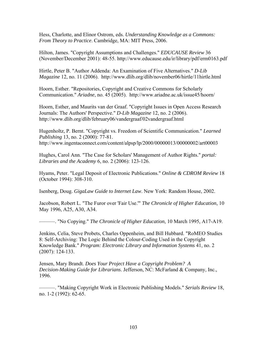Hess, Charlotte, and Elinor Ostrom, eds. *Understanding Knowledge as a Commons: From Theory to Practice*. Cambridge, MA: MIT Press, 2006.

Hilton, James. "Copyright Assumptions and Challenges." *EDUCAUSE Review* 36 (November/December 2001): 48-55. http://www.educause.edu/ir/library/pdf/erm0163.pdf

Hirtle, Peter B. "Author Addenda: An Examination of Five Alternatives." *D-Lib Magazine* 12, no. 11 (2006). http://www.dlib.org/dlib/november06/hirtle/11hirtle.html

Hoorn, Esther. "Repositories, Copyright and Creative Commons for Scholarly Communication." *Ariadne*, no. 45 (2005). http://www.ariadne.ac.uk/issue45/hoorn/

Hoorn, Esther, and Maurits van der Graaf. "Copyright Issues in Open Access Research Journals: The Authors' Perspective." *D-Lib Magazine* 12, no. 2 (2006). http://www.dlib.org/dlib/february06/vandergraaf/02vandergraaf.html

Hugenholtz, P. Bernt. "Copyright vs. Freedom of Scientific Communication." *Learned Publishing* 13, no. 2 (2000): 77-81. http://www.ingentaconnect.com/content/alpsp/lp/2000/00000013/00000002/art00003

Hughes, Carol Ann. "The Case for Scholars' Management of Author Rights." *portal: Libraries and the Academy* 6, no. 2 (2006): 123-126.

Hyams, Peter. "Legal Deposit of Electronic Publications." *Online & CDROM Review* 18 (October 1994): 308-310.

Isenberg, Doug. *GigaLaw Guide to Internet Law*. New York: Random House, 2002.

Jacobson, Robert L. "The Furor over 'Fair Use.'" *The Chronicle of Higher Education*, 10 May 1996, A25, A30, A34.

———. "No Copying." *The Chronicle of Higher Education*, 10 March 1995, A17-A19.

Jenkins, Celia, Steve Probets, Charles Oppenheim, and Bill Hubbard. "RoMEO Studies 8: Self-Archiving: The Logic Behind the Colour-Coding Used in the Copyright Knowledge Bank." *Program: Electronic Library and Information Systems* 41, no. 2 (2007): 124-133.

Jensen, Mary Brandt. *Does Your Project Have a Copyright Problem? A Decision-Making Guide for Librarians*. Jefferson, NC: McFarland & Company, Inc., 1996.

———. "Making Copyright Work in Electronic Publishing Models." *Serials Review* 18, no. 1-2 (1992): 62-65.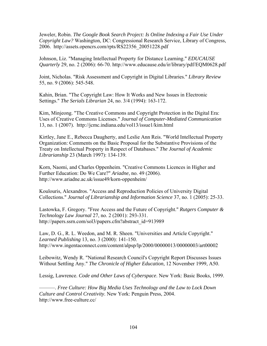Jeweler, Robin. *The Google Book Search Project: Is Online Indexing a Fair Use Under Copyright Law?* Washington, DC: Congressional Research Service, Library of Congress, 2006. http://assets.opencrs.com/rpts/RS22356\_20051228.pdf

Johnson, Liz. "Managing Intellectual Property for Distance Learning." *EDUCAUSE Quarterly* 29, no. 2 (2006): 66-70. http://www.educause.edu/ir/library/pdf/EQM0628.pdf

Joint, Nicholas. "Risk Assessment and Copyright in Digital Libraries." *Library Review* 55, no. 9 (2006): 545-548.

Kahin, Brian. "The Copyright Law: How It Works and New Issues in Electronic Settings." *The Serials Librarian* 24, no. 3/4 (1994): 163-172.

Kim, Minjeong. "The Creative Commons and Copyright Protection in the Digital Era: Uses of Creative Commons Licenses." *Journal of Computer-Mediated Communication* 13, no. 1 (2007). http://jcmc.indiana.edu/vol13/issue1/kim.html

Kirtley, Jane E., Rebecca Daugherty, and Leslie Ann Reis. "World Intellectual Property Organization: Comments on the Basic Proposal for the Substantive Provisions of the Treaty on Intellectual Property in Respect of Databases." *The Journal of Academic Librarianship* 23 (March 1997): 134-139.

Korn, Naomi, and Charles Oppenheim. "Creative Commons Licences in Higher and Further Education: Do We Care?" *Ariadne*, no. 49 (2006). http://www.ariadne.ac.uk/issue49/korn-oppenheim/

Koulouris, Alexandros. "Access and Reproduction Policies of University Digital Collections." *Journal of Librarianship and Information Science* 37, no. 1 (2005): 25-33.

Lastowka, F. Gregory. "Free Access and the Future of Copyright." *Rutgers Computer & Technology Law Journal* 27, no. 2 (2001): 293-331. http://papers.ssrn.com/sol3/papers.cfm?abstract\_id=913989

Law, D. G., R. L. Weedon, and M. R. Sheen. "Universities and Article Copyright." *Learned Publishing* 13, no. 3 (2000): 141-150. http://www.ingentaconnect.com/content/alpsp/lp/2000/00000013/00000003/art00002

Leibowitz, Wendy R. "National Research Council's Copyright Report Discusses Issues Without Settling Any." *The Chronicle of Higher Education*, 12 November 1999, A50.

Lessig, Lawrence. *Code and Other Laws of Cyberspace*. New York: Basic Books, 1999.

———. *Free Culture: How Big Media Uses Technology and the Law to Lock Down Culture and Control Creativity*. New York: Penguin Press, 2004. http://www.free-culture.cc/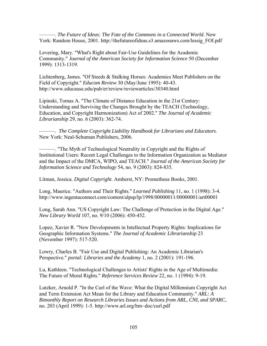———. *The Future of Ideas: The Fate of the Commons in a Connected World*. New York: Random House, 2001. http://thefutureofideas.s3.amazonaws.com/lessig\_FOI.pdf

Levering, Mary. "What's Right about Fair-Use Guidelines for the Academic Community." *Journal of the American Society for Information Science* 50 (December 1999): 1313-1319.

Lichtenberg, James. "Of Steeds & Stalking Horses: Academics Meet Publishers on the Field of Copyright." *Educom Review* 30 (May/June 1995): 40-43. http://www.educause.edu/pub/er/review/reviewarticles/30340.html

Lipinski, Tomas A. "The Climate of Distance Education in the 21st Century: Understanding and Surviving the Changes Brought by the TEACH (Technology, Education, and Copyright Harmonization) Act of 2002." *The Journal of Academic Librarianship* 29, no. 6 (2003): 362-74.

———. *The Complete Copyright Liability Handbook for Librarians and Educators*. New York: Neal-Schuman Publishers, 2006.

———. "The Myth of Technological Neutrality in Copyright and the Rights of Institutional Users: Recent Legal Challenges to the Information Organization as Mediator and the Impact of the DMCA, WIPO, and TEACH." *Journal of the American Society for Information Science and Technology* 54, no. 9 (2003): 824-835.

Litman, Jessica. *Digital Copyright*. Amherst, NY: Prometheus Books, 2001.

Long, Maurice. "Authors and Their Rights." *Learned Publishing* 11, no. 1 (1998): 3-4. http://www.ingentaconnect.com/content/alpsp/lp/1998/00000011/00000001/art00001

Long, Sarah Ann. "US Copyright Law: The Challenge of Protection in the Digital Age." *New Library World* 107, no. 9/10 (2006): 450-452.

Lopez, Xavier R. "New Developments in Intellectual Property Rights: Implications for Geographic Information Systems." *The Journal of Academic Librarianship* 23 (November 1997): 517-520.

Lowry, Charles B. "Fair Use and Digital Publishing: An Academic Librarian's Perspective." *portal: Libraries and the Academy* 1, no. 2 (2001): 191-196.

Lu, Kathleen. "Technological Challenges to Artists' Rights in the Age of Multimedia: The Future of Moral Rights." *Reference Services Review* 22, no. 1 (1994): 9-19.

Lutzker, Arnold P. "In the Curl of the Wave: What the Digital Millennium Copyright Act and Term Extension Act Mean for the Library and Education Community." *ARL: A Bimonthly Report on Research Libraries Issues and Actions from ARL, CNI, and SPARC*, no. 203 (April 1999): 1-5. http://www.arl.org/bm~doc/curl.pdf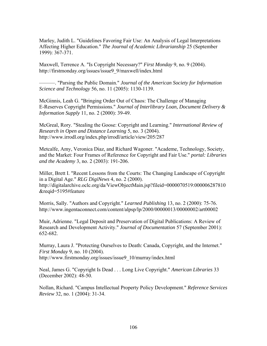Marley, Judith L. "Guidelines Favoring Fair Use: An Analysis of Legal Interpretations Affecting Higher Education." *The Journal of Academic Librarianship* 25 (September 1999): 367-371.

Maxwell, Terrence A. "Is Copyright Necessary?" *First Monday* 9, no. 9 (2004). http://firstmonday.org/issues/issue9\_9/maxwell/index.html

———. "Parsing the Public Domain." *Journal of the American Society for Information Science and Technology* 56, no. 11 (2005): 1130-1139.

McGinnis, Leah G. "Bringing Order Out of Chaos: The Challenge of Managing E-Reserves Copyright Permissions." *Journal of Interlibrary Loan, Document Delivery & Information Supply* 11, no. 2 (2000): 39-49.

McGreal, Rory. "Stealing the Goose: Copyright and Learning." *International Review of Research in Open and Distance Learning* 5, no. 3 (2004). http://www.irrodl.org/index.php/irrodl/article/view/205/287

Metcalfe, Amy, Veronica Diaz, and Richard Wagoner. "Academe, Technology, Society, and the Market: Four Frames of Reference for Copyright and Fair Use." *portal: Libraries and the Academy* 3, no. 2 (2003): 191-206.

Miller, Brett I. "Recent Lessons from the Courts: The Changing Landscape of Copyright in a Digital Age." *RLG DigiNews* 4, no. 2 (2000). http://digitalarchive.oclc.org/da/ViewObjectMain.jsp?fileid=0000070519:000006287810 &reqid=5195#feature

Morris, Sally. "Authors and Copyright." *Learned Publishing* 13, no. 2 (2000): 75-76. http://www.ingentaconnect.com/content/alpsp/lp/2000/00000013/00000002/art00002

Muir, Adrienne. "Legal Deposit and Preservation of Digital Publications: A Review of Research and Development Activity." *Journal of Documentation* 57 (September 2001): 652-682.

Murray, Laura J. "Protecting Ourselves to Death: Canada, Copyright, and the Internet." *First Monday* 9, no. 10 (2004). http://www.firstmonday.org/issues/issue9\_10/murray/index.html

Neal, James G. "Copyright Is Dead . . . Long Live Copyright." *American Libraries* 33 (December 2002): 48-50.

Nollan, Richard. "Campus Intellectual Property Policy Development." *Reference Services Review* 32, no. 1 (2004): 31-34.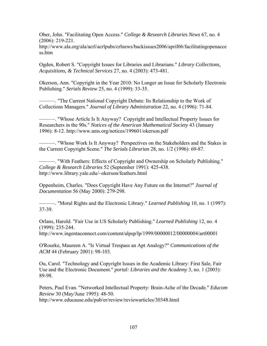Ober, John. "Facilitating Open Access." *College & Research Libraries News* 67, no. 4 (2006): 219-221.

http://www.ala.org/ala/acrl/acrlpubs/crlnews/backissues2006/april06/facilitatingopenacce ss.htm

Ogden, Robert S. "Copyright Issues for Libraries and Librarians." *Library Collections, Acquisitions, & Technical Services* 27, no. 4 (2003): 473-481.

Okerson, Ann. "Copyright in the Year 2010: No Longer an Issue for Scholarly Electronic Publishing." *Serials Review* 25, no. 4 (1999): 33-35.

———. "The Current National Copyright Debate: Its Relationship to the Work of Collections Managers." *Journal of Library Administration* 22, no. 4 (1996): 71-84.

———. "Whose Article Is It Anyway? Copyright and Intellectual Property Issues for Researchers in the 90s." *Notices of the American Mathematical Society* 43 (January 1996): 8-12. http://www.ams.org/notices/199601/okerson.pdf

———. "Whose Work Is It Anyway? Perspectives on the Stakeholders and the Stakes in the Current Copyright Scene." *The Serials Librarian* 28, no. 1/2 (1996): 69-87.

———. "With Feathers: Effects of Copyright and Ownership on Scholarly Publishing." *College & Research Libraries* 52 (September 1991): 425-438. http://www.library.yale.edu/~okerson/feathers.html

Oppenheim, Charles. "Does Copyright Have Any Future on the Internet?" *Journal of Documentation* 56 (May 2000): 279-298.

———. "Moral Rights and the Electronic Library." *Learned Publishing* 10, no. 1 (1997): 37-39.

Orlans, Harold. "Fair Use in US Scholarly Publishing." *Learned Publishing* 12, no. 4 (1999): 235-244.

http://www.ingentaconnect.com/content/alpsp/lp/1999/00000012/00000004/art00001

O'Rourke, Maureen A. "Is Virtual Trespass an Apt Analogy?" *Communications of the ACM* 44 (February 2001): 98-103.

Ou, Carol. "Technology and Copyright Issues in the Academic Library: First Sale, Fair Use and the Electronic Document." *portal: Libraries and the Academy* 3, no. 1 (2003): 89-98.

Peters, Paul Evan. "Networked Intellectual Property: Brain-Ache of the Decade." *Educom Review* 30 (May/June 1995): 48-50. http://www.educause.edu/pub/er/review/reviewarticles/30348.html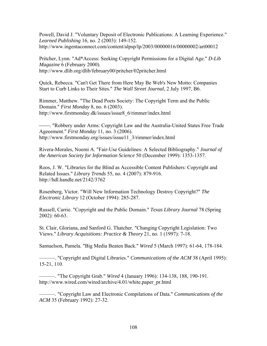Powell, David J. "Voluntary Deposit of Electronic Publications: A Learning Experience." *Learned Publishing* 16, no. 2 (2003): 149-152. http://www.ingentaconnect.com/content/alpsp/lp/2003/00000016/00000002/art00012

Pritcher, Lynn. "Ad\*Access: Seeking Copyright Permissions for a Digital Age." *D-Lib Magazine* 6 (February 2000). http://www.dlib.org/dlib/february00/pritcher/02pritcher.html

Quick, Rebecca. "Can't Get There from Here May Be Web's New Motto: Companies Start to Curb Links to Their Sites." *The Wall Street Journal*, 2 July 1997, B6.

Rimmer, Matthew. "The Dead Poets Society: The Copyright Term and the Public Domain." *First Monday* 8, no. 6 (2003). http://www.firstmonday.dk/issues/issue8\_6/rimmer/index.html

- "Robbery under Arms: Copyright Law and the Australia-United States Free Trade Ageeement." *First Monday* 11, no. 3 (2006). http://www.firstmonday.org/issues/issue11\_3/rimmer/index.html

Rivera-Morales, Noemi A. "Fair-Use Guidelines: A Selected Bibliography." *Journal of the American Society for Information Science* 50 (December 1999): 1353-1357.

Roos, J. W. "Libraries for the Blind as Accessible Content Publishers: Copyright and Related Issues." *Library Trends* 55, no. 4 (2007): 879-916. http://hdl.handle.net/2142/3762

Rosenberg, Victor. "Will New Information Technology Destroy Copyright?" *The Electronic Library* 12 (October 1994): 285-287.

Russell, Carrie. "Copyright and the Public Domain." *Texas Library Journal* 78 (Spring 2002): 60-63.

St. Clair, Gloriana, and Sanford G. Thatcher. "Changing Copyright Legislation: Two Views." *Library Acquisitions: Practice & Theory* 21, no. 1 (1997): 7-18.

Samuelson, Pamela. "Big Media Beaten Back." *Wired* 5 (March 1997): 61-64, 178-184.

———. "Copyright and Digital Libraries." *Communications of the ACM* 38 (April 1995): 15-21, 110.

———. "The Copyright Grab." *Wired* 4 (January 1996): 134-138, 188, 190-191. http://www.wired.com/wired/archive/4.01/white.paper\_pr.html

———. "Copyright Law and Electronic Compilations of Data." *Communications of the ACM* 35 (February 1992): 27-32.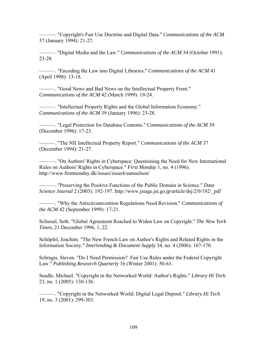———. "Copyright's Fair Use Doctrine and Digital Data." *Communications of the ACM* 37 (January 1994): 21-27.

———. "Digital Media and the Law." *Communications of the ACM* 34 (October 1991): 23-28.

———. "Encoding the Law into Digital Libraries." *Communications of the ACM* 41 (April 1998): 13-18.

———. "Good News and Bad News on the Intellectual Property Front." *Communications of the ACM* 42 (March 1999): 19-24.

———. "Intellectual Property Rights and the Global Information Economy." *Communications of the ACM* 39 (January 1996): 23-28.

———. "Legal Protection for Database Contents." *Communications of the ACM* 39 (December 1996): 17-23.

———. "The NII Intellectual Property Report." *Communications of the ACM* 37 (December 1994): 21-27.

———. "On Authors' Rights in Cyberspace: Questioning the Need for New International Rules on Authors' Rights in Cyberspace." *First Monday* 1, no. 4 (1996). http://www.firstmonday.dk/issues/issue4/samuelson/

———. "Preserving the Positive Functions of the Public Domain in Science." *Data Science Journal* 2 (2003): 192-197. http://www.jstage.jst.go.jp/article/dsj/2/0/192/\_pdf

———. "Why the Anticircumvention Regulations Need Revision." *Communications of the ACM* 42 (September 1999): 17-21.

Schiesel, Seth. "Global Agreement Reached to Widen Law on Copyright." *The New York Times*, 21 December 1996, 1, 22.

Schöpfel, Joachim. "The New French Law on Author's Rights and Related Rights in the Information Society." *Interlending & Document Supply* 34, no. 4 (2006): 167-170.

Schragis, Steven. "Do I Need Permission? Fair Use Rules under the Federal Copyright Law." *Publishing Research Quarterly* 16 (Winter 2001): 50-63.

Seadle, Michael. "Copyright in the Networked World: Author's Rights." *Library Hi Tech* 23, no. 1 (2005): 130-136.

———. "Copyright in the Networked World: Digital Legal Deposit." *Library Hi Tech* 19, no. 3 (2001): 299-303.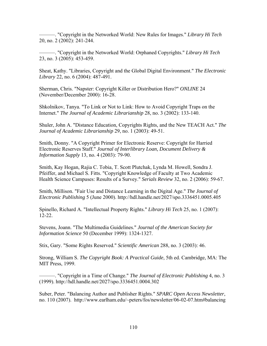———. "Copyright in the Networked World: New Rules for Images." *Library Hi Tech* 20, no. 2 (2002): 241-244.

———. "Copyright in the Networked World: Orphaned Copyrights." *Library Hi Tech* 23, no. 3 (2005): 453-459.

Sheat, Kathy. "Libraries, Copyright and the Global Digital Environment." *The Electronic Library* 22, no. 6 (2004): 487-491.

Sherman, Chris. "Napster: Copyright Killer or Distribution Hero?" *ONLINE* 24 (November/December 2000): 16-28.

Shkolnikov, Tanya. "To Link or Not to Link: How to Avoid Copyright Traps on the Internet." *The Journal of Academic Librarianship* 28, no. 3 (2002): 133-140.

Shuler, John A. "Distance Education, Copyrights Rights, and the New TEACH Act." *The Journal of Academic Librarianship* 29, no. 1 (2003): 49-51.

Smith, Donny. "A Copyright Primer for Electronic Reserve: Copyright for Harried Electronic Reserves Staff." *Journal of Interlibrary Loan, Document Delivery & Information Supply* 13, no. 4 (2003): 79-90.

Smith, Kay Hogan, Rajia C. Tobia, T. Scott Plutchak, Lynda M. Howell, Sondra J. Pfeiffer, and Michael S. Fitts. "Copyright Knowledge of Faculty at Two Academic Health Science Campuses: Results of a Survey." *Serials Review* 32, no. 2 (2006): 59-67.

Smith, Millison. "Fair Use and Distance Learning in the Digital Age." *The Journal of Electronic Publishing* 5 (June 2000). http://hdl.handle.net/2027/spo.3336451.0005.405

Spinello, Richard A. "Intellectual Property Rights." *Library Hi Tech* 25, no. 1 (2007): 12-22.

Stevens, Joann. "The Multimedia Guidelines." *Journal of the American Society for Information Science* 50 (December 1999): 1324-1327.

Stix, Gary. "Some Rights Reserved." *Scientific American* 288, no. 3 (2003): 46.

Strong, William S. *The Copyright Book: A Practical Guide*, 5th ed. Cambridge, MA: The MIT Press, 1999.

———. "Copyright in a Time of Change." *The Journal of Electronic Publishing* 4, no. 3 (1999). http://hdl.handle.net/2027/spo.3336451.0004.302

Suber, Peter. "Balancing Author and Publisher Rights." *SPARC Open Access Newsletter*, no. 110 (2007). http://www.earlham.edu/~peters/fos/newsletter/06-02-07.htm#balancing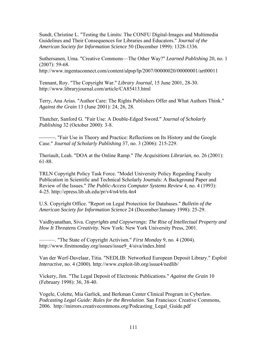Sundt, Christine L. "Testing the Limits: The CONFU Digital-Images and Multimedia Guidelines and Their Consequences for Libraries and Educators." *Journal of the American Society for Information Science* 50 (December 1999): 1328-1336.

Suthersanen, Uma. "Creative Commons—The Other Way?" *Learned Publishing* 20, no. 1 (2007): 59-68. http://www.ingentaconnect.com/content/alpsp/lp/2007/00000020/00000001/art00011

Tennant, Roy. "The Copyright War." *Library Journal*, 15 June 2001, 28-30. http://www.libraryjournal.com/article/CA85413.html

Terry, Ana Arias. "Author Care: The Rights Publishers Offer and What Authors Think." *Against the Grain* 13 (June 2001): 24, 26, 28.

Thatcher, Sanford G. "Fair Use: A Double-Edged Sword." *Journal of Scholarly Publishing* 32 (October 2000): 3-8.

⎯⎯⎯. "Fair Use in Theory and Practice: Reflections on Its History and the Google Case." *Journal of Scholarly Publishing* 37, no. 3 (2006): 215-229.

Theriault, Leah. "DOA at the Online Ramp." *The Acquisitions Librarian*, no. 26 (2001): 61-88.

TRLN Copyright Policy Task Force. "Model University Policy Regarding Faculty Publication in Scientific and Technical Scholarly Journals: A Background Paper and Review of the Issues." *The Public-Access Computer Systems Review* 4, no. 4 (1993): 4-25. http://epress.lib.uh.edu/pr/v4/n4/trln.4n4

U.S. Copyright Office. "Report on Legal Protection for Databases." *Bulletin of the American Society for Information Science* 24 (December/January 1998): 25-29.

Vaidhyanathan, Siva. *Copyrights and Copywrongs: The Rise of Intellectual Property and How It Threatens Creativity*. New York: New York University Press, 2001.

———. "The State of Copyright Activism." *First Monday* 9, no. 4 (2004). http://www.firstmonday.org/issues/issue9\_4/siva/index.html

Van der Werf-Davelaar, Titia. "NEDLIB: Networked European Deposit Library." *Exploit Interactive*, no. 4 (2000). http://www.exploit-lib.org/issue4/nedlib/

Vickery, Jim. "The Legal Deposit of Electronic Publications." *Against the Grain* 10 (February 1998): 36, 38-40.

Vogele, Colette, Mia Garlick, and Berkman Center Clinical Program in Cyberlaw. *Podcasting Legal Guide: Rules for the Revolution*. San Francisco: Creative Commons, 2006. http://mirrors.creativecommons.org/Podcasting\_Legal\_Guide.pdf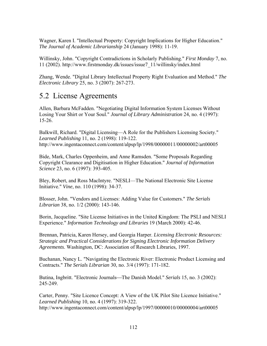Wagner, Karen I. "Intellectual Property: Copyright Implications for Higher Education." *The Journal of Academic Librarianship* 24 (January 1998): 11-19.

Willinsky, John. "Copyright Contradictions in Scholarly Publishing." *First Monday* 7, no. 11 (2002). http://www.firstmonday.dk/issues/issue7\_11/willinsky/index.html

Zhang, Wende. "Digital Library Intellectual Property Right Evaluation and Method." *The Electronic Library* 25, no. 3 (2007): 267-273.

### 5.2 License Agreements

Allen, Barbara McFadden. "Negotiating Digital Information System Licenses Without Losing Your Shirt or Your Soul." *Journal of Library Administration* 24, no. 4 (1997): 15-26.

Balkwill, Richard. "Digital Licensing—A Role for the Publishers Licensing Society." *Learned Publishing* 11, no. 2 (1998): 119-122. http://www.ingentaconnect.com/content/alpsp/lp/1998/00000011/00000002/art00005

Bide, Mark, Charles Oppenheim, and Anne Ramsden. "Some Proposals Regarding Copyright Clearance and Digitisation in Higher Education." *Journal of Information Science* 23, no. 6 (1997): 393-405.

Bley, Robert, and Ross MacIntyre. "NESLI—The National Electronic Site License Initiative." *Vine*, no. 110 (1998): 34-37.

Blosser, John. "Vendors and Licenses: Adding Value for Customers." *The Serials Librarian* 38, no. 1/2 (2000): 143-146.

Borin, Jacqueline. "Site License Initiatives in the United Kingdom: The PSLI and NESLI Experience." *Information Technology and Libraries* 19 (March 2000): 42-46.

Brennan, Patricia, Karen Hersey, and Georgia Harper. *Licensing Electronic Resources: Strategic and Practical Considerations for Signing Electronic Information Delivery Agreements*. Washington, DC: Association of Research Libraries, 1997.

Buchanan, Nancy L. "Navigating the Electronic River: Electronic Product Licensing and Contracts." *The Serials Librarian* 30, no. 3/4 (1997): 171-182.

Butina, Ingbritt. "Electronic Journals—The Danish Model." *Serials* 15, no. 3 (2002): 245-249.

Carter, Penny. "Site Licence Concept: A View of the UK Pilot Site Licence Initiative." *Learned Publishing* 10, no. 4 (1997): 319-322. http://www.ingentaconnect.com/content/alpsp/lp/1997/00000010/00000004/art00005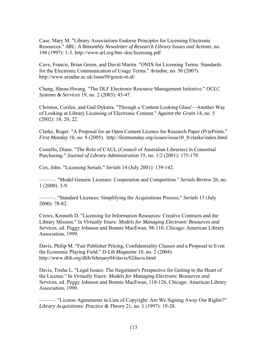Case, Mary M. "Library Associations Endorse Principles for Licensing Electronic Resources." *ARL: A Bimonthly Newsletter of Research Library Issues and Actions*, no. 194 (1997): 1-3. http://www.arl.org/bm~doc/licensing.pdf

Cave, Francis, Brian Green, and David Martin. "ONIX for Licensing Terms: Standards for the Electronic Communication of Usage Terms." *Ariadne*, no. 50 (2007). http://www.ariadne.ac.uk/issue50/green-et-al/

Chang, Sheau-Hwang. "The DLF Electronic Resource Management Initiative." *OCLC Systems & Services* 19, no. 2 (2003): 45-47.

Christou, Corilee, and Gail Dykstra. "Through a 'Content Looking Glass'—Another Way of Looking at Library Licensing of Electronic Content." *Against the Grain* 14, no. 5 (2002): 18, 20, 22.

Clarke, Roger. "A Proposal for an Open Content Licence for Research Paper (Pr)ePrints." *First Monday* 10, no. 8 (2005). http://firstmonday.org/issues/issue10 8/clarke/index.html

Costello, Diane. "The Role of CAUL (Council of Australian Libraries) in Consortial Purchasing." *Journal of Library Administration* 35, no. 1/2 (2001): 175-179.

Cox, John. "Licensing Serials." *Serials* 14 (July 2001): 139-142.

———. "Model Generic Licenses: Cooperation and Competition." *Serials Review* 26, no. 1 (2000): 3-9.

———. "Standard Licences: Simplifying the Acquisitions Process." *Serials* 13 (July 2000): 78-82.

Crews, Kenneth D. "Licensing for Information Resources: Creative Contracts and the Library Mission." In *Virtually Yours: Models for Managing Electronic Resources and Services*, ed. Peggy Johnson and Bonnie MacEwan, 98-110. Chicago: American Library Association, 1999.

Davis, Philip M. "Fair Publisher Pricing, Confidentiality Clauses and a Proposal to Even the Economic Playing Field." *D-Lib Magazine* 10, no. 2 (2004). http://www.dlib.org/dlib/february04/davis/02davis.html

Davis, Trisha L. "Legal Issues: The Negotiator's Perspective for Getting to the Heart of the License." In *Virtually Yours: Models for Managing Electronic Resources and Services*, ed. Peggy Johnson and Bonnie MacEwan, 118-126. Chicago: American Library Association, 1999.

———. "License Agreements in Lieu of Copyright: Are We Signing Away Our Rights?" *Library Acquisitions: Practice & Theory* 21, no. 1 (1997): 19-28.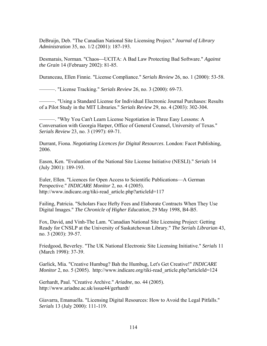DeBruijn, Deb. "The Canadian National Site Licensing Project." *Journal of Library Administration* 35, no. 1/2 (2001): 187-193.

Desmarais, Norman. "Chaos—UCITA: A Bad Law Protecting Bad Software." *Against the Grain* 14 (February 2002): 81-85.

Duranceau, Ellen Finnie. "License Compliance." *Serials Review* 26, no. 1 (2000): 53-58.

———. "License Tracking." *Serials Review* 26, no. 3 (2000): 69-73.

———. "Using a Standard License for Individual Electronic Journal Purchases: Results of a Pilot Study in the MIT Libraries." *Serials Review* 29, no. 4 (2003): 302-304.

———. "Why You Can't Learn License Negotiation in Three Easy Lessons: A Conversation with Georgia Harper, Office of General Counsel, University of Texas." *Serials Review* 23, no. 3 (1997): 69-71.

Durrant, Fiona. *Negotiating Licences for Digital Resources*. London: Facet Publishing, 2006.

Eason, Ken. "Evaluation of the National Site License Initiative (NESLI)." *Serials* 14 (July 2001): 189-193.

Euler, Ellen. "Licences for Open Access to Scientific Publications—A German Perspective." *INDICARE Monitor* 2, no. 4 (2005). http://www.indicare.org/tiki-read\_article.php?articleId=117

Failing, Patricia. "Scholars Face Hefty Fees and Elaborate Contracts When They Use Digital Images." *The Chronicle of Higher Education*, 29 May 1998, B4-B5.

Fox, David, and Vinh-The Lam. "Canadian National Site Licensing Project: Getting Ready for CNSLP at the University of Saskatchewan Library." *The Serials Librarian* 43, no. 3 (2003): 39-57.

Friedgood, Beverley. "The UK National Electronic Site Licensing Initiative." *Serials* 11 (March 1998): 37-39.

Garlick, Mia. "Creative Humbug? Bah the Humbug, Let's Get Creative!" *INDICARE Monitor* 2, no. 5 (2005). http://www.indicare.org/tiki-read\_article.php?articleId=124

Gerhardt, Paul. "Creative Archive." *Ariadne*, no. 44 (2005). http://www.ariadne.ac.uk/issue44/gerhardt/

Giavarra, Emanuella. "Licensing Digital Resources: How to Avoid the Legal Pitfalls." *Serials* 13 (July 2000): 111-119.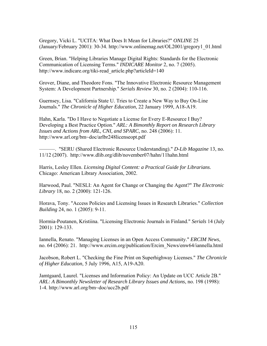Gregory, Vicki L. "UCITA: What Does It Mean for Libraries?" *ONLINE* 25 (January/February 2001): 30-34. http://www.onlinemag.net/OL2001/gregory1\_01.html

Green, Brian. "Helping Libraries Manage Digital Rights: Standards for the Electronic Communication of Licensing Terms." *INDICARE Monitor* 2, no. 7 (2005). http://www.indicare.org/tiki-read\_article.php?articleId=140

Grover, Diane, and Theodore Fons. "The Innovative Electronic Resource Management System: A Development Partnership." *Serials Review* 30, no. 2 (2004): 110-116.

Guernsey, Lisa. "California State U. Tries to Create a New Way to Buy On-Line Journals." *The Chronicle of Higher Education*, 22 January 1999, A18-A19.

Hahn, Karla. "Do I Have to Negotiate a License for Every E-Resource I Buy? Developing a Best Practice Option." *ARL: A Bimonthly Report on Research Library Issues and Actions from ARL, CNI, and SPARC*, no. 248 (2006): 11. http://www.arl.org/bm~doc/arlbr248licenseopt.pdf

———. "SERU (Shared Electronic Resource Understanding)." *D-Lib Magazine* 13, no. 11/12 (2007). http://www.dlib.org/dlib/november07/hahn/11hahn.html

Harris, Lesley Ellen. *Licensing Digital Content: a Practical Guide for Librarians*. Chicago: American Library Association, 2002.

Harwood, Paul. "NESLI: An Agent for Change or Changing the Agent?" *The Electronic Library* 18, no. 2 (2000): 121-126.

Horava, Tony. "Access Policies and Licensing Issues in Research Libraries." *Collection Building* 24, no. 1 (2005): 9-11.

Hormia-Poutanen, Kristiina. "Licensing Electronic Journals in Finland." *Serials* 14 (July 2001): 129-133.

Iannella, Renato. "Managing Licenses in an Open Access Community." *ERCIM News*, no. 64 (2006): 21. http://www.ercim.org/publication/Ercim\_News/enw64/iannella.html

Jacobson, Robert L. "Checking the Fine Print on Superhighway Licenses." *The Chronicle of Higher Education*, 5 July 1996, A15, A19-A20.

Jamtgaard, Laurel. "Licenses and Information Policy: An Update on UCC Article 2B." *ARL: A Bimonthly Newsletter of Research Library Issues and Actions*, no. 198 (1998): 1-4. http://www.arl.org/bm~doc/ucc2b.pdf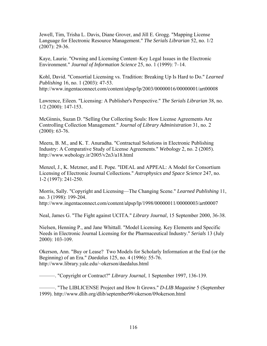Jewell, Tim, Trisha L. Davis, Diane Grover, and Jill E. Grogg. "Mapping License Language for Electronic Resource Management." *The Serials Librarian* 52, no. 1/2 (2007): 29-36.

Kaye, Laurie. "Owning and Licensing Content–Key Legal Issues in the Electronic Environment." *Journal of Information Science* 25, no. 1 (1999): 7–14.

Kohl, David. "Consortial Licensing vs. Tradition: Breaking Up Is Hard to Do." *Learned Publishing* 16, no. 1 (2003): 47-53. http://www.ingentaconnect.com/content/alpsp/lp/2003/00000016/00000001/art00008

Lawrence, Eileen. "Licensing: A Publisher's Perspective." *The Serials Librarian* 38, no. 1/2 (2000): 147-153.

McGinnis, Suzan D. "Selling Our Collecting Souls: How License Agreements Are Controlling Collection Management." *Journal of Library Administration* 31, no. 2 (2000): 63-76.

Meera, B. M., and K. T. Anuradha. "Contractual Solutions in Electronic Publishing Industry: A Comparative Study of License Agreements." *Webology* 2, no. 2 (2005). http://www.webology.ir/2005/v2n3/a18.html

Menzel, J., K. Metzner, and E. Pope. "IDEAL and APPEAL: A Model for Consortium Licensing of Electronic Journal Collections." *Astrophysics and Space Science* 247, no. 1-2 (1997): 241-250.

Morris, Sally. "Copyright and Licensing—The Changing Scene." *Learned Publishing* 11, no. 3 (1998): 199-204. http://www.ingentaconnect.com/content/alpsp/lp/1998/00000011/00000003/art00007

Neal, James G. "The Fight against UCITA." *Library Journal*, 15 September 2000, 36-38.

Nielsen, Henning P., and Jane Whittall. "Model Licensing. Key Elements and Specific Needs in Electronic Journal Licensing for the Pharmaceutical Industry." *Serials* 13 (July 2000): 103-109.

Okerson, Ann. "Buy or Lease? Two Models for Scholarly Information at the End (or the Beginning) of an Era." *Daedalus* 125, no. 4 (1996): 55-76. http://www.library.yale.edu/~okerson/daedalus.html

———. "Copyright or Contract?" *Library Journal*, 1 September 1997, 136-139.

———. "The LIBLICENSE Project and How It Grows." *D-LIB Magazine* 5 (September 1999). http://www.dlib.org/dlib/september99/okerson/09okerson.html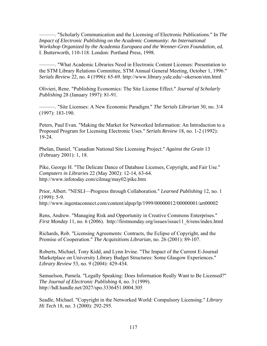———. "Scholarly Communication and the Licensing of Electronic Publications." In *The Impact of Electronic Publishing on the Academic Community: An International Workshop Organized by the Academia Europaea and the Wenner-Gren Foundation*, ed. I. Butterworth, 110-118. London: Portland Press, 1998.

———. "What Academic Libraries Need in Electronic Content Licenses: Presentation to the STM Library Relations Committee, STM Annual General Meeting, October 1, 1996." *Serials Review* 22, no. 4 (1996): 65-69. http://www.library.yale.edu/~okerson/stm.html

Olivieri, Rene. "Publishing Economics: The Site License Effect." *Journal of Scholarly Publishing* 28 (January 1997): 81-91.

———. "Site Licenses: A New Economic Paradigm." *The Serials Librarian* 30, no. 3/4 (1997): 183-190.

Peters, Paul Evan. "Making the Market for Networked Information: An Introduction to a Proposed Program for Licensing Electronic Uses." *Serials Review* 18, no. 1-2 (1992): 19-24.

Phelan, Daniel. "Canadian National Site Licensing Project." *Against the Grain* 13 (February 2001): 1, 18.

Pike, George H. "The Delicate Dance of Database Licenses, Copyright, and Fair Use." *Computers in Libraries* 22 (May 2002): 12-14, 63-64. http://www.infotoday.com/cilmag/may02/pike.htm

Prior, Albert. "NESLI—Progress through Collaboration." *Learned Publishing* 12, no. 1 (1999): 5-9. http://www.ingentaconnect.com/content/alpsp/lp/1999/00000012/00000001/art00002

Rens, Andrew. "Managing Risk and Opportunity in Creative Commons Enterprises." *First Monday* 11, no. 6 (2006). http://firstmonday.org/issues/issue11\_6/rens/index.html

Richards, Rob. "Licensing Agreements: Contracts, the Eclipse of Copyright, and the Promise of Cooperation." *The Acquisitions Librarian*, no. 26 (2001): 89-107.

Roberts, Michael, Tony Kidd, and Lynn Irvine. "The Impact of the Current E-Journal Marketplace on University Library Budget Structures: Some Glasgow Experiences." *Library Review* 53, no. 9 (2004): 429-434.

Samuelson, Pamela. "Legally Speaking: Does Information Really Want to Be Licensed?" *The Journal of Electronic Publishing* 4, no. 3 (1999). http://hdl.handle.net/2027/spo.3336451.0004.305

Seadle, Michael. "Copyright in the Networked World: Compulsory Licensing." *Library Hi Tech* 18, no. 3 (2000): 292-295.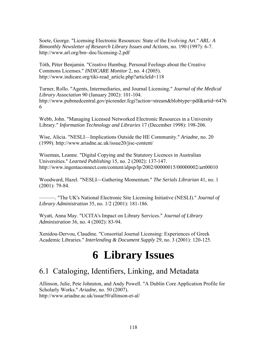Soete, George. "Licensing Electronic Resources: State of the Evolving Art." *ARL: A Bimonthly Newsletter of Research Library Issues and Actions*, no. 190 (1997): 6-7. http://www.arl.org/bm~doc/licensing-2.pdf

Tóth, Péter Benjamin. "Creative Humbug. Personal Feelings about the Creative Commons Licenses." *INDICARE Monitor* 2, no. 4 (2005). http://www.indicare.org/tiki-read\_article.php?articleId=118

Turner, Rollo. "Agents, Intermediaries, and Journal Licensing." *Journal of the Medical Library Association* 90 (January 2002): 101-104. http://www.pubmedcentral.gov/picrender.fcgi?action=stream&blobtype=pdf&artid=6476 6

Webb, John. "Managing Licensed Networked Electronic Resources in a University Library." *Information Technology and Libraries* 17 (December 1998): 198-206.

Wise, Alicia. "NESLI—Implications Outside the HE Community." *Ariadne*, no. 20 (1999). http://www.ariadne.ac.uk/issue20/jisc-content/

Wiseman, Leanne. "Digital Copying and the Statutory Licences in Australian Universities." *Learned Publishing* 15, no. 2 (2002): 137-147. http://www.ingentaconnect.com/content/alpsp/lp/2002/00000015/00000002/art00010

Woodward, Hazel. "NESLI—Gathering Momentum." *The Serials Librarian* 41, no. 1 (2001): 79-84.

———. "The UK's National Electronic Site Licensing Initiative (NESLI)." *Journal of Library Administration* 35, no. 1/2 (2001): 181-186.

Wyatt, Anna May. "UCITA's Impact on Library Services." *Journal of Library Administration* 36, no. 4 (2002): 83-94.

Xenidou-Dervou, Claudine. "Consortial Journal Licensing: Experiences of Greek Academic Libraries." *Interlending & Document Supply* 29, no. 3 (2001): 120-125.

# **6 Library Issues**

## 6.1 Cataloging, Identifiers, Linking, and Metadata

Allinson, Julie, Pete Johnston, and Andy Powell. "A Dublin Core Application Profile for Scholarly Works." *Ariadne*, no. 50 (2007). http://www.ariadne.ac.uk/issue50/allinson-et-al/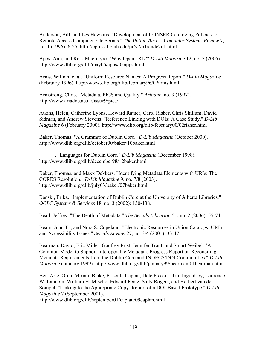Anderson, Bill, and Les Hawkins. "Development of CONSER Cataloging Policies for Remote Access Computer File Serials." *The Public-Access Computer Systems Review* 7, no. 1 (1996): 6-25. http://epress.lib.uh.edu/pr/v7/n1/ande7n1.html

Apps, Ann, and Ross MacIntyre. "Why OpenURL?" *D-Lib Magazine* 12, no. 5 (2006). http://www.dlib.org/dlib/may06/apps/05apps.html

Arms, William et al. "Uniform Resource Names: A Progress Report." *D-Lib Magazine* (February 1996). http://www.dlib.org/dlib/february96/02arms.html

Armstrong, Chris. "Metadata, PICS and Quality." *Ariadne*, no. 9 (1997). http://www.ariadne.ac.uk/issue9/pics/

Atkins, Helen, Catherine Lyons, Howard Ratner, Carol Risher, Chris Shillum, David Sidman, and Andrew Stevens. "Reference Linking with DOIs: A Case Study." *D-Lib Magazine* 6 (February 2000). http://www.dlib.org/dlib/february00/02risher.html

Baker, Thomas. "A Grammar of Dublin Core." *D-Lib Magazine* (October 2000). http://www.dlib.org/dlib/october00/baker/10baker.html

———. "Languages for Dublin Core." *D-Lib Magazine* (December 1998). http://www.dlib.org/dlib/december98/12baker.html

Baker, Thomas, and Makx Dekkers. "Identifying Metadata Elements with URIs: The CORES Resolution." *D-Lib Magazine* 9, no. 7/8 (2003). http://www.dlib.org/dlib/july03/baker/07baker.html

Banski, Erika. "Implementation of Dublin Core at the University of Alberta Libraries." *OCLC Systems & Services* 18, no. 3 (2002): 130-138.

Beall, Jeffrey. "The Death of Metadata." *The Serials Librarian* 51, no. 2 (2006): 55-74.

Beam, Joan T. , and Nora S. Copeland. "Electronic Resources in Union Catalogs: URLs and Accessibility Issues." *Serials Review* 27, no. 3/4 (2001): 33-47.

Bearman, David, Eric Miller, Godfrey Rust, Jennifer Trant, and Stuart Weibel. "A Common Model to Support Interoperable Metadata: Progress Report on Reconciling Metadata Requirements from the Dublin Core and INDECS/DOI Communities." *D-Lib Magazine* (January 1999). http://www.dlib.org/dlib/january99/bearman/01bearman.html

Beit-Arie, Oren, Miriam Blake, Priscilla Caplan, Dale Flecker, Tim Ingoldsby, Laurence W. Lannom, William H. Mischo, Edward Pentz, Sally Rogers, and Herbert van de Sompel. "Linking to the Appropriate Copy: Report of a DOI-Based Prototype." *D-Lib Magazine* 7 (September 2001).

http://www.dlib.org/dlib/september01/caplan/09caplan.html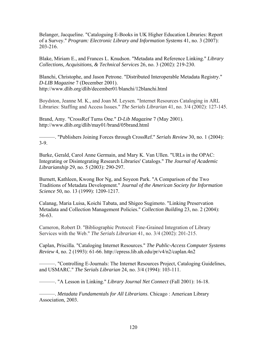Belanger, Jacqueline. "Cataloguing E-Books in UK Higher Education Libraries: Report of a Survey." *Program: Electronic Library and Information Systems* 41, no. 3 (2007): 203-216.

Blake, Miriam E., and Frances L. Knudson. "Metadata and Reference Linking." *Library Collections, Acquisitions, & Technical Services* 26, no. 3 (2002): 219-230.

Blanchi, Christophe, and Jason Petrone. "Distributed Interoperable Metadata Registry." *D-LIB Magazine* 7 (December 2001). http://www.dlib.org/dlib/december01/blanchi/12blanchi.html

Boydston, Jeanne M. K., and Joan M. Leysen. "Internet Resources Cataloging in ARL Libraries: Staffing and Access Issues." *The Serials Librarian* 41, no. 3/4 (2002): 127-145.

Brand, Amy. "CrossRef Turns One." *D-Lib Magazine* 7 (May 2001). http://www.dlib.org/dlib/may01/brand/05brand.html

———. "Publishers Joining Forces through CrossRef." *Serials Review* 30, no. 1 (2004): 3-9.

Burke, Gerald, Carol Anne Germain, and Mary K. Van Ullen. "URLs in the OPAC: Integrating or Disintegrating Research Libraries' Catalogs." *The Journal of Academic Librarianship* 29, no. 5 (2003): 290-297.

Burnett, Kathleen, Kwong Bor Ng, and Soyeon Park. "A Comparison of the Two Traditions of Metadata Development." *Journal of the American Society for Information Science* 50, no. 13 (1999): 1209-1217.

Calanag, Maria Luisa, Koichi Tabata, and Shigeo Sugimoto. "Linking Preservation Metadata and Collection Management Policies." *Collection Building* 23, no. 2 (2004): 56-63.

Cameron, Robert D. "Bibliographic Protocol: Fine-Grained Integration of Library Services with the Web." *The Serials Librarian* 41, no. 3/4 (2002): 201-215.

Caplan, Priscilla. "Cataloging Internet Resources." *The Public-Access Computer Systems Review* 4, no. 2 (1993): 61-66. http://epress.lib.uh.edu/pr/v4/n2/caplan.4n2

———. "Controlling E-Journals: The Internet Resources Project, Cataloging Guidelines, and USMARC." *The Serials Librarian* 24, no. 3/4 (1994): 103-111.

———. "A Lesson in Linking." *Library Journal Net Connect* (Fall 2001): 16-18.

———. *Metadata Fundamentals for All Librarians*. Chicago : American Library Association, 2003.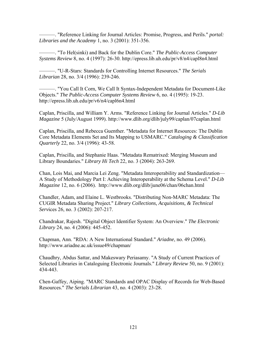———. "Reference Linking for Journal Articles: Promise, Progress, and Perils." *portal: Libraries and the Academy* 1, no. 3 (2001): 351-356.

———. "To Hel(sinki) and Back for the Dublin Core." *The Public-Access Computer Systems Review* 8, no. 4 (1997): 26-30. http://epress.lib.uh.edu/pr/v8/n4/capl8n4.html

———. "U-R-Stars: Standards for Controlling Internet Resources." *The Serials Librarian* 28, no. 3/4 (1996): 239-246.

———. "You Call It Corn, We Call It Syntax-Independent Metadata for Document-Like Objects." *The Public-Access Computer Systems Review* 6, no. 4 (1995): 19-23. http://epress.lib.uh.edu/pr/v6/n4/capl6n4.html

Caplan, Priscilla, and William Y. Arms. "Reference Linking for Journal Articles." *D-Lib Magazine* 5 (July/August 1999). http://www.dlib.org/dlib/july99/caplan/07caplan.html

Caplan, Priscilla, and Rebecca Guenther. "Metadata for Internet Resources: The Dublin Core Metadata Elements Set and Its Mapping to USMARC." *Cataloging & Classification Quarterly* 22, no. 3/4 (1996): 43-58.

Caplan, Priscilla, and Stephanie Haas. "Metadata Rematrixed: Merging Museum and Library Boundaries." *Library Hi Tech* 22, no. 3 (2004): 263-269.

Chan, Lois Mai, and Marcia Lei Zeng. "Metadata Interoperability and Standardization— A Study of Methodology Part I: Achieving Interoperability at the Schema Level." *D-Lib Magazine* 12, no. 6 (2006). http://www.dlib.org/dlib/june06/chan/06chan.html

Chandler, Adam, and Elaine L. Westbrooks. "Distributing Non-MARC Metadata: The CUGIR Metadata Sharing Project." *Library Collections, Acquisitions, & Technical Serv*ices 26, no. 3 (2002): 207-217.

Chandrakar, Rajesh. "Digital Object Identifier System: An Overview." *The Electronic Library* 24, no. 4 (2006): 445-452.

Chapman, Ann. "RDA: A New International Standard." *Ariadne*, no. 49 (2006). http://www.ariadne.ac.uk/issue49/chapman/

Chaudhry, Abdus Sattar, and Makeswary Periasamy. "A Study of Current Practices of Selected Libraries in Cataloguing Electronic Journals." *Library Review* 50, no. 9 (2001): 434-443.

Chen-Gaffey, Aiping. "MARC Standards and OPAC Display of Records for Web-Based Resources." *The Serials Librarian* 43, no. 4 (2003): 23-28.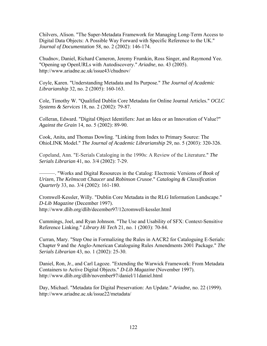Chilvers, Alison. "The Super-Metadata Framework for Managing Long-Term Access to Digital Data Objects: A Possible Way Forward with Specific Reference to the UK." *Journal of Documentation* 58, no. 2 (2002): 146-174.

Chudnov, Daniel, Richard Cameron, Jeremy Frumkin, Ross Singer, and Raymond Yee. "Opening up OpenURLs with Autodiscovery." *Ariadne*, no. 43 (2005). http://www.ariadne.ac.uk/issue43/chudnov/

Coyle, Karen. "Understanding Metadata and Its Purpose." *The Journal of Academic Librarianship* 32, no. 2 (2005): 160-163.

Cole, Timothy W. "Qualified Dublin Core Metadata for Online Journal Articles." *OCLC Systems & Services* 18, no. 2 (2002): 79-87.

Colleran, Edward. "Digital Object Identifiers: Just an Idea or an Innovation of Value?" *Against the Grain* 14, no. 5 (2002): 89-90.

Cook, Anita, and Thomas Dowling. "Linking from Index to Primary Source: The OhioLINK Model." *The Journal of Academic Librarianship* 29, no. 5 (2003): 320-326.

Copeland, Ann. "E-Serials Cataloging in the 1990s: A Review of the Literature." *The Serials Librarian* 41, no. 3/4 (2002): 7-29.

———. "Works and Digital Resources in the Catalog: Electronic Versions of *Book of Urizen*, *The Kelmscott Chaucer* and *Robinson Crusoe*." *Cataloging & Classification Quarterly* 33, no. 3/4 (2002): 161-180.

Cromwell-Kessler, Willy. "Dublin Core Metadata in the RLG Information Landscape." *D-Lib Magazine* (December 1997). http://www.dlib.org/dlib/december97/12cromwell-kessler.html

Cummings, Joel, and Ryan Johnson. "The Use and Usability of SFX: Context-Sensitive Reference Linking." *Library Hi Tech* 21, no. 1 (2003): 70-84.

Curran, Mary. "Step One in Formalizing the Rules in AACR2 for Cataloguing E-Serials: Chapter 9 and the Anglo-American Cataloguing Rules Amendments 2001 Package." *The Serials Librarian* 43, no. 1 (2002): 25-30.

Daniel, Ron, Jr., and Carl Lagoze. "Extending the Warwick Framework: From Metadata Containers to Active Digital Objects." *D-Lib Magazine* (November 1997). http://www.dlib.org/dlib/november97/daniel/11daniel.html

Day, Michael. "Metadata for Digital Preservation: An Update." *Ariadne*, no. 22 (1999). http://www.ariadne.ac.uk/issue22/metadata/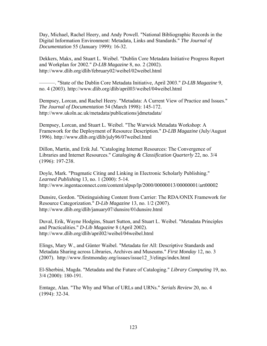Day, Michael, Rachel Heery, and Andy Powell. "National Bibliographic Records in the Digital Information Environment: Metadata, Links and Standards." *The Journal of Documentation* 55 (January 1999): 16-32.

Dekkers, Makx, and Stuart L. Weibel. "Dublin Core Metadata Initiative Progress Report and Workplan for 2002." *D-LIB Magazine* 8, no. 2 (2002). http://www.dlib.org/dlib/february02/weibel/02weibel.html

———. "State of the Dublin Core Metadata Initiative, April 2003." *D-LIB Magazine* 9, no. 4 (2003). http://www.dlib.org/dlib/april03/weibel/04weibel.html

Dempsey, Lorcan, and Rachel Heery. "Metadata: A Current View of Practice and Issues." *The Journal of Documentation* 54 (March 1998): 145-172. http://www.ukoln.ac.uk/metadata/publications/jdmetadata/

Dempsey, Lorcan, and Stuart L. Weibel. "The Warwick Metadata Workshop: A Framework for the Deployment of Resource Description." *D-LIB Magazine* (July/August 1996). http://www.dlib.org/dlib/july96/07weibel.html

Dillon, Martin, and Erik Jul. "Cataloging Internet Resources: The Convergence of Libraries and Internet Resources." *Cataloging & Classification Quarterly* 22, no. 3/4 (1996): 197-238.

Doyle, Mark. "Pragmatic Citing and Linking in Electronic Scholarly Publishing." *Learned Publishing* 13, no. 1 (2000): 5-14. http://www.ingentaconnect.com/content/alpsp/lp/2000/00000013/00000001/art00002

Dunsire, Gordon. "Distinguishing Content from Carrier: The RDA/ONIX Framework for Resource Categorization." *D-Lib Magazine* 13, no. 1/2 (2007). http://www.dlib.org/dlib/january07/dunsire/01dunsire.html

Duval, Erik, Wayne Hodgins, Stuart Sutton, and Stuart L. Weibel. "Metadata Principles and Practicalities." *D-Lib Magazine* 8 (April 2002). http://www.dlib.org/dlib/april02/weibel/04weibel.html

Elings, Mary W., and Günter Waibel. "Metadata for All: Descriptive Standards and Metadata Sharing across Libraries, Archives and Museums." *First Monday* 12, no. 3 (2007). http://www.firstmonday.org/issues/issue12\_3/elings/index.html

El-Sherbini, Magda. "Metadata and the Future of Cataloging." *Library Computing* 19, no. 3/4 (2000): 180-191.

Emtage, Alan. "The Why and What of URLs and URNs." *Serials Review* 20, no. 4 (1994): 32-34.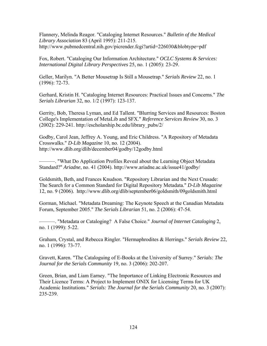Flannery, Melinda Reagor. "Cataloging Internet Resources." *Bulletin of the Medical Library Association* 83 (April 1995): 211-215. http://www.pubmedcentral.nih.gov/picrender.fcgi?artid=226030&blobtype=pdf

Fox, Robert. "Cataloging Our Information Architecture." *OCLC Systems & Services: International Digital Library Perspectives* 25, no. 1 (2005): 23-29.

Geller, Marilyn. "A Better Mousetrap Is Still a Mousetrap." *Serials Review* 22, no. 1 (1996): 72-73.

Gerhard, Kristin H. "Cataloging Internet Resources: Practical Issues and Concerns." *The Serials Librarian* 32, no. 1/2 (1997): 123-137.

Gerrity, Bob, Theresa Lyman, and Ed Tallent. "Blurring Services and Resources: Boston College's Implementation of MetaLib and SFX." *Reference Services Review* 30, no. 3 (2002): 229-241. http://escholarship.bc.edu/library\_pubs/2/

Godby, Carol Jean, Jeffrey A. Young, and Eric Childress. "A Repository of Metadata Crosswalks." *D-Lib Magazine* 10, no. 12 (2004). http://www.dlib.org/dlib/december04/godby/12godby.html

———. "What Do Application Profiles Reveal about the Learning Object Metadata Standard?" *Ariadne*, no. 41 (2004). http://www.ariadne.ac.uk/issue41/godby/

Goldsmith, Beth, and Frances Knudson. "Repository Librarian and the Next Crusade: The Search for a Common Standard for Digital Repository Metadata." *D-Lib Magazine* 12, no. 9 (2006). http://www.dlib.org/dlib/september06/goldsmith/09goldsmith.html

Gorman, Michael. "Metadata Dreaming: The Keynote Speech at the Canadian Metadata Forum, September 2005." *The Serials Librarian* 51, no. 2 (2006): 47-54.

———. "Metadata or Cataloging? A False Choice." *Journal of Internet Cataloging* 2, no. 1 (1999): 5-22.

Graham, Crystal, and Rebecca Ringler. "Hermaphrodites & Herrings." *Serials Review* 22, no. 1 (1996): 73-77.

Gravett, Karen. "The Cataloguing of E-Books at the University of Surrey." *Serials: The Journal for the Serials Community* 19, no. 3 (2006): 202-207.

Green, Brian, and Liam Earney. "The Importance of Linking Electronic Resources and Their Licence Terms: A Project to Implement ONIX for Licensing Terms for UK Academic Institutions." *Serials: The Journal for the Serials Community* 20, no. 3 (2007): 235-239.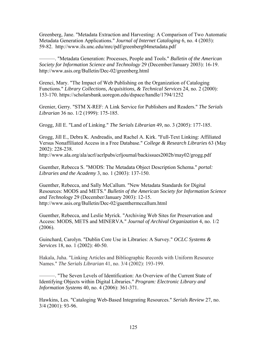Greenberg, Jane. "Metadata Extraction and Harvesting: A Comparison of Two Automatic Metadata Generation Applications." *Journal of Internet Cataloging* 6, no. 4 (2003): 59-82. http://www.ils.unc.edu/mrc/pdf/greenberg04metadata.pdf

———. "Metadata Generation: Processes, People and Tools." *Bulletin of the American Society for Information Science and Technology* 29 (December/January 2003): 16-19. http://www.asis.org/Bulletin/Dec-02/greenberg.html

Grenci, Mary. "The Impact of Web Publishing on the Organization of Cataloging Functions." *Library Collections, Acquisitions, & Technical Services* 24, no. 2 (2000): 153-170. https://scholarsbank.uoregon.edu/dspace/handle/1794/1252

Grenier, Gerry. "STM X-REF: A Link Service for Publishers and Readers." *The Serials Librarian* 36 no. 1/2 (1999): 175-185.

Grogg, Jill E. "Land of Linking." *The Serials Librarian* 49, no. 3 (2005): 177-185.

Grogg, Jill E., Debra K. Andreadis, and Rachel A. Kirk. "Full-Text Linking: Affiliated Versus Nonaffiliated Access in a Free Database." *College & Research Libraries* 63 (May 2002): 228-238.

http://www.ala.org/ala/acrl/acrlpubs/crljournal/backissues2002b/may02/grogg.pdf

Guenther, Rebecca S. "MODS: The Metadata Object Description Schema." *portal: Libraries and the Academy* 3, no. 1 (2003): 137-150.

Guenther, Rebecca, and Sally McCallum. "New Metadata Standards for Digital Resources: MODS and METS." *Bulletin of the American Society for Information Science and Technology* 29 (December/January 2003): 12-15. http://www.asis.org/Bulletin/Dec-02/guenthermccallum.html

Guenther, Rebecca, and Leslie Myrick. "Archiving Web Sites for Preservation and Access: MODS, METS and MINERVA." *Journal of Archival Organization* 4, no. 1/2 (2006).

Guinchard, Carolyn. "Dublin Core Use in Libraries: A Survey." *OCLC Systems & Services* 18, no. 1 (2002): 40-50.

Hakala, Juha. "Linking Articles and Bibliographic Records with Uniform Resource Names." *The Serials Librarian* 41, no. 3/4 (2002): 193-199.

———. "The Seven Levels of Identification: An Overview of the Current State of Identifying Objects within Digital Libraries." *Program: Electronic Library and Information Systems* 40, no. 4 (2006): 361-371.

Hawkins, Les. "Cataloging Web-Based Integrating Resources." *Serials Review* 27, no. 3/4 (2001): 93-96.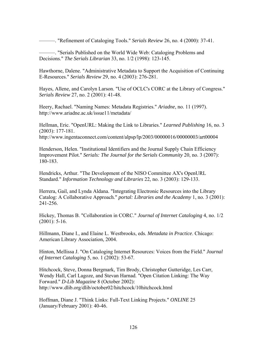———. "Refinement of Cataloging Tools." *Serials Review* 26, no. 4 (2000): 37-41.

———. "Serials Published on the World Wide Web: Cataloging Problems and Decisions." *The Serials Librarian* 33, no. 1/2 (1998): 123-145.

Hawthorne, Dalene. "Administrative Metadata to Support the Acquisition of Continuing E-Resources." *Serials Review* 29, no. 4 (2003): 276-281.

Hayes, Allene, and Carolyn Larson. "Use of OCLC's CORC at the Library of Congress." *Serials Review* 27, no. 2 (2001): 41-48.

Heery, Rachael. "Naming Names: Metadata Registries." *Ariadne*, no. 11 (1997). http://www.ariadne.ac.uk/issue11/metadata/

Hellman, Eric. "OpenURL: Making the Link to Libraries." *Learned Publishing* 16, no. 3 (2003): 177-181.

http://www.ingentaconnect.com/content/alpsp/lp/2003/00000016/00000003/art00004

Henderson, Helen. "Institutional Identifiers and the Journal Supply Chain Efficiency Improvement Pilot." *Serials: The Journal for the Serials Community* 20, no. 3 (2007): 180-183.

Hendricks, Arthur. "The Development of the NISO Committee AX's OpenURL Standard." *Information Technology and Libraries* 22, no. 3 (2003): 129-133.

Herrera, Gail, and Lynda Aldana. "Integrating Electronic Resources into the Library Catalog: A Collaborative Approach." *portal: Libraries and the Academy* 1, no. 3 (2001): 241-256.

Hickey, Thomas B. "Collaboration in CORC." *Journal of Internet Cataloging* 4, no. 1/2  $(2001): 5-16.$ 

Hillmann, Diane I., and Elaine L. Westbrooks, eds. *Metadata in Practice*. Chicago: American Library Association, 2004.

Hinton, Mellissa J. "On Cataloging Internet Resources: Voices from the Field." *Journal of Internet Cataloging* 5, no. 1 (2002): 53-67.

Hitchcock, Steve, Donna Bergmark, Tim Brody, Christopher Gutteridge, Les Carr, Wendy Hall, Carl Lagoze, and Stevan Harnad. "Open Citation Linking: The Way Forward." *D-Lib Magazine* 8 (October 2002): http://www.dlib.org/dlib/october02/hitchcock/10hitchcock.html

Hoffman, Diane J. "Think Links: Full-Text Linking Projects." *ONLINE* 25 (January/February 2001): 40-46.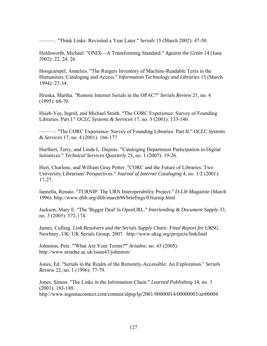———. "Think Links: Revisited a Year Later." *Serials* 15 (March 2002): 47-50.

Holdsworth, Michael. "ONIX—A Transforming Standard." *Against the Grain* 14 (June 2002): 22, 24, 26.

Hoogcarspel, Annelies. "The Rutgers Inventory of Machine-Readable Texts in the Humanities: Cataloging and Access." *Information Technology and Libraries* 13 (March 1994): 27-34.

Hruska, Martha. "Remote Internet Serials in the OPAC?" *Serials Review* 21, no. 4 (1995): 68-70.

Hsieh-Yee, Ingrid, and Michael Smith. "The CORC Experience: Survey of Founding Libraries. Part I." *OCLC Systems & Services* 17, no. 3 (2001): 133-140.

———. "The CORC Experience: Survey of Founding Libraries. Part II." *OCLC Systems & Services* 17, no. 4 (2001): 166-177.

Hurlbert, Terry, and Linda L. Dujmic. "Cataloging Department Participation in Digital Initiatives." *Technical Services Quarterly* 25, no. 1 (2007): 19-26.

Hurt, Charlene, and William Gray Potter. "CORC and the Future of Libraries: Two University Librarians' Perspectives." *Journal of Internet Cataloging* 4, no. 1/2 (2001): 17-27.

Iannella, Renato. "TURNIP: The URN Interoperability Project." *D-Lib Magazine* (March 1996). http://www.dlib.org/dlib/march96/briefings/03turnip.html

Jackson, Mary E. "The 'Bigger Deal' Is OpenURL." *Interlending & Document Supply* 33, no. 3 (2005): 172-174.

James, Culling. *Link Resolvers and the Serials Supply Chain: Final Report for UKSG*. Newbury, UK: UK Serials Group, 2007. http://www.uksg.org/projects/linkfinal

Johnston, Pete. "'What Are Your Terms?'" *Ariadne*, no. 43 (2005). http://www.ariadne.ac.uk/issue43/johnston/

Jones, Ed. "Serials in the Realm of the Remotely-Accessible: An Exploration." *Serials Review* 22, no. 1 (1996): 77-79.

Jones, Simon. "The Links in the Information Chain." *Learned Publishing* 14, no. 3 (2001): 183-188. http://www.ingentaconnect.com/content/alpsp/lp/2001/00000014/00000003/art00004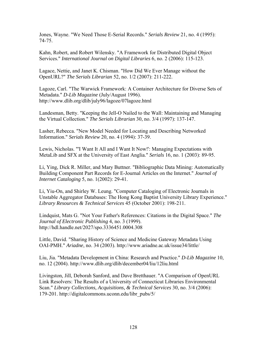Jones, Wayne. "We Need Those E-Serial Records." *Serials Review* 21, no. 4 (1995): 74-75.

Kahn, Robert, and Robert Wilensky. "A Framework for Distributed Digital Object Services." *International Journal on Digital Libraries* 6, no. 2 (2006): 115-123.

Lagace, Nettie, and Janet K. Chisman. "How Did We Ever Manage without the OpenURL?" *The Serials Librarian* 52, no. 1/2 (2007): 211-222.

Lagoze, Carl. "The Warwick Framework: A Container Architecture for Diverse Sets of Metadata." *D-Lib Magazine* (July/August 1996). http://www.dlib.org/dlib/july96/lagoze/07lagoze.html

Landesman, Betty. "Keeping the Jell-O Nailed to the Wall: Maintaining and Managing the Virtual Collection." *The Serials Librarian* 30, no. 3/4 (1997): 137-147.

Lasher, Rebecca. "New Model Needed for Locating and Describing Networked Information." *Serials Review* 20, no. 4 (1994): 37-39.

Lewis, Nicholas. "'I Want It All and I Want It Now!': Managing Expectations with MetaLib and SFX at the University of East Anglia." *Serials* 16, no. 1 (2003): 89-95.

Li, Ying, Dick R. Miller, and Mary Buttner. "Bibliographic Data Mining: Automatically Building Component Part Records for E-Journal Articles on the Internet." *Journal of Internet Cataloging* 5, no. 1(2002): 29-41.

Li, Yiu-On, and Shirley W. Leung. "Computer Cataloging of Electronic Journals in Unstable Aggregator Databases: The Hong Kong Baptist University Library Experience." *Library Resources & Technical Services* 45 (October 2001): 198-211.

Lindquist, Mats G. "Not Your Father's References: Citations in the Digital Space." *The Journal of Electronic Publishing* 4, no. 3 (1999). http://hdl.handle.net/2027/spo.3336451.0004.308

Little, David. "Sharing History of Science and Medicine Gateway Metadata Using OAI-PMH." *Ariadne*, no. 34 (2003). http://www.ariadne.ac.uk/issue34/little/

Liu, Jia. "Metadata Development in China: Research and Practice." *D-Lib Magazine* 10, no. 12 (2004). http://www.dlib.org/dlib/december04/liu/12liu.html

Livingston, Jill, Deborah Sanford, and Dave Bretthauer. "A Comparison of OpenURL Link Resolvers: The Results of a University of Connecticut Libraries Environmental Scan." *Library Collections, Acquisitions, & Technical Services* 30, no. 3/4 (2006): 179-201. http://digitalcommons.uconn.edu/libr\_pubs/5/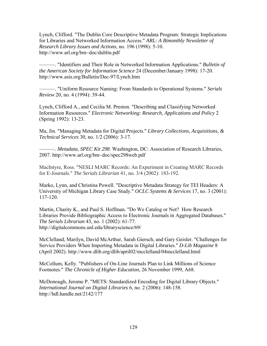Lynch, Clifford. "The Dublin Core Descriptive Metadata Program: Strategic Implications for Libraries and Networked Information Access." *ARL: A Bimonthly Newsletter of Research Library Issues and Actions*, no. 196 (1998): 5-10. http://www.arl.org/bm~doc/dublin.pdf

———. "Identifiers and Their Role in Networked Information Applications." *Bulletin of the American Society for Information Science* 24 (December/January 1998): 17-20. http://www.asis.org/Bulletin/Dec-97/Lynch.htm

———. "Uniform Resource Naming: From Standards to Operational Systems." *Serials Review* 20, no. 4 (1994): 39-44.

Lynch, Clifford A., and Cecilia M. Preston. "Describing and Classifying Networked Information Resources." *Electronic Networking: Research, Applications and Policy* 2 (Spring 1992): 13-23.

Ma, Jin. "Managing Metadata for Digital Projects." *Library Collections, Acquisitions, & Technical Services* 30, no. 1/2 (2006): 3-17.

———. *Metadata, SPEC Kit 298*. Washington, DC: Association of Research Libraries, 2007. http://www.arl.org/bm~doc/spec298web.pdf

MacIntyre, Ross. "NESLI MARC Records: An Experiment in Creating MARC Records for E-Journals." *The Serials Librarian* 41, no. 3/4 (2002): 183-192.

Marko, Lynn, and Christina Powell. "Descriptive Metadata Strategy for TEI Headers: A University of Michigan Library Case Study." *OCLC Systems & Services* 17, no. 3 (2001): 117-120.

Martin, Charity K., and Paul S. Hoffman. "Do We Catalog or Not? How Research Libraries Provide Bibliographic Access to Electronic Journals in Aggregated Databases." *The Serials Librarian* 43, no. 1 (2002): 61-77. http://digitalcommons.unl.edu/libraryscience/69/

McClelland, Marilyn, David McArthur, Sarah Giersch, and Gary Geisler. "Challenges for Service Providers When Importing Metadata in Digital Libraries." *D-Lib Magazine* 8 (April 2002). http://www.dlib.org/dlib/april02/mcclelland/04mcclelland.html

McCollum, Kelly. "Publishers of On-Line Journals Plan to Link Millions of Science Footnotes." *The Chronicle of Higher Education*, 26 November 1999, A68.

McDonough, Jerome P. "METS: Standardized Encoding for Digital Library Objects." *International Journal on Digital Libraries* 6, no. 2 (2006): 148-158. http://hdl.handle.net/2142/177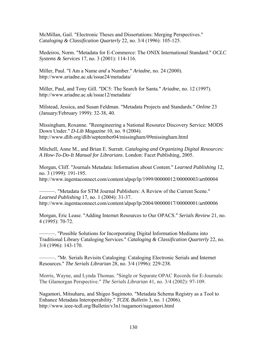McMillan, Gail. "Electronic Theses and Dissertations: Merging Perspectives." *Cataloging & Classification Quarterly* 22, no. 3/4 (1996): 105-125.

Medeiros, Norm. "Metadata for E-Commerce: The ONIX International Standard." *OCLC Systems & Services* 17, no. 3 (2001): 114-116.

Miller, Paul. "I Am a Name *and* a Number." *Ariadne*, no. 24 (2000). http://www.ariadne.ac.uk/issue24/metadata/

Miller, Paul, and Tony Gill. "DC5: The Search for Santa." *Ariadne*, no. 12 (1997). http://www.ariadne.ac.uk/issue12/metadata/

Milstead, Jessica, and Susan Feldman. "Metadata Projects and Standards." *Online* 23 (January/February 1999): 32-38, 40.

Missingham, Roxanne. "Reengineering a National Resource Discovery Service: MODS Down Under." *D-Lib Magazine* 10, no. 9 (2004). http://www.dlib.org/dlib/september04/missingham/09missingham.html

Mitchell, Anne M., and Brian E. Surratt. *Cataloging and Organizing Digital Resources: A How-To-Do-It Manual for Librarians*. London: Facet Publishing, 2005.

Morgan, Cliff. "Journals Metadata: Information about Content." *Learned Publishing* 12, no. 3 (1999): 191-195.

http://www.ingentaconnect.com/content/alpsp/lp/1999/00000012/00000003/art00004

———. "Metadata for STM Journal Publishers: A Review of the Current Scene." *Learned Publishing* 17, no. 1 (2004): 31-37. http://www.ingentaconnect.com/content/alpsp/lp/2004/00000017/00000001/art00006

Morgan, Eric Lease. "Adding Internet Resources to Our OPACS." *Serials Review* 21, no. 4 (1995): 70-72.

———. "Possible Solutions for Incorporating Digital Information Mediums into Traditional Library Cataloging Services." *Cataloging & Classification Quarterly* 22, no. 3/4 (1996): 143-170.

———. "Mr. Serials Revisits Cataloging: Cataloging Electronic Serials and Internet Resources." *The Serials Librarian* 28, no. 3/4 (1996): 229-238.

Morris, Wayne, and Lynda Thomas. "Single or Separate OPAC Records for E-Journals: The Glamorgan Perspective." *The Serials Librarian* 41, no. 3/4 (2002): 97-109.

Nagamori, Mitsuharu, and Shigeo Sugimoto. "Metadata Schema Registry as a Tool to Enhance Metadata Interoperability." *TCDL Bulletin* 3, no. 1 (2006). http://www.ieee-tcdl.org/Bulletin/v3n1/nagamori/nagamori.html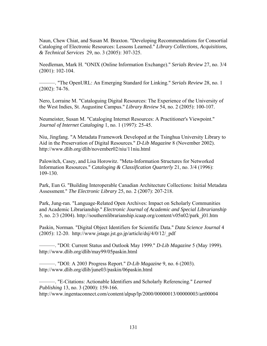Naun, Chew Chiat, and Susan M. Braxton. "Developing Recommendations for Consortial Cataloging of Electronic Resources: Lessons Learned." *Library Collections, Acquisitions, & Technical Services* 29, no. 3 (2005): 307-325.

Needleman, Mark H. "ONIX (Online Information Exchange)." *Serials Review* 27, no. 3/4 (2001): 102-104.

———. "The OpenURL: An Emerging Standard for Linking." *Serials Review* 28, no. 1 (2002): 74-76.

Nero, Lorraine M. "Cataloguing Digital Resources: The Experience of the University of the West Indies, St. Augustine Campus." *Library Review* 54, no. 2 (2005): 100-107.

Neumeister, Susan M. "Cataloging Internet Resources: A Practitioner's Viewpoint." *Journal of Internet Cataloging* 1, no. 1 (1997): 25-45.

Niu, Jingfang. "A Metadata Framework Developed at the Tsinghua University Library to Aid in the Preservation of Digital Resources." *D-Lib Magazine* 8 (November 2002). http://www.dlib.org/dlib/november02/niu/11niu.html

Palowitch, Casey, and Lisa Horowitz. "Meta-Information Structures for Networked Information Resources." *Cataloging & Classification Quarterly* 21, no. 3/4 (1996): 109-130.

Park, Eun G. "Building Interoperable Canadian Architecture Collections: Initial Metadata Assessment." *The Electronic Library* 25, no. 2 (2007): 207-218.

Park, Jung-ran. "Language-Related Open Archives: Impact on Scholarly Communities and Academic Librarianship." *Electronic Journal of Academic and Special Librarianship* 5, no. 2/3 (2004). http://southernlibrarianship.icaap.org/content/v05n02/park\_j01.htm

Paskin, Norman. "Digital Object Identifiers for Scientific Data." *Data Science Journal* 4  $(2005)$ : 12-20. http://www.jstage.jst.go.jp/article/dsj/4/0/12/ pdf

———. "DOI: Current Status and Outlook May 1999." *D-Lib Magazine* 5 (May 1999). http://www.dlib.org/dlib/may99/05paskin.html

———. "DOI: A 2003 Progress Report." *D-Lib Magazine* 9, no. 6 (2003). http://www.dlib.org/dlib/june03/paskin/06paskin.html

———. "E-Citations: Actionable Identifiers and Scholarly Referencing." *Learned Publishing* 13, no. 3 (2000): 159-166. http://www.ingentaconnect.com/content/alpsp/lp/2000/00000013/00000003/art00004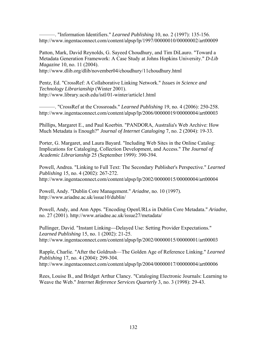———. "Information Identifiers." *Learned Publishing* 10, no. 2 (1997): 135-156. http://www.ingentaconnect.com/content/alpsp/lp/1997/00000010/00000002/art00009

Patton, Mark, David Reynolds, G. Sayeed Choudhury, and Tim DiLauro. "Toward a Metadata Generation Framework: A Case Study at Johns Hopkins University." *D-Lib Magazine* 10, no. 11 (2004).

http://www.dlib.org/dlib/november04/choudhury/11choudhury.html

Pentz, Ed. "CrossRef: A Collaborative Linking Network." *Issues in Science and Technology Librarianship* (Winter 2001). http://www.library.ucsb.edu/istl/01-winter/article1.html

———. "CrossRef at the Crossroads." *Learned Publishing* 19, no. 4 (2006): 250-258. http://www.ingentaconnect.com/content/alpsp/lp/2006/00000019/00000004/art00003

Phillips, Margaret E., and Paul Koerbin. "PANDORA, Australia's Web Archive: How Much Metadata is Enough?" *Journal of Internet Cataloging* 7, no. 2 (2004): 19-33.

Porter, G. Margaret, and Laura Bayard. "Including Web Sites in the Online Catalog: Implications for Cataloging, Collection Development, and Access." *The Journal of Academic Librarianship* 25 (September 1999): 390-394.

Powell, Andrea. "Linking to Full Text: The Secondary Publisher's Perspective." *Learned Publishing* 15, no. 4 (2002): 267-272. http://www.ingentaconnect.com/content/alpsp/lp/2002/00000015/00000004/art00004

Powell, Andy. "Dublin Core Management." *Ariadne*, no. 10 (1997). http://www.ariadne.ac.uk/issue10/dublin/

Powell, Andy, and Ann Apps. "Encoding OpenURLs in Dublin Core Metadata." *Ariadne*, no. 27 (2001). http://www.ariadne.ac.uk/issue27/metadata/

Pullinger, David. "Instant Linking—Delayed Use: Setting Provider Expectations." *Learned Publishing* 15, no. 1 (2002): 21-25. http://www.ingentaconnect.com/content/alpsp/lp/2002/00000015/00000001/art00003

Rapple, Charlie. "After the Goldrush—The Golden Age of Reference Linking." *Learned Publishing* 17, no. 4 (2004): 299-304. http://www.ingentaconnect.com/content/alpsp/lp/2004/00000017/00000004/art00006

Rees, Louise B., and Bridget Arthur Clancy. "Cataloging Electronic Journals: Learning to Weave the Web." *Internet Reference Services Quarterly* 3, no. 3 (1998): 29-43.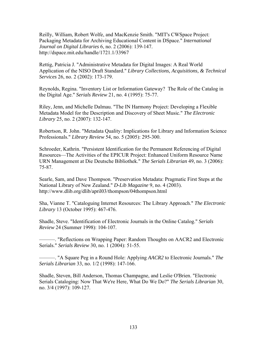Reilly, William, Robert Wolfe, and MacKenzie Smith. "MIT's CWSpace Project: Packaging Metadata for Archiving Educational Content in DSpace." *International Journal on Digital Libraries* 6, no. 2 (2006): 139-147. http://dspace.mit.edu/handle/1721.1/33967

Rettig, Patricia J. "Administrative Metadata for Digital Images: A Real World Application of the NISO Draft Standard." *Library Collections, Acquisitions, & Technical Services* 26, no. 2 (2002): 173-179.

Reynolds, Regina. "Inventory List or Information Gateway? The Role of the Catalog in the Digital Age." *Serials Review* 21, no. 4 (1995): 75-77.

Riley, Jenn, and Michelle Dalmau. "The IN Harmony Project: Developing a Flexible Metadata Model for the Description and Discovery of Sheet Music." *The Electronic Library* 25, no. 2 (2007): 132-147.

Robertson, R. John. "Metadata Quality: Implications for Library and Information Science Professionals." *Library Review* 54, no. 5 (2005): 295-300.

Schroeder, Kathrin. "Persistent Identification for the Permanent Referencing of Digital Resources—The Activities of the EPICUR Project: Enhanced Uniform Resource Name URN Management at Die Deutsche Bibliothek." *The Serials Librarian* 49, no. 3 (2006): 75-87.

Searle, Sam, and Dave Thompson. "Preservation Metadata: Pragmatic First Steps at the National Library of New Zealand." *D-Lib Magazine* 9, no. 4 (2003). http://www.dlib.org/dlib/april03/thompson/04thompson.html

Sha, Vianne T. "Cataloguing Internet Resources: The Library Approach." *The Electronic Library* 13 (October 1995): 467-476.

Shadle, Steve. "Identification of Electronic Journals in the Online Catalog." *Serials Review* 24 (Summer 1998): 104-107.

———. "Reflections on Wrapping Paper: Random Thoughts on AACR2 and Electronic Serials." *Serials Review* 30, no. 1 (2004): 51-55.

———. "A Square Peg in a Round Hole: Applying *AACR2* to Electronic Journals." *The Serials Librarian* 33, no. 1/2 (1998): 147-166.

Shadle, Steven, Bill Anderson, Thomas Champagne, and Leslie O'Brien. "Electronic Serials Cataloging: Now That We're Here, What Do We Do?" *The Serials Librarian* 30, no. 3/4 (1997): 109-127.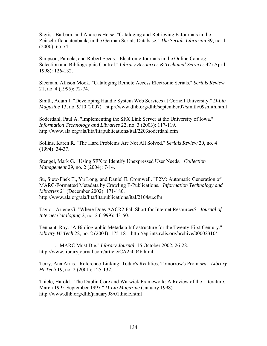Sigrist, Barbara, and Andreas Heise. "Cataloging and Retrieving E-Journals in the Zeitschriftendatenbank, in the German Serials Database." *The Serials Librarian* 39, no. 1 (2000): 65-74.

Simpson, Pamela, and Robert Seeds. "Electronic Journals in the Online Catalog: Selection and Bibliographic Control." *Library Resources & Technical Services* 42 (April 1998): 126-132.

Sleeman, Allison Mook. "Cataloging Remote Access Electronic Serials." *Serials Review* 21, no. 4 (1995): 72-74.

Smith, Adam J. "Developing Handle System Web Services at Cornell University." *D-Lib Magazine* 13, no. 9/10 (2007). http://www.dlib.org/dlib/september07/smith/09smith.html

Soderdahl, Paul A. "Implementing the SFX Link Server at the University of Iowa." *Information Technology and Libraries* 22, no. 3 (2003): 117-119. http://www.ala.org/ala/lita/litapublications/ital/2203soderdahl.cfm

Sollins, Karen R. "The Hard Problems Are Not All Solved." *Serials Review* 20, no. 4 (1994): 34-37.

Stengel, Mark G. "Using SFX to Identify Unexpressed User Needs." *Collection Management* 29, no. 2 (2004): 7-14.

Su, Siew-Phek T., Yu Long, and Daniel E. Cromwell. "E2M: Automatic Generation of MARC-Formatted Metadata by Crawling E-Publications." *Information Technology and Libraries* 21 (December 2002): 171-180. http://www.ala.org/ala/lita/litapublications/ital/2104su.cfm

Taylor, Arlene G. "Where Does AACR2 Fall Short for Internet Resources?" *Journal of Internet Cataloging* 2, no. 2 (1999): 43-50.

Tennant, Roy. "A Bibliographic Metadata Infrastructure for the Twenty-First Century." *Library Hi Tech* 22, no. 2 (2004): 175-181. http://eprints.rclis.org/archive/00002310/

———. "MARC Must Die." *Library Journal*, 15 October 2002, 26-28. http://www.libraryjournal.com/article/CA250046.html

Terry, Ana Arias. "Reference-Linking: Today's Realities, Tomorrow's Promises." *Library Hi Tech* 19, no. 2 (2001): 125-132.

Thiele, Harold. "The Dublin Core and Warwick Framework: A Review of the Literature, March 1995-September 1997." *D-Lib Magazine* (January 1998). http://www.dlib.org/dlib/january98/01thiele.html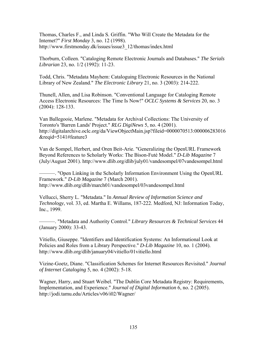Thomas, Charles F., and Linda S. Griffin. "Who Will Create the Metadata for the Internet?" *First Monday* 3, no. 12 (1998). http://www.firstmonday.dk/issues/issue3\_12/thomas/index.html

Thorburn, Colleen. "Cataloging Remote Electronic Journals and Databases." *The Serials Librarian* 23, no. 1/2 (1992): 11-23.

Todd, Chris. "Metadata Mayhem: Cataloguing Electronic Resources in the National Library of New Zealand." *The Electronic Library* 21, no. 3 (2003): 214-222.

Thunell, Allen, and Lisa Robinson. "Conventional Language for Cataloging Remote Access Electronic Resources: The Time Is Now!" *OCLC Systems & Services* 20, no. 3 (2004): 128-133.

Van Ballegooie, Marlene. "Metadata for Archival Collections: The University of Toronto's 'Barren Lands' Project." *RLG DigiNews* 5, no. 4 (2001). http://digitalarchive.oclc.org/da/ViewObjectMain.jsp?fileid=0000070513:000006283016 &reqid=5141#feature3

Van de Sompel, Herbert, and Oren Beit-Arie. "Generalizing the OpenURL Framework Beyond References to Scholarly Works: The Bison-Futé Model." *D-Lib Magazine* 7 (July/August 2001). http://www.dlib.org/dlib/july01/vandesompel/07vandesompel.html

———. "Open Linking in the Scholarly Information Environment Using the OpenURL Framework." *D-Lib Magazine* 7 (March 2001). http://www.dlib.org/dlib/march01/vandesompel/03vandesompel.html

Vellucci, Sherry L. "Metadata." In *Annual Review of Information Science and Technology*, vol. 33, ed. Martha E. Willams, 187-222. Medford, NJ: Information Today, Inc., 1999.

———. "Metadata and Authority Control." *Library Resources & Technical Services* 44 (January 2000): 33-43.

Vitiello, Giuseppe. "Identifiers and Identification Systems: An Informational Look at Policies and Roles from a Library Perspective." *D-Lib Magazine* 10, no. 1 (2004). http://www.dlib.org/dlib/january04/vitiello/01vitiello.html

Vizine-Goetz, Diane. "Classification Schemes for Internet Resources Revisited." *Journal of Internet Cataloging* 5, no. 4 (2002): 5-18.

Wagner, Harry, and Stuart Weibel. "The Dublin Core Metadata Registry: Requirements, Implementation, and Experience." *Journal of Digital Information* 6, no. 2 (2005). http://jodi.tamu.edu/Articles/v06/i02/Wagner/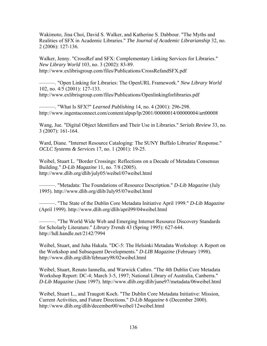Wakimoto, Jina Choi, David S. Walker, and Katherine S. Dabbour. "The Myths and Realities of SFX in Academic Libraries." *The Journal of Academic Librarianship* 32, no. 2 (2006): 127-136.

Walker, Jenny. "CrossRef and SFX: Complementary Linking Services for Libraries." *New Library World* 103, no. 3 (2002): 83-89. http://www.exlibrisgroup.com/files/Publications/CrossRefandSFX.pdf

———. "Open Linking for Libraries: The OpenURL Framework." *New Library World* 102, no. 4/5 (2001): 127-133. http://www.exlibrisgroup.com/files/Publications/Openlinkingforlibraries.pdf

———. "What Is SFX?" *Learned Publishing* 14, no. 4 (2001): 296-298. http://www.ingentaconnect.com/content/alpsp/lp/2001/00000014/00000004/art00008

Wang, Jue. "Digital Object Identifiers and Their Use in Libraries." *Serials Review* 33, no. 3 (2007): 161-164.

Ward, Diane. "Internet Resource Cataloging: The SUNY Buffalo Libraries' Response." *OCLC Systems & Services* 17, no. 1 (2001): 19-25.

Weibel, Stuart L. "Border Crossings: Reflections on a Decade of Metadata Consensus Building." *D-Lib Magazine* 11, no. 7/8 (2005). http://www.dlib.org/dlib/july05/weibel/07weibel.html

———. "Metadata: The Foundations of Resource Description." *D-Lib Magazine* (July 1995). http://www.dlib.org/dlib/July95/07weibel.html

———. "The State of the Dublin Core Metadata Initiative April 1999." *D-Lib Magazine* (April 1999). http://www.dlib.org/dlib/april99/04weibel.html

———. "The World Wide Web and Emerging Internet Resource Discovery Standards for Scholarly Literature." *Library Trends* 43 (Spring 1995): 627-644. http://hdl.handle.net/2142/7994

Weibel, Stuart, and Juha Hakala. "DC-5: The Helsinki Metadata Workshop: A Report on the Workshop and Subsequent Developments." *D-LIB Magazine* (February 1998). http://www.dlib.org/dlib/february98/02weibel.html

Weibel, Stuart, Renato Iannella, and Warwick Cathro. "The 4th Dublin Core Metadata Workshop Report: DC-4; March 3-5, 1997; National Library of Australia, Canberra." *D-Lib Magazine* (June 1997). http://www.dlib.org/dlib/june97/metadata/06weibel.html

Weibel, Stuart L., and Traugott Koch. "The Dublin Core Metadata Initiative: Mission, Current Activities, and Future Directions." *D-Lib Magazine* 6 (December 2000). http://www.dlib.org/dlib/december00/weibel/12weibel.html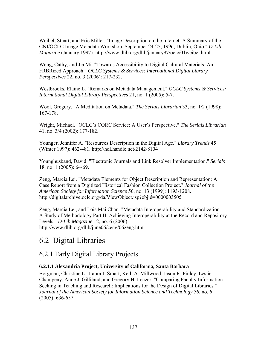Weibel, Stuart, and Eric Miller. "Image Description on the Internet: A Summary of the CNI/OCLC Image Metadata Workshop; September 24-25, 1996; Dublin, Ohio." *D-Lib Magazine* (January 1997). http://www.dlib.org/dlib/january97/oclc/01weibel.html

Weng, Cathy, and Jia Mi. "Towards Accessibility to Digital Cultural Materials: An FRBRized Approach." *OCLC Systems & Services: International Digital Library Perspectives* 22, no. 3 (2006): 217-232.

Westbrooks, Elaine L. "Remarks on Metadata Management." *OCLC Systems & Services: International Digital Library Perspectives* 21, no. 1 (2005): 5-7.

Wool, Gregory. "A Meditation on Metadata." *The Serials Librarian* 33, no. 1/2 (1998): 167-178.

Wright, Michael. "OCLC's CORC Service: A User's Perspective." *The Serials Librarian* 41, no. 3/4 (2002): 177-182.

Younger, Jennifer A. "Resources Description in the Digital Age." *Library Trends* 45 (Winter 1997): 462-481. http://hdl.handle.net/2142/8104

Younghusband, David. "Electronic Journals and Link Resolver Implementation." *Serials* 18, no. 1 (2005): 64-69.

Zeng, Marcia Lei. "Metadata Elements for Object Description and Representation: A Case Report from a Digitized Historical Fashion Collection Project." *Journal of the American Society for Information Science* 50, no. 13 (1999): 1193-1208. http://digitalarchive.oclc.org/da/ViewObject.jsp?objid=0000003505

Zeng, Marcia Lei, and Lois Mai Chan. "Metadata Interoperability and Standardization— A Study of Methodology Part II: Achieving Interoperability at the Record and Repository Levels." *D-Lib Magazine* 12, no. 6 (2006). http://www.dlib.org/dlib/june06/zeng/06zeng.html

# 6.2 Digital Libraries

#### 6.2.1 Early Digital Library Projects

#### **6.2.1.1 Alexandria Project, University of California, Santa Barbara**

Borgman, Christine L., Laura J. Smart, Kelli A. Millwood, Jason R. Finley, Leslie Champeny, Anne J. Gilliland, and Gregory H. Leazer. "Comparing Faculty Information Seeking in Teaching and Research: Implications for the Design of Digital Libraries." *Journal of the American Society for Information Science and Technology* 56, no. 6 (2005): 636-657.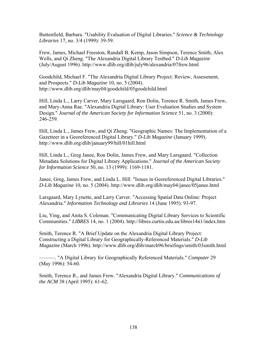Buttenfield, Barbara. "Usability Evaluation of Digital Libraries." *Science & Technology Libraries* 17, no. 3/4 (1999): 39-59.

Frew, James, Michael Freeston, Randall B. Kemp, Jason Simpson, Terence Smith, Alex Wells, and Qi Zheng. "The Alexandria Digital Library Testbed." *D-Lib Magazine* (July/August 1996). http://www.dlib.org/dlib/july96/alexandria/07frew.html

Goodchild, Michael F. "The Alexandria Digital Library Project: Review, Assessment, and Prospects." *D-Lib Magazine* 10, no. 5 (2004). http://www.dlib.org/dlib/may04/goodchild/05goodchild.html

Hill, Linda L., Larry Carver, Mary Larsgaard, Ron Dolin, Terence R. Smith, James Frew, and Mary-Anna Rae. "Alexandria Digital Library: User Evaluation Studies and System Design." *Journal of the American Society for Information Science* 51, no. 3 (2000): 246-259.

Hill, Linda L., James Frew, and Qi Zheng. "Geographic Names: The Implementation of a Gazetteer in a Georeferenced Digital Library." *D-Lib Magazine* (January 1999). http://www.dlib.org/dlib/january99/hill/01hill.html

Hill, Linda L., Greg Janee, Ron Dolin, James Frew, and Mary Larsgaard. "Collection Metadata Solutions for Digital Library Applications." *Journal of the American Society for Information Science* 50, no. 13 (1999): 1169-1181.

Janee, Greg, James Frew, and Linda L. Hill. "Issues in Georeferenced Digital Libraries." *D-Lib Magazine* 10, no. 5 (2004). http://www.dlib.org/dlib/may04/janee/05janee.html

Larsgaard, Mary Lynette, and Larry Carver. "Accessing Spatial Data Online: Project Alexandria." *Information Technology and Libraries* 14 (June 1995): 93-97.

Liu, Ying, and Anita S. Coleman. "Communicating Digital Library Services to Scientific Communities." *LIBRES* 14, no. 1 (2004). http://libres.curtin.edu.au/libres14n1/index.htm

Smith, Terence R. "A Brief Update on the Alexandria Digital Library Project: Constructing a Digital Library for Geographically-Referenced Materials." *D-Lib Magazine* (March 1996). http://www.dlib.org/dlib/march96/briefings/smith/03smith.html

———. "A Digital Library for Geographically Referenced Materials." *Computer* 29 (May 1996): 54-60.

Smith, Terence R., and James Frew. "Alexandria Digital Library." *Communications of the ACM* 38 (April 1995): 61-62.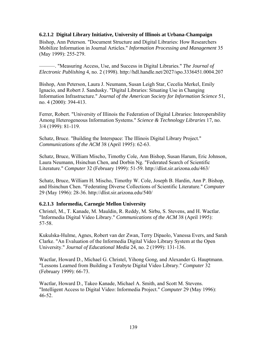#### **6.2.1.2 Digital Library Initiative, University of Illinois at Urbana-Champaign**

Bishop, Ann Peterson. "Document Structure and Digital Libraries: How Researchers Mobilize Information in Journal Articles." *Information Processing and Management* 35 (May 1999): 255-279.

———. "Measuring Access, Use, and Success in Digital Libraries." *The Journal of Electronic Publishing* 4, no. 2 (1998). http://hdl.handle.net/2027/spo.3336451.0004.207

Bishop, Ann Peterson, Laura J. Neumann, Susan Leigh Star, Cecelia Merkel, Emily Ignacio, and Robert J. Sandusky. "Digital Libraries: Situating Use in Changing Information Infrastructure." *Journal of the American Society for Information Science* 51, no. 4 (2000): 394-413.

Ferrer, Robert. "University of Illinois the Federation of Digital Libraries: Interoperability Among Heterogeneous Information Systems." *Science & Technology Libraries* 17, no. 3/4 (1999): 81-119.

Schatz, Bruce. "Building the Interspace: The Illinois Digital Library Project." *Communications of the ACM* 38 (April 1995): 62-63.

Schatz, Bruce, William Mischo, Timothy Cole, Ann Bishop, Susan Harum, Eric Johnson, Laura Neumann, Hsinchun Chen, and Dorbin Ng. "Federated Search of Scientific Literature." *Computer* 32 (February 1999): 51-59. http://dlist.sir.arizona.edu/463/

Schatz, Bruce, William H. Mischo, Timothy W. Cole, Joseph B. Hardin, Ann P. Bishop, and Hsinchun Chen. "Federating Diverse Collections of Scientific Literature." *Computer*  29 (May 1996): 28-36. http://dlist.sir.arizona.edu/540/

## **6.2.1.3 Informedia, Carnegie Mellon University**

Christel, M., T. Kanade, M. Mauldin, R. Reddy, M. Sirbu, S. Stevens, and H. Wactlar. "Informedia Digital Video Library." *Communications of the ACM* 38 (April 1995): 57-58.

Kukulska-Hulme, Agnes, Robert van der Zwan, Terry Dipaolo, Vanessa Evers, and Sarah Clarke. "An Evaluation of the Informedia Digital Video Library System at the Open University." *Journal of Educational Media* 24, no. 2 (1999): 131-136.

Wactlar, Howard D., Michael G. Christel, Yihong Gong, and Alexander G. Hauptmann. "Lessons Learned from Building a Terabyte Digital Video Library." *Computer* 32 (February 1999): 66-73.

Wactlar, Howard D., Takeo Kanade, Michael A. Smith, and Scott M. Stevens. "Intelligent Access to Digital Video: Informedia Project." *Computer* 29 (May 1996): 46-52.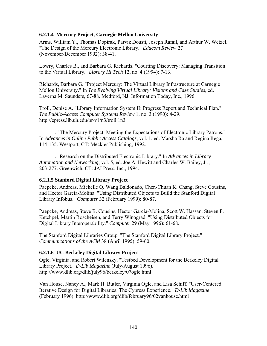## **6.2.1.4 Mercury Project, Carnegie Mellon University**

Arms, William Y., Thomas Dopirak, Parviz Dousti, Joseph Rafail, and Arthur W. Wetzel. "The Design of the Mercury Electronic Library." *Educom Review* 27 (November/December 1992): 38-41.

Lowry, Charles B., and Barbara G. Richards. "Courting Discovery: Managing Transition to the Virtual Library." *Library Hi Tech* 12, no. 4 (1994): 7-13.

Richards, Barbara G. "Project Mercury: The Virtual Library Infrastructure at Carnegie Mellon University." In *The Evolving Virtual Library: Visions and Case Studies*, ed. Laverna M. Saunders, 67-88. Medford, NJ: Information Today, Inc., 1996.

Troll, Denise A. "Library Information System II: Progress Report and Technical Plan." *The Public-Access Computer Systems Review* 1, no. 3 (1990): 4-29. http://epress.lib.uh.edu/pr/v1/n3/troll.1n3

———. "The Mercury Project: Meeting the Expectations of Electronic Library Patrons." In *Advances in Online Public Access Catalogs*, vol. 1, ed. Marsha Ra and Regina Rega, 114-135. Westport, CT: Meckler Publishing, 1992.

———. "Research on the Distributed Electronic Library." In *Advances in Library Automation and Networking*, vol. 5, ed. Joe A. Hewitt and Charles W. Bailey, Jr., 203-277. Greenwich, CT: JAI Press, Inc., 1994.

## **6.2.1.5 Stanford Digital Library Project**

Paepcke, Andreas, Michelle Q. Wang Baldonado, Chen-Chuan K. Chang, Steve Cousins, and Hector Garcia-Molina. "Using Distributed Objects to Build the Stanford Digital Library Infobus." *Computer* 32 (February 1999): 80-87.

Paepcke, Andreas, Steve B. Cousins, Hector Garcia-Molina, Scott W. Hassan, Steven P. Ketchpel, Martin Roscheisen, and Terry Winograd. "Using Distributed Objects for Digital Library Interoperability." *Computer* 29 (May 1996): 61-68.

The Stanford Digital Libraries Group. "The Stanford Digital Library Project." *Communications of the ACM* 38 (April 1995): 59-60.

## **6.2.1.6 UC Berkeley Digital Library Project**

Ogle, Virginia, and Robert Wilensky. "Testbed Development for the Berkeley Digital Library Project." *D-Lib Magazine* (July/August 1996). http://www.dlib.org/dlib/july96/berkeley/07ogle.html

Van House, Nancy A., Mark H. Butler, Virginia Ogle, and Lisa Schiff. "User-Centered Iterative Design for Digital Libraries: The Cypress Experience." *D-Lib Magazine* (February 1996). http://www.dlib.org/dlib/february96/02vanhouse.html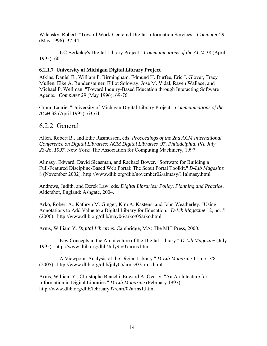Wilensky, Robert. "Toward Work-Centered Digital Information Services." *Computer* 29 (May 1996): 37-44.

———. "UC Berkeley's Digital Library Project." *Communications of the ACM* 38 (April 1995): 60.

## **6.2.1.7 University of Michigan Digital Library Project**

Atkins, Daniel E., William P. Birmingham, Edmund H. Durfee, Eric J. Glover, Tracy Mullen, Elke A. Rundensteiner, Elliot Soloway, Jose M. Vidal, Raven Wallace, and Michael P. Wellman. "Toward Inquiry-Based Education through Interacting Software Agents." *Computer* 29 (May 1996): 69-76.

Crum, Laurie. "University of Michigan Digital Library Project." *Communications of the ACM* 38 (April 1995): 63-64.

# 6.2.2 General

Allen, Robert B., and Edie Rasmussen, eds. *Proceedings of the 2nd ACM International Conference on Digital Libraries: ACM Digital Libraries '97, Philadelphia, PA, July 23-26, 1997*. New York: The Association for Computing Machinery, 1997.

Almasy, Edward, David Sleasman, and Rachael Bower. "Software for Building a Full-Featured Discipline-Based Web Portal: The Scout Portal Toolkit." *D-Lib Magazine* 8 (November 2002). http://www.dlib.org/dlib/november02/almasy/11almasy.html

Andrews, Judith, and Derek Law, eds. *Digital Libraries: Policy, Planning and Practice*. Aldershot, England: Ashgate, 2004.

Arko, Robert A., Kathryn M. Ginger, Kim A. Kastens, and John Weatherley. "Using Annotations to Add Value to a Digital Library for Education." *D-Lib Magazine* 12, no. 5 (2006). http://www.dlib.org/dlib/may06/arko/05arko.html

Arms, William Y. *Digital Libraries*. Cambridge, MA: The MIT Press, 2000.

———. "Key Concepts in the Architecture of the Digital Library." *D-Lib Magazine* (July 1995). http://www.dlib.org/dlib/July95/07arms.html

———. "A Viewpoint Analysis of the Digital Library." *D-Lib Magazine* 11, no. 7/8 (2005). http://www.dlib.org/dlib/july05/arms/07arms.html

Arms, William Y., Christophe Blanchi, Edward A. Overly. "An Architecture for Information in Digital Libraries." *D-Lib Magazine* (February 1997). http://www.dlib.org/dlib/february97/cnri/02arms1.html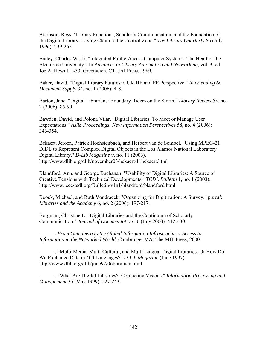Atkinson, Ross. "Library Functions, Scholarly Communication, and the Foundation of the Digital Library: Laying Claim to the Control Zone." *The Library Quarterly* 66 (July 1996): 239-265.

Bailey, Charles W., Jr. "Integrated Public-Access Computer Systems: The Heart of the Electronic University." In *Advances in Library Automation and Networking*, vol. 3, ed. Joe A. Hewitt, 1-33. Greenwich, CT: JAI Press, 1989.

Baker, David. "Digital Library Futures: a UK HE and FE Perspective." *Interlending & Document Supply* 34, no. 1 (2006): 4-8.

Barton, Jane. "Digital Librarians: Boundary Riders on the Storm." *Library Review* 55, no. 2 (2006): 85-90.

Bawden, David, and Polona Vilar. "Digital Libraries: To Meet or Manage User Expectations." *Aslib Proceedings: New Information Perspectives* 58, no. 4 (2006): 346-354.

Bekaert, Jeroen, Patrick Hochstenbach, and Herbert van de Sompel. "Using MPEG-21 DIDL to Represent Complex Digital Objects in the Los Alamos National Laboratory Digital Library." *D-Lib Magazine* 9, no. 11 (2003). http://www.dlib.org/dlib/november03/bekaert/11bekaert.html

Blandford, Ann, and George Buchanan. "Usability of Digital Libraries: A Source of Creative Tensions with Technical Developments." *TCDL Bulletin* 1, no. 1 (2003). http://www.ieee-tcdl.org/Bulletin/v1n1/blandford/blandford.html

Boock, Michael, and Ruth Vondracek. "Organizing for Digitization: A Survey." *portal: Libraries and the Academy* 6, no. 2 (2006): 197-217.

Borgman, Christine L. "Digital Libraries and the Continuum of Scholarly Communication." *Journal of Documentation* 56 (July 2000): 412-430.

———. *From Gutenberg to the Global Information Infrastructure: Access to Information in the Networked World*. Cambridge, MA: The MIT Press, 2000.

———. "Multi-Media, Multi-Cultural, and Multi-Lingual Digital Libraries: Or How Do We Exchange Data in 400 Languages?" *D-Lib Magazine* (June 1997). http://www.dlib.org/dlib/june97/06borgman.html

———. "What Are Digital Libraries? Competing Visions." *Information Processing and Management* 35 (May 1999): 227-243.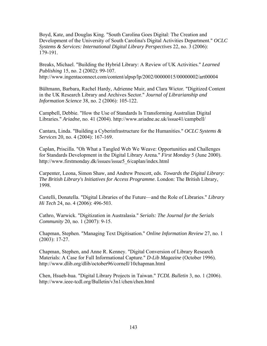Boyd, Kate, and Douglas King. "South Carolina Goes Digital: The Creation and Development of the University of South Carolina's Digital Activities Department." *OCLC Systems & Services: International Digital Library Perspectives* 22, no. 3 (2006): 179-191.

Breaks, Michael. "Building the Hybrid Library: A Review of UK Activities." *Learned Publishing* 15, no. 2 (2002): 99-107. http://www.ingentaconnect.com/content/alpsp/lp/2002/00000015/00000002/art00004

Bültmann, Barbara, Rachel Hardy, Adrienne Muir, and Clara Wictor. "Digitized Content in the UK Research Library and Archives Sector." *Journal of Librarianship and Information Science* 38, no. 2 (2006): 105-122.

Campbell, Debbie. "How the Use of Standards Is Transforming Australian Digital Libraries." *Ariadne*, no. 41 (2004). http://www.ariadne.ac.uk/issue41/campbell/

Cantara, Linda. "Building a Cyberinfrastructure for the Humanities." *OCLC Systems & Services* 20, no. 4 (2004): 167-169.

Caplan, Priscilla. "Oh What a Tangled Web We Weave: Opportunities and Challenges for Standards Development in the Digital Library Arena." *First Monday* 5 (June 2000). http://www.firstmonday.dk/issues/issue5\_6/caplan/index.html

Carpenter, Leona, Simon Shaw, and Andrew Prescott, eds. *Towards the Digital Library: The British Library's Initiatives for Access Programme*. London: The British Library, 1998.

Castelli, Donatella. "Digital Libraries of the Future—and the Role of Libraries." *Library Hi Tech* 24, no. 4 (2006): 496-503.

Cathro, Warwick. "Digitization in Australasia." *Serials: The Journal for the Serials Community* 20, no. 1 (2007): 9-15.

Chapman, Stephen. "Managing Text Digitisation." *Online Information Review* 27, no. 1 (2003): 17-27.

Chapman, Stephen, and Anne R. Kenney. "Digital Conversion of Library Research Materials: A Case for Full Informational Capture." *D-Lib Magazine* (October 1996). http://www.dlib.org/dlib/october96/cornell/10chapman.html

Chen, Hsueh-hua. "Digital Library Projects in Taiwan." *TCDL Bulletin* 3, no. 1 (2006). http://www.ieee-tcdl.org/Bulletin/v3n1/chen/chen.html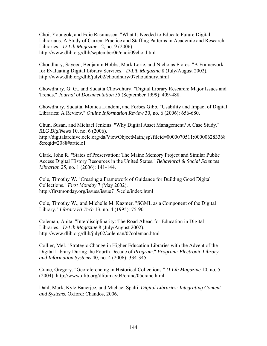Choi, Youngok, and Edie Rasmussen. "What Is Needed to Educate Future Digital Librarians: A Study of Current Practice and Staffing Patterns in Academic and Research Libraries." *D-Lib Magazine* 12, no. 9 (2006). http://www.dlib.org/dlib/september06/choi/09choi.html

Choudhury, Sayeed, Benjamin Hobbs, Mark Lorie, and Nicholas Flores. "A Framework for Evaluating Digital Library Services." *D-Lib Magazine* 8 (July/August 2002). http://www.dlib.org/dlib/july02/choudhury/07choudhury.html

Chowdhury, G. G., and Sudatta Chowdhury. "Digital Library Research: Major Issues and Trends." *Journal of Documentation* 55 (September 1999): 409-488.

Chowdhury, Sudatta, Monica Landoni, and Forbes Gibb. "Usability and Impact of Digital Libraries: A Review." *Online Information Review* 30, no. 6 (2006): 656-680.

Chun, Susan, and Michael Jenkins. "Why Digital Asset Management? A Case Study." *RLG DigiNews* 10, no. 6 (2006).

http://digitalarchive.oclc.org/da/ViewObjectMain.jsp?fileid=0000070511:000006283368 &reqid=2088#article1

Clark, John R. "States of Preservation: The Maine Memory Project and Similar Public Access Digital History Resources in the United States." *Behavioral & Social Sciences Librarian* 25, no. 1 (2006): 141-144.

Cole, Timothy W. "Creating a Framework of Guidance for Building Good Digital Collections." *First Monday* 7 (May 2002). http://firstmonday.org/issues/issue7\_5/cole/index.html

Cole, Timothy W., and Michelle M. Kazmer. "SGML as a Component of the Digital Library." *Library Hi Tech* 13, no. 4 (1995): 75-90.

Coleman, Anita. "Interdisciplinarity: The Road Ahead for Education in Digital Libraries." *D-Lib Magazine* 8 (July/August 2002). http://www.dlib.org/dlib/july02/coleman/07coleman.html

Collier, Mel. "Strategic Change in Higher Education Libraries with the Advent of the Digital Library During the Fourth Decade of *Program*." *Program: Electronic Library and Information Systems* 40, no. 4 (2006): 334-345.

Crane, Gregory. "Georeferencing in Historical Collections." *D-Lib Magazine* 10, no. 5 (2004). http://www.dlib.org/dlib/may04/crane/05crane.html

Dahl, Mark, Kyle Banerjee, and Michael Spalti. *Digital Libraries: Integrating Content and Systems*. Oxford: Chandos, 2006.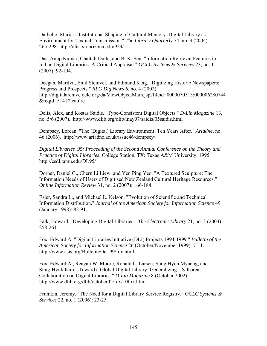Dalbello, Marija. "Institutional Shaping of Cultural Memory: Digital Library as Environment for Textual Transmission." *The Library Quarterly* 74, no. 3 (2004): 265-298. http://dlist.sir.arizona.edu/923/

Das, Anup Kumar, Chaitali Dutta, and B. K. Sen. "Information Retrieval Features in Indian Digital Libraries: A Critical Appraisal." *OCLC Systems & Services* 23, no. 1 (2007): 92-104.

Deegan, Marilyn, Emil Steinvel, and Edmund King. "Digitizing Historic Newspapers: Progress and Prospects." *RLG DigiNews* 6, no. 4 (2002). http://digitalarchive.oclc.org/da/ViewObjectMain.jsp?fileid=0000070513:000006280744 &reqid=5141#feature

Delis, Alex, and Kostas Saidis. "Type-Consistent Digital Objects." *D-Lib Magazine* 13, no. 5/6 (2007). http://www.dlib.org/dlib/may07/saidis/05saidis.html

Dempsey, Lorcan. "The (Digital) Library Environment: Ten Years After." *Ariadne*, no. 46 (2006). http://www.ariadne.ac.uk/issue46/dempsey/

*Digital Libraries '95: Proceeding of the Second Annual Conference on the Theory and Practice of Digital Libraries*. College Station, TX: Texas A&M University, 1995. http://csdl.tamu.edu/DL95/

Dorner, Daniel G., Chern Li Liew, and Yen Ping Yeo. "A Textured Sculpture: The Information Needs of Users of Digitised New Zealand Cultural Heritage Resources." *Online Information Review* 31, no. 2 (2007): 166-184.

Esler, Sandra L., and Michael L. Nelson. "Evolution of Scientific and Technical Information Distribution." *Journal of the American Society for Information Science* 49 (January 1998): 82-91.

Falk, Howard. "Developing Digital Libraries." *The Electronic Library* 21, no. 3 (2003): 258-261.

Fox, Edward A. "Digital Libraries Initiative (DLI) Projects 1994-1999." *Bulletin of the American Society for Information Science* 26 (October/November 1999): 7-11. http://www.asis.org/Bulletin/Oct-99/fox.html

Fox, Edward A., Reagan W. Moore, Ronald L. Larsen, Sung Hyon Myaeng, and Sung-Hyuk Kim. "Toward a Global Digital Library: Generalizing US-Korea Collaboration on Digital Libraries." *D-Lib Magazine* 8 (October 2002). http://www.dlib.org/dlib/october02/fox/10fox.html

Frumkin, Jeremy. "The Need for a Digital Library Service Registry." *OCLC Systems & Services* 22, no. 1 (2006): 23-25.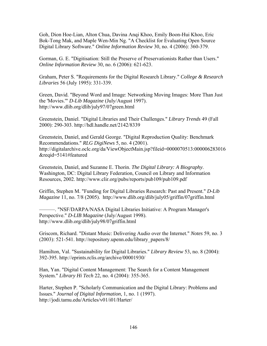Goh, Dion Hoe-Lian, Alton Chua, Davina Anqi Khoo, Emily Boon-Hui Khoo, Eric Bok-Tong Mak, and Maple Wen-Min Ng. "A Checklist for Evaluating Open Source Digital Library Software." *Online Information Review* 30, no. 4 (2006): 360-379.

Gorman, G. E. "Digitisation: Still the Preserve of Preservationists Rather than Users." *Online Information Review* 30, no. 6 (2006): 621-623.

Graham, Peter S. "Requirements for the Digital Research Library." *College & Research Libraries* 56 (July 1995): 331-339.

Green, David. "Beyond Word and Image: Networking Moving Images: More Than Just the 'Movies.'" *D-Lib Magazine* (July/August 1997). http://www.dlib.org/dlib/july97/07green.html

Greenstein, Daniel. "Digital Libraries and Their Challenges." *Library Trends* 49 (Fall 2000): 290-303. http://hdl.handle.net/2142/8339

Greenstein, Daniel, and Gerald George. "Digital Reproduction Quality: Benchmark Recommendations." *RLG DigiNews* 5, no. 4 (2001). http://digitalarchive.oclc.org/da/ViewObjectMain.jsp?fileid=0000070513:000006283016 &reqid=5141#featured

Greenstein, Daniel, and Suzanne E. Thorin. *The Digital Library: A Biography*. Washington, DC: Digital Library Federation, Council on Library and Information Resources, 2002. http://www.clir.org/pubs/reports/pub109/pub109.pdf

Griffin, Stephen M. "Funding for Digital Libraries Research: Past and Present." *D-Lib Magazine* 11, no. 7/8 (2005). http://www.dlib.org/dlib/july05/griffin/07griffin.html

———. "NSF/DARPA/NASA Digital Libraries Initiative: A Program Manager's Perspective." *D-LIB Magazine* (July/August 1998). http://www.dlib.org/dlib/july98/07griffin.html

Griscom, Richard. "Distant Music: Delivering Audio over the Internet." *Notes* 59, no. 3 (2003): 521-541. http://repository.upenn.edu/library\_papers/8/

Hamilton, Val. "Sustainability for Digital Libraries." *Library Review* 53, no. 8 (2004): 392-395. http://eprints.rclis.org/archive/00001930/

Han, Yan. "Digital Content Management: The Search for a Content Management System." *Library Hi Tech* 22, no. 4 (2004): 355-365.

Harter, Stephen P. "Scholarly Communication and the Digital Library: Problems and Issues." *Journal of Digital Information*, 1, no. 1 (1997). http://jodi.tamu.edu/Articles/v01/i01/Harter/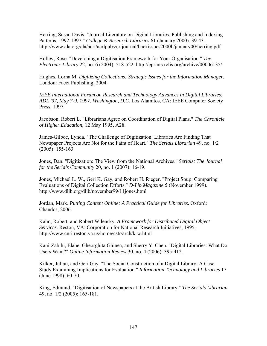Herring, Susan Davis. "Journal Literature on Digital Libraries: Publishing and Indexing Patterns, 1992-1997." *College & Research Libraries* 61 (January 2000): 39-43. http://www.ala.org/ala/acrl/acrlpubs/crljournal/backissues2000b/january00/herring.pdf

Holley, Rose. "Developing a Digitisation Framework for Your Organisation." *The Electronic Library* 22, no. 6 (2004): 518-522. http://eprints.rclis.org/archive/00006135/

Hughes, Lorna M. *Digitizing Collections: Strategic Issues for the Information Manager*. London: Facet Publishing, 2004.

*IEEE International Forum on Research and Technology Advances in Digital Libraries: ADL '97, May 7-9, 1997, Washington, D.C.* Los Alamitos, CA: IEEE Computer Society Press, 1997.

Jacobson, Robert L. "Librarians Agree on Coordination of Digital Plans." *The Chronicle of Higher Education*, 12 May 1995, A28.

James-Gilboe, Lynda. "The Challenge of Digitization: Libraries Are Finding That Newspaper Projects Are Not for the Faint of Heart." *The Serials Librarian* 49, no. 1/2 (2005): 155-163.

Jones, Dan. "Digitization: The View from the National Archives." *Serials: The Journal for the Serials Community* 20, no. 1 (2007): 16-19.

Jones, Michael L. W., Geri K. Gay, and Robert H. Rieger. "Project Soup: Comparing Evaluations of Digital Collection Efforts." *D-Lib Magazine* 5 (November 1999). http://www.dlib.org/dlib/november99/11jones.html

Jordan, Mark. *Putting Content Online: A Practical Guide for Libraries*. Oxford: Chandos, 2006.

Kahn, Robert, and Robert Wilensky. *A Framework for Distributed Digital Object Services*. Reston, VA: Corporation for National Research Initiatives, 1995. http://www.cnri.reston.va.us/home/cstr/arch/k-w.html

Kani-Zabihi, Elahe, Gheorghita Ghinea, and Sherry Y. Chen. "Digital Libraries: What Do Users Want?" *Online Information Review* 30, no. 4 (2006): 395-412.

Kilker, Julian, and Geri Gay. "The Social Construction of a Digital Library: A Case Study Examining Implications for Evaluation." *Information Technology and Libraries* 17 (June 1998): 60-70.

King, Edmund. "Digitisation of Newspapers at the British Library." *The Serials Librarian* 49, no. 1/2 (2005): 165-181.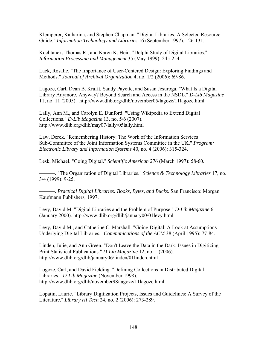Klemperer, Katharina, and Stephen Chapman. "Digital Libraries: A Selected Resource Guide." *Information Technology and Libraries* 16 (September 1997): 126-131.

Kochtanek, Thomas R., and Karen K. Hein. "Delphi Study of Digital Libraries." *Information Processing and Management* 35 (May 1999): 245-254.

Lack, Rosalie. "The Importance of User-Centered Design: Exploring Findings and Methods." *Journal of Archival Organization* 4, no. 1/2 (2006): 69-86.

Lagoze, Carl, Dean B. Krafft, Sandy Payette, and Susan Jesuroga. "What Is a Digital Library Anymore, Anyway? Beyond Search and Access in the NSDL." *D-Lib Magazine* 11, no. 11 (2005). http://www.dlib.org/dlib/november05/lagoze/11lagoze.html

Lally, Ann M., and Carolyn E. Dunford. "Using Wikipedia to Extend Digital Collections." *D-Lib Magazine* 13, no. 5/6 (2007). http://www.dlib.org/dlib/may07/lally/05lally.html

Law, Derek. "Remembering History: The Work of the Information Services Sub-Committee of the Joint Information Systems Committee in the UK." *Program: Electronic Library and Information Systems* 40, no. 4 (2006): 315-324.

Lesk, Michael. "Going Digital." *Scientific American* 276 (March 1997): 58-60.

———. "The Organization of Digital Libraries." *Science & Technology Libraries* 17, no. 3/4 (1999): 9-25.

———. *Practical Digital Libraries: Books, Bytes, and Bucks*. San Francisco: Morgan Kaufmann Publishers, 1997.

Levy, David M. "Digital Libraries and the Problem of Purpose." *D-Lib Magazine* 6 (January 2000). http://www.dlib.org/dlib/january00/01levy.html

Levy, David M., and Catherine C. Marshall. "Going Digital: A Look at Assumptions Underlying Digital Libraries." *Communications of the ACM* 38 (April 1995): 77-84.

Linden, Julie, and Ann Green. "Don't Leave the Data in the Dark: Issues in Digitizing Print Statistical Publications." *D-Lib Magazine* 12, no. 1 (2006). http://www.dlib.org/dlib/january06/linden/01linden.html

Logoze, Carl, and David Fielding. "Defining Collections in Distributed Digital Libraries." *D-Lib Magazine* (November 1998). http://www.dlib.org/dlib/november98/lagoze/11lagoze.html

Lopatin, Laurie. "Library Digitization Projects, Issues and Guidelines: A Survey of the Literature." *Library Hi Tech* 24, no. 2 (2006): 273-289.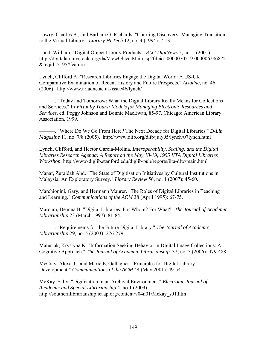Lowry, Charles B., and Barbara G. Richards. "Courting Discovery: Managing Transition to the Virtual Library." *Library Hi Tech* 12, no. 4 (1994): 7-13.

Lund, William. "Digital Object Library Products." *RLG DigiNews* 5, no. 5 (2001). http://digitalarchive.oclc.org/da/ViewObjectMain.jsp?fileid=0000070519:000006286872 &reqid=5195#feature1

Lynch, Clifford A. "Research Libraries Engage the Digital World: A US-UK Comparative Examination of Recent History and Future Prospects." *Ariadne*, no. 46 (2006). http://www.ariadne.ac.uk/issue46/lynch/

———. "Today and Tomorrow: What the Digital Library Really Means for Collections and Services." In *Virtually Yours: Models for Managing Electronic Resources and Services*, ed. Peggy Johnson and Bonnie MacEwan, 85-97. Chicago: American Library Association, 1999.

———. "Where Do We Go From Here? The Next Decade for Digital Libraries." *D-Lib Magazine* 11, no. 7/8 (2005). http://www.dlib.org/dlib/july05/lynch/07lynch.html

Lynch, Clifford, and Hector Garcia-Molina. *Interoperability, Scaling, and the Digital Libraries Research Agenda: A Report on the May 18-19, 1995 IITA Digital Libraries Workshop*. http://www-diglib.stanford.edu/diglib/pub/reports/iita-dlw/main.html

Manaf, Zuraidah Abd. "The State of Digitisation Initiatives by Cultural Institutions in Malaysia: An Exploratory Survey." *Library Review* 56, no. 1 (2007): 45-60.

Marchionini, Gary, and Hermann Maurer. "The Roles of Digital Libraries in Teaching and Learning." *Communications of the ACM* 38 (April 1995): 67-75.

Marcum, Deanna B. "Digital Libraries: For Whom? For What?" *The Journal of Academic Librarianship* 23 (March 1997): 81-84.

———. "Requirements for the Future Digital Library." *The Journal of Academic Librarianship* 29, no. 5 (2003): 276-279.

Matusiak, Krystyna K. "Information Seeking Behavior in Digital Image Collections: A Cognitive Approach." *The Journal of Academic Librarianship* 32, no. 5 (2006): 479-488.

McCray, Alexa T., and Marie E, Gallagher. "Principles for Digital Library Development." *Communications of the ACM* 44 (May 2001): 49-54.

McKay, Sally. "Digitization in an Archival Environment." *Electronic Journal of Academic and Special Librarianship* 4, no.1 (2003). http://southernlibrarianship.icaap.org/content/v04n01/Mckay\_s01.htm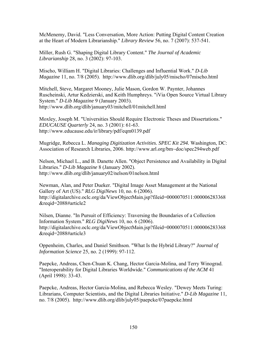McMenemy, David. "Less Conversation, More Action: Putting Digital Content Creation at the Heart of Modern Librarianship." *Library Review* 56, no. 7 (2007): 537-541.

Miller, Rush G. "Shaping Digital Library Content." *The Journal of Academic Librarianship* 28, no. 3 (2002): 97-103.

Mischo, William H. "Digital Libraries: Challenges and Influential Work." *D-Lib Magazine* 11, no. 7/8 (2005). http://www.dlib.org/dlib/july05/mischo/07mischo.html

Mitchell, Steve, Margaret Mooney, Julie Mason, Gordon W. Paynter, Johannes Ruscheinski, Artur Kedzierski, and Keith Humphreys. "iVia Open Source Virtual Library System." *D-Lib Magazine* 9 (January 2003). http://www.dlib.org/dlib/january03/mitchell/01mitchell.html

Moxley, Joseph M. "Universities Should Require Electronic Theses and Dissertations." *EDUCAUSE Quarterly* 24, no. 3 (2001): 61-63. http://www.educause.edu/ir/library/pdf/eqm0139.pdf

Mugridge, Rebecca L. *Managing Digitization Activities. SPEC Kit 294.* Washington, DC: Association of Research Libraries, 2006. http://www.arl.org/bm~doc/spec294web.pdf

Nelson, Michael L., and B. Danette Allen. "Object Persistence and Availability in Digital Libraries." *D-Lib Magazine* 8 (January 2002). http://www.dlib.org/dlib/january02/nelson/01nelson.html

Newman, Alan, and Peter Dueker. "Digital Image Asset Management at the National Gallery of Art (US)." *RLG DigiNews* 10, no. 6 (2006). http://digitalarchive.oclc.org/da/ViewObjectMain.jsp?fileid=0000070511:000006283368 &reqid=2088#article2

Nilsen, Dianne. "In Pursuit of Efficiency: Traversing the Boundaries of a Collection Information System." *RLG DigiNews* 10, no. 6 (2006). http://digitalarchive.oclc.org/da/ViewObjectMain.jsp?fileid=0000070511:000006283368 &reqid=2088#article3

Oppenheim, Charles, and Daniel Smithson. "What Is the Hybrid Library?" *Journal of Information Science* 25, no. 2 (1999): 97-112.

Paepcke, Andreas, Chen-Chuan K. Chang, Hector Garcia-Molina, and Terry Winograd. "Interoperability for Digital Libraries Worldwide." *Communications of the ACM* 41 (April 1998): 33-43.

Paepcke, Andreas, Hector Garcia-Molina, and Rebecca Wesley. "Dewey Meets Turing: Librarians, Computer Scientists, and the Digital Libraries Initiative." *D-Lib Magazine* 11, no. 7/8 (2005). http://www.dlib.org/dlib/july05/paepcke/07paepcke.html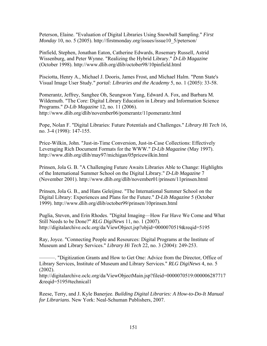Peterson, Elaine. "Evaluation of Digital Libraries Using Snowball Sampling." *First Monday* 10, no. 5 (2005). http://firstmonday.org/issues/issue10\_5/peterson/

Pinfield, Stephen, Jonathan Eaton, Catherine Edwards, Rosemary Russell, Astrid Wissenburg, and Peter Wynne. "Realizing the Hybrid Library." *D-Lib Magazine* (October 1998). http://www.dlib.org/dlib/october98/10pinfield.html

Pisciotta, Henry A., Michael J. Dooris, James Frost, and Michael Halm. "Penn State's Visual Image User Study." *portal: Libraries and the Academy* 5, no. 1 (2005): 33-58.

Pomerantz, Jeffrey, Sanghee Oh, Seungwon Yang, Edward A. Fox, and Barbara M. Wildemuth. "The Core: Digital Library Education in Library and Information Science Programs." *D-Lib Magazine* 12, no. 11 (2006). http://www.dlib.org/dlib/november06/pomerantz/11pomerantz.html

Pope, Nolan F. "Digital Libraries: Future Potentials and Challenges." *Library Hi Tech* 16, no. 3-4 (1998): 147-155.

Price-Wilkin, John. "Just-in-Time Conversion, Just-in-Case Collections: Effectively Leveraging Rich Document Formats for the WWW." *D-Lib Magazine* (May 1997). http://www.dlib.org/dlib/may97/michigan/05pricewilkin.html

Prinsen, Jola G. B. "A Challenging Future Awaits Libraries Able to Change: Highlights of the International Summer School on the Digital Library." *D-Lib Magazine* 7 (November 2001). http://www.dlib.org/dlib/november01/prinsen/11prinsen.html

Prinsen, Jola G. B., and Hans Geleijnse. "The International Summer School on the Digital Library: Experiences and Plans for the Future." *D-Lib Magazine* 5 (October 1999). http://www.dlib.org/dlib/october99/prinsen/10prinsen.html

Puglia, Steven, and Erin Rhodes. "Digital Imaging—How Far Have We Come and What Still Needs to be Done?" *RLG DigiNews* 11, no. 1 (2007). http://digitalarchive.oclc.org/da/ViewObject.jsp?objid=0000070519&reqid=5195

Ray, Joyce. "Connecting People and Resources: Digital Programs at the Institute of Museum and Library Services." *Library Hi Tech* 22, no. 3 (2004): 249-253.

———. "Digitization Grants and How to Get One: Advice from the Director, Office of Library Services, Institute of Museum and Library Services." *RLG DigiNews* 4, no. 5  $(2002)$ .

http://digitalarchive.oclc.org/da/ViewObjectMain.jsp?fileid=0000070519:000006287717 &reqid=5195#technical1

Reese, Terry, and J. Kyle Banerjee. *Building Digital Libraries: A How-to-Do-It Manual for Librarians*. New York: Neal-Schuman Publishers, 2007.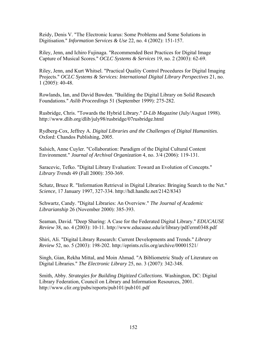Reidy, Denis V. "The Electronic Icarus: Some Problems and Some Solutions in Digitisation." *Information Services & Use* 22, no. 4 (2002): 151-157.

Riley, Jenn, and Ichiro Fujinaga. "Recommended Best Practices for Digital Image Capture of Musical Scores." *OCLC Systems & Services* 19, no. 2 (2003): 62-69.

Riley, Jenn, and Kurt Whitsel. "Practical Quality Control Procedures for Digital Imaging Projects." *OCLC Systems & Services: International Digital Library Perspectives* 21, no. 1 (2005): 40-48.

Rowlands, Ian, and David Bawden. "Building the Digital Library on Solid Research Foundations." *Aslib Proceedings* 51 (September 1999): 275-282.

Rusbridge, Chris. "Towards the Hybrid Library." *D-Lib Magazine* (July/August 1998). http://www.dlib.org/dlib/july98/rusbridge/07rusbridge.html

Rydberg-Cox, Jeffrey A. *Digital Libraries and the Challenges of Digital Humanities*. Oxford: Chandos Publishing, 2005.

Salsich, Anne Cuyler. "Collaboration: Paradigm of the Digital Cultural Content Environment." *Journal of Archival Organization* 4, no. 3/4 (2006): 119-131.

Saracevic, Tefko. "Digital Library Evaluation: Toward an Evolution of Concepts." *Library Trends* 49 (Fall 2000): 350-369.

Schatz, Bruce R. "Information Retrieval in Digital Libraries: Bringing Search to the Net." *Science*, 17 January 1997, 327-334. http://hdl.handle.net/2142/8343

Schwartz, Candy. "Digital Libraries: An Overview." *The Journal of Academic Librarianship* 26 (November 2000): 385-393.

Seaman, David. "Deep Sharing: A Case for the Federated Digital Library." *EDUCAUSE Review* 38, no. 4 (2003): 10-11. http://www.educause.edu/ir/library/pdf/erm0348.pdf

Shiri, Ali. "Digital Library Research: Current Developments and Trends." *Library Review* 52, no. 5 (2003): 198-202. http://eprints.rclis.org/archive/00001521/

Singh, Gian, Rekha Mittal, and Moin Ahmad. "A Bibliometric Study of Literature on Digital Libraries." *The Electronic Library* 25, no. 3 (2007): 342-348.

Smith, Abby. *Strategies for Building Digitized Collections*. Washington, DC: Digital Library Federation, Council on Library and Information Resources, 2001. http://www.clir.org/pubs/reports/pub101/pub101.pdf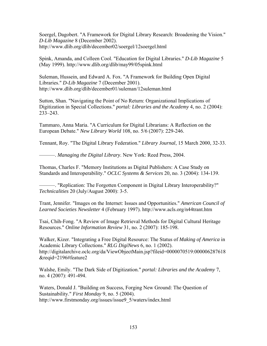Soergel, Dagobert. "A Framework for Digital Library Research: Broadening the Vision." *D-Lib Magazine* 8 (December 2002). http://www.dlib.org/dlib/december02/soergel/12soergel.html

Spink, Amanda, and Colleen Cool. "Education for Digital Libraries." *D-Lib Magazine* 5 (May 1999). http://www.dlib.org/dlib/may99/05spink.html

Suleman, Hussein, and Edward A. Fox. "A Framework for Building Open Digital Libraries." *D-Lib Magazine* 7 (December 2001). http://www.dlib.org/dlib/december01/suleman/12suleman.html

Sutton, Shan. "Navigating the Point of No Return: Organizational Implications of Digitization in Special Collections." *portal: Libraries and the Academy* 4, no. 2 (2004): 233–243.

Tammaro, Anna Maria. "A Curriculum for Digital Librarians: A Reflection on the European Debate." *New Library World* 108, no. 5/6 (2007): 229-246.

Tennant, Roy. "The Digital Library Federation." *Library Journal*, 15 March 2000, 32-33.

———. *Managing the Digital Library*. New York: Reed Press, 2004.

Thomas, Charles F. "Memory Institutions as Digital Publishers: A Case Study on Standards and Interoperability." *OCLC Systems & Services* 20, no. 3 (2004): 134-139.

———. "Replication: The Forgotten Component in Digital Library Interoperability?" *Technicalities* 20 (July/August 2000): 3-5.

Trant, Jennifer. "Images on the Internet: Issues and Opportunities." *American Council of Learned Societies Newsletter* 4 (February 1997). http://www.acls.org/n44trant.htm

Tsai, Chih-Fong. "A Review of Image Retrieval Methods for Digital Cultural Heritage Resources." *Online Information Review* 31, no. 2 (2007): 185-198.

Walker, Kizer. "Integrating a Free Digital Resource: The Status of *Making of America* in Academic Library Collections." *RLG DigiNews* 6, no. 1 (2002). http://digitalarchive.oclc.org/da/ViewObjectMain.jsp?fileid=0000070519:000006287618 &reqid=2196#feature2

Walshe, Emily. "The Dark Side of Digitization." *portal: Libraries and the Academy* 7, no. 4 (2007): 491-494.

Waters, Donald J. "Building on Success, Forging New Ground: The Question of Sustainability." *First Monday* 9, no. 5 (2004). http://www.firstmonday.org/issues/issue9\_5/waters/index.html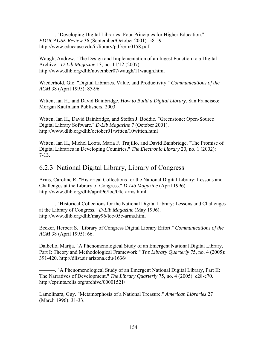———. "Developing Digital Libraries: Four Principles for Higher Education." *EDUCAUSE Review* 36 (September/October 2001): 58-59. http://www.educause.edu/ir/library/pdf/erm0158.pdf

Waugh, Andrew. "The Design and Implementation of an Ingest Function to a Digital Archive." *D-Lib Magazine* 13, no. 11/12 (2007). http://www.dlib.org/dlib/november07/waugh/11waugh.html

Wiederhold, Gio. "Digital Libraries, Value, and Productivity." *Communications of the ACM* 38 (April 1995): 85-96.

Witten, Ian H., and David Bainbridge. *How to Build a Digital Library*. San Francisco: Morgan Kaufmann Publishers, 2003.

Witten, Ian H., David Bainbridge, and Stefan J. Boddie. "Greenstone: Open-Source Digital Library Software." *D-Lib Magazine* 7 (October 2001). http://www.dlib.org/dlib/october01/witten/10witten.html

Witten, Ian H., Michel Loots, Maria F. Trujillo, and David Bainbridge. "The Promise of Digital Libraries in Developing Countries." *The Electronic Library* 20, no. 1 (2002): 7-13.

# 6.2.3 National Digital Library, Library of Congress

Arms, Caroline R. "Historical Collections for the National Digital Library: Lessons and Challenges at the Library of Congress." *D-Lib Magazine* (April 1996). http://www.dlib.org/dlib/april96/loc/04c-arms.html

———. "Historical Collections for the National Digital Library: Lessons and Challenges at the Library of Congress." *D-Lib Magazine* (May 1996). http://www.dlib.org/dlib/may96/loc/05c-arms.html

Becker, Herbert S. "Library of Congress Digital Library Effort." *Communications of the ACM* 38 (April 1995): 66.

Dalbello, Marija. "A Phenomenological Study of an Emergent National Digital Library, Part I: Theory and Methodological Framework." *The Library Quarterly* 75, no. 4 (2005): 391-420. http://dlist.sir.arizona.edu/1636/

———. "A Phenomenological Study of an Emergent National Digital Library, Part II: The Narratives of Development." *The Library Quarterly* 75, no. 4 (2005): e28-e70. http://eprints.rclis.org/archive/00001521/

Lamolinara, Guy. "Metamorphosis of a National Treasure." *American Libraries* 27 (March 1996): 31-33.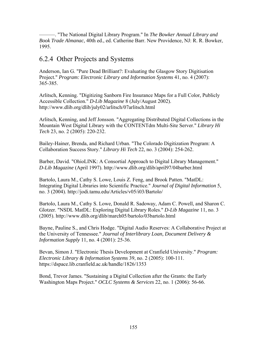———. "The National Digital Library Program." In *The Bowker Annual Library and Book Trade Almanac*, 40th ed., ed. Catherine Barr. New Providence, NJ: R. R. Bowker, 1995.

# 6.2.4 Other Projects and Systems

Anderson, Ian G. "Pure Dead Brilliant?: Evaluating the Glasgow Story Digitisation Project." *Program: Electronic Library and Information Systems* 41, no. 4 (2007): 365-385.

Arlitsch, Kenning. "Digitizing Sanborn Fire Insurance Maps for a Full Color, Publicly Accessible Collection." *D-Lib Magazine* 8 (July/August 2002). http://www.dlib.org/dlib/july02/arlitsch/07arlitsch.html

Arlitsch, Kenning, and Jeff Jonsson. "Aggregating Distributed Digital Collections in the Mountain West Digital Library with the CONTENTdm Multi-Site Server." *Library Hi Tech* 23, no. 2 (2005): 220-232.

Bailey-Hainer, Brenda, and Richard Urban. "The Colorado Digitization Program: A Collaboration Success Story." *Library Hi Tech* 22, no. 3 (2004): 254-262.

Barber, David. "OhioLINK: A Consortial Approach to Digital Library Management." *D-Lib Magazine* (April 1997). http://www.dlib.org/dlib/april97/04barber.html

Bartolo, Laura M., Cathy S. Lowe, Louis Z. Feng, and Brook Patten. "MatDL: Integrating Digital Libraries into Scientific Practice." *Journal of Digital Information* 5, no. 3 (2004). http://jodi.tamu.edu/Articles/v05/i03/Bartolo/

Bartolo, Laura M., Cathy S. Lowe, Donald R. Sadoway, Adam C. Powell, and Sharon C. Glotzer. "NSDL MatDL: Exploring Digital Library Roles." *D-Lib Magazine* 11, no. 3 (2005). http://www.dlib.org/dlib/march05/bartolo/03bartolo.html

Bayne, Pauline S., and Chris Hodge. "Digital Audio Reserves: A Collaborative Project at the University of Tennessee." *Journal of Interlibrary Loan, Document Delivery & Information Supply* 11, no. 4 (2001): 25-36.

Bevan, Simon J. "Electronic Thesis Development at Cranfield University." *Program: Electronic Library & Information Systems* 39, no. 2 (2005): 100-111. https://dspace.lib.cranfield.ac.uk/handle/1826/1353

Bond, Trevor James. "Sustaining a Digital Collection after the Grants: the Early Washington Maps Project." *OCLC Systems & Services* 22, no. 1 (2006): 56-66.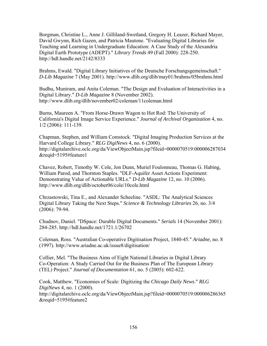Borgman, Christine L., Anne J. Gilliland-Swetland, Gregory H. Leazer, Richard Mayer, David Gwynn, Rich Gazen, and Patricia Mautone. "Evaluating Digital Libraries for Teaching and Learning in Undergraduate Education: A Case Study of the Alexandria Digital Earth Prototype (ADEPT)." *Library Trends* 49 (Fall 2000): 228-250. http://hdl.handle.net/2142/8333

Brahms, Ewald. "Digital Library Initiatives of the Deutsche Forschungsgemeinschaft." *D-Lib Magazine* 7 (May 2001). http://www.dlib.org/dlib/may01/brahms/05brahms.html

Budhu, Muniram, and Anita Coleman. "The Design and Evaluation of Interactivities in a Digital Library." *D-Lib Magazine* 8 (November 2002). http://www.dlib.org/dlib/november02/coleman/11coleman.html

Burns, Maureen A. "From Horse-Drawn Wagon to Hot Rod: The University of California's Digital Image Service Experience." *Journal of Archival Organization* 4, no. 1/2 (2006): 111-139.

Chapman, Stephen, and William Comstock. "Digital Imaging Production Services at the Harvard College Library." *RLG DigiNews* 4, no. 6 (2000). http://digitalarchive.oclc.org/da/ViewObjectMain.jsp?fileid=0000070519:000006287034 &reqid=5195#feature1

Chavez, Robert, Timothy W. Cole, Jon Dunn, Muriel Foulonneau, Thomas G. Habing, William Parod, and Thornton Staples. "DLF-Aquifer Asset Actions Experiment: Demonstrating Value of Actionable URLs." *D-Lib Magazine* 12, no. 10 (2006). http://www.dlib.org/dlib/october06/cole/10cole.html

Chrzastowski, Tina E., and Alexander Scheeline. "ASDL: The Analytical Sciences Digital Library Taking the Next Steps." *Science & Technology Libraries* 26, no. 3/4 (2006): 79-94.

Chudnov, Daniel. "DSpace: Durable Digital Documents." *Serials* 14 (November 2001): 284-285. http://hdl.handle.net/1721.1/26702

Coleman, Ross. "Australian Co-operative Digitisation Project, 1840-45." *Ariadne*, no. 8 (1997). http://www.ariadne.ac.uk/issue8/digitisation/

Collier, Mel. "The Business Aims of Eight National Libraries in Digital Library Co-Operation: A Study Carried Out for the Business Plan of The European Library (TEL) Project." *Journal of Documentation* 61, no. 5 (2005): 602-622.

Cook, Matthew. "Economies of Scale: Digitizing the *Chicago Daily News*." *RLG DigiNews* 4, no. 1 (2000). http://digitalarchive.oclc.org/da/ViewObjectMain.jsp?fileid=0000070519:000006286365 &reqid=5195#feature2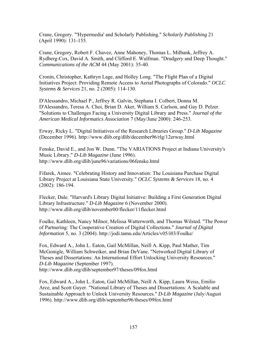Crane, Gregory. "'Hypermedia' and Scholarly Publishing." *Scholarly Publishing* 21 (April 1990): 131-155.

Crane, Gregory, Robert F. Chavez, Anne Mahoney, Thomas L. Milbank, Jeffrey A. Rydberg-Cox, David A. Smith, and Clifford E. Wulfman. "Drudgery and Deep Thought." *Communications of the ACM* 44 (May 2001): 35-40.

Cronin, Christopher, Kathryn Lage, and Holley Long. "The Flight Plan of a Digital Initiatives Project: Providing Remote Access to Aerial Photographs of Colorado." *OCLC Systems & Services* 21, no. 2 (2005): 114-130.

D'Alessandro, Michael P., Jeffrey R. Galvin, Stephana I. Colbert, Donna M. D'Alessandro, Teresa A. Choi, Brian D. Aker, William S. Carlson, and Gay D. Pelzer. "Solutions to Challenges Facing a University Digital Library and Press." *Journal of the American Medical Informatics Association* 7 (May/June 2000): 246-253.

Erway, Ricky L. "Digital Initiatives of the Research Libraries Group." *D-Lib Magazine* (December 1996). http://www.dlib.org/dlib/december96/rlg/12erway.html

Fenske, David E., and Jon W. Dunn. "The VARIATIONS Project at Indiana University's Music Library." *D-Lib Magazine* (June 1996). http://www.dlib.org/dlib/june96/variations/06fenske.html

Fifarek, Aimee. "Celebrating History and Innovation: The Louisiana Purchase Digital Library Project at Louisiana State University." *OCLC Systems & Services* 18, no. 4 (2002): 186-194.

Flecker, Dale. "Harvard's Library Digital Initiative: Building a First Generation Digital Library Infrastructure." *D-Lib Magazine* 6 (November 2000). http://www.dlib.org/dlib/november00/flecker/11flecker.html

Foulke, Kathleen, Nancy Milnor, Melissa Watterworth, and Thomas Wilsted. "The Power of Partnering: The Cooperative Creation of Digital Collections." *Journal of Digital Information* 5, no. 3 (2004). http://jodi.tamu.edu/Articles/v05/i03/Foulke/

Fox, Edward A., John L. Eaton, Gail McMillan, Neill A. Kipp, Paul Mather, Tim McGonigle, William Schweiker, and Brian DeVane. "Networked Digital Library of Theses and Dissertations: An International Effort Unlocking University Resources." *D-Lib Magazine* (September 1997). http://www.dlib.org/dlib/september97/theses/09fox.html

Fox, Edward A., John L. Eaton, Gail McMillan, Neill A. Kipp, Laura Weiss, Emilio Arce, and Scott Guyer. "National Library of Theses and Dissertations: A Scalable and Sustainable Approach to Unlock University Resources." *D-Lib Magazine* (July/August 1996). http://www.dlib.org/dlib/september96/theses/09fox.html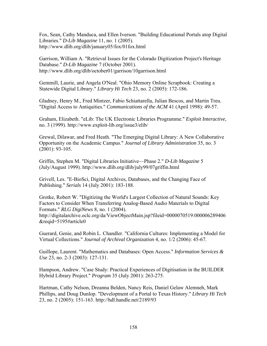Fox, Sean, Cathy Manduca, and Ellen Iverson. "Building Educational Portals atop Digital Libraries." *D-Lib Magazine* 11, no. 1 (2005). http://www.dlib.org/dlib/january05/fox/01fox.html

Garrison, William A. "Retrieval Issues for the Colorado Digitization Project's Heritage Database." *D-Lib Magazine* 7 (October 2001). http://www.dlib.org/dlib/october01/garrison/10garrison.html

Gemmill, Laurie, and Angela O'Neal. "Ohio Memory Online Scrapbook: Creating a Statewide Digital Library." *Library Hi Tech* 23, no. 2 (2005): 172-186.

Gladney, Henry M., Fred Mintzer, Fabio Schiattarella, Julian Bescos, and Martin Treu. "Digital Access to Antiquities." *Communications of the ACM* 41 (April 1998): 49-57.

Graham, Elizabeth. "eLib: The UK Electronic Libraries Programme." *Exploit Interactive*, no. 3 (1999). http://www.exploit-lib.org/issue3/elib/

Grewal, Dilawar, and Fred Heath. "The Emerging Digital Library: A New Collaborative Opportunity on the Academic Campus." *Journal of Library Administration* 35, no. 3 (2001): 93-105.

Griffin, Stephen M. "Digital Libraries Initiative—Phase 2." *D-Lib Magazine* 5 (July/August 1999). http://www.dlib.org/dlib/july99/07griffin.html

Grivell, Les. "E-BioSci, Digital Archives, Databases, and the Changing Face of Publishing." *Serials* 14 (July 2001): 183-188.

Grotke, Robert W. "Digitizing the World's Largest Collection of Natural Sounds: Key Factors to Consider When Transferring Analog-Based Audio Materials to Digital Formats." *RLG DigiNews* 8, no. 1 (2004). http://digitalarchive.oclc.org/da/ViewObjectMain.jsp?fileid=0000070519:000006289406 &reqid=5195#article0

Guerard, Genie, and Robin L. Chandler. "California Cultures: Implementing a Model for Virtual Collections." *Journal of Archival Organization* 4, no. 1/2 (2006): 45-67.

Guillope, Laurent. "Mathematics and Databases: Open Access." *Information Services & Use* 23, no. 2-3 (2003): 127-131.

Hampson, Andrew. "Case Study: Practical Experiences of Digitisation in the BUILDER Hybrid Library Project." *Program* 35 (July 2001): 263-275.

Hartman, Cathy Nelson, Dreanna Belden, Nancy Reis, Daniel Gelaw Alemneh, Mark Phillips, and Doug Dunlop. "Development of a Portal to Texas History." *Library Hi Tech* 23, no. 2 (2005): 151-163. http://hdl.handle.net/2189/93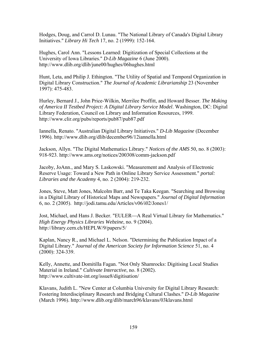Hodges, Doug, and Carrol D. Lunau. "The National Library of Canada's Digital Library Initiatives." *Library Hi Tech* 17, no. 2 (1999): 152-164.

Hughes, Carol Ann. "Lessons Learned: Digitization of Special Collections at the University of Iowa Libraries." *D-Lib Magazine* 6 (June 2000). http://www.dlib.org/dlib/june00/hughes/06hughes.html

Hunt, Leta, and Philip J. Ethington. "The Utility of Spatial and Temporal Organization in Digital Library Construction." *The Journal of Academic Librarianship* 23 (November 1997): 475-483.

Hurley, Bernard J., John Price-Wilkin, Merrilee Proffitt, and Howard Besser. *The Making of America II Testbed Project: A Digital Library Service Model*. Washington, DC: Digital Library Federation, Council on Library and Information Resources, 1999. http://www.clir.org/pubs/reports/pub87/pub87.pdf

Iannella, Renato. "Australian Digital Library Initiatives." *D-Lib Magazine* (December 1996). http://www.dlib.org/dlib/december96/12iannella.html

Jackson, Allyn. "The Digital Mathematics Library." *Notices of the AMS* 50, no. 8 (2003): 918-923. http://www.ams.org/notices/200308/comm-jackson.pdf

Jacoby, JoAnn., and Mary S. Laskowski. "Measurement and Analysis of Electronic Reserve Usage: Toward a New Path in Online Library Service Assessment." *portal: Libraries and the Academy* 4, no. 2 (2004): 219-232.

Jones, Steve, Matt Jones, Malcolm Barr, and Te Taka Keegan. "Searching and Browsing in a Digital Library of Historical Maps and Newspapers." *Journal of Digital Information* 6, no. 2 (2005). http://jodi.tamu.edu/Articles/v06/i02/Jones1/

Jost, Michael, and Hans J. Becker. "EULER—A Real Virtual Library for Mathematics." *High Energy Physics Libraries Webzine*, no. 9 (2004). http://library.cern.ch/HEPLW/9/papers/5/

Kaplan, Nancy R., and Michael L. Nelson. "Determining the Publication Impact of a Digital Library." *Journal of the American Society for Information Science* 51, no. 4 (2000): 324-339.

Kelly, Annette, and Domitilla Fagan. "Not Only Shamrocks: Digitising Local Studies Material in Ireland." *Cultivate Interactive*, no. 8 (2002). http://www.cultivate-int.org/issue8/digitisation/

Klavans, Judith L. "New Center at Columbia University for Digital Library Research: Fostering Interdisciplinary Research and Bridging Cultural Clashes." *D-Lib Magazine* (March 1996). http://www.dlib.org/dlib/march96/klavans/03klavans.html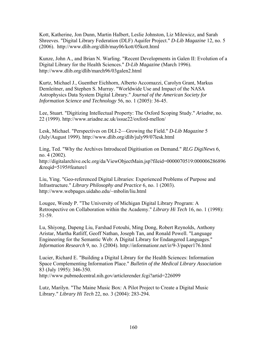Kott, Katherine, Jon Dunn, Martin Halbert, Leslie Johnston, Liz Milewicz, and Sarah Shreeves. "Digital Library Federation (DLF) Aquifer Project." *D-Lib Magazine* 12, no. 5 (2006). http://www.dlib.org/dlib/may06/kott/05kott.html

Kunze, John A., and Brian N. Warling. "Recent Developments in Galen II: Evolution of a Digital Library for the Health Sciences." *D-Lib Magazine* (March 1996). http://www.dlib.org/dlib/march96/03galen2.html

Kurtz, Michael J., Guenther Eichhorn, Alberto Accomazzi, Carolyn Grant, Markus Demleitner, and Stephen S. Murray. "Worldwide Use and Impact of the NASA Astrophysics Data System Digital Library." *Journal of the American Society for Information Science and Technology* 56, no. 1 (2005): 36-45.

Lee, Stuart. "Digitizing Intellectual Property: The Oxford Scoping Study." *Ariadne*, no. 22 (1999). http://www.ariadne.ac.uk/issue22/oxford-mellon/

Lesk, Michael. "Perspectives on DLI-2—Growing the Field." *D-Lib Magazine* 5 (July/August 1999). http://www.dlib.org/dlib/july99/07lesk.html

Ling, Ted. "Why the Archives Introduced Digitisation on Demand." *RLG DigiNews* 6, no. 4 (2002). http://digitalarchive.oclc.org/da/ViewObjectMain.jsp?fileid=0000070519:000006286896 &reqid=5195#feature1

Liu, Ying. "Geo-referenced Digital Libraries: Experienced Problems of Purpose and Infrastructure." *Library Philosophy and Practice* 6, no. 1 (2003). http://www.webpages.uidaho.edu/~mbolin/liu.html

Lougee, Wendy P. "The University of Michigan Digital Library Program: A Retrospective on Collaboration within the Academy." *Library Hi Tech* 16, no. 1 (1998): 51-59.

Lu, Shiyong, Dapeng Liu, Farshad Fotouhi, Ming Dong, Robert Reynolds, Anthony Aristar, Martha Ratliff, Geoff Nathan, Joseph Tan, and Ronald Powell. "Language Engineering for the Semantic Web: A Digital Library for Endangered Languages." *Information Research* 9, no. 3 (2004). http://informationr.net/ir/9-3/paper176.html

Lucier, Richard E. "Building a Digital Library for the Health Sciences: Information Space Complementing Information Place." *Bulletin of the Medical Library Association* 83 (July 1995): 346-350.

http://www.pubmedcentral.nih.gov/articlerender.fcgi?artid=226099

Lutz, Marilyn. "The Maine Music Box: A Pilot Project to Create a Digital Music Library." *Library Hi Tech* 22, no. 3 (2004): 283-294.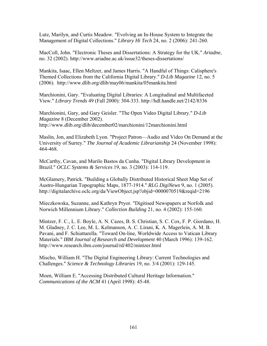Lutz, Marilyn, and Curtis Meadow. "Evolving an In-House System to Integrate the Management of Digital Collections." *Library Hi Tech* 24, no. 2 (2006): 241-260.

MacColl, John. "Electronic Theses and Dissertations: A Strategy for the UK." *Ariadne*, no. 32 (2002). http://www.ariadne.ac.uk/issue32/theses-dissertations/

Mankita, Isaac, Ellen Meltzer, and James Harris. "A Handful of Things: Calisphere's Themed Collections from the California Digital Library." *D-Lib Magazine* 12, no. 5 (2006). http://www.dlib.org/dlib/may06/mankita/05mankita.html

Marchionini, Gary. "Evaluating Digital Libraries: A Longitudinal and Multifaceted View." *Library Trends* 49 (Fall 2000): 304-333. http://hdl.handle.net/2142/8336

Marchionini, Gary, and Gary Geisler. "The Open Video Digital Library." *D-Lib Magazine* 8 (December 2002). http://www.dlib.org/dlib/december02/marchionini/12marchionini.html

Maslin, Jon, and Elizabeth Lyon. "Project Patron—Audio and Video On Demand at the University of Surrey." *The Journal of Academic Librarianship* 24 (November 1998): 464-468.

McCarthy, Cavan, and Murilo Bastos da Cunha. "Digital Library Development in Brazil." *OCLC Systems & Services* 19, no. 3 (2003): 114-119.

McGlamery, Patrick. "Building a Globally Distributed Historical Sheet Map Set of Austro-Hungarian Topographic Maps, 1877-1914." *RLG DigiNews* 9, no. 1 (2005). http://digitalarchive.oclc.org/da/ViewObject.jsp?objid=0000070519&reqid=2196

Mieczkowska, Suzanne, and Kathryn Pryor. "Digitised Newspapers at Norfolk and Norwich Millennium Library." *Collection Building* 21, no. 4 (2002): 155-160.

Mintzer, F. C., L. E. Boyle, A. N. Cazes, B. S. Christian, S. C. Cox, F. P. Giordano, H. M. Gladney, J. C. Lee, M. L. Kelmanson, A. C. Lirani, K. A. Magerlein, A. M. B. Pavani, and F. Schiattarella. "Toward On-line, Worldwide Access to Vatican Library Materials." *IBM Journal of Research and Development* 40 (March 1996): 139-162. http://www.research.ibm.com/journal/rd/402/mintzer.html

Mischo, William H. "The Digital Engineering Library: Current Technologies and Challenges." *Science & Technology Libraries* 19, no. 3/4 (2001): 129-145.

Moen, William E. "Accessing Distributed Cultural Heritage Information." *Communications of the ACM* 41 (April 1998): 45-48.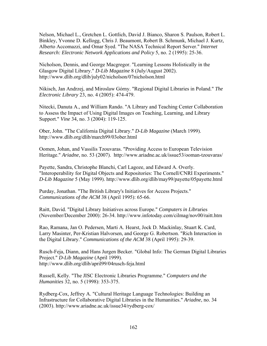Nelson, Michael L., Gretchen L. Gottlich, David J. Bianco, Sharon S. Paulson, Robert L. Binkley, Yvonne D. Kellogg, Chris J. Beaumont, Robert B. Schmunk, Michael J. Kurtz, Alberto Accomazzi, and Omar Syed. "The NASA Technical Report Server." *Internet Research: Electronic Network Applications and Policy* 5, no. 2 (1995): 25-36.

Nicholson, Dennis, and George Macgregor. "Learning Lessons Holistically in the Glasgow Digital Library." *D-Lib Magazine* 8 (July/August 2002). http://www.dlib.org/dlib/july02/nicholson/07nicholson.html

Nikisch, Jan Andrzej, and Miroslaw Górny. "Regional Digital Libraries in Poland." *The Electronic Library* 23, no. 4 (2005): 474-479.

Nitecki, Danuta A., and William Rando. "A Library and Teaching Center Collaboration to Assess the Impact of Using Digital Images on Teaching, Learning, and Library Support." *Vine* 34, no. 3 (2004): 119-125.

Ober, John. "The California Digital Library." *D-Lib Magazine* (March 1999). http://www.dlib.org/dlib/march99/03ober.html

Oomen, Johan, and Vassilis Tzouvaras. "Providing Access to European Television Heritage." *Ariadne*, no. 53 (2007). http://www.ariadne.ac.uk/issue53/ooman-tzouvaras/

Payette, Sandra, Christophe Blanchi, Carl Lagoze, and Edward A. Overly. "Interoperability for Digital Objects and Repositories: The Cornell/CNRI Experiments." *D-Lib Magazine* 5 (May 1999). http://www.dlib.org/dlib/may99/payette/05payette.html

Purday, Jonathan. "The British Library's Initiatives for Access Projects." *Communications of the ACM* 38 (April 1995): 65-66.

Raitt, David. "Digital Library Initiatives across Europe." *Computers in Libr*aries (November/December 2000): 26-34. http://www.infotoday.com/cilmag/nov00/raitt.htm

Rao, Ramana, Jan O. Pedersen, Marti A. Hearst, Jock D. Mackinlay, Stuart K. Card, Larry Masinter, Per-Kristian Halvorsen, and George G. Robertson. "Rich Interaction in the Digital Library." *Communications of the ACM* 38 (April 1995): 29-39.

Rusch-Feja, Diann, and Hans Jurgen Becker. "Global Info: The German Digital Libraries Project." *D-Lib Magazine* (April 1999). http://www.dlib.org/dlib/april99/04rusch-feja.html

Russell, Kelly. "The JISC Electronic Libraries Programme." *Computers and the Humanities* 32, no. 5 (1998): 353-375.

Rydberg-Cox, Jeffrey A. "Cultural Heritage Language Technologies: Building an Infrastructure for Collaborative Digital Libraries in the Humanities." *Ariadne*, no. 34 (2003). http://www.ariadne.ac.uk/issue34/rydberg-cox/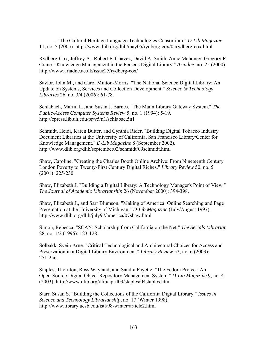———. "The Cultural Heritage Language Technologies Consortium." *D-Lib Magazine* 11, no. 5 (2005). http://www.dlib.org/dlib/may05/rydberg-cox/05rydberg-cox.html

Rydberg-Cox, Jeffrey A., Robert F. Chavez, David A. Smith, Anne Mahoney, Gregory R. Crane. "Knowledge Management in the Perseus Digital Library." *Ariadne*, no. 25 (2000). http://www.ariadne.ac.uk/issue25/rydberg-cox/

Saylor, John M., and Carol Minton-Morris. "The National Science Digital Library: An Update on Systems, Services and Collection Development." *Science & Technology Libraries* 26, no. 3/4 (2006): 61-78.

Schlabach, Martin L., and Susan J. Barnes. "The Mann Library Gateway System." *The Public-Access Computer Systems Review* 5, no. 1 (1994): 5-19. http://epress.lib.uh.edu/pr/v5/n1/schlabac.5n1

Schmidt, Heidi, Karen Butter, and Cynthia Rider. "Building Digital Tobacco Industry Document Libraries at the University of California, San Francisco Library/Center for Knowledge Management." *D-Lib Magazine* 8 (September 2002). http://www.dlib.org/dlib/september02/schmidt/09schmidt.html

Shaw, Caroline. "Creating the Charles Booth Online Archive: From Nineteenth Century London Poverty to Twenty-First Century Digital Riches." *Library Review* 50, no. 5 (2001): 225-230.

Shaw, Elizabeth J. "Building a Digital Library: A Technology Manager's Point of View." *The Journal of Academic Librarianship* 26 (November 2000): 394-398.

Shaw, Elizabeth J., and Sarr Blumson. "Making of America: Online Searching and Page Presentation at the University of Michigan." *D-Lib Magazine* (July/August 1997). http://www.dlib.org/dlib/july97/america/07shaw.html

Simon, Rebecca. "SCAN: Scholarship from California on the Net." *The Serials Librarian* 28, no. 1/2 (1996): 123-128.

Solbakk, Svein Arne. "Critical Technological and Architectural Choices for Access and Preservation in a Digital Library Environment." *Library Review* 52, no. 6 (2003): 251-256.

Staples, Thornton, Ross Wayland, and Sandra Payette. "The Fedora Project: An Open-Source Digital Object Repository Management System." *D-Lib Magazine* 9, no. 4 (2003). http://www.dlib.org/dlib/april03/staples/04staples.html

Starr, Susan S. "Building the Collections of the California Digital Library." *Issues in Science and Technology Librarianship*, no. 17 (Winter 1998). http://www.library.ucsb.edu/istl/98-winter/article2.html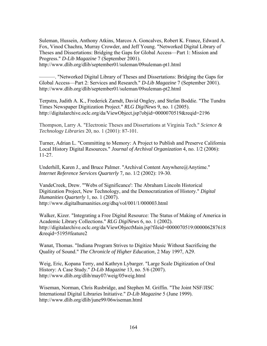Suleman, Hussein, Anthony Atkins, Marcos A. Goncalves, Robert K. France, Edward A. Fox, Vinod Chachra, Murray Crowder, and Jeff Young. "Networked Digital Library of Theses and Dissertations: Bridging the Gaps for Global Access—Part 1: Mission and Progress." *D-Lib Magazine* 7 (September 2001).

http://www.dlib.org/dlib/september01/suleman/09suleman-pt1.html

———. "Networked Digital Library of Theses and Dissertations: Bridging the Gaps for Global Access—Part 2: Services and Research." *D-Lib Magazine* 7 (September 2001). http://www.dlib.org/dlib/september01/suleman/09suleman-pt2.html

Terpstra, Judith A. K., Frederick Zarndt, David Ongley, and Stefan Boddie. "The Tundra Times Newspaper Digitization Project." *RLG DigiNews* 9, no. 1 (2005). http://digitalarchive.oclc.org/da/ViewObject.jsp?objid=0000070519&reqid=2196

Thompson, Larry A. "Electronic Theses and Dissertations at Virginia Tech." *Science & Technology Libraries* 20, no. 1 (2001): 87-101.

Turner, Adrian L. "Committing to Memory: A Project to Publish and Preserve California Local History Digital Resources." *Journal of Archival Organization* 4, no. 1/2 (2006): 11-27.

Underhill, Karen J., and Bruce Palmer. "Archival Content Anywhere@Anytime." *Internet Reference Services Quarterly* 7, no. 1/2 (2002): 19-30.

VandeCreek, Drew. "'Webs of Significance': The Abraham Lincoln Historical Digitization Project, New Technology, and the Democratization of History." *Digital Humanities Quarterly* 1, no. 1 (2007). http://www.digitalhumanities.org/dhq/vol/001/1/000003.html

Walker, Kizer. "Integrating a Free Digital Resource: The Status of Making of America in Academic Library Collections." *RLG DigiNews* 6, no. 1 (2002). http://digitalarchive.oclc.org/da/ViewObjectMain.jsp?fileid=0000070519:000006287618 &reqid=5195#feature2

Wanat, Thomas. "Indiana Program Strives to Digitize Music Without Sacrificing the Quality of Sound." *The Chronicle of Higher Education*, 2 May 1997, A29.

Weig, Eric, Kopana Terry, and Kathryn Lybarger. "Large Scale Digitization of Oral History: A Case Study." *D-Lib Magazine* 13, no. 5/6 (2007). http://www.dlib.org/dlib/may07/weig/05weig.html

Wiseman, Norman, Chris Rusbridge, and Stephen M. Griffin. "The Joint NSF/JISC International Digital Libraries Initiative." *D-Lib Magazine* 5 (June 1999). http://www.dlib.org/dlib/june99/06wiseman.html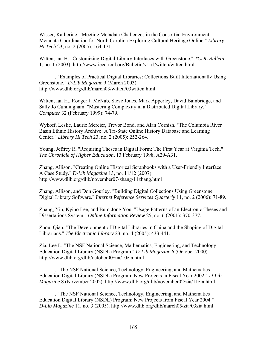Wisser, Katherine. "Meeting Metadata Challenges in the Consortial Environment: Metadata Coordination for North Carolina Exploring Cultural Heritage Online." *Library Hi Tech* 23, no. 2 (2005): 164-171.

Witten, Ian H. "Customizing Digital Library Interfaces with Greenstone." *TCDL Bulletin* 1, no. 1 (2003). http://www.ieee-tcdl.org/Bulletin/v1n1/witten/witten.html

———. "Examples of Practical Digital Libraries: Collections Built Internationally Using Greenstone." *D-Lib Magazine* 9 (March 2003). http://www.dlib.org/dlib/march03/witten/03witten.html

Witten, Ian H., Rodger J. McNab, Steve Jones, Mark Apperley, David Bainbridge, and Sally Jo Cunningham. "Mastering Complexity in a Distributed Digital Library." *Computer* 32 (February 1999): 74-79.

Wykoff, Leslie, Laurie Mercier, Trevor Bond, and Alan Cornish. "The Columbia River Basin Ethnic History Archive: A Tri-State Online History Database and Learning Center." *Library Hi Tech* 23, no. 2 (2005): 252-264.

Young, Jeffrey R. "Requiring Theses in Digital Form: The First Year at Virginia Tech." *The Chronicle of Higher Education*, 13 February 1998, A29-A31.

Zhang, Allison. "Creating Online Historical Scrapbooks with a User-Friendly Interface: A Case Study." *D-Lib Magazine* 13, no. 11/12 (2007). http://www.dlib.org/dlib/november07/zhang/11zhang.html

Zhang, Allison, and Don Gourley. "Building Digital Collections Using Greenstone Digital Library Software." *Internet Reference Services Quarterly* 11, no. 2 (2006): 71-89.

Zhang, Yin, Kyiho Lee, and Bum-Jong You. "Usage Patterns of an Electronic Theses and Dissertations System." *Online Information Review* 25, no. 6 (2001): 370-377.

Zhou, Qian. "The Development of Digital Libraries in China and the Shaping of Digital Librarians." *The Electronic Library* 23, no. 4 (2005): 433-441.

Zia, Lee L. "The NSF National Science, Mathematics, Engineering, and Technology Education Digital Library (NSDL) Program." *D-Lib Magazine* 6 (October 2000). http://www.dlib.org/dlib/october00/zia/10zia.html

———. "The NSF National Science, Technology, Engineering, and Mathematics Education Digital Library (NSDL) Program: New Projects in Fiscal Year 2002." *D-Lib Magazine* 8 (November 2002). http://www.dlib.org/dlib/november02/zia/11zia.html

———. "The NSF National Science, Technology, Engineering, and Mathematics Education Digital Library (NSDL) Program: New Projects from Fiscal Year 2004." *D-Lib Magazine* 11, no. 3 (2005). http://www.dlib.org/dlib/march05/zia/03zia.html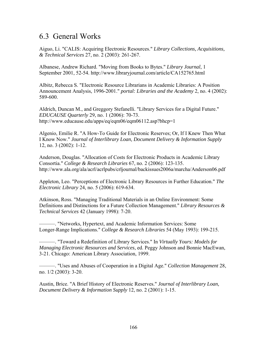# 6.3 General Works

Aiguo, Li. "CALIS: Acquiring Electronic Resources." *Library Collections, Acquisitions, & Technical Services* 27, no. 2 (2003): 261-267.

Albanese, Andrew Richard. "Moving from Books to Bytes." *Library Journal*, 1 September 2001, 52-54. http://www.libraryjournal.com/article/CA152765.html

Albitz, Rebecca S. "Electronic Resource Librarians in Academic Libraries: A Position Announcement Analysis, 1996-2001." *portal: Libraries and the Academy* 2, no. 4 (2002): 589-600.

Aldrich, Duncan M., and Greggory Stefanelli. "Library Services for a Digital Future." *EDUCAUSE Quarterly* 29, no. 1 (2006): 70-73. http://www.educause.edu/apps/eq/eqm06/eqm06112.asp?bhcp=1

Algenio, Emilie R. "A How-To Guide for Electronic Reserves; Or, If I Knew Then What I Know Now." *Journal of Interlibrary Loan, Document Delivery & Information Supply* 12, no. 3 (2002): 1-12.

Anderson, Douglas. "Allocation of Costs for Electronic Products in Academic Library Consortia." *College & Research Libraries* 67, no. 2 (2006): 123-135. http://www.ala.org/ala/acrl/acrlpubs/crljournal/backissues2006a/marcha/Anderson06.pdf

Appleton, Leo. "Perceptions of Electronic Library Resources in Further Education." *The Electronic Library* 24, no. 5 (2006): 619-634.

Atkinson, Ross. "Managing Traditional Materials in an Online Environment: Some Definitions and Distinctions for a Future Collection Management." *Library Resources & Technical Services* 42 (January 1998): 7-20.

———. "Networks, Hypertext, and Academic Information Services: Some Longer-Range Implications." *College & Research Libraries* 54 (May 1993): 199-215.

———. "Toward a Redefinition of Library Services." In *Virtually Yours: Models for Managing Electronic Resources and Services*, ed. Peggy Johnson and Bonnie MacEwan, 3-21. Chicago: American Library Association, 1999.

———. "Uses and Abuses of Cooperation in a Digital Age." *Collection Management* 28, no. 1/2 (2003): 3-20.

Austin, Brice. "A Brief History of Electronic Reserves." *Journal of Interlibrary Loan, Document Delivery & Information Supply* 12, no. 2 (2001): 1-15.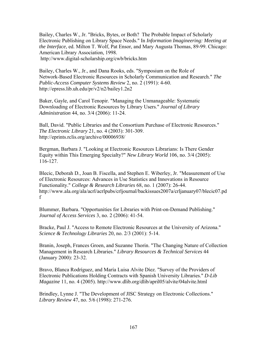Bailey, Charles W., Jr. "Bricks, Bytes, or Both? The Probable Impact of Scholarly Electronic Publishing on Library Space Needs." In *Information Imagineering: Meeting at the Interface*, ed. Milton T. Wolf, Pat Ensor, and Mary Augusta Thomas, 89-99. Chicago: American Library Association, 1998. http://www.digital-scholarship.org/cwb/bricks.htm

Bailey, Charles W., Jr., and Dana Rooks, eds. "Symposium on the Role of Network-Based Electronic Resources in Scholarly Communication and Research." *The Public-Access Computer Systems Review* 2, no. 2 (1991): 4-60. http://epress.lib.uh.edu/pr/v2/n2/bailey1.2n2

Baker, Gayle, and Carol Tenopir. "Managing the Unmanageable: Systematic Downloading of Electronic Resources by Library Users." *Journal of Library Administration* 44, no. 3/4 (2006): 11-24.

Ball, David. "Public Libraries and the Consortium Purchase of Electronic Resources." *The Electronic Library* 21, no. 4 (2003): 301-309. http://eprints.rclis.org/archive/00006938/

Bergman, Barbara J. "Looking at Electronic Resources Librarians: Is There Gender Equity within This Emerging Specialty?" *New Library World* 106, no. 3/4 (2005): 116-127.

Blecic, Deborah D., Joan B. Fiscella, and Stephen E. Wiberley, Jr. "Measurement of Use of Electronic Resources: Advances in Use Statistics and Innovations in Resource Functionality." *College & Research Libraries* 68, no. 1 (2007): 26-44. http://www.ala.org/ala/acrl/acrlpubs/crljournal/backissues2007a/crljanuary07/blecic07.pd f

Blummer, Barbara. "Opportunities for Libraries with Print-on-Demand Publishing." *Journal of Access Services* 3, no. 2 (2006): 41-54.

Bracke, Paul J. "Access to Remote Electronic Resources at the University of Arizona." *Science & Technology Libraries* 20, no. 2/3 (2001): 5-14.

Branin, Joseph, Frances Groen, and Suzanne Thorin. "The Changing Nature of Collection Management in Research Libraries." *Library Resources & Technical Services* 44 (January 2000): 23-32.

Bravo, Blanca Rodríguez, and María Luisa Alvite Díez. "Survey of the Providers of Electronic Publications Holding Contracts with Spanish University Libraries." *D-Lib Magazine* 11, no. 4 (2005). http://www.dlib.org/dlib/april05/alvite/04alvite.html

Brindley, Lynne J. "The Development of JISC Strategy on Electronic Collections." *Library Review* 47, no. 5/6 (1998): 271-276.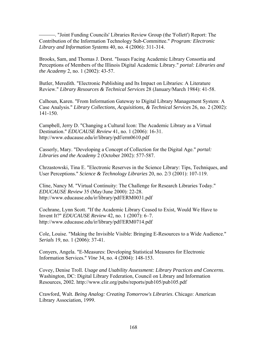⎯⎯⎯. "Joint Funding Councils' Libraries Review Group (the 'Follett') Report: The Contribution of the Information Technology Sub-Committee." *Program: Electronic Library and Information Systems* 40, no. 4 (2006): 311-314.

Brooks, Sam, and Thomas J. Dorst. "Issues Facing Academic Library Consortia and Perceptions of Members of the Illinois Digital Academic Library." *portal: Libraries and the Academy* 2, no. 1 (2002): 43-57.

Butler, Meredith. "Electronic Publishing and Its Impact on Libraries: A Literature Review." *Library Resources & Technical Services* 28 (January/March 1984): 41-58.

Calhoun, Karen. "From Information Gateway to Digital Library Management System: A Case Analysis." *Library Collections, Acquisitions, & Technical Services* 26, no. 2 (2002): 141-150.

Campbell, Jerry D. "Changing a Cultural Icon: The Academic Library as a Virtual Destination." *EDUCAUSE Review* 41, no. 1 (2006): 16-31. http://www.educause.edu/ir/library/pdf/erm0610.pdf

Casserly, Mary. "Developing a Concept of Collection for the Digital Age." *portal: Libraries and the Academy* 2 (October 2002): 577-587.

Chrzastowski, Tina E. "Electronic Reserves in the Science Library: Tips, Techniques, and User Perceptions." *Science & Technology Libraries* 20, no. 2/3 (2001): 107-119.

Cline, Nancy M. "Virtual Continuity: The Challenge for Research Libraries Today." *EDUCAUSE Review* 35 (May/June 2000): 22-28. http://www.educause.edu/ir/library/pdf/ERM0031.pdf

Cochrane, Lynn Scott. "If the Academic Library Ceased to Exist, Would We Have to Invent It?" *EDUCAUSE Review* 42, no. 1 (2007): 6–7. http://www.educause.edu/ir/library/pdf/ERM0714.pdf

Cole, Louise. "Making the Invisible Visible: Bringing E-Resources to a Wide Audience." *Serials* 19, no. 1 (2006): 37-41.

Conyers, Angela. "E-Measures: Developing Statistical Measures for Electronic Information Services." *Vine* 34, no. 4 (2004): 148-153.

Covey, Denise Troll. *Usage and Usability Assessment: Library Practices and Concerns*. Washington, DC: Digital Library Federation, Council on Library and Information Resources, 2002. http://www.clir.org/pubs/reports/pub105/pub105.pdf

Crawford, Walt. *Being Analog: Creating Tomorrow's Libraries*. Chicago: American Library Association, 1999.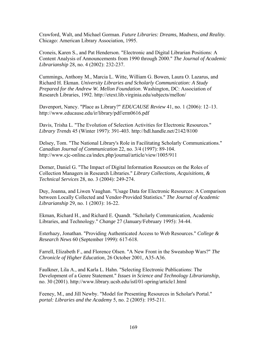Crawford, Walt, and Michael Gorman. *Future Libraries: Dreams, Madness, and Reality*. Chicago: American Library Association, 1995.

Croneis, Karen S., and Pat Henderson. "Electronic and Digital Librarian Positions: A Content Analysis of Announcements from 1990 through 2000." *The Journal of Academic Librarianship* 28, no. 4 (2002): 232-237.

Cummings, Anthony M., Marcia L. Witte, William G. Bowen, Laura O. Lazarus, and Richard H. Ekman. *University Libraries and Scholarly Communication: A Study Prepared for the Andrew W. Mellon Foundation*. Washington, DC: Association of Research Libraries, 1992. http://etext.lib.virginia.edu/subjects/mellon/

Davenport, Nancy. "Place as Library?" *EDUCAUSE Review* 41, no. 1 (2006): 12–13. http://www.educause.edu/ir/library/pdf/erm0616.pdf

Davis, Trisha L. "The Evolution of Selection Activities for Electronic Resources." *Library Trends* 45 (Winter 1997): 391-403. http://hdl.handle.net/2142/8100

Delsey, Tom. "The National Library's Role in Facilitating Scholarly Communications." *Canadian Journal of Communication* 22, no. 3/4 (1997): 89-104. http://www.cjc-online.ca/index.php/journal/article/view/1005/911

Dorner, Daniel G. "The Impact of Digital Information Resources on the Roles of Collection Managers in Research Libraries." *Library Collections, Acquisitions, & Technical Services* 28, no. 3 (2004): 249-274.

Duy, Joanna, and Liwen Vaughan. "Usage Data for Electronic Resources: A Comparison between Locally Collected and Vendor-Provided Statistics." *The Journal of Academic Librarianship* 29, no. 1 (2003): 16-22.

Ekman, Richard H., and Richard E. Quandt. "Scholarly Communication, Academic Libraries, and Technology." *Change* 27 (January/February 1995): 34-44.

Esterhazy, Jonathan. "Providing Authenticated Access to Web Resources." *College & Research News* 60 (September 1999): 617-618.

Farrell, Elizabeth F., and Florence Olsen. "A New Front in the Sweatshop Wars?" *The Chronicle of Higher Education*, 26 October 2001, A35-A36.

Faulkner, Lila A., and Karla L. Hahn. "Selecting Electronic Publications: The Development of a Genre Statement." *Issues in Science and Technology Librarianship*, no. 30 (2001). http://www.library.ucsb.edu/istl/01-spring/article1.html

Feeney, M., and Jill Newby. "Model for Presenting Resources in Scholar's Portal." *portal: Libraries and the Academy* 5, no. 2 (2005): 195-211.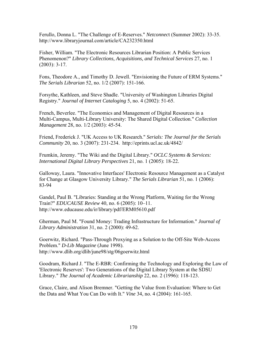Ferullo, Donna L. "The Challenge of E-Reserves." *Netconnec*t (Summer 2002): 33-35. http://www.libraryjournal.com/article/CA232350.html

Fisher, William. "The Electronic Resources Librarian Position: A Public Services Phenomenon?" *Library Collections, Acquisitions, and Technical Services* 27, no. 1 (2003): 3-17.

Fons, Theodore A., and Timothy D. Jewell. "Envisioning the Future of ERM Systems." *The Serials Librarian* 52, no. 1/2 (2007): 151-166.

Forsythe, Kathleen, and Steve Shadle. "University of Washington Libraries Digital Registry." *Journal of Internet Cataloging* 5, no. 4 (2002): 51-65.

French, Beverlee. "The Economics and Management of Digital Resources in a Multi-Campus, Multi-Library University: The Shared Digital Collection." *Collection Management* 28, no. 1/2 (2003): 45-54.

Friend, Frederick J. "UK Access to UK Research." *Serials: The Journal for the Serials Community* 20, no. 3 (2007): 231-234. http://eprints.ucl.ac.uk/4842/

Frumkin, Jeremy. "The Wiki and the Digital Library." *OCLC Systems & Services: International Digital Library Perspectives* 21, no. 1 (2005): 18-22.

Galloway, Laura. "Innovative Interfaces' Electronic Resource Management as a Catalyst for Change at Glasgow University Library." *The Serials Librarian* 51, no. 1 (2006): 83-94

Gandel, Paul B. "Libraries: Standing at the Wrong Platform, Waiting for the Wrong Train?" *EDUCAUSE Review* 40, no. 6 (2005): 10–11. http://www.educause.edu/ir/library/pdf/ERM05610.pdf

Gherman, Paul M. "Found Money: Trading Infrastructure for Information." *Journal of Library Administration* 31, no. 2 (2000): 49-62.

Goerwitz, Richard. "Pass-Through Proxying as a Solution to the Off-Site Web-Access Problem." *D-Lib Magazine* (June 1998). http://www.dlib.org/dlib/june98/stg/06goerwitz.html

Goodram, Richard J. "The E-RBR: Confirming the Technology and Exploring the Law of 'Electronic Reserves': Two Generations of the Digital Library System at the SDSU Library." *The Journal of Academic Librarianship* 22, no. 2 (1996): 118-123.

Grace, Claire, and Alison Bremner. "Getting the Value from Evaluation: Where to Get the Data and What You Can Do with It." *Vine* 34, no. 4 (2004): 161-165.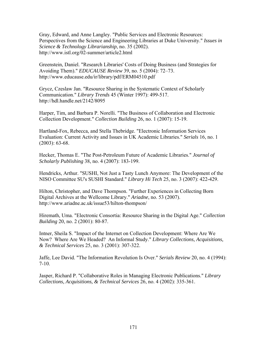Gray, Edward, and Anne Langley. "Public Services and Electronic Resources: Perspectives from the Science and Engineering Libraries at Duke University." *Issues in Science & Technology Librarianship*, no. 35 (2002). http://www.istl.org/02-summer/article2.html

Greenstein, Daniel. "Research Libraries' Costs of Doing Business (and Strategies for Avoiding Them)." *EDUCAUSE Review* 39, no. 5 (2004): 72–73. http://www.educause.edu/ir/library/pdf/ERM04510.pdf

Grycz, Czeslaw Jan. "Resource Sharing in the Systematic Context of Scholarly Communication." *Library Trends* 45 (Winter 1997): 499-517. http://hdl.handle.net/2142/8095

Harper, Tim, and Barbara P. Norelli. "The Business of Collaboration and Electronic Collection Development." *Collection Building* 26, no. 1 (2007): 15-19.

Hartland-Fox, Rebecca, and Stella Thebridge. "Electronic Information Services Evaluation: Current Activity and Issues in UK Academic Libraries." *Serials* 16, no. 1 (2003): 63-68.

Hecker, Thomas E. "The Post-Petroleum Future of Academic Libraries." *Journal of Scholarly Publishing* 38, no. 4 (2007): 183-199.

Hendricks, Arthur. "SUSHI, Not Just a Tasty Lunch Anymore: The Development of the NISO Committee SU's SUSHI Standard." *Library Hi Tech* 25, no. 3 (2007): 422-429.

Hilton, Christopher, and Dave Thompson. "Further Experiences in Collecting Born Digital Archives at the Wellcome Library." *Ariadne*, no. 53 (2007). http://www.ariadne.ac.uk/issue53/hilton-thompson/

Hiremath, Uma. "Electronic Consortia: Resource Sharing in the Digital Age." *Collection Building* 20, no. 2 (2001): 80-87.

Intner, Sheila S. "Impact of the Internet on Collection Development: Where Are We Now? Where Are We Headed? An Informal Study." *Library Collections, Acquisitions, & Technical Services* 25, no. 3 (2001): 307-322.

Jaffe, Lee David. "The Information Revolution Is Over." *Serials Review* 20, no. 4 (1994): 7-10.

Jasper, Richard P. "Collaborative Roles in Managing Electronic Publications." *Library Collections, Acquisitions, & Technical Services* 26, no. 4 (2002): 335-361.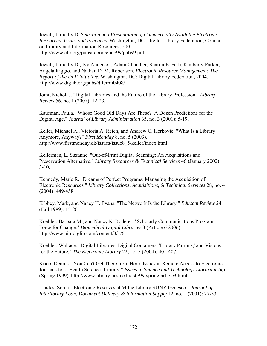Jewell, Timothy D. *Selection and Presentation of Commercially Available Electronic Resources: Issues and Practices*. Washington, DC: Digital Library Federation, Council on Library and Information Resources, 2001. http://www.clir.org/pubs/reports/pub99/pub99.pdf

Jewell, Timothy D., Ivy Anderson, Adam Chandler, Sharon E. Farb, Kimberly Parker, Angela Riggio, and Nathan D. M. Robertson. *Electronic Resource Management: The Report of the DLF Initiative*. Washington, DC: Digital Library Federation, 2004. http://www.diglib.org/pubs/dlfermi0408/

Joint, Nicholas. "Digital Libraries and the Future of the Library Profession." *Library Review* 56, no. 1 (2007): 12-23.

Kaufman, Paula. "Whose Good Old Days Are These? A Dozen Predictions for the Digital Age." *Journal of Library Administration* 35, no. 3 (2001): 5-19.

Keller, Michael A., Victoria A. Reich, and Andrew C. Herkovic. "What Is a Library Anymore, Anyway?" *First Monday* 8, no. 5 (2003). http://www.firstmonday.dk/issues/issue8\_5/keller/index.html

Kellerman, L. Suzanne. "Out-of-Print Digital Scanning: An Acquisitions and Preservation Alternative." *Library Resources & Technical Services* 46 (January 2002):  $3 - 10$ .

Kennedy, Marie R. "Dreams of Perfect Programs: Managing the Acquisition of Electronic Resources." *Library Collections, Acquisitions, & Technical Services* 28, no. 4 (2004): 449-458.

Kibbey, Mark, and Nancy H. Evans. "The Network Is the Library." *Educom Review* 24 (Fall 1989): 15-20.

Koehler, Barbara M., and Nancy K. Roderer. "Scholarly Communications Program: Force for Change." *Biomedical Digital Libraries* 3 (Article 6 2006). http://www.bio-diglib.com/content/3/1/6

Koehler, Wallace. "Digital Libraries, Digital Containers, 'Library Patrons,' and Visions for the Future." *The Electronic Library* 22, no. 5 (2004): 401-407.

Krieb, Dennis. "You Can't Get There from Here: Issues in Remote Access to Electronic Journals for a Health Sciences Library." *Issues in Science and Technology Librarianship* (Spring 1999). http://www.library.ucsb.edu/istl/99-spring/article3.html

Landes, Sonja. "Electronic Reserves at Milne Library SUNY Geneseo." *Journal of Interlibrary Loan, Document Delivery & Information Supply* 12, no. 1 (2001): 27-33.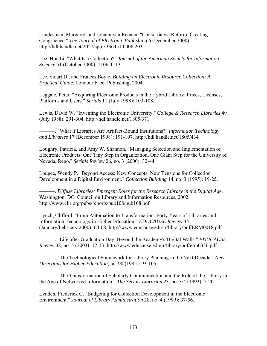Landesman, Margaret, and Johann van Reenen. "Consortia vs. Reform: Creating Congruence." *The Journal of Electronic Publishing* 6 (December 2000). http://hdl.handle.net/2027/spo.3336451.0006.203

Lee, Hur-Li. "What Is a Collection?" *Journal of the American Society for Information Science* 51 (October 2000): 1106-1113.

Lee, Stuart D., and Frances Boyle. *Building an Electronic Resource Collection: A Practical Guide*. London: Facet Publishing, 2004.

Leggate, Peter. "Acquiring Electronic Products in the Hybrid Library: Prices, Licenses, Platforms and Users." *Serials* 11 (July 1998): 103-108.

Lewis, David W. "Inventing the Electronic University." *College & Research Libraries* 49 (July 1988): 291-304. http://hdl.handle.net/1805/371

———. "What if Libraries Are Artifact-Bound Institutions?" *Information Technology and Libraries* 17 (December 1998): 191-197. http://hdl.handle.net/1805/434

Loughry, Patricia, and Amy W. Shannon. "Managing Selection and Implementation of Electronic Products: One Tiny Step in Organization, One Giant Step for the University of Nevada, Reno." *Serials Review* 26, no. 3 (2000): 32-44.

Lougee, Wendy P. "Beyond Access: New Concepts, New Tensions for Collection Development in a Digital Environment." *Collection Building* 14, no. 3 (1995): 19-25.

———. *Diffuse Libraries: Emergent Roles for the Research Library in the Digital Age*. Washington, DC: Council on Library and Information Resources, 2002. http://www.clir.org/pubs/reports/pub108/pub108.pdf

Lynch, Clifford. "From Automation to Transformation: Forty Years of Libraries and Information Technology in Higher Education." *EDUCAUSE Review* 35 (January/February 2000): 60-68. http://www.educause.edu/ir/library/pdf/ERM0018.pdf

———. "Life after Graduation Day: Beyond the Academy's Digital Walls." *EDUCAUSE Review* 38, no. 5 (2003): 12-13. http://www.educause.edu/ir/library/pdf/erm0356.pdf

———. "The Technological Framework for Library Planning in the Next Decade." *New Directions for Higher Education*, no. 90 (1995): 93-105.

———. "The Transformation of Scholarly Communication and the Role of the Library in the Age of Networked Information." *The Serials Librarian* 23, no. 3/4 (1993): 5-20.

Lynden, Frederick C. "Budgeting for Collection Development in the Electronic Environment." *Journal of Library Administration* 28, no. 4 (1999): 37-56.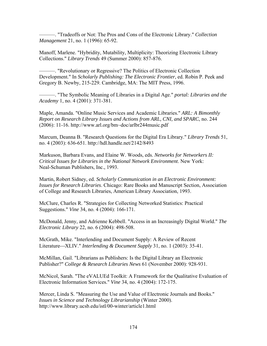———. "Tradeoffs or Not: The Pros and Cons of the Electronic Library." *Collection Management* 21, no. 1 (1996): 65-92.

Manoff, Marlene. "Hybridity, Mutability, Multiplicity: Theorizing Electronic Library Collections." *Library Trends* 49 (Summer 2000): 857-876.

———. "Revolutionary or Regressive? The Politics of Electronic Collection Development." In *Scholarly Publishing: The Electronic Frontier*, ed. Robin P. Peek and Gregory B. Newby, 215-229. Cambridge, MA: The MIT Press, 1996.

———. "The Symbolic Meaning of Libraries in a Digital Age." *portal: Libraries and the Academy* 1, no. 4 (2001): 371-381.

Maple, Amanda. "Online Music Services and Academic Libraries." *ARL: A Bimonthly Report on Research Library Issues and Actions from ARL, CNI, and SPARC*, no. 244 (2006): 11-16. http://www.arl.org/bm~doc/arlbr244music.pdf

Marcum, Deanna B. "Research Questions for the Digital Era Library." *Library Trends* 51, no. 4 (2003): 636-651. http://hdl.handle.net/2142/8493

Markuson, Barbara Evans, and Elaine W. Woods, eds. *Networks for Networkers II: Critical Issues for Libraries in the National Network Environment*. New York: Neal-Schuman Publishers, Inc., 1993.

Martin, Robert Sidney, ed. *Scholarly Communication in an Electronic Environment: Issues for Research Libraries*. Chicago: Rare Books and Manuscript Section, Association of College and Research Libraries, American Library Association, 1993.

McClure, Charles R. "Strategies for Collecting Networked Statistics: Practical Suggestions." *Vine* 34, no. 4 (2004): 166-171.

McDonald, Jenny, and Adrienne Kebbell. "Access in an Increasingly Digital World." *The Electronic Library* 22, no. 6 (2004): 498-508.

McGrath, Mike. "Interlending and Document Supply: A Review of Recent Literature⎯XLIV." *Interlending & Document Supply* 31, no. 1 (2003): 35-41.

McMillan, Gail. "Librarians as Publishers: Is the Digital Library an Electronic Publisher?" *College & Research Libraries News* 61 (November 2000): 928-931.

McNicol, Sarah. "The eVALUEd Toolkit: A Framework for the Qualitative Evaluation of Electronic Information Services." *Vine* 34, no. 4 (2004): 172-175.

Mercer, Linda S. "Measuring the Use and Value of Electronic Journals and Books." *Issues in Science and Technology Librarianship* (Winter 2000). http://www.library.ucsb.edu/istl/00-winter/article1.html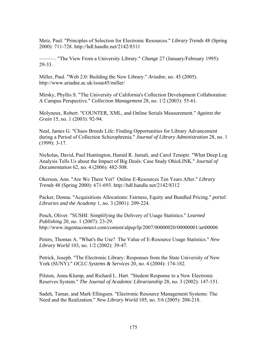Metz, Paul. "Principles of Selection for Electronic Resources." *Library Trends* 48 (Spring 2000): 711-728. http://hdl.handle.net/2142/8311

———. "The View From a University Library." *Change* 27 (January/February 1995): 29-33.

Miller, Paul. "Web 2.0: Building the New Library." *Ariadne*, no. 45 (2005). http://www.ariadne.ac.uk/issue45/miller/

Mirsky, Phyllis S. "The University of California's Collection Development Collaboration: A Campus Perspective." *Collection Management* 28, no. 1/2 (2003): 55-61.

Molyneux, Robert. "COUNTER, XML, and Online Serials Measurement." *Against the Grain* 15, no. 1 (2003): 92-94.

Neal, James G. "Chaos Breeds Life: Finding Opportunities for Library Advancement during a Period of Collection Schizophrenia." *Journal of Library Administration* 28, no. 1 (1999): 3-17.

Nicholas, David, Paul Huntington, Hamid R. Jamali, and Carol Tenopir. "What Deep Log Analysis Tells Us about the Impact of Big Deals: Case Study OhioLINK." *Journal of Documentation* 62, no. 4 (2006): 482-508.

Okerson, Ann. "Are We There Yet? Online E-Resources Ten Years After." *Library Trends* 48 (Spring 2000): 671-693. http://hdl.handle.net/2142/8312

Packer, Donna. "Acquisitions Allocations: Fairness, Equity and Bundled Pricing." *portal: Libraries and the Academy* 1, no. 3 (2001): 209-224.

Pesch, Oliver. "SUSHI: Simplifying the Delivery of Usage Statistics." *Learned Publishing* 20, no. 1 (2007): 23-29. http://www.ingentaconnect.com/content/alpsp/lp/2007/00000020/00000001/art00006

Peters, Thomas A. "What's the Use? The Value of E-Resource Usage Statistics." *New Library World* 103, no. 1/2 (2002): 39-47.

Petrick, Joseph. "The Electronic Library: Responses from the State University of New York (SUNY)." *OCLC Systems & Services* 20, no. 4 (2004): 174-182.

Pilston, Anna Klump, and Richard L. Hart. "Student Response to a New Electronic Reserves System." *The Journal of Academic Librarianship* 28, no. 3 (2002): 147-151.

Sadeh, Tamar, and Mark Ellingsen. "Electronic Resource Management Systems: The Need and the Realization." *New Library World* 105, no. 5/6 (2005): 208-218.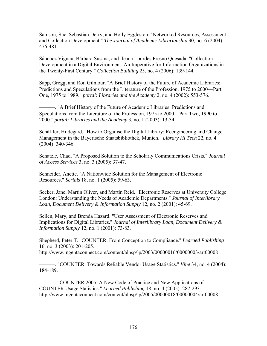Samson, Sue, Sebastian Derry, and Holly Eggleston. "Networked Resources, Assessment and Collection Development." *The Journal of Academic Librarianship* 30, no. 6 (2004): 476-481.

Sánchez Vignau, Bárbara Susana, and Ileana Lourdes Presno Quesada. "Collection Development in a Digital Environment: An Imperative for Information Organizations in the Twenty-First Century." *Collection Building* 25, no. 4 (2006): 139-144.

Sapp, Gregg, and Ron Gilmour. "A Brief History of the Future of Academic Libraries: Predictions and Speculations from the Literature of the Profession, 1975 to 2000—Part One, 1975 to 1989." *portal: Libraries and the Academy* 2, no. 4 (2002): 553-576.

———. "A Brief History of the Future of Academic Libraries: Predictions and Speculations from the Literature of the Profession, 1975 to 2000—Part Two, 1990 to 2000*." portal: Libraries and the Academy* 3, no. 1 (2003): 13-34.

Schäffler, Hildegard. "How to Organise the Digital Library: Reengineering and Change Management in the Bayerische Staatsbibliothek, Munich." *Library Hi Tech* 22, no. 4 (2004): 340-346.

Schatzle, Chad. "A Proposed Solution to the Scholarly Communications Crisis." *Journal of Access Services* 3, no. 3 (2005): 37-47.

Schneider, Anette. "A Nationwide Solution for the Management of Electronic Resources." *Serials* 18, no. 1 (2005): 59-63.

Secker, Jane, Martin Oliver, and Martin Reid. "Electronic Reserves at University College London: Understanding the Needs of Academic Departments." *Journal of Interlibrary Loan, Document Delivery & Information Supply* 12, no. 2 (2001): 45-69.

Sellen, Mary, and Brenda Hazard. "User Assessment of Electronic Reserves and Implications for Digital Libraries." *Journal of Interlibrary Loan, Document Delivery & Information Supply* 12, no. 1 (2001): 73-83.

Shepherd, Peter T. "COUNTER: From Conception to Compliance." *Learned Publishing* 16, no. 3 (2003): 201-205. http://www.ingentaconnect.com/content/alpsp/lp/2003/00000016/00000003/art00008

———. "COUNTER: Towards Reliable Vendor Usage Statistics." *Vine* 34, no. 4 (2004): 184-189.

———. "COUNTER 2005: A New Code of Practice and New Applications of COUNTER Usage Statistics." *Learned Publishing* 18, no. 4 (2005): 287-293. http://www.ingentaconnect.com/content/alpsp/lp/2005/00000018/00000004/art00008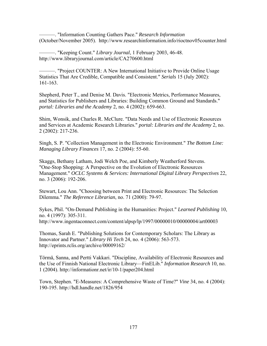———. "Information Counting Gathers Pace." *Research Information* (October/November 2005). http://www.researchinformation.info/rioctnov05counter.html

———. "Keeping Count." *Library Journal*, 1 February 2003, 46-48. http://www.libraryjournal.com/article/CA270600.html

———. "Project COUNTER: A New International Initiative to Provide Online Usage Statistics That Are Credible, Compatible and Consistent." *Serials* 15 (July 2002): 161-163.

Shepherd, Peter T., and Denise M. Davis. "Electronic Metrics, Performance Measures, and Statistics for Publishers and Libraries: Building Common Ground and Standards." *portal: Libraries and the Academy* 2, no. 4 (2002): 659-663.

Shim, Wonsik, and Charles R. McClure. "Data Needs and Use of Electronic Resources and Services at Academic Research Libraries." *portal: Libraries and the Academy* 2, no. 2 (2002): 217-236.

Singh, S. P. "Collection Management in the Electronic Environment." *The Bottom Line: Managing Library Finances* 17, no. 2 (2004): 55-60.

Skaggs, Bethany Latham, Jodi Welch Poe, and Kimberly Weatherford Stevens. "One-Stop Shopping: A Perspective on the Evolution of Electronic Resources Management." *OCLC Systems & Services: International Digital Library Perspectives* 22, no. 3 (2006): 192-206.

Stewart, Lou Ann. "Choosing between Print and Electronic Resources: The Selection Dilemma." *The Reference Librarian*, no. 71 (2000): 79-97.

Sykes, Phil. "On-Demand Publishing in the Humanities: Project." *Learned Publishing* 10, no. 4 (1997): 305-311. http://www.ingentaconnect.com/content/alpsp/lp/1997/00000010/00000004/art00003

Thomas, Sarah E. "Publishing Solutions for Contemporary Scholars: The Library as Innovator and Partner." *Library Hi Tech* 24, no. 4 (2006): 563-573. http://eprints.rclis.org/archive/00009162/

Törmä, Sanna, and Pertti Vakkari. "Discipline, Availability of Electronic Resources and the Use of Finnish National Electronic Library—FinELib." *Information Research* 10, no. 1 (2004). http://informationr.net/ir/10-1/paper204.html

Town, Stephen. "E-Measures: A Comprehensive Waste of Time?" *Vine* 34, no. 4 (2004): 190-195. http://hdl.handle.net/1826/954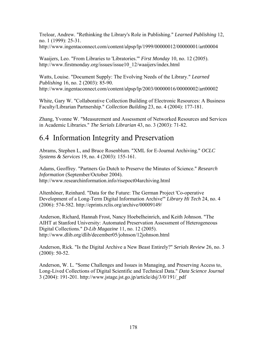Treloar, Andrew. "Rethinking the Library's Role in Publishing." *Learned Publishing* 12, no. 1 (1999): 25-31. http://www.ingentaconnect.com/content/alpsp/lp/1999/00000012/00000001/art00004

Waaijers, Leo. "From Libraries to 'Libratories.'" *First Monday* 10, no. 12 (2005). http://www.firstmonday.org/issues/issue10\_12/waaijers/index.html

Watts, Louise. "Document Supply: The Evolving Needs of the Library." *Learned Publishing* 16, no. 2 (2003): 85-90. http://www.ingentaconnect.com/content/alpsp/lp/2003/00000016/00000002/art00002

White, Gary W. "Collaborative Collection Building of Electronic Resources: A Business Faculty/Librarian Partnership." *Collection Building* 23, no. 4 (2004): 177-181.

Zhang, Yvonne W. "Measurement and Assessment of Networked Resources and Services in Academic Libraries." *The Serials Librarian* 43, no. 3 (2003): 71-82.

## 6.4 Information Integrity and Preservation

Abrams, Stephen L, and Bruce Rosenblum. "XML for E-Journal Archiving." *OCLC Systems & Services* 19, no. 4 (2003): 155-161.

Adams, Geoffrey. "Partners Go Dutch to Preserve the Minutes of Science." *Research Information* (September/October 2004). http://www.researchinformation.info/risepoct04archiving.html

Altenhöner, Reinhard. "Data for the Future: The German Project 'Co-operative Development of a Long-Term Digital Information Archive'" *Library Hi Tech* 24, no. 4 (2006): 574-582. http://eprints.rclis.org/archive/00009149/

Anderson, Richard, Hannah Frost, Nancy Hoebelheinrich, and Keith Johnson. "The AIHT at Stanford University: Automated Preservation Assessment of Heterogeneous Digital Collections." *D-Lib Magazine* 11, no. 12 (2005). http://www.dlib.org/dlib/december05/johnson/12johnson.html

Anderson, Rick. "Is the Digital Archive a New Beast Entirely?" *Serials Review* 26, no. 3 (2000): 50-52.

Anderson, W. L. "Some Challenges and Issues in Managing, and Preserving Access to, Long-Lived Collections of Digital Scientific and Technical Data." *Data Science Journal* 3 (2004): 191-201. http://www.jstage.jst.go.jp/article/dsj/3/0/191/\_pdf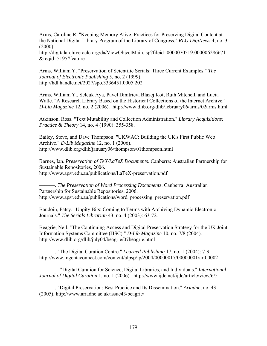Arms, Caroline R. "Keeping Memory Alive: Practices for Preserving Digital Content at the National Digital Library Program of the Library of Congress." *RLG DigiNews* 4, no. 3  $(2000)$ .

http://digitalarchive.oclc.org/da/ViewObjectMain.jsp?fileid=0000070519:000006286671 &reqid=5195#feature1

Arms, William Y. "Preservation of Scientific Serials: Three Current Examples." *The Journal of Electronic Publishing* 5, no. 2 (1999). http://hdl.handle.net/2027/spo.3336451.0005.202

Arms, William Y., Selcuk Aya, Pavel Dmitriev, Blazej Kot, Ruth Mitchell, and Lucia Walle. "A Research Library Based on the Historical Collections of the Internet Archive." *D-Lib Magazine* 12, no. 2 (2006). http://www.dlib.org/dlib/february06/arms/02arms.html

Atkinson, Ross. "Text Mutability and Collection Administration." *Library Acquisitions: Practice & Theory* 14, no. 4 (1990): 355-358.

Bailey, Steve, and Dave Thompson. "UKWAC: Building the UK's First Public Web Archive." *D-Lib Magazine* 12, no. 1 (2006). http://www.dlib.org/dlib/january06/thompson/01thompson.html

Barnes, Ian. *Preservation of TeX/LaTeX Documents*. Canberra: Australian Partnership for Sustainable Repositories, 2006. http://www.apsr.edu.au/publications/LaTeX-preservation.pdf

———. *The Preservation of Word Processing Documents*. Canberra: Australian Partnership for Sustainable Repositories, 2006. http://www.apsr.edu.au/publications/word\_processing\_preservation.pdf

Baudoin, Patsy. "Uppity Bits: Coming to Terms with Archiving Dynamic Electronic Journals." *The Serials Librarian* 43, no. 4 (2003): 63-72.

Beagrie, Neil. "The Continuing Access and Digital Preservation Strategy for the UK Joint Information Systems Committee (JISC)." *D-Lib Magazine* 10, no. 7/8 (2004). http://www.dlib.org/dlib/july04/beagrie/07beagrie.html

———. "The Digital Curation Centre." *Learned Publishing* 17, no. 1 (2004): 7-9. http://www.ingentaconnect.com/content/alpsp/lp/2004/00000017/00000001/art00002

 ———. "Digital Curation for Science, Digital Libraries, and Individuals." *International Journal of Digital Curation* 1, no. 1 (2006). http://www.ijdc.net/ijdc/article/view/6/5

———. "Digital Preservation: Best Practice and Its Dissemination." *Ariadne*, no. 43 (2005). http://www.ariadne.ac.uk/issue43/beagrie/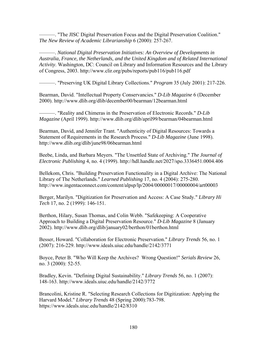———. "The JISC Digital Preservation Focus and the Digital Preservation Coalition." *The New Review of Academic Librarianship* 6 (2000): 257-267.

———. *National Digital Preservation Initiatives: An Overview of Developments in Australia, France, the Netherlands, and the United Kingdom and of Related International Activity*. Washington, DC: Council on Library and Information Resources and the Library of Congress, 2003. http://www.clir.org/pubs/reports/pub116/pub116.pdf

———. "Preserving UK Digital Library Collections." *Program* 35 (July 2001): 217-226.

Bearman, David. "Intellectual Property Conservancies." *D-Lib Magazine* 6 (December 2000). http://www.dlib.org/dlib/december00/bearman/12bearman.html

———. "Reality and Chimeras in the Preservation of Electronic Records." *D-Lib Magazine* (April 1999). http://www.dlib.org/dlib/april99/bearman/04bearman.html

Bearman, David, and Jennifer Trant. "Authenticity of Digital Resources: Towards a Statement of Requirements in the Research Process." *D-Lib Magazine* (June 1998). http://www.dlib.org/dlib/june98/06bearman.html

Beebe, Linda, and Barbara Meyers. "The Unsettled State of Archiving." *The Journal of Electronic Publishing* 4, no. 4 (1999). http://hdl.handle.net/2027/spo.3336451.0004.406

Bellekom, Chris. "Building Preservation Functionality in a Digital Archive: The National Library of The Netherlands." *Learned Publishing* 17, no. 4 (2004): 275-280. http://www.ingentaconnect.com/content/alpsp/lp/2004/00000017/00000004/art00003

Berger, Marilyn. "Digitization for Preservation and Access: A Case Study." *Library Hi Tech* 17, no. 2 (1999): 146-151.

Berthon, Hilary, Susan Thomas, and Colin Webb. "Safekeeping: A Cooperative Approach to Building a Digital Preservation Resource." *D-Lib Magazine* 8 (January 2002). http://www.dlib.org/dlib/january02/berthon/01berthon.html

Besser, Howard. "Collaboration for Electronic Preservation." *Library Trends* 56, no. 1 (2007): 216-229. http://www.ideals.uiuc.edu/handle/2142/3771

Boyce, Peter B. "Who Will Keep the Archives? Wrong Question!" *Serials Review* 26, no. 3 (2000): 52-55.

Bradley, Kevin. "Defining Digital Sustainability." *Library Trends* 56, no. 1 (2007): 148-163. http://www.ideals.uiuc.edu/handle/2142/3772

Brancolini, Kristine R. "Selecting Research Collections for Digitization: Applying the Harvard Model." *Library Trends* 48 (Spring 2000):783-798. https://www.ideals.uiuc.edu/handle/2142/8310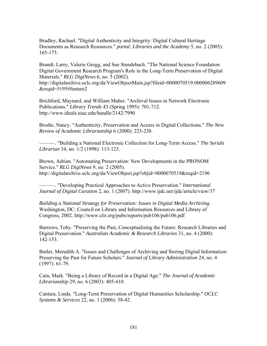Bradley, Rachael. "Digital Authenticity and Integrity: Digital Cultural Heritage Documents as Research Resources." *portal: Libraries and the Academy* 5, no. 2 (2005): 165-175.

Brandt, Larry, Valerie Gregg, and Sue Stendebach. "The National Science Foundation Digital Government Research Program's Role in the Long-Term Preservation of Digital Materials." *RLG DigiNews* 6, no. 5 (2002).

http://digitalarchive.oclc.org/da/ViewObjectMain.jsp?fileid=0000070519:000006289609 &reqid=5195#feature2

Brichford, Maynard, and William Maher. "Archival Issues in Network Electronic Publications." *Library Trends* 43 (Spring 1995): 701-712. http://www.ideals.uiuc.edu/handle/2142/7990

Brodie, Nancy. "Authenticity, Preservation and Access in Digital Collections." *The New Review of Academic Librarianship* 6 (2000): 225-238.

———. "Building a National Electronic Collection for Long-Term Access." *The Serials Librarian* 34, no. 1/2 (1998): 113-123.

Brown, Adrian. "Automating Preservation: New Developments in the PRONOM Service." *RLG DigiNews* 9, no. 2 (2005). http://digitalarchive.oclc.org/da/ViewObject.jsp?objid=0000070519&reqid=2196

———. "Developing Practical Approaches to Active Preservation." *International Journal of Digital Curation* 2, no. 1 (2007). http://www.ijdc.net/ijdc/article/view/37

*Building a National Strategy for Preservation: Issues in Digital Media Archiving*. Washington, DC: Council on Library and Information Resources and Library of Congress, 2002. http://www.clir.org/pubs/reports/pub106/pub106.pdf

Burrows, Toby. "Preserving the Past, Conceptualising the Future: Research Libraries and Digital Preservation." *Australian Academic & Research Libraries* 31, no. 4 (2000): 142-153.

Butler, Meredith A. "Issues and Challenges of Archiving and Storing Digital Information: Preserving the Past for Future Scholars." *Journal of Library Administration* 24, no. 4 (1997): 61-79.

Cain, Mark. "Being a Library of Record in a Digital Age." *The Journal of Academic Librarianship* 29, no. 6 (2003): 405-410.

Cantara, Linda. "Long-Term Preservation of Digital Humanities Scholarship." *OCLC Systems & Services* 22, no. 1 (2006): 38-42.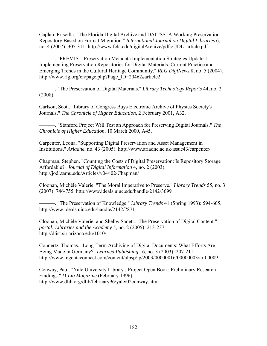Caplan, Priscilla. "The Florida Digital Archive and DAITSS: A Working Preservation Repository Based on Format Migration." *International Journal on Digital Libraries* 6, no. 4 (2007): 305-311. http://www.fcla.edu/digitalArchive/pdfs/IJDL\_article.pdf

———. "PREMIS—Preservation Metadata Implementation Strategies Update 1. Implementing Preservation Repositories for Digital Materials: Current Practice and Emerging Trends in the Cultural Heritage Community." *RLG DigiNews* 8, no. 5 (2004). http://www.rlg.org/en/page.php?Page\_ID=20462#article2

———. "The Preservation of Digital Materials." *Library Technology Reports* 44, no. 2 (2008).

Carlson, Scott. "Library of Congress Buys Electronic Archive of Physics Society's Journals." *The Chronicle of Higher Education*, 2 February 2001, A32.

———. "Stanford Project Will Test an Approach for Preserving Digital Journals." *The Chronicle of Higher Education*, 10 March 2000, A45.

Carpenter, Leona. "Supporting Digital Preservation and Asset Management in Institutions." *Ariadne*, no. 43 (2005). http://www.ariadne.ac.uk/issue43/carpenter/

Chapman, Stephen. "Counting the Costs of Digital Preservation: Is Repository Storage Affordable?" *Journal of Digital Information* 4, no. 2 (2003). http://jodi.tamu.edu/Articles/v04/i02/Chapman/

Cloonan, Michèle Valerie. "The Moral Imperative to Preserve." *Library Trends* 55, no. 3 (2007): 746-755. http://www.ideals.uiuc.edu/handle/2142/3699

———. "The Preservation of Knowledge." *Library Trends* 41 (Spring 1993): 594-605. http://www.ideals.uiuc.edu/handle/2142/7871

Cloonan, Michèle Valerie, and Shelby Sanett. "The Preservation of Digital Content." *portal: Libraries and the Academy* 5, no. 2 (2005): 213-237. http://dlist.sir.arizona.edu/1010/

Connertz, Thomas. "Long-Term Archiving of Digital Documents: What Efforts Are Being Made in Germany?" *Learned Publishing* 16, no. 3 (2003): 207-211. http://www.ingentaconnect.com/content/alpsp/lp/2003/00000016/00000003/art00009

Conway, Paul. "Yale University Library's Project Open Book: Preliminary Research Findings." *D-Lib Magazine* (February 1996). http://www.dlib.org/dlib/february96/yale/02conway.html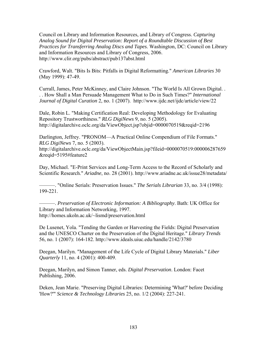Council on Library and Information Resources, and Library of Congress. *Capturing Analog Sound for Digital Preservation: Report of a Roundtable Discussion of Best Practices for Transferring Analog Discs and Tapes*. Washington, DC: Council on Library and Information Resources and Library of Congress, 2006. http://www.clir.org/pubs/abstract/pub137abst.html

Crawford, Walt. "Bits Is Bits: Pitfalls in Digital Reformatting." *American Libraries* 30 (May 1999): 47-49.

Currall, James, Peter McKinney, and Claire Johnson. "The World Is All Grown Digital. . . . How Shall a Man Persuade Management What to Do in Such Times?" *International Journal of Digital Curation* 2, no. 1 (2007). http://www.ijdc.net/ijdc/article/view/22

Dale, Robin L. "Making Certification Real: Developing Methodology for Evaluating Repository Trustworthiness." *RLG DigiNews* 9, no. 5 (2005). http://digitalarchive.oclc.org/da/ViewObject.jsp?objid=0000070519&reqid=2196

Darlington, Jeffrey. "PRONOM—A Practical Online Compendium of File Formats." *RLG DigiNews* 7, no. 5 (2003). http://digitalarchive.oclc.org/da/ViewObjectMain.jsp?fileid=0000070519:000006287659 &reqid=5195#feature2

Day, Michael. "E-Print Services and Long-Term Access to the Record of Scholarly and Scientific Research." *Ariadne*, no. 28 (2001). http://www.ariadne.ac.uk/issue28/metadata/

———. "Online Serials: Preservation Issues." *The Serials Librarian* 33, no. 3/4 (1998): 199-221.

———. *Preservation of Electronic Information: A Bibliography*. Bath: UK Office for Library and Information Networking, 1997. http://homes.ukoln.ac.uk/~lismd/preservation.html

De Lusenet, Yola. "Tending the Garden or Harvesting the Fields: Digital Preservation and the UNESCO Charter on the Preservation of the Digital Heritage." *Library Trends* 56, no. 1 (2007): 164-182. http://www.ideals.uiuc.edu/handle/2142/3780

Deegan, Marilyn. "Management of the Life Cycle of Digital Library Materials." *Liber Quarterly* 11, no. 4 (2001): 400-409.

Deegan, Marilyn, and Simon Tanner, eds. *Digital Preservation*. London: Facet Publishing, 2006.

Deken, Jean Marie. "Preserving Digital Libraries: Determining 'What?' before Deciding 'How?'" *Science & Technology Libraries* 25, no. 1/2 (2004): 227-241.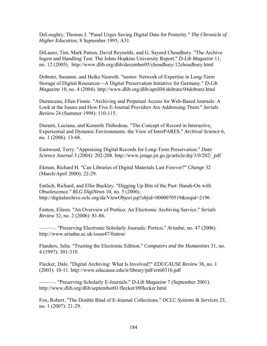DeLoughry, Thomas J. "Panel Urges Saving Digital Data for Posterity." *The Chronicle of Higher Education*, 8 September 1995, A31.

DiLauro, Tim, Mark Patton, David Reynolds, and G. Sayeed Choudhury. "The Archive Ingest and Handling Test: The Johns Hopkins University Report." *D-Lib Magazine* 11, no. 12 (2005). http://www.dlib.org/dlib/december05/choudhury/12choudhury.html

Dobratz, Susanne, and Heike Neuroth. "nestor: Network of Expertise in Long-Term Storage of Digital Resources—A Digital Preservation Initiative for Germany." *D-Lib Magazine* 10, no. 4 (2004). http://www.dlib.org/dlib/april04/dobratz/04dobratz.html

Duranceau, Ellen Finnie. "Archiving and Perpetual Access for Web-Based Journals: A Look at the Issues and How Five E-Journal Providers Are Addressing Them." *Serials Review* 24 (Summer 1998): 110-115.

Duranti, Luciana, and Kenneth Thibodeau. "The Concept of Record in Interactive, Experiential and Dynamic Environments: the View of InterPARES." *Archival Science* 6, no. 1 (2006): 13-68.

Eastwood, Terry. "Appraising Digital Records for Long-Term Preservation." *Data Science Journal* 3 (2004): 202-208. http://www.jstage.jst.go.jp/article/dsj/3/0/202/\_pdf

Ekman, Richard H. "Can Libraries of Digital Materials Last Forever?" *Change* 32 (March/April 2000): 22-29.

Entlich, Richard, and Ellie Buckley. "Digging Up Bits of the Past: Hands-On with Obsolescence." *RLG DigiNews* 10, no. 5 (2006). http://digitalarchive.oclc.org/da/ViewObject.jsp?objid=0000070519&reqid=2196

Fenton, Eileen. "An Overview of Portico: An Electronic Archiving Service." *Serials Review* 32, no. 2 (2006): 81-86.

———. "Preserving Electronic Scholarly Journals: Portico." *Ariadne*, no. 47 (2006). http://www.ariadne.ac.uk/issue47/fenton/

Flanders, Julia. "Trusting the Electronic Edition." *Computers and the Humanities* 31, no. 4 (1997): 301-310.

Flecker, Dale. "Digital Archiving: What Is Involved?" *EDUCAUSE Review* 38, no. 1 (2003): 10-11. http://www.educause.edu/ir/library/pdf/erm0316.pdf

———. "Preserving Scholarly E-Journals." *D-Lib Magazine* 7 (September 2001). http://www.dlib.org/dlib/september01/flecker/09flecker.html

Fox, Robert. "The Double Bind of E-Journal Collections." *OCLC Systems & Services* 23, no. 1 (2007): 21-29.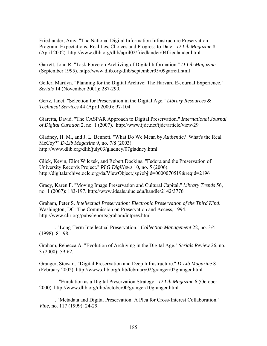Friedlander, Amy. "The National Digital Information Infrastructure Preservation Program: Expectations, Realities, Choices and Progress to Date." *D-Lib Magazine* 8 (April 2002). http://www.dlib.org/dlib/april02/friedlander/04friedlander.html

Garrett, John R. "Task Force on Archiving of Digital Information." *D-Lib Magazine* (September 1995). http://www.dlib.org/dlib/september95/09garrett.html

Geller, Marilyn. "Planning for the Digital Archive: The Harvard E-Journal Experience." *Serials* 14 (November 2001): 287-290.

Gertz, Janet. "Selection for Preservation in the Digital Age." *Library Resources & Technical Services* 44 (April 2000): 97-104.

Giaretta, David. "The CASPAR Approach to Digital Preservation." *International Journal of Digital Curation* 2, no. 1 (2007). http://www.ijdc.net/ijdc/article/view/29

Gladney, H. M., and J. L. Bennett. "What Do We Mean by *Authentic*? What's the Real McCoy?" *D-Lib Magazine* 9, no. 7/8 (2003). http://www.dlib.org/dlib/july03/gladney/07gladney.html

Glick, Kevin, Eliot Wilczek, and Robert Dockins. "Fedora and the Preservation of University Records Project." *RLG DigiNews* 10, no. 5 (2006). http://digitalarchive.oclc.org/da/ViewObject.jsp?objid=0000070519&reqid=2196

Gracy, Karen F. "Moving Image Preservation and Cultural Capital." *Library Trends* 56, no. 1 (2007): 183-197. http://www.ideals.uiuc.edu/handle/2142/3776

Graham, Peter S. *Intellectual Preservation: Electronic Preservation of the Third Kind*. Washington, DC: The Commission on Preservation and Access, 1994. http://www.clir.org/pubs/reports/graham/intpres.html

———. "Long-Term Intellectual Preservation." *Collection Management* 22, no. 3/4 (1998): 81-98.

Graham, Rebecca A. "Evolution of Archiving in the Digital Age." *Serials Review* 26, no. 3 (2000): 59-62.

Granger, Stewart. "Digital Preservation and Deep Infrastructure." *D-Lib Magazine* 8 (February 2002). http://www.dlib.org/dlib/february02/granger/02granger.html

 ———. "Emulation as a Digital Preservation Strategy." *D-Lib Magazine* 6 (October 2000). http://www.dlib.org/dlib/october00/granger/10granger.html

———. "Metadata and Digital Preservation: A Plea for Cross-Interest Collaboration." *Vine*, no. 117 (1999): 24-29.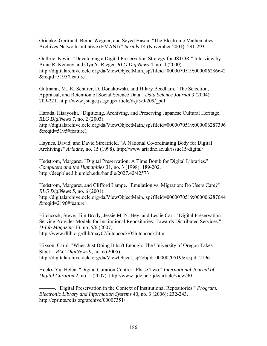Griepke, Gertraud, Bernd Wegner, and Seyed Hasan. "The Electronic Mathematics Archives Network Initiative (EMANI)." *Serials* 14 (November 2001): 291-293.

Guthrie, Kevin. "Developing a Digital Preservation Strategy for JSTOR." Interview by Anne R. Kenney and Oya Y. Rieger. *RLG DigiNews* 4, no. 4 (2000). http://digitalarchive.oclc.org/da/ViewObjectMain.jsp?fileid=0000070519:000006286642 &reqid=5195#feature1

Gutmann, M., K. Schürer, D. Donakowski, and Hilary Beedham. "The Selection, Appraisal, and Retention of Social Science Data." *Data Science Journal* 3 (2004): 209-221. http://www.jstage.jst.go.jp/article/dsj/3/0/209/\_pdf

Harada, Hisayoshi. "Digitizing, Archiving, and Preserving Japanese Cultural Heritage." *RLG DigiNews* 7, no. 2 (2003). http://digitalarchive.oclc.org/da/ViewObjectMain.jsp?fileid=0000070519:000006287396 &reqid=5195#feature1

Haynes, David, and David Streatfield. "A National Co-ordinating Body for Digital Archiving?" *Ariadne*, no. 15 (1998). http://www.ariadne.ac.uk/issue15/digital/

Hedstrom, Margaret. "Digital Preservation: A Time Bomb for Digital Libraries." *Computers and the Humanities* 31, no. 3 (1998): 189-202. http://deepblue.lib.umich.edu/handle/2027.42/42573

Hedstrom, Margaret, and Clifford Lampe. "Emulation vs. Migration: Do Users Care?" *RLG DigiNews* 5, no. 6 (2001). http://digitalarchive.oclc.org/da/ViewObjectMain.jsp?fileid=0000070519:000006287044 &reqid=2196#feature1

Hitchcock, Steve, Tim Brody, Jessie M. N. Hey, and Leslie Carr. "Digital Preservation Service Provider Models for Institutional Repositories: Towards Distributed Services." *D-Lib Magazine* 13, no. 5/6 (2007). http://www.dlib.org/dlib/may07/hitchcock/05hitchcock.html

Hixson, Carol. "When Just Doing It Isn't Enough: The University of Oregon Takes Stock." *RLG DigiNews* 9, no. 6 (2005). http://digitalarchive.oclc.org/da/ViewObject.jsp?objid=0000070519&reqid=2196

Hockx-Yu, Helen. "Digital Curation Centre—Phase Two." *International Journal of Digital Curation* 2, no. 1 (2007). http://www.ijdc.net/ijdc/article/view/30

⎯⎯⎯. "Digital Preservation in the Context of Institutional Repositories." *Program: Electronic Library and Information Systems* 40, no. 3 (2006): 232-243. http://eprints.rclis.org/archive/00007351/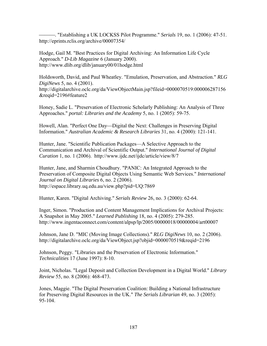⎯⎯⎯. "Establishing a UK LOCKSS Pilot Programme." *Serials* 19, no. 1 (2006): 47-51. http://eprints.rclis.org/archive/00007354/

Hodge, Gail M. "Best Practices for Digital Archiving: An Information Life Cycle Approach." *D-Lib Magazine* 6 (January 2000). http://www.dlib.org/dlib/january00/01hodge.html

Holdsworth, David, and Paul Wheatley. "Emulation, Preservation, and Abstraction." *RLG DigiNews* 5, no. 4 (2001). http://digitalarchive.oclc.org/da/ViewObjectMain.jsp?fileid=0000070519:000006287156 &reqid=2196#feature2

Honey, Sadie L. "Preservation of Electronic Scholarly Publishing: An Analysis of Three Approaches." *portal: Libraries and the Academy* 5, no. 1 (2005): 59-75.

Howell, Alan. "Perfect One Day—Digital the Next: Challenges in Preserving Digital Information." *Australian Academic & Research Libraries* 31, no. 4 (2000): 121-141.

Hunter, Jane. "Scientific Publication Packages—A Selective Approach to the Communication and Archival of Scientific Output." *International Journal of Digital Curation* 1, no. 1 (2006). http://www.ijdc.net/ijdc/article/view/8/7

Hunter, Jane, and Sharmin Choudhury. "PANIC: An Integrated Approach to the Preservation of Composite Digital Objects Using Semantic Web Services." *International Journal on Digital Libraries* 6, no. 2 (2006). http://espace.library.uq.edu.au/view.php?pid=UQ:7869

Hunter, Karen. "Digital Archiving." *Serials Review* 26, no. 3 (2000): 62-64.

Inger, Simon. "Production and Content Management Implications for Archival Projects: A Snapshot in May 2005." *Learned Publishing* 18, no. 4 (2005): 279-285. http://www.ingentaconnect.com/content/alpsp/lp/2005/00000018/00000004/art00007

Johnson, Jane D. "MIC (Moving Image Collections)." *RLG DigiNews* 10, no. 2 (2006). http://digitalarchive.oclc.org/da/ViewObject.jsp?objid=0000070519&reqid=2196

Johnson, Peggy. "Libraries and the Preservation of Electronic Information." *Technicalities* 17 (June 1997): 8-10.

Joint, Nicholas. "Legal Deposit and Collection Development in a Digital World." *Library Review* 55, no. 8 (2006): 468-473.

Jones, Maggie. "The Digital Preservation Coalition: Building a National Infrastructure for Preserving Digital Resources in the UK." *The Serials Librarian* 49, no. 3 (2005): 95-104.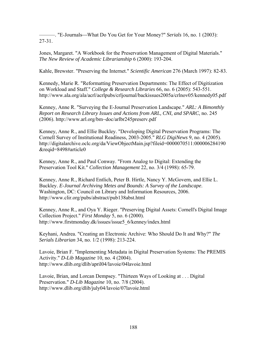———. "E-Journals⎯What Do You Get for Your Money?" *Serials* 16, no. 1 (2003): 27-31.

Jones, Margaret. "A Workbook for the Preservation Management of Digital Materials." *The New Review of Academic Librarianship* 6 (2000): 193-204.

Kahle, Brewster. "Preserving the Internet." *Scientific American* 276 (March 1997): 82-83.

Kennedy, Marie R. "Reformatting Preservation Departments: The Effect of Digitization on Workload and Staff." *College & Research Libraries* 66, no. 6 (2005): 543-551. http://www.ala.org/ala/acrl/acrlpubs/crljournal/backissues2005a/crlnov05/kennedy05.pdf

Kenney, Anne R. "Surveying the E-Journal Preservation Landscape." *ARL: A Bimonthly Report on Research Library Issues and Actions from ARL, CNI, and SPARC*, no. 245 (2006). http://www.arl.org/bm~doc/arlbr245preserv.pdf

Kenney, Anne R., and Ellie Buckley. "Developing Digital Preservation Programs: The Cornell Survey of Institutional Readiness, 2003-2005." *RLG DigiNews* 9, no. 4 (2005). http://digitalarchive.oclc.org/da/ViewObjectMain.jsp?fileid=0000070511:000006284190 &reqid=8498#article0

Kenney, Anne R., and Paul Conway. "From Analog to Digital: Extending the Preservation Tool Kit." *Collection Management* 22, no. 3/4 (1998): 65-79.

Kenney, Anne R., Richard Entlich, Peter B. Hirtle, Nancy Y. McGovern, and Ellie L. Buckley. *E-Journal Archiving Metes and Bounds: A Survey of the Landscape*. Washington, DC: Council on Library and Information Resources, 2006. http://www.clir.org/pubs/abstract/pub138abst.html

Kenney, Anne R., and Oya Y. Rieger. "Preserving Digital Assets: Cornell's Digital Image Collection Project." *First Monday* 5, no. 6 (2000). http://www.firstmonday.dk/issues/issue5\_6/kenney/index.html

Keyhani, Andrea. "Creating an Electronic Archive: Who Should Do It and Why?" *The Serials Librarian* 34, no. 1/2 (1998): 213-224.

Lavoie, Brian F. "Implementing Metadata in Digital Preservation Systems: The PREMIS Activity." *D-Lib Magazine* 10, no. 4 (2004). http://www.dlib.org/dlib/april04/lavoie/04lavoie.html

Lavoie, Brian, and Lorcan Dempsey. "Thirteen Ways of Looking at . . . Digital Preservation." *D-Lib Magazine* 10, no. 7/8 (2004). http://www.dlib.org/dlib/july04/lavoie/07lavoie.html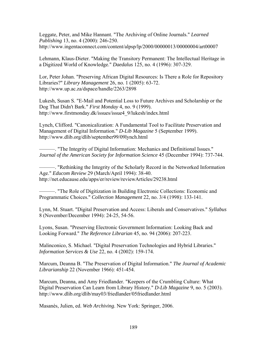Leggate, Peter, and Mike Hannant. "The Archiving of Online Journals." *Learned Publishing* 13, no. 4 (2000): 246-250. http://www.ingentaconnect.com/content/alpsp/lp/2000/00000013/00000004/art00007

Lehmann, Klaus-Dieter. "Making the Transitory Permanent: The Intellectual Heritage in a Digitized World of Knowledge." *Daedalus* 125, no. 4 (1996): 307-329.

Lor, Peter Johan. "Preserving African Digital Resources: Is There a Role for Repository Libraries?" *Library Management* 26, no. 1 (2005): 63-72. http://www.up.ac.za/dspace/handle/2263/2898

Lukesh, Susan S. "E-Mail and Potential Loss to Future Archives and Scholarship or the Dog That Didn't Bark." *First Monday* 4, no. 9 (1999). http://www.firstmonday.dk/issues/issue4\_9/lukesh/index.html

Lynch, Clifford. "Canonicalization: A Fundamental Tool to Facilitate Preservation and Management of Digital Information." *D-Lib Magazine* 5 (September 1999). http://www.dlib.org/dlib/september99/09lynch.html

———. "The Integrity of Digital Information: Mechanics and Definitional Issues." *Journal of the American Society for Information Science* 45 (December 1994): 737-744.

———. "Rethinking the Integrity of the Scholarly Record in the Networked Information Age." *Educom Review* 29 (March/April 1994): 38-40. http://net.educause.edu/apps/er/review/reviewArticles/29238.html

———. "The Role of Digitization in Building Electronic Collections: Economic and Programmatic Choices." *Collection Management* 22, no. 3/4 (1998): 133-141.

Lynn, M. Stuart. "Digital Preservation and Access: Liberals and Conservatives." *Syllabus*  8 (November/December 1994): 24-25, 54-56.

Lyons, Susan. "Preserving Electronic Government Information: Looking Back and Looking Forward." *The Reference Librarian* 45, no. 94 (2006): 207-223.

Malinconico, S. Michael. "Digital Preservation Technologies and Hybrid Libraries." *Information Services & Use* 22, no. 4 (2002): 159-174.

Marcum, Deanna B. "The Preservation of Digital Information." *The Journal of Academic Librarianship* 22 (November 1966): 451-454.

Marcum, Deanna, and Amy Friedlander. "Keepers of the Crumbling Culture: What Digital Preservation Can Learn from Library History." *D-Lib Magazine* 9, no. 5 (2003). http://www.dlib.org/dlib/may03/friedlander/05friedlander.html

Masanès, Julien, ed. *Web Archiving*. New York: Springer, 2006.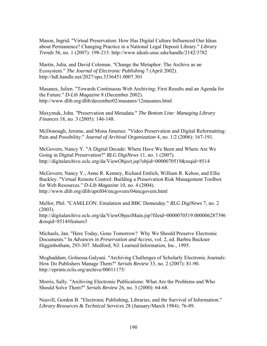Mason, Ingrid. "Virtual Preservation: How Has Digital Culture Influenced Our Ideas about Permanence? Changing Practice in a National Legal Deposit Library." *Library Trends* 56, no. 1 (2007): 198-215. http://www.ideals.uiuc.edu/handle/2142/3782

Martin, Julia, and David Coleman. "Change the Metaphor: The Archive as an Ecosystem." *The Journal of Electronic Publishing* 7 (April 2002). http://hdl.handle.net/2027/spo.3336451.0007.301

Masanes, Julien. "Towards Continuous Web Archiving: First Results and an Agenda for the Future." *D-Lib Magazine* 8 (December 2002). http://www.dlib.org/dlib/december02/masanes/12masanes.html

Maxymuk, John. "Preservation and Metadata." *The Bottom Line: Managing Library Finances* 18, no. 3 (2005): 146-148.

McDonough, Jerome, and Mona Jimenez. "Video Preservation and Digital Reformatting: Pain and Possibility." *Journal of Archival Organization* 4, no. 1/2 (2006): 167-191.

McGovern, Nancy Y. "A Digital Decade: Where Have We Been and Where Are We Going in Digital Preservation?" *RLG DigiNews* 11, no. 1 (2007). http://digitalarchive.oclc.org/da/ViewObject.jsp?objid=0000070519&reqid=8514

McGovern, Nancy Y., Anne R. Kenney, Richard Entlich, William R. Kehoe, and Ellie Buckley. "Virtual Remote Control: Building a Preservation Risk Management Toolbox for Web Resources." *D-Lib Magazine* 10, no. 4 (2004). http://www.dlib.org/dlib/april04/mcgovern/04mcgovern.html

Mellor, Phil. "CAMiLEON: Emulation and BBC Domesday." *RLG DigiNews* 7, no. 2 (2003).

http://digitalarchive.oclc.org/da/ViewObjectMain.jsp?fileid=0000070519:000006287396 &reqid=8514#feature3

Michaels, Jan. "Here Today, Gone Tomorrow? Why We Should Preserve Electronic Documents." In *Advances in Preservation and Access*, vol. 2, ed. Barbra Buckner Higginbotham, 293-307. Medford, NJ: Learned Information, Inc., 1995.

Moghaddam, Golnessa Galyani. "Archiving Challenges of Scholarly Electronic Journals: How Do Publishers Manage Them?" *Serials Review* 33, no. 2 (2007): 81-90. http://eprints.rclis.org/archive/00011175/

Morris, Sally. "Archiving Electronic Publications: What Are the Problems and Who Should Solve Them?" *Serials Review* 26, no. 3 (2000): 64-68.

Neavill, Gordon B. "Electronic Publishing, Libraries, and the Survival of Information." *Library Resources & Technical Services* 28 (January/March 1984): 76-89.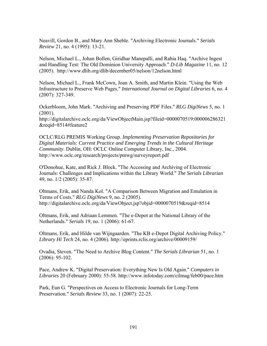Neavill, Gordon B., and Mary Ann Sheble. "Archiving Electronic Journals." *Serials Review* 21, no. 4 (1995): 13-21.

Nelson, Michael L., Johan Bollen, Giridhar Manepalli, and Rabia Haq. "Archive Ingest and Handling Test: The Old Dominion University Approach." *D-Lib Magazine* 11, no. 12 (2005). http://www.dlib.org/dlib/december05/nelson/12nelson.html

Nelson, Michael L., Frank McCown, Joan A. Smith, and Martin Klein. "Using the Web Infrastructure to Preserve Web Pages." *International Journal on Digital Libraries* 6, no. 4 (2007): 327-349.

Ockerbloom, John Mark. "Archiving and Preserving PDF Files." *RLG DigiNews* 5, no. 1 (2001).

http://digitalarchive.oclc.org/da/ViewObjectMain.jsp?fileid=0000070519:000006286321 &reqid=8514#feature2

OCLC/RLG PREMIS Working Group. *Implementing Preservation Repositories for Digital Materials: Current Practice and Emerging Trends in the Cultural Heritage Community*. Dublin, OH: OCLC Online Computer Library, Inc., 2004. http://www.oclc.org/research/projects/pmwg/surveyreport.pdf

O'Donohue, Kate, and Rick J. Block. "The Accessing and Archiving of Electronic Journals: Challenges and Implications within the Library World." *The Serials Librarian* 49, no. 1/2 (2005): 35-87.

Oltmans, Erik, and Nanda Kol. "A Comparison Between Migration and Emulation in Terms of Costs." *RLG DigiNews* 9, no. 2 (2005). http://digitalarchive.oclc.org/da/ViewObject.jsp?objid=0000070519&reqid=8514

Oltmans, Erik, and Adriaan Lemmen. "The e-Depot at the National Library of the Netherlands." *Serials* 19, no. 1 (2006): 61-67.

Oltmans, Erik, and Hilde van Wijngaarden. "The KB e-Depot Digital Archiving Policy." *Library Hi Tech* 24, no. 4 (2006). http://eprints.rclis.org/archive/00009159/

Ovadia, Steven. "The Need to Archive Blog Content." *The Serials Librarian* 51, no. 1 (2006): 95-102.

Pace, Andrew K. "Digital Preservation: Everything New Is Old Again." *Computers in Libraries* 20 (February 2000): 55-58. http://www.infotoday.com/cilmag/feb00/pace.htm

Park, Eun G. "Perspectives on Access to Electronic Journals for Long-Term Preservation." *Serials Review* 33, no. 1 (2007): 22-25.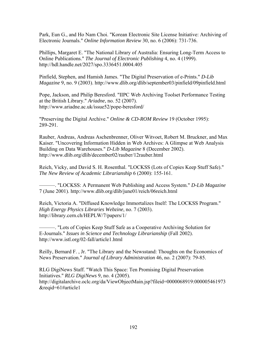Park, Eun G., and Ho Nam Choi. "Korean Electronic Site License Initiative: Archiving of Electronic Journals." *Online Information Review* 30, no. 6 (2006): 731-736.

Phillips, Margaret E. "The National Library of Australia: Ensuring Long-Term Access to Online Publications." *The Journal of Electronic Publishing* 4, no. 4 (1999). http://hdl.handle.net/2027/spo.3336451.0004.405

Pinfield, Stephen, and Hamish James. "The Digital Preservation of e-Prints." *D-Lib Magazine* 9, no. 9 (2003). http://www.dlib.org/dlib/september03/pinfield/09pinfield.html

Pope, Jackson, and Philip Beresford. "IIPC Web Archiving Toolset Performance Testing at the British Library." *Ariadne*, no. 52 (2007). http://www.ariadne.ac.uk/issue52/pope-beresford/

"Preserving the Digital Archive." *Online & CD-ROM Review* 19 (October 1995): 289-291.

Rauber, Andreas, Andreas Aschenbrenner, Oliver Witvoet, Robert M. Bruckner, and Max Kaiser. "Uncovering Information Hidden in Web Archives: A Glimpse at Web Analysis Building on Data Warehouses." *D-Lib Magazine* 8 (December 2002). http://www.dlib.org/dlib/december02/rauber/12rauber.html

Reich, Vicky, and David S. H. Rosenthal. "LOCKSS (Lots of Copies Keep Stuff Safe)." *The New Review of Academic Librarianship* 6 (2000): 155-161.

———. "LOCKSS: A Permanent Web Publishing and Access System." *D-Lib Magazine* 7 (June 2001). http://www.dlib.org/dlib/june01/reich/06reich.html

Reich, Victoria A. "Diffused Knowledge Immortalizes Itself: The LOCKSS Program." *High Energy Physics Libraries Webzine*, no. 7 (2003). http://library.cern.ch/HEPLW/7/papers/1/

———. "Lots of Copies Keep Stuff Safe as a Cooperative Archiving Solution for E-Journals." *Issues in Science and Technology Librarianship* (Fall 2002). http://www.istl.org/02-fall/article1.html

Reilly, Bernard F. , Jr. "The Library and the Newsstand: Thoughts on the Economics of News Preservation." *Journal of Library Administration* 46, no. 2 (2007): 79-85.

RLG DigiNews Staff. "Watch This Space: Ten Promising Digital Preservation Initiatives." *RLG DigiNews* 9, no. 4 (2005). http://digitalarchive.oclc.org/da/ViewObjectMain.jsp?fileid=0000068919:000005461973 &reqid=61#article1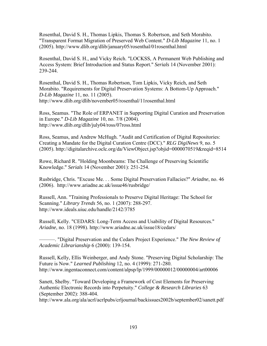Rosenthal, David S. H., Thomas Lipkis, Thomas S. Robertson, and Seth Morabito. "Transparent Format Migration of Preserved Web Content." *D-Lib Magazine* 11, no. 1 (2005). http://www.dlib.org/dlib/january05/rosenthal/01rosenthal.html

Rosenthal, David S. H., and Vicky Reich. "LOCKSS, A Permanent Web Publishing and Access System: Brief Introduction and Status Report." *Serials* 14 (November 2001): 239-244.

Rosenthal, David S. H., Thomas Robertson, Tom Lipkis, Vicky Reich, and Seth Morabito. "Requirements for Digital Preservation Systems: A Bottom-Up Approach." *D-Lib Magazine* 11, no. 11 (2005). http://www.dlib.org/dlib/november05/rosenthal/11rosenthal.html

Ross, Seamus. "The Role of ERPANET in Supporting Digital Curation and Preservation in Europe." *D-Lib Magazine* 10, no. 7/8 (2004). http://www.dlib.org/dlib/july04/ross/07ross.html

Ross, Seamus, and Andrew McHugh. "Audit and Certification of Digital Repositories: Creating a Mandate for the Digital Curation Centre (DCC)." *RLG DigiNews* 9, no. 5 (2005). http://digitalarchive.oclc.org/da/ViewObject.jsp?objid=0000070519&reqid=8514

Rowe, Richard R. "Holding Moonbeams: The Challenge of Preserving Scientific Knowledge." *Serials* 14 (November 2001): 251-254.

Rusbridge, Chris. "Excuse Me. . . Some Digital Preservation Fallacies?" *Ariadne*, no. 46 (2006). http://www.ariadne.ac.uk/issue46/rusbridge/

Russell, Ann. "Training Professionals to Preserve Digital Heritage: The School for Scanning." *Library Trends* 56, no. 1 (2007): 288-297. http://www.ideals.uiuc.edu/handle/2142/3785

Russell, Kelly. "CEDARS: Long-Term Access and Usability of Digital Resources." *Ariadne*, no. 18 (1998). http://www.ariadne.ac.uk/issue18/cedars/

———. "Digital Preservation and the Cedars Project Experience." *The New Review of Academic Librarianship* 6 (2000): 139-154.

Russell, Kelly, Ellis Weinberger, and Andy Stone. "Preserving Digital Scholarship: The Future is Now." *Learned Publishing* 12, no. 4 (1999): 271-280. http://www.ingentaconnect.com/content/alpsp/lp/1999/00000012/00000004/art00006

Sanett, Shelby. "Toward Developing a Framework of Cost Elements for Preserving Authentic Electronic Records into Perpetuity." *College & Research Libraries* 63 (September 2002): 388-404.

http://www.ala.org/ala/acrl/acrlpubs/crljournal/backissues2002b/september02/sanett.pdf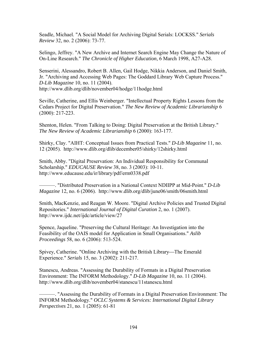Seadle, Michael. "A Social Model for Archiving Digital Serials: LOCKSS." *Serials Review* 32, no. 2 (2006): 73-77.

Selingo, Jeffrey. "A New Archive and Internet Search Engine May Change the Nature of On-Line Research." *The Chronicle of Higher Education*, 6 March 1998, A27-A28.

Senserini, Alessandro, Robert B. Allen, Gail Hodge, Nikkia Anderson, and Daniel Smith, Jr. "Archiving and Accessing Web Pages: The Goddard Library Web Capture Process." *D-Lib Magazine* 10, no. 11 (2004). http://www.dlib.org/dlib/november04/hodge/11hodge.html

Seville, Catherine, and Ellis Weinberger. "Intellectual Property Rights Lessons from the Cedars Project for Digital Preservation." *The New Review of Academic Librarianship* 6 (2000): 217-223.

Shenton, Helen. "From Talking to Doing: Digital Preservation at the British Library." *The New Review of Academic Librarianship* 6 (2000): 163-177.

Shirky, Clay. "AIHT: Conceptual Issues from Practical Tests." *D-Lib Magazine* 11, no. 12 (2005). http://www.dlib.org/dlib/december05/shirky/12shirky.html

Smith, Abby. "Digital Preservation: An Individual Responsibility for Communal Scholarship." *EDUCAUSE Review* 38, no. 3 (2003): 10-11. http://www.educause.edu/ir/library/pdf/erm0338.pdf

———. "Distributed Preservation in a National Context NDIIPP at Mid-Point." *D-Lib Magazine* 12, no. 6 (2006). http://www.dlib.org/dlib/june06/smith/06smith.html

Smith, MacKenzie, and Reagan W. Moore. "Digital Archive Policies and Trusted Digital Repositories." *International Journal of Digital Curation* 2, no. 1 (2007). http://www.ijdc.net/ijdc/article/view/27

Spence, Jaqueline. "Preserving the Cultural Heritage: An Investigation into the Feasibility of the OAIS model for Application in Small Organisations." *Aslib Proceedings* 58, no. 6 (2006): 513-524.

Spivey, Catherine. "Online Archiving with the British Library—The Emerald Experience." *Serials* 15, no. 3 (2002): 211-217.

Stanescu, Andreas. "Assessing the Durability of Formats in a Digital Preservation Environment: The INFORM Methodology." *D-Lib Magazine* 10, no. 11 (2004). http://www.dlib.org/dlib/november04/stanescu/11stanescu.html

———. "Assessing the Durability of Formats in a Digital Preservation Environment: The INFORM Methodology." *OCLC Systems & Services: International Digital Library Perspectives* 21, no. 1 (2005): 61-81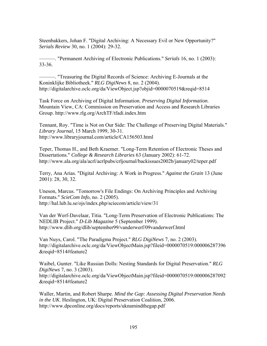Steenbakkers, Johan F. "Digital Archiving: A Necessary Evil or New Opportunity?" *Serials Review* 30, no. 1 (2004): 29-32.

———. "Permanent Archiving of Electronic Publications." *Serials* 16, no. 1 (2003): 33-36.

———. "Treasuring the Digital Records of Science: Archiving E-Journals at the Koninklijke Bibliotheek." *RLG DigiNews* 8, no. 2 (2004). http://digitalarchive.oclc.org/da/ViewObject.jsp?objid=0000070519&reqid=8514

Task Force on Archiving of Digital Information. *Preserving Digital Information*. Mountain View, CA: Commission on Preservation and Access and Research Libraries Group. http://www.rlg.org/ArchTF/tfadi.index.htm

Tennant, Roy. "Time is Not on Our Side: The Challenge of Preserving Digital Materials." *Library Journal*, 15 March 1999, 30-31. http://www.libraryjournal.com/article/CA156503.html

Teper, Thomas H., and Beth Kraemer. "Long-Term Retention of Electronic Theses and Dissertations." *College & Research Libraries* 63 (January 2002): 61-72. http://www.ala.org/ala/acrl/acrlpubs/crljournal/backissues2002b/january02/teper.pdf

Terry, Ana Arias. "Digital Archiving: A Work in Progress." *Against the Grain* 13 (June 2001): 28, 30, 32.

Uneson, Marcus. "Tomorrow's File Endings: On Archiving Principles and Archiving Formats." *ScieCom Info*, no. 2 (2005). http://hal.lub.lu.se/ojs/index.php/sciecom/article/view/31

Van der Werf-Davelaar, Titia. "Long-Term Preservation of Electronic Publications: The NEDLIB Project." *D-Lib Magazine* 5 (September 1999). http://www.dlib.org/dlib/september99/vanderwerf/09vanderwerf.html

Van Nuys, Carol. "The Paradigma Project." *RLG DigiNews* 7, no. 2 (2003). http://digitalarchive.oclc.org/da/ViewObjectMain.jsp?fileid=0000070519:000006287396 &reqid=8514#feature2

Waibel, Gunter. "Like Russian Dolls: Nesting Standards for Digital Preservation." *RLG DigiNews* 7, no. 3 (2003). http://digitalarchive.oclc.org/da/ViewObjectMain.jsp?fileid=0000070519:000006287092 &reqid=8514#feature2

Waller, Martin, and Robert Sharpe. *Mind the Gap: Assessing Digital Preservation Needs in the UK*. Heslington, UK: Digital Preservation Coalition, 2006. http://www.dpconline.org/docs/reports/uknamindthegap.pdf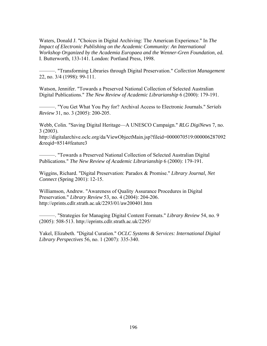Waters, Donald J. "Choices in Digital Archiving: The American Experience." In *The Impact of Electronic Publishing on the Academic Community: An International Workshop Organized by the Academia Europaea and the Wenner-Gren Foundation*, ed. I. Butterworth, 133-141. London: Portland Press, 1998.

———. "Transforming Libraries through Digital Preservation." *Collection Management* 22, no. 3/4 (1998): 99-111.

Watson, Jennifer. "Towards a Preserved National Collection of Selected Australian Digital Publications." *The New Review of Academic Librarianship* 6 (2000): 179-191.

———. "You Get What You Pay for? Archival Access to Electronic Journals." *Serials Review* 31, no. 3 (2005): 200-205.

Webb, Colin. "Saving Digital Heritage—A UNESCO Campaign." *RLG DigiNews* 7, no. 3 (2003).

http://digitalarchive.oclc.org/da/ViewObjectMain.jsp?fileid=0000070519:000006287092 &reqid=8514#feature3

———. "Towards a Preserved National Collection of Selected Australian Digital Publications." *The New Review of Academic Librarianship* 6 (2000): 179-191.

Wiggins, Richard. "Digital Preservation: Paradox & Promise." *Library Journal, Net Connect* (Spring 2001): 12-15.

Williamson, Andrew. "Awareness of Quality Assurance Procedures in Digital Preservation." *Library Review* 53, no. 4 (2004): 204-206. http://eprints.cdlr.strath.ac.uk/2293/01/aw200401.htm

———. "Strategies for Managing Digital Content Formats." *Library Review* 54, no. 9 (2005): 508-513. http://eprints.cdlr.strath.ac.uk/2295/

Yakel, Elizabeth. "Digital Curation." *OCLC Systems & Services: International Digital Library Perspectives* 56, no. 1 (2007): 335-340.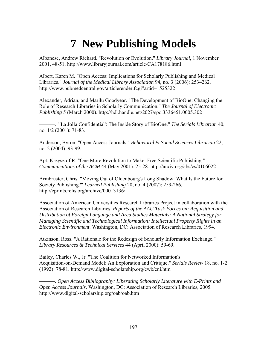## **7 New Publishing Models**

Albanese, Andrew Richard. "Revolution or Evolution." *Library Journal*, 1 November 2001, 48-51. http://www.libraryjournal.com/article/CA178186.html

Albert, Karen M. "Open Access: Implications for Scholarly Publishing and Medical Libraries." *Journal of the Medical Library Association* 94, no. 3 (2006): 253–262. http://www.pubmedcentral.gov/articlerender.fcgi?artid=1525322

Alexander, Adrian, and Marilu Goodyear. "The Development of BioOne: Changing the Role of Research Libraries in Scholarly Communication." *The Journal of Electronic Publishing* 5 (March 2000). http://hdl.handle.net/2027/spo.3336451.0005.302

———. "'La Jolla Confidential': The Inside Story of BioOne." *The Serials Librarian* 40, no. 1/2 (2001): 71-83.

Anderson, Byron. "Open Access Journals." *Behavioral & Social Sciences Librarian* 22, no. 2 (2004): 93-99.

Apt, Krzysztof R. "One More Revolution to Make: Free Scientific Publishing." *Communications of the ACM* 44 (May 2001): 25-28. http://arxiv.org/abs/cs/0106022

Armbruster, Chris. "Moving Out of Oldenbourg's Long Shadow: What Is the Future for Society Publishing?" *Learned Publishing* 20, no. 4 (2007): 259-266. http://eprints.rclis.org/archive/00013136/

Association of American Universities Research Libraries Project in collaboration with the Association of Research Libraries. *Reports of the AAU Task Forces on: Acquisition and Distribution of Foreign Language and Area Studies Materials: A National Strategy for Managing Scientific and Technological Information: Intellectual Property Rights in an Electronic Environment*. Washington, DC: Association of Research Libraries, 1994.

Atkinson, Ross. "A Rationale for the Redesign of Scholarly Information Exchange." *Library Resources & Technical Services* 44 (April 2000): 59-69.

Bailey, Charles W., Jr. "The Coalition for Networked Information's Acquisition-on-Demand Model: An Exploration and Critique." *Serials Review* 18, no. 1-2 (1992): 78-81. http://www.digital-scholarship.org/cwb/cni.htm

———. *Open Access Bibliography: Liberating Scholarly Literature with E-Prints and Open Access Journals*. Washington, DC: Association of Research Libraries, 2005. http://www.digital-scholarship.org/oab/oab.htm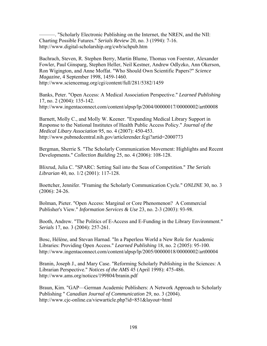———. "Scholarly Electronic Publishing on the Internet, the NREN, and the NII: Charting Possible Futures." *Serials Review* 20, no. 3 (1994): 7-16. http://www.digital-scholarship.org/cwb/schpub.htm

Bachrach, Steven, R. Stephen Berry, Martin Blume, Thomas von Foerster, Alexander Fowler, Paul Ginsparg, Stephen Heller, Neil Kestner, Andrew Odlyzko, Ann Okerson, Ron Wigington, and Anne Moffat. "Who Should Own Scientific Papers?" *Science Magazine*, 4 September 1998, 1459-1460. http://www.sciencemag.org/cgi/content/full/281/5382/1459

Banks, Peter. "Open Access: A Medical Association Perspective." *Learned Publishing* 17, no. 2 (2004): 135-142. http://www.ingentaconnect.com/content/alpsp/lp/2004/00000017/00000002/art00008

Barnett, Molly C., and Molly W. Keener. "Expanding Medical Library Support in Response to the National Institutes of Health Public Access Policy." *Journal of the Medical Libary Association* 95, no. 4 (2007): 450-453. http://www.pubmedcentral.nih.gov/articlerender.fcgi?artid=2000773

Bergman, Sherrie S. "The Scholarly Communication Movement: Highlights and Recent Developments." *Collection Building* 25, no. 4 (2006): 108-128.

Blixrud, Julia C. "SPARC: Setting Sail into the Seas of Competition." *The Serials Librarian* 40, no. 1/2 (2001): 117-128.

Boettcher, Jennifer. "Framing the Scholarly Communication Cycle." *ONLINE* 30, no. 3 (2006): 24-26.

Bolman, Pieter. "Open Access: Marginal or Core Phenomenon? A Commercial Publisher's View." *Information Services & Use* 23, no. 2-3 (2003): 93-98.

Booth, Andrew. "The Politics of E-Access and E-Funding in the Library Environment." *Serials* 17, no. 3 (2004): 257-261.

Bosc, Hélène, and Stevan Harnad. "In a Paperless World a New Role for Academic Libraries: Providing Open Access." *Learned Publishing* 18, no. 2 (2005): 95-100. http://www.ingentaconnect.com/content/alpsp/lp/2005/00000018/00000002/art00004

Branin, Joseph J., and Mary Case. "Reforming Scholarly Publishing in the Sciences: A Librarian Perspective." *Notices of the AMS* 45 (April 1998): 475-486. http://www.ams.org/notices/199804/branin.pdf

Braun, Kim. "GAP—German Academic Publishers: A Network Approach to Scholarly Publishing " *Canadian Journal of Communication* 29, no. 3 (2004). http://www.cjc-online.ca/viewarticle.php?id=851&layout=html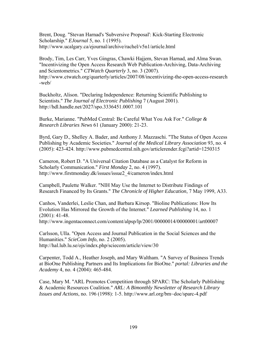Brent, Doug. "Stevan Harnad's 'Subversive Proposal': Kick-Starting Electronic Scholarship." *EJournal* 5, no. 1 (1995). http://www.ucalgary.ca/ejournal/archive/rachel/v5n1/article.html

Brody, Tim, Les Carr, Yves Gingras, Chawki Hajjem, Stevan Harnad, and Alma Swan. "Incentivizing the Open Access Research Web Publication-Archiving, Data-Archiving and Scientometrics." *CTWatch Quarterly* 3, no. 3 (2007). http://www.ctwatch.org/quarterly/articles/2007/08/incentivizing-the-open-access-research -web/

Buckholtz, Alison. "Declaring Independence: Returning Scientific Publishing to Scientists." *The Journal of Electronic Publishing* 7 (August 2001). http://hdl.handle.net/2027/spo.3336451.0007.101

Burke, Marianne. "PubMed Central: Be Careful What You Ask For." *College & Research Libraries News* 61 (January 2000): 21-23.

Byrd, Gary D., Shelley A. Bader, and Anthony J. Mazzaschi. "The Status of Open Access Publishing by Academic Societies." *Journal of the Medical Library Association* 93, no. 4 (2005): 423-424. http://www.pubmedcentral.nih.gov/articlerender.fcgi?artid=1250315

Cameron, Robert D. "A Universal Citation Database as a Catalyst for Reform in Scholarly Communication." *First Monday* 2, no. 4 (1997). http://www.firstmonday.dk/issues/issue2\_4/cameron/index.html

Campbell, Paulette Walker. "NIH May Use the Internet to Distribute Findings of Research Financed by Its Grants." *The Chronicle of Higher Education*, 7 May 1999, A33.

Canhos, Vanderlei, Leslie Chan, and Barbara Kirsop. "Bioline Publications: How Its Evolution Has Mirrored the Growth of the Internet." *Learned Publishing* 14, no. 1 (2001): 41-48.

http://www.ingentaconnect.com/content/alpsp/lp/2001/00000014/00000001/art00007

Carlsson, Ulla. "Open Access and Journal Publication in the Social Sciences and the Humanities." *ScieCom Info*, no. 2 (2005). http://hal.lub.lu.se/ojs/index.php/sciecom/article/view/30

Carpenter, Todd A., Heather Joseph, and Mary Waltham. "A Survey of Business Trends at BioOne Publishing Partners and Its Implications for BioOne." *portal: Libraries and the Academy* 4, no. 4 (2004): 465-484.

Case, Mary M. "ARL Promotes Competition through SPARC: The Scholarly Publishing & Academic Resources Coalition." *ARL: A Bimonthly Newsletter of Research Library Issues and Actions*, no. 196 (1998): 1-5. http://www.arl.org/bm~doc/sparc-4.pdf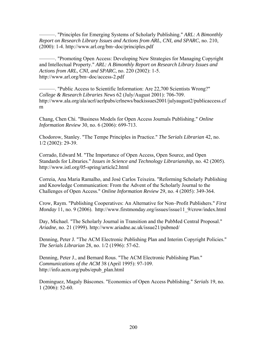———. "Principles for Emerging Systems of Scholarly Publishing." *ARL: A Bimonthly Report on Research Library Issues and Actions from ARL, CNI, and SPARC*, no. 210, (2000): 1-4. http://www.arl.org/bm~doc/principles.pdf

———. "Promoting Open Access: Developing New Strategies for Managing Copyright and Intellectual Property." *ARL: A Bimonthly Report on Research Library Issues and Actions from ARL, CNI, and SPARC*, no. 220 (2002): 1-5. http://www.arl.org/bm~doc/access-2.pdf

———. "Public Access to Scientific Information: Are 22,700 Scientists Wrong?" *College & Research Libraries News* 62 (July/August 2001): 706-709. http://www.ala.org/ala/acrl/acrlpubs/crlnews/backissues2001/julyaugust2/publicaccess.cf m

Chang, Chen Chi. "Business Models for Open Access Journals Publishing." *Online Information Review* 30, no. 6 (2006): 699-713.

Chodorow, Stanley. "The Tempe Principles in Practice." *The Serials Librarian* 42, no. 1/2 (2002): 29-39.

Corrado, Edward M. "The Importance of Open Access, Open Source, and Open Standards for Libraries." *Issues in Science and Technology Librarianship*, no. 42 (2005). http://www.istl.org/05-spring/article2.html

Correia, Ana Maria Ramalho, and José Carlos Teixeira. "Reforming Scholarly Publishing and Knowledge Communication: From the Advent of the Scholarly Journal to the Challenges of Open Access." *Online Information Review* 29, no. 4 (2005): 349-364.

Crow, Raym. "Publishing Cooperatives: An Alternative for Non–Profit Publishers." *First Monday* 11, no. 9 (2006). http://www.firstmonday.org/issues/issue11\_9/crow/index.html

Day, Michael. "The Scholarly Journal in Transition and the PubMed Central Proposal." *Ariadne*, no. 21 (1999). http://www.ariadne.ac.uk/issue21/pubmed/

Denning, Peter J. "The ACM Electronic Publishing Plan and Interim Copyright Policies." *The Serials Librarian* 28, no. 1/2 (1996): 57-62.

Denning, Peter J., and Bernard Rous. "The ACM Electronic Publishing Plan." *Communications of the ACM* 38 (April 1995): 97-109. http://info.acm.org/pubs/epub\_plan.html

Dominguez, Magaly Báscones. "Economics of Open Access Publishing." *Serials* 19, no. 1 (2006): 52-60.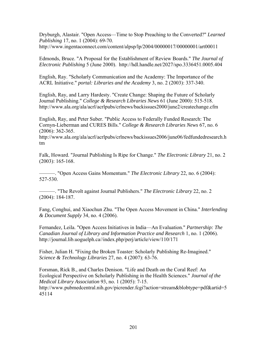Dryburgh, Alastair. "Open Access—Time to Stop Preaching to the Converted?" *Learned Publishing* 17, no. 1 (2004): 69-70. http://www.ingentaconnect.com/content/alpsp/lp/2004/00000017/00000001/art00011

Edmonds, Bruce. "A Proposal for the Establishment of Review Boards." *The Journal of Electronic Publishing* 5 (June 2000). http://hdl.handle.net/2027/spo.3336451.0005.404

English, Ray. "Scholarly Communication and the Academy: The Importance of the ACRL Initiative." *portal: Libraries and the Academy* 3, no. 2 (2003): 337-340.

English, Ray, and Larry Hardesty. "Create Change: Shaping the Future of Scholarly Journal Publishing." *College & Research Libraries News* 61 (June 2000): 515-518. http://www.ala.org/ala/acrl/acrlpubs/crlnews/backissues2000/june2/createchange.cfm

English, Ray, and Peter Suber. "Public Access to Federally Funded Research: The Cornyn-Lieberman and CURES Bills." *College & Research Libraries News* 67, no. 6 (2006): 362-365.

http://www.ala.org/ala/acrl/acrlpubs/crlnews/backissues2006/june06/fedfundedresearch.h tm

Falk, Howard. "Journal Publishing Is Ripe for Change." *The Electronic Library* 21, no. 2 (2003): 165-168.

———. "Open Access Gains Momentum." *The Electronic Library* 22, no. 6 (2004): 527-530.

———. "The Revolt against Journal Publishers." *The Electronic Library* 22, no. 2 (2004): 184-187.

Fang, Conghui, and Xiaochun Zhu. "The Open Access Movement in China." *Interlending & Document Supply* 34, no. 4 (2006).

Fernandez, Leila. "Open Access Initiatives in India—An Evaluation." *Partnership: The Canadian Journal of Library and Information Practice and Research* 1, no. 1 (2006). http://journal.lib.uoguelph.ca//index.php/perj/article/view/110/171

Fisher, Julian H. "Fixing the Broken Toaster: Scholarly Publishing Re-Imagined." *Science & Technology Libraries* 27, no. 4 (2007): 63-76.

Forsman, Rick B., and Charles Denison. "Life and Death on the Coral Reef: An Ecological Perspective on Scholarly Publishing in the Health Sciences." *Journal of the Medical Library Association* 93, no. 1 (2005): 7-15. http://www.pubmedcentral.nih.gov/picrender.fcgi?action=stream&blobtype=pdf&artid=5 45114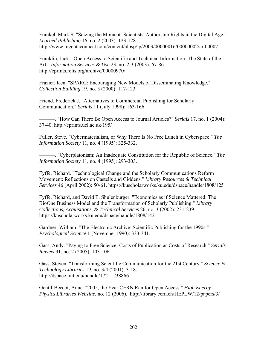Frankel, Mark S. "Seizing the Moment: Scientists' Authorship Rights in the Digital Age." *Learned Publishing* 16, no. 2 (2003): 123-128. http://www.ingentaconnect.com/content/alpsp/lp/2003/00000016/00000002/art00007

Franklin, Jack. "Open Access to Scientific and Technical Information: The State of the Art." *Information Services & Use* 23, no. 2-3 (2003): 67-86. http://eprints.rclis.org/archive/00000970/

Frazier, Ken. "SPARC: Encouraging New Models of Disseminating Knowledge." *Collection Building* 19, no. 3 (2000): 117-123.

Friend, Frederick J. "Alternatives to Commercial Publishing for Scholarly Communication." *Serials* 11 (July 1998): 163-166.

———. "How Can There Be Open Access to Journal Articles?" *Serials* 17, no. 1 (2004): 37-40. http://eprints.ucl.ac.uk/195/

Fuller, Steve. "Cybermaterialism, or Why There Is No Free Lunch in Cyberspace." *The Information Society* 11, no. 4 (1995): 325-332.

———. "Cyberplatonism: An Inadequate Constitution for the Republic of Science." *The Information Society* 11, no. 4 (1995): 293-303.

Fyffe, Richard. "Technological Change and the Scholarly Communications Reform Movement: Reflections on Castells and Giddens." *Library Resources & Technical Services* 46 (April 2002): 50-61. https://kuscholarworks.ku.edu/dspace/handle/1808/125

Fyffe, Richard, and David E. Shulenburger. "Economics as if Science Mattered: The BioOne Business Model and the Transformation of Scholarly Publishing." *Library Collections, Acquisitions, & Technical Services* 26, no. 3 (2002): 231-239. https://kuscholarworks.ku.edu/dspace/handle/1808/142

Gardner, William. "The Electronic Archive: Scientific Publishing for the 1990s." *Psychological Science* 1 (November 1990): 333-341.

Gass, Andy. "Paying to Free Science: Costs of Publication as Costs of Research." *Serials Review* 31, no. 2 (2005): 103-106.

Gass, Steven. "Transforming Scientific Communication for the 21st Century." *Science & Technology Libraries* 19, no. 3/4 (2001): 3-18. http://dspace.mit.edu/handle/1721.1/38866

Gentil-Beccot, Anne. "2005, the Year CERN Ran for Open Access." *High Energy Physics Libraries Webzine*, no. 12 (2006). http://library.cern.ch/HEPLW/12/papers/3/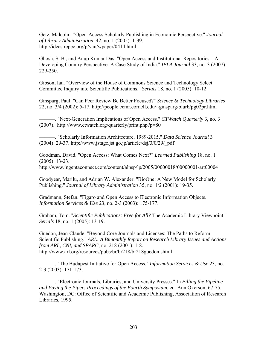Getz, Malcolm. "Open-Access Scholarly Publishing in Economic Perspective." *Journal of Library Administration,* 42, no. 1 (2005): 1-39. http://ideas.repec.org/p/van/wpaper/0414.html

Ghosh, S. B., and Anup Kumar Das. "Open Access and Institutional Repositories—A Developing Country Perspective: A Case Study of India." *IFLA Journal* 33, no. 3 (2007): 229-250.

Gibson, Ian. "Overview of the House of Commons Science and Technology Select Committee Inquiry into Scientific Publications." *Serials* 18, no. 1 (2005): 10-12.

Ginsparg, Paul. "Can Peer Review Be Better Focused?" *Science & Technology Libraries* 22, no. 3/4 (2002): 5-17. http://people.ccmr.cornell.edu/~ginsparg/blurb/pg02pr.html

———. "Next-Generation Implications of Open Access." *CTWatch Quarterly* 3, no. 3 (2007). http://www.ctwatch.org/quarterly/print.php?p=80

———. "Scholarly Information Architecture, 1989-2015." *Data Science Journal* 3 (2004): 29-37. http://www.jstage.jst.go.jp/article/dsj/3/0/29/\_pdf

Goodman, David. "Open Access: What Comes Next?" *Learned Publishing* 18, no. 1 (2005): 13-23.

http://www.ingentaconnect.com/content/alpsp/lp/2005/00000018/00000001/art00004

Goodyear, Marilu, and Adrian W. Alexander. "BioOne: A New Model for Scholarly Publishing." *Journal of Library Administration* 35, no. 1/2 (2001): 19-35.

Gradmann, Stefan. "Figaro and Open Access to Electronic Information Objects." *Information Services & Use* 23, no. 2-3 (2003): 175-177.

Graham, Tom. "*Scientific Publications: Free for All?* The Academic Library Viewpoint." *Serials* 18, no. 1 (2005): 13-19.

Guédon, Jean-Claude. "Beyond Core Journals and Licenses: The Paths to Reform Scientific Publishing." *ARL: A Bimonthly Report on Research Library Issues and Actions from ARL, CNI, and SPARC*, no. 218 (2001): 1-8. http://www.arl.org/resources/pubs/br/br218/br218guedon.shtml

———. "The Budapest Initiative for Open Access." *Information Services & Use* 23, no. 2-3 (2003): 171-173.

———. "Electronic Journals, Libraries, and University Presses." In *Filling the Pipeline and Paying the Piper: Proceedings of the Fourth Symposium*, ed. Ann Okerson, 67-75. Washington, DC: Office of Scientific and Academic Publishing, Association of Research Libraries, 1995.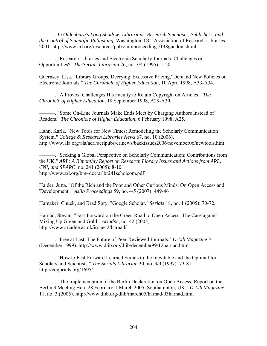———. *In Oldenburg's Long Shadow: Librarians, Research Scientists, Publishers, and the Control of Scientific Publishing*. Washington, DC: Association of Research Libraries, 2001. http://www.arl.org/resources/pubs/mmproceedings/138guedon.shtml

———. "Research Libraries and Electronic Scholarly Journals: Challenges or Opportunities?" *The Serials Librarian* 26, no. 3/4 (1995): 1-20.

Guernsey, Lisa. "Library Groups, Decrying 'Excessive Pricing,' Demand New Policies on Electronic Journals." *The Chronicle of Higher Education*, 10 April 1998, A33-A34.

———. "A Provost Challenges His Faculty to Retain Copyright on Articles." *The Chronicle of Higher Education*, 18 September 1998, A29-A30.

———. "Some On-Line Journals Make Ends Meet by Charging Authors Instead of Readers." *The Chronicle of Higher Education*, 6 February 1998, A25.

Hahn, Karla. "New Tools for New Times: Remodeling the Scholarly Communication System." *College & Research Libraries News* 67, no. 10 (2006). http://www.ala.org/ala/acrl/acrlpubs/crlnews/backissues2006/november06/newtools.htm

———. "Seeking a Global Perspective on Scholarly Communication: Contributions from the UK." *ARL: A Bimonthly Report on Research Library Issues and Actions from ARL, CNI, and SPARC*, no. 241 (2005): 8-10. http://www.arl.org/bm~doc/arlbr241scholcom.pdf

Haider, Jutta. "Of the Rich and the Poor and Other Curious Minds: On Open Access and 'Development'." *Aslib Proceedings* 59, no. 4/5 (2007): 449-461.

Hamaker, Chuck, and Brad Spry. "Google Scholar." *Serials* 18, no. 1 (2005): 70-72.

Harnad, Stevan. "Fast-Forward on the Green Road to Open Access: The Case against Mixing Up Green and Gold." *Ariadne*, no. 42 (2005). http://www.ariadne.ac.uk/issue42/harnad/

———. "Free at Last: The Future of Peer-Reviewed Journals." *D-Lib Magazine* 5 (December 1999). http://www.dlib.org/dlib/december99/12harnad.html

———. "How to Fast-Forward Learned Serials to the Inevitable and the Optimal for Scholars and Scientists." *The Serials Librarian* 30, no. 3/4 (1997): 73-81. http://cogprints.org/1695/

———. "The Implementation of the Berlin Declaration on Open Access: Report on the Berlin 3 Meeting Held 28 February-1 March 2005, Southampton, UK." *D-Lib Magazine* 11, no. 3 (2005). http://www.dlib.org/dlib/march05/harnad/03harnad.html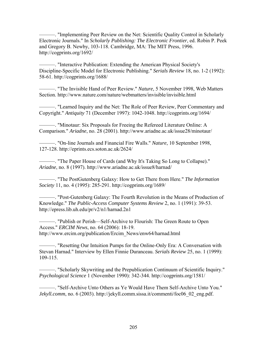———. "Implementing Peer Review on the Net: Scientific Quality Control in Scholarly Electronic Journals." In *Scholarly Publishing: The Electronic Frontier*, ed. Robin P. Peek and Gregory B. Newby, 103-118. Cambridge, MA: The MIT Press, 1996. http://cogprints.org/1692/

———. "Interactive Publication: Extending the American Physical Society's Discipline-Specific Model for Electronic Publishing." *Serials Review* 18, no. 1-2 (1992): 58-61. http://cogprints.org/1688/

———. "The Invisible Hand of Peer Review." *Nature*, 5 November 1998, Web Matters Section. http://www.nature.com/nature/webmatters/invisible/invisible.html

———. "Learned Inquiry and the Net: The Role of Peer Review, Peer Commentary and Copyright." *Antiquity* 71 (December 1997): 1042-1048. http://cogprints.org/1694/

———. "Minotaur: Six Proposals for Freeing the Refereed Literature Online: A Comparison." *Ariadne*, no. 28 (2001). http://www.ariadne.ac.uk/issue28/minotaur/

———. "On-line Journals and Financial Fire Walls." *Nature*, 10 September 1998, 127-128. http://eprints.ecs.soton.ac.uk/2624/

———. "The Paper House of Cards (and Why It's Taking So Long to Collapse)." *Ariadne*, no. 8 (1997). http://www.ariadne.ac.uk/issue8/harnad/

———. "The PostGutenberg Galaxy: How to Get There from Here." *The Information Society* 11, no. 4 (1995): 285-291. http://cogprints.org/1689/

———. "Post-Gutenberg Galaxy: The Fourth Revolution in the Means of Production of Knowledge." *The Public-Access Computer Systems Review* 2, no. 1 (1991): 39-53. http://epress.lib.uh.edu/pr/v2/n1/harnad.2n1

———. "Publish or Perish—Self-Archive to Flourish: The Green Route to Open Access." *ERCIM News*, no. 64 (2006): 18-19. http://www.ercim.org/publication/Ercim\_News/enw64/harnad.html

———. "Resetting Our Intuition Pumps for the Online-Only Era: A Conversation with Stevan Harnad." Interview by Ellen Finnie Duranceau. *Serials Review* 25, no. 1 (1999): 109-115.

———. "Scholarly Skywriting and the Prepublication Continuum of Scientific Inquiry." *Psychological Science* 1 (November 1990): 342-344. http://cogprints.org/1581/

———. "Self-Archive Unto Others as Ye Would Have Them Self-Archive Unto You." *Jekyll.comm*, no. 6 (2003). http://jekyll.comm.sissa.it/commenti/foc06\_02\_eng.pdf.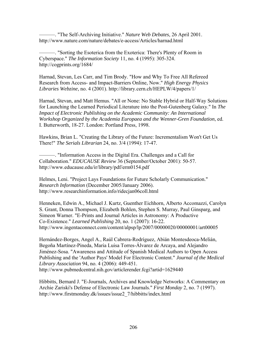———. "The Self-Archiving Initiative." *Nature Web Debates*, 26 April 2001. http://www.nature.com/nature/debates/e-access/Articles/harnad.html

———. "Sorting the Esoterica from the Exoterica: There's Plenty of Room in Cyberspace." *The Information Society* 11, no. 4 (1995): 305-324. http://cogprints.org/1684/

Harnad, Stevan, Les Carr, and Tim Brody. "How and Why To Free All Refereed Research from Access- and Impact-Barriers Online, Now." *High Energy Physics Libraries Webzine*, no. 4 (2001). http://library.cern.ch/HEPLW/4/papers/1/

Harnad, Stevan, and Matt Hemus. "All or None: No Stable Hybrid or Half-Way Solutions for Launching the Learned Periodical Literature into the Post-Gutenberg Galaxy." In *The Impact of Electronic Publishing on the Academic Community: An International Workshop Organized by the Academia Europaea and the Wenner-Gren Foundation*, ed. I. Butterworth, 18-27. London: Portland Press, 1998.

Hawkins, Brian L. "Creating the Library of the Future: Incrementalism Won't Get Us There!" *The Serials Librarian* 24, no. 3/4 (1994): 17-47.

———. "Information Access in the Digital Era. Challenges and a Call for Collaboration." *EDUCAUSE Review* 36 (September/October 2001): 50-57. http://www.educause.edu/ir/library/pdf/erm0154.pdf

Helmes, Leni. "Project Lays Foundations for Future Scholarly Communication." *Research Information* (December 2005/January 2006). http://www.researchinformation.info/ridecjan06coll.html

Henneken, Edwin A., Michael J. Kurtz, Guenther Eichhorn, Alberto Accomazzi, Carolyn S. Grant, Donna Thompson, Elizabeth Bohlen, Stephen S. Murray, Paul Ginsparg, and Simeon Warner. "E-Prints and Journal Articles in Astronomy: A Productive Co-Existence." *Learned Publishing* 20, no. 1 (2007): 16-22. http://www.ingentaconnect.com/content/alpsp/lp/2007/00000020/00000001/art00005

Hernández-Borges, Angel A., Raúl Cabrera-Rodríguez, Abián Montesdeoca-Melián, Begoña Martínez-Pineda, Maria Luisa Torres-Álvarez de Arcaya, and Alejandro Jiménez-Sosa. "Awareness and Attitude of Spanish Medical Authors to Open Access Publishing and the 'Author Pays' Model For Electronic Content." *Journal of the Medical Library Association* 94, no. 4 (2006): 449-451. http://www.pubmedcentral.nih.gov/articlerender.fcgi?artid=1629440

Hibbitts, Bernard J. "E-Journals, Archives and Knowledge Networks: A Commentary on Archie Zariski's Defense of Electronic Law Journals." *First Monday* 2, no. 7 (1997). http://www.firstmonday.dk/issues/issue2\_7/hibbitts/index.html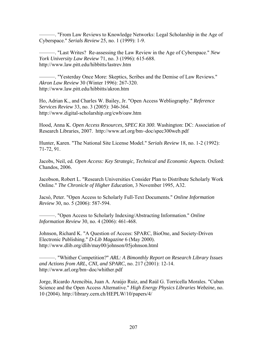———. "From Law Reviews to Knowledge Networks: Legal Scholarship in the Age of Cyberspace." *Serials Review* 25, no. 1 (1999): 1-9.

———. "Last Writes? Re-assessing the Law Review in the Age of Cyberspace." *New York University Law Review* 71, no. 3 (1996): 615-688. http://www.law.pitt.edu/hibbitts/lastrev.htm

———. "Yesterday Once More: Skeptics, Scribes and the Demise of Law Reviews." *Akron Law Review* 30 (Winter 1996): 267-320. http://www.law.pitt.edu/hibbitts/akron.htm

Ho, Adrian K., and Charles W. Bailey, Jr. "Open Access Webliography." *Reference Services Review* 33, no. 3 (2005): 346-364. http://www.digital-scholarship.org/cwb/oaw.htm

Hood, Anna K. *Open Access Resources, SPEC Kit 300*. Washington: DC: Association of Research Libraries, 2007. http://www.arl.org/bm~doc/spec300web.pdf

Hunter, Karen. "The National Site License Model." *Serials Review* 18, no. 1-2 (1992): 71-72, 91.

Jacobs, Neil, ed. *Open Access: Key Strategic, Technical and Economic Aspects*. Oxford: Chandos, 2006.

Jacobson, Robert L. "Research Universities Consider Plan to Distribute Scholarly Work Online." *The Chronicle of Higher Education*, 3 November 1995, A32.

Jacsó, Peter. "Open Access to Scholarly Full-Text Documents." *Online Information Review* 30, no. 5 (2006): 587-594.

———. "Open Access to Scholarly Indexing/Abstracting Information." *Online Information Review* 30, no. 4 (2006): 461-468.

Johnson, Richard K. "A Question of Access: SPARC, BioOne, and Society-Driven Electronic Publishing." *D-Lib Magazine* 6 (May 2000). http://www.dlib.org/dlib/may00/johnson/05johnson.html

———. "Whither Competition?" *ARL: A Bimonthly Report on Research Library Issues and Actions from ARL, CNI, and SPARC*, no. 217 (2001): 12-14. http://www.arl.org/bm~doc/whither.pdf

Jorge, Ricardo Arencibia, Juan A. Araújo Ruiz, and Raúl G. Torricella Morales. "Cuban Science and the Open Access Alternative." *High Energy Physics Libraries Webzine*, no. 10 (2004). http://library.cern.ch/HEPLW/10/papers/4/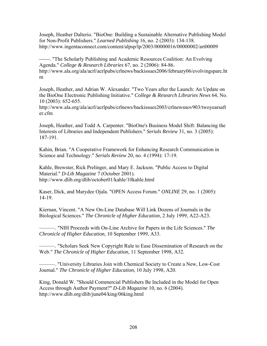Joseph, Heather Dalterio. "BioOne: Building a Sustainable Alternative Publishing Model for Non-Profit Publishers." *Learned Publishing* 16, no. 2 (2003): 134-138. http://www.ingentaconnect.com/content/alpsp/lp/2003/00000016/00000002/art00009

- The Scholarly Publishing and Academic Resources Coalition: An Evolving Agenda." *College & Research Libraries* 67, no. 2 (2006): 84-86. http://www.ala.org/ala/acrl/acrlpubs/crlnews/backissues2006/february06/evolvingsparc.ht m

Joseph, Heather, and Adrian W. Alexander. "Two Years after the Launch: An Update on the BioOne Electronic Publishing Initiative." *College & Research Libraries News* 64, No. 10 (2003): 652-655.

http://www.ala.org/ala/acrl/acrlpubs/crlnews/backissues2003/crlnewsnov903/twoyearsaft er.cfm

Joseph, Heather, and Todd A. Carpenter. "BioOne's Business Model Shift: Balancing the Interests of Libraries and Independent Publishers." *Serials Review* 31, no. 3 (2005): 187-191.

Kahin, Brian. "A Cooperative Framework for Enhancing Research Communication in Science and Technology." *Serials Review* 20, no. 4 (1994): 17-19.

Kahle, Brewster, Rick Prelinger, and Mary E. Jackson. "Public Access to Digital Material." *D-Lib Magazine* 7 (October 2001). http://www.dlib.org/dlib/october01/kahle/10kahle.html

Kaser, Dick, and Marydee Ojala. "OPEN Access Forum." *ONLINE* 29, no. 1 (2005): 14-19.

Kiernan, Vincent. "A New On-Line Database Will Link Dozens of Journals in the Biological Sciences." *The Chronicle of Higher Education*, 2 July 1999, A22-A23.

———. "NIH Proceeds with On-Line Archive for Papers in the Life Sciences." *The Chronicle of Higher Education*, 10 September 1999, A33.

———. "Scholars Seek New Copyright Rule to Ease Dissemination of Research on the Web." *The Chronicle of Higher Education*, 11 September 1998, A32.

———. "University Libraries Join with Chemical Society to Create a New, Low-Cost Journal." *The Chronicle of Higher Education*, 10 July 1998, A20.

King, Donald W. "Should Commercial Publishers Be Included in the Model for Open Access through Author Payment?" *D-Lib Magazine* 10, no. 6 (2004). http://www.dlib.org/dlib/june04/king/06king.html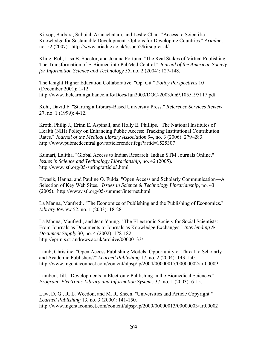Kirsop, Barbara, Subbiah Arunachalam, and Leslie Chan. "Access to Scientific Knowledge for Sustainable Development: Options for Developing Countries." *Ariadne*, no. 52 (2007). http://www.ariadne.ac.uk/issue52/kirsop-et-al/

Kling, Rob, Lisa B. Spector, and Joanna Fortuna. "The Real Stakes of Virtual Publishing: The Transformation of E-Biomed into PubMed Central." *Journal of the American Society for Information Science and Technology* 55, no. 2 (2004): 127-148.

The Knight Higher Education Collaborative. "Op. Cit." *Policy Perspectives* 10 (December 2001): 1-12. http://www.thelearningalliance.info/Docs/Jun2003/DOC-2003Jun9.1055195117.pdf

Kohl, David F. "Starting a Library-Based University Press." *Reference Services Review* 27, no. 1 (1999): 4-12.

Kroth, Philip J., Erinn E. Aspinall, and Holly E. Phillips. "The National Institutes of Health (NIH) Policy on Enhancing Public Access: Tracking Institutional Contribution Rates." *Journal of the Medical Library Association* 94, no. 3 (2006): 279–283. http://www.pubmedcentral.gov/articlerender.fcgi?artid=1525307

Kumari, Lalitha. "Global Access to Indian Research: Indian STM Journals Online." *Issues in Science and Technology Librarianship*, no. 42 (2005). http://www.istl.org/05-spring/article3.html

Kwasik, Hanna, and Pauline O. Fulda. "Open Access and Scholarly Communication—A Selection of Key Web Sites." *Issues in Science & Technology Librarianship*, no. 43 (2005). http://www.istl.org/05-summer/internet.html

La Manna, Manfredi. "The Economics of Publishing and the Publishing of Economics." *Library Review* 52, no. 1 (2003): 18-28.

La Manna, Manfredi, and Jean Young. "The ELectronic Society for Social Scientists: From Journals as Documents to Journals as Knowledge Exchanges." *Interlending & Document Supply* 30, no. 4 (2002): 178-182. http://eprints.st-andrews.ac.uk/archive/00000133/

Lamb, Christine. "Open Access Publishing Models: Opportunity or Threat to Scholarly and Academic Publishers?" *Learned Publishing* 17, no. 2 (2004): 143-150. http://www.ingentaconnect.com/content/alpsp/lp/2004/00000017/00000002/art00009

Lambert, Jill. "Developments in Electronic Publishing in the Biomedical Sciences." *Program: Electronic Library and Information Systems* 37, no. 1 (2003): 6-15.

Law, D. G., R. L. Weedon, and M. R. Sheen. "Universities and Article Copyright." *Learned Publishing* 13, no. 3 (2000): 141-150. http://www.ingentaconnect.com/content/alpsp/lp/2000/00000013/00000003/art00002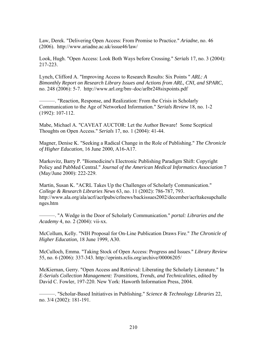Law, Derek. "Delivering Open Access: From Promise to Practice." *Ariadne*, no. 46 (2006). http://www.ariadne.ac.uk/issue46/law/

Look, Hugh. "Open Access: Look Both Ways before Crossing." *Serials* 17, no. 3 (2004): 217-223.

Lynch, Clifford A. "Improving Access to Research Results: Six Points " *ARL: A Bimonthly Report on Research Library Issues and Actions from ARL, CNI, and SPARC*, no. 248 (2006): 5-7. http://www.arl.org/bm~doc/arlbr248sixpoints.pdf

———. "Reaction, Response, and Realization: From the Crisis in Scholarly Communication to the Age of Networked Information." *Serials Review* 18, no. 1-2 (1992): 107-112.

Mabe, Michael A. "CAVEAT AUCTOR: Let the Author Beware! Some Sceptical Thoughts on Open Access." *Serials* 17, no. 1 (2004): 41-44.

Magner, Denise K. "Seeking a Radical Change in the Role of Publishing." *The Chronicle of Higher Education*, 16 June 2000, A16-A17.

Markovitz, Barry P. "Biomedicine's Electronic Publishing Paradigm Shift: Copyright Policy and PubMed Central." *Journal of the American Medical Informatics Association* 7 (May/June 2000): 222-229.

Martin, Susan K. "ACRL Takes Up the Challenges of Scholarly Communication." *College & Research Libraries News* 63, no. 11 (2002): 786-787, 793. http://www.ala.org/ala/acrl/acrlpubs/crlnews/backissues2002/december/acrltakesupchalle nges.htm

———. "A Wedge in the Door of Scholarly Communication." *portal: Libraries and the Academy* 4, no. 2 (2004): vii-xx.

McCollum, Kelly. "NIH Proposal for On-Line Publication Draws Fire." *The Chronicle of Higher Education*, 18 June 1999, A30.

McCulloch, Emma. "Taking Stock of Open Access: Progress and Issues." *Library Review* 55, no. 6 (2006): 337-343. http://eprints.rclis.org/archive/00006205/

McKiernan, Gerry. "Open Access and Retrieval: Liberating the Scholarly Literature." In *E-Serials Collection Management: Transitions, Trends, and Technicalities*, edited by David C. Fowler, 197-220. New York: Haworth Information Press, 2004.

———. "Scholar-Based Initiatives in Publishing." *Science & Technology Libraries* 22, no. 3/4 (2002): 181-191.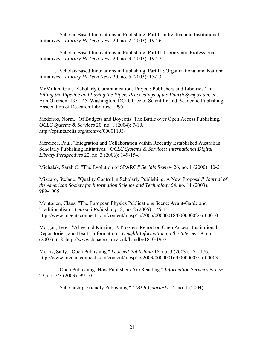———. "Scholar-Based Innovations in Publishing. Part I: Individual and Institutional Initiatives." *Library Hi Tech News* 20, no. 2 (2003): 19-26.

———. "Scholar-Based Innovations in Publishing. Part II: Library and Professional Initiatives." *Library Hi Tech News* 20, no. 3 (2003): 19-27.

———. "Scholar-Based Innovations in Publishing. Part III: Organizational and National Initiatives." *Library Hi Tech News* 20, no. 5 (2003): 15-23.

McMillan, Gail. "Scholarly Communications Project: Publishers and Libraries." In *Filling the Pipeline and Paying the Piper: Proceedings of the Fourth Symposium*, ed. Ann Okerson, 135-145. Washington, DC: Office of Scientific and Academic Publishing, Association of Research Libraries, 1995.

Medeiros, Norm. "Of Budgets and Boycotts: The Battle over Open Access Publishing." *OCLC Systems & Services* 20, no. 1 (2004): 7-10. http://eprints.rclis.org/archive/00001193/

Mercieca, Paul. "Integration and Collaboration within Recently Established Australian Scholarly Publishing Initiatives." *OCLC Systems & Services: International Digital Library Perspectives* 22, no. 3 (2006): 149-154.

Michalak, Sarah C. "The Evolution of SPARC." *Serials Review* 26, no. 1 (2000): 10-21.

Mizzaro, Stefano. "Quality Control in Scholarly Publishing: A New Proposal." *Journal of the American Society for Information Science and Technology* 54, no. 11 (2003): 989-1005.

Montonen, Claus. "The European Physics Publications Scene: Avant-Garde and Traditionalism." *Learned Publishing* 18, no. 2 (2005): 149-151. http://www.ingentaconnect.com/content/alpsp/lp/2005/00000018/00000002/art00010

Morgan, Peter. "Alive and Kicking: A Progress Report on Open Access, Institutional Repositories, and Health Information." *He@lth Information on the Internet* 58, no. 1 (2007): 6-8. http://www.dspace.cam.ac.uk/handle/1810/195215

Morris, Sally. "Open Publishing." *Learned Publishing* 16, no. 3 (2003): 171-176. http://www.ingentaconnect.com/content/alpsp/lp/2003/00000016/00000003/art00003

———. "Open Publishing: How Publishers Are Reacting." *Information Services & Use* 23, no. 2/3 (2003): 99-101.

———. "Scholarship-Friendly Publishing." *LIBER Quarterly* 14, no. 1 (2004).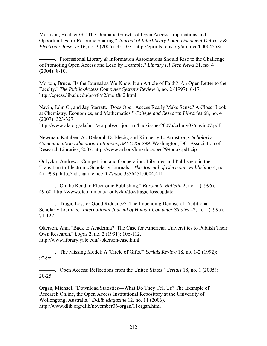Morrison, Heather G. "The Dramatic Growth of Open Access: Implications and Opportunities for Resource Sharing." *Journal of Interlibrary Loan, Document Delivery & Electronic Reserve* 16, no. 3 (2006): 95-107. http://eprints.rclis.org/archive/00004558/

**Example 2. "Professional Library & Information Associations Should Rise to the Challenge** of Promoting Open Access and Lead by Example." *Library Hi Tech News* 21, no. 4 (2004): 8-10.

Morton, Bruce. "Is the Journal as We Know It an Article of Faith? An Open Letter to the Faculty." *The Public-Access Computer Systems Review* 8, no. 2 (1997): 6-17. http://epress.lib.uh.edu/pr/v8/n2/mort8n2.html

Navin, John C., and Jay Starratt. "Does Open Access Really Make Sense? A Closer Look at Chemistry, Economics, and Mathematics." *College and Research Libraries* 68, no. 4 (2007): 323-327.

http://www.ala.org/ala/acrl/acrlpubs/crljournal/backissues2007a/crljuly07/navin07.pdf

Newman, Kathleen A., Deborah D. Blecic, and Kimberly L. Armstrong. *Scholarly Communication Education Initiatives, SPEC Kit 299*. Washington, DC: Association of Research Libraries, 2007. http://www.arl.org/bm~doc/spec299book.pdf.zip

Odlyzko, Andrew. "Competition and Cooperation: Libraries and Publishers in the Transition to Electronic Scholarly Journals." *The Journal of Electronic Publishing* 4, no. 4 (1999). http://hdl.handle.net/2027/spo.3336451.0004.411

———. "On the Road to Electronic Publishing." *Euromath Bulletin* 2, no. 1 (1996): 49-60. http://www.dtc.umn.edu/~odlyzko/doc/tragic.loss.update

———. "Tragic Loss or Good Riddance? The Impending Demise of Traditional Scholarly Journals." *International Journal of Human-Computer Studies* 42, no.1 (1995): 71-122.

Okerson, Ann. "Back to Academia? The Case for American Universities to Publish Their Own Research." *Logos* 2, no. 2 (1991): 106-112. http://www.library.yale.edu/~okerson/case.html

———. "The Missing Model: A 'Circle of Gifts.'" *Serials Review* 18, no. 1-2 (1992): 92-96.

———. "Open Access: Reflections from the United States." *Serials* 18, no. 1 (2005): 20-25.

Organ, Michael. "Download Statistics—What Do They Tell Us? The Example of Research Online, the Open Access Institutional Repository at the University of Wollongong, Australia." *D-Lib Magazine* 12, no. 11 (2006). http://www.dlib.org/dlib/november06/organ/11organ.html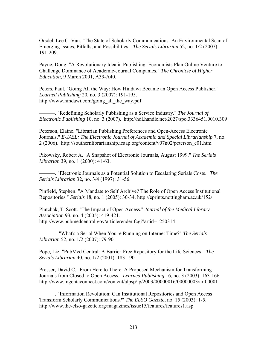Orsdel, Lee C. Van. "The State of Scholarly Communications: An Environmental Scan of Emerging Issues, Pitfalls, and Possibilities." *The Serials Librarian* 52, no. 1/2 (2007): 191-209.

Payne, Doug. "A Revolutionary Idea in Publishing: Economists Plan Online Venture to Challenge Dominance of Academic-Journal Companies." *The Chronicle of Higher Education*, 9 March 2001, A39-A40.

Peters, Paul. "Going All the Way: How Hindawi Became an Open Access Publisher." *Learned Publishing* 20, no. 3 (2007): 191-195. http://www.hindawi.com/going\_all\_the\_way.pdf

———. "Redefining Scholarly Publishing as a Service Industry." *The Journal of Electronic Publishing* 10, no. 3 (2007). http://hdl.handle.net/2027/spo.3336451.0010.309

Peterson, Elaine. "Librarian Publishing Preferences and Open-Access Electronic Journals." *E-JASL: The Electronic Journal of Academic and Special Librarianship* 7, no. 2 (2006). http://southernlibrarianship.icaap.org/content/v07n02/peterson\_e01.htm

Pikowsky, Robert A. "A Snapshot of Electronic Journals, August 1999." *The Serials Librarian* 39, no. 1 (2000): 41-63.

———. "Electronic Journals as a Potential Solution to Escalating Serials Costs." *The Serials Librarian* 32, no. 3/4 (1997): 31-56.

Pinfield, Stephen. "A Mandate to Self Archive? The Role of Open Access Institutional Repositories." *Serials* 18, no. 1 (2005): 30-34. http://eprints.nottingham.ac.uk/152/

Plutchak, T. Scott. "The Impact of Open Access." *Journal of the Medical Library Association* 93, no. 4 (2005): 419-421. http://www.pubmedcentral.gov/articlerender.fcgi?artid=1250314

 ———. "What's a Serial When You're Running on Internet Time?" *The Serials Librarian* 52, no. 1/2 (2007): 79-90.

Pope, Liz. "PubMed Central: A Barrier-Free Repository for the Life Sciences." *The Serials Librarian* 40, no. 1/2 (2001): 183-190.

Prosser, David C. "From Here to There: A Proposed Mechanism for Transforming Journals from Closed to Open Access." *Learned Publishing* 16, no. 3 (2003): 163-166. http://www.ingentaconnect.com/content/alpsp/lp/2003/00000016/00000003/art00001

———. "Information Revolution: Can Institutional Repositories and Open Access Transform Scholarly Communications?" *The ELSO Gazette*, no. 15 (2003): 1-5. http://www.the-elso-gazette.org/magazines/issue15/features/features1.asp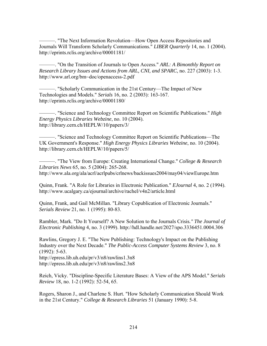———. "The Next Information Revolution—How Open Access Repositories and Journals Will Transform Scholarly Communications." *LIBER Quarterly* 14, no. 1 (2004). http://eprints.rclis.org/archive/00001181/

———. "On the Transition of Journals to Open Access." *ARL: A Bimonthly Report on Research Library Issues and Actions from ARL, CNI, and SPARC*, no. 227 (2003): 1-3. http://www.arl.org/bm~doc/openaccess-2.pdf

———. "Scholarly Communication in the 21st Century—The Impact of New Technologies and Models." *Serials* 16, no. 2 (2003): 163-167. http://eprints.rclis.org/archive/00001180/

———. "Science and Technology Committee Report on Scientific Publications." *High Energy Physics Libraries Webzine*, no. 10 (2004). http://library.cern.ch/HEPLW/10/papers/3/

———. "Science and Technology Committee Report on Scientific Publications—The UK Government's Response." *High Energy Physics Libraries Webzine*, no. 10 (2004). http://library.cern.ch/HEPLW/10/papers/5/

———. "The View from Europe: Creating International Change." *College & Research Libraries News* 65, no. 5 (2004): 265-268. http://www.ala.org/ala/acrl/acrlpubs/crlnews/backissues2004/may04/viewEurope.htm

Quinn, Frank. "A Role for Libraries in Electronic Publication." *EJournal* 4, no. 2 (1994). http://www.ucalgary.ca/ejournal/archive/rachel/v4n2/article.html

Quinn, Frank, and Gail McMillan. "Library Copublication of Electronic Journals." *Serials Review* 21, no. 1 (1995): 80-83.

Rambler, Mark. "Do It Yourself? A New Solution to the Journals Crisis*." The Journal of Electronic Publishing* 4, no. 3 (1999). http://hdl.handle.net/2027/spo.3336451.0004.306

Rawlins, Gregory J. E. "The New Publishing: Technology's Impact on the Publishing Industry over the Next Decade." *The Public-Access Computer Systems Review* 3, no. 8 (1992): 5-63. http://epress.lib.uh.edu/pr/v3/n8/rawlins1.3n8

http://epress.lib.uh.edu/pr/v3/n8/rawlins2.3n8

Reich, Vicky. "Discipline-Specific Literature Bases: A View of the APS Model." *Serials Review* 18, no. 1-2 (1992): 52-54, 65.

Rogers, Sharon J., and Charlene S. Hurt. "How Scholarly Communication Should Work in the 21st Century." *College & Research Libraries* 51 (January 1990): 5-8.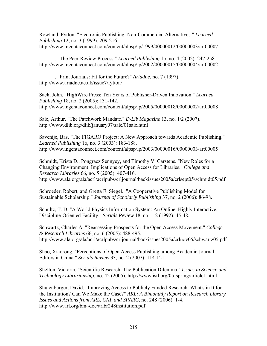Rowland, Fytton. "Electronic Publishing: Non-Commercial Alternatives." *Learned Publishing* 12, no. 3 (1999): 209-216. http://www.ingentaconnect.com/content/alpsp/lp/1999/00000012/00000003/art00007

———. "The Peer-Review Process." *Learned Publishing* 15, no. 4 (2002): 247-258. http://www.ingentaconnect.com/content/alpsp/lp/2002/00000015/00000004/art00002

———. "Print Journals: Fit for the Future?" *Ariadne*, no. 7 (1997). http://www.ariadne.ac.uk/issue7/fytton/

Sack, John. "HighWire Press: Ten Years of Publisher-Driven Innovation." *Learned Publishing* 18, no. 2 (2005): 131-142. http://www.ingentaconnect.com/content/alpsp/lp/2005/00000018/00000002/art00008

Sale, Arthur. "The Patchwork Mandate." *D-Lib Magazine* 13, no. 1/2 (2007). http://www.dlib.org/dlib/january07/sale/01sale.html

Savenije, Bas. "The FIGARO Project: A New Approach towards Academic Publishing." *Learned Publishing* 16, no. 3 (2003): 183-188. http://www.ingentaconnect.com/content/alpsp/lp/2003/00000016/00000003/art00005

Schmidt, Krista D., Pongracz Sennyey, and Timothy V. Carstens. "New Roles for a Changing Environment: Implications of Open Access for Libraries." *College and Research Libraries* 66, no. 5 (2005): 407-416. http://www.ala.org/ala/acrl/acrlpubs/crljournal/backissues2005a/crlsept05/schmidt05.pdf

Schroeder, Robert, and Gretta E. Siegel. "A Cooperative Publishing Model for Sustainable Scholarship." *Journal of Scholarly Publishing* 37, no. 2 (2006): 86-98.

Schultz, T. D. "A World Physics Information System: An Online, Highly Interactive, Discipline-Oriented Facility." *Serials Review* 18, no. 1-2 (1992): 45-48.

Schwartz, Charles A. "Reassessing Prospects for the Open Access Movement." *College & Research Libraries* 66, no. 6 (2005): 488-495. http://www.ala.org/ala/acrl/acrlpubs/crljournal/backissues2005a/crlnov05/schwartz05.pdf

Shao, Xiaorong. "Perceptions of Open Access Publishing among Academic Journal Editors in China." *Serials Review* 33, no. 2 (2007): 114-121.

Shelton, Victoria. "Scientific Research: The Publication Dilemma." *Issues in Science and Technology Librarianship*, no. 42 (2005). http://www.istl.org/05-spring/article1.html

Shulenburger, David. "Improving Access to Publicly Funded Research: What's in It for the Institution? Can We Make the Case?" *ARL: A Bimonthly Report on Research Library Issues and Actions from ARL, CNI, and SPARC*, no. 248 (2006): 1-4. http://www.arl.org/bm~doc/arlbr248institution.pdf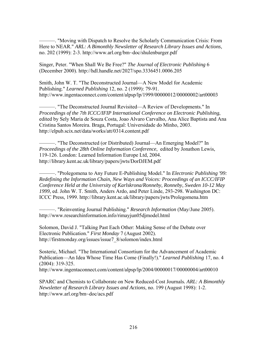———. "Moving with Dispatch to Resolve the Scholarly Communication Crisis: From Here to NEAR." *ARL: A Bimonthly Newsletter of Research Library Issues and Actions*, no. 202 (1999): 2-3. http://www.arl.org/bm~doc/shulenburger.pdf

Singer, Peter. "When Shall We Be Free?" *The Journal of Electronic Publishing* 6 (December 2000). http://hdl.handle.net/2027/spo.3336451.0006.205

Smith, John W. T. "The Deconstructed Journal—A New Model for Academic Publishing." *Learned Publishing* 12, no. 2 (1999): 79-91. http://www.ingentaconnect.com/content/alpsp/lp/1999/00000012/00000002/art00003

———. "The Deconstructed Journal Revisited—A Review of Developments." In *Proceedings of the 7th ICCC/IFIP International Conference on Electronic Publishing*, edited by Sely Maria de Souza Costa, Joao Alvaro Carvalho, Ana Alice Baptista and Ana Cristina Santos Moreira. Braga, Portugal: Universidade do Minho, 2003. http://elpub.scix.net/data/works/att/0314.content.pdf

———. "The Deconstructed (or Distributed) Journal—An Emerging Model?" In *Proceedings of the 28th Online Information Conference*, edited by Jonathon Lewis, 119-126. London: Learned Information Europe Ltd, 2004. http://library.kent.ac.uk/library/papers/jwts/DorDJEM.pdf

———. "Prolegomena to Any Future E-Publishing Model." In *Electronic Publishing '99: Redefining the Information Chain, New Ways and Voices: Proceedings of an ICCC/IFIP Conference Held at the University of Karlskrona/Ronneby, Ronneby, Sweden 10-12 May 1999*, ed. John W. T. Smith, Anders Ardo, and Peter Linde, 293-298. Washington DC: ICCC Press, 1999. http://library.kent.ac.uk/library/papers/jwts/Prolegomena.htm

———. "Reinventing Journal Publishing." *Research Information* (May/June 2005). http://www.researchinformation.info/rimayjun05djmodel.html

Solomon, David J. "Talking Past Each Other: Making Sense of the Debate over Electronic Publication." *First Monday* 7 (August 2002). http://firstmonday.org/issues/issue7\_8/solomon/index.html

Sosteric, Michael. "The International Consortium for the Advancement of Academic Publication—An Idea Whose Time Has Come (Finally!)." *Learned Publishing* 17, no. 4 (2004): 319-325. http://www.ingentaconnect.com/content/alpsp/lp/2004/00000017/00000004/art00010

SPARC and Chemists to Collaborate on New Reduced-Cost Journals*. ARL: A Bimonthly Newsletter of Research Library Issues and Actions*, no. 199 (August 1998): 1-2. http://www.arl.org/bm~doc/acs.pdf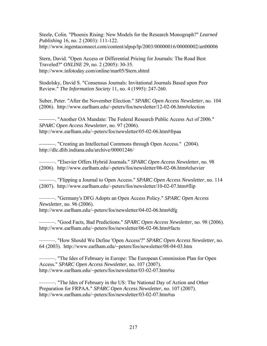Steele, Colin. "Phoenix Rising: New Models for the Research Monograph?" *Learned Publishing* 16, no. 2 (2003): 111-122. http://www.ingentaconnect.com/content/alpsp/lp/2003/00000016/00000002/art00006

Stern, David. "Open Access or Differential Pricing for Journals: The Road Best Traveled?" *ONLINE* 29, no. 2 (2005): 30-35. http://www.infotoday.com/online/mar05/Stern.shtml

Stodolsky, David S. "Consensus Journals: Invitational Journals Based upon Peer Review." *The Information Society* 11, no. 4 (1995): 247-260.

Suber, Peter. "After the November Election." *SPARC Open Access Newsletter*, no. 104 (2006). http://www.earlham.edu/~peters/fos/newsletter/12-02-06.htm#election

⎯⎯⎯. "Another OA Mandate: The Federal Research Public Access Act of 2006." *SPARC Open Access Newsletter*, no. 97 (2006). http://www.earlham.edu/~peters/fos/newsletter/05-02-06.htm#frpaa

-------------. "Creating an Intellectual Commons through Open Access." (2004). http://dlc.dlib.indiana.edu/archive/00001246/

———. "Elsevier Offers Hybrid Journals." *SPARC Open Access Newsletter*, no. 98 (2006). http://www.earlham.edu/~peters/fos/newsletter/06-02-06.htm#elsevier

———. "Flipping a Journal to Open Access." *SPARC Open Access Newsletter*, no. 114 (2007). http://www.earlham.edu/~peters/fos/newsletter/10-02-07.htm#flip

———. "Germany's DFG Adopts an Open Access Policy." *SPARC Open Access Newsletter*, no. 96 (2006). http://www.earlham.edu/~peters/fos/newsletter/04-02-06.htm#dfg

———. "Good Facts, Bad Predictions." *SPARC Open Access Newsletter*, no. 98 (2006). http://www.earlham.edu/~peters/fos/newsletter/06-02-06.htm#facts

———. "How Should We Define 'Open Access'?" *SPARC Open Access Newsletter*, no. 64 (2003). http://www.earlham.edu/~peters/fos/newsletter/08-04-03.htm

———. "The Ides of February in Europe: The European Commission Plan for Open Access." *SPARC Open Access Newsletter*, no. 107 (2007). http://www.earlham.edu/~peters/fos/newsletter/03-02-07.htm#ec

———. "The Ides of February in the US: The National Day of Action and Other Preparation for FRPAA." *SPARC Open Access Newsletter*, no. 107 (2007). http://www.earlham.edu/~peters/fos/newsletter/03-02-07.htm#us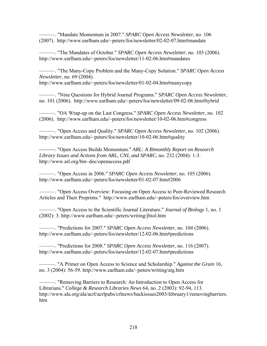———. "Mandate Momentum in 2007." *SPARC Open Access Newsletter*, no. 106 (2007). http://www.earlham.edu/~peters/fos/newsletter/02-02-07.htm#mandate

———. "The Mandates of October." *SPARC Open Access Newsletter*, no. 103 (2006). http://www.earlham.edu/~peters/fos/newsletter/11-02-06.htm#mandates

———. "The Many-Copy Problem and the Many-Copy Solution." *SPARC Open Access Newsletter*, no. 69 (2004).

http://www.earlham.edu/~peters/fos/newsletter/01-02-04.htm#manycopy

———. "Nine Questions for Hybrid Journal Programs." *SPARC Open Access Newsletter*, no. 101 (2006). http://www.earlham.edu/~peters/fos/newsletter/09-02-06.htm#hybrid

———. "OA Wrap-up on the Last Congress." *SPARC Open Access Newsletter*, no. 102 (2006). http://www.earlham.edu/~peters/fos/newsletter/10-02-06.htm#congress

———. "Open Access and Quality." *SPARC Open Access Newsletter*, no. 102 (2006). http://www.earlham.edu/~peters/fos/newsletter/10-02-06.htm#quality

⎯⎯⎯. "Open Access Builds Momentum." *ARL: A Bimonthly Report on Research Library Issues and Actions from ARL, CNI, and SPARC*, no. 232 (2004): 1-3. http://www.arl.org/bm~doc/openaccess.pdf

———. "Open Access in 2006." *SPARC Open Access Newsletter*, no. 105 (2006). http://www.earlham.edu/~peters/fos/newsletter/01-02-07.htm#2006

———. "Open Access Overview: Focusing on Open Access to Peer-Reviewed Research Articles and Their Preprints." http://www.earlham.edu/~peters/fos/overview.htm

———. "Open Access to the Scientific Journal Literature." *Journal of Biology* 1, no. 1 (2002): 3. http://www.earlham.edu/~peters/writing/jbiol.htm

———. "Predictions for 2007." *SPARC Open Access Newsletter*, no. 104 (2006). http://www.earlham.edu/~peters/fos/newsletter/12-02-06.htm#predictions

———. "Predictions for 2008." *SPARC Open Access Newsletter*, no. 116 (2007). http://www.earlham.edu/~peters/fos/newsletter/12-02-07.htm#predictions

———. "A Primer on Open Access to Science and Scholarship." *Against the Grain* 16, no. 3 (2004): 56-59. http://www.earlham.edu/~peters/writing/atg.htm

———. "Removing Barriers to Research: An Introduction to Open Access for Librarians." *College & Research Libraries News* 64, no. 2 (2003): 92-94, 113. http://www.ala.org/ala/acrl/acrlpubs/crlnews/backissues2003/february1/removingbarriers. htm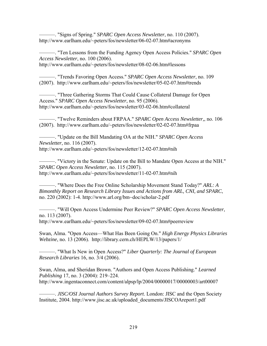———. "Signs of Spring." *SPARC Open Access Newsletter*, no. 110 (2007). http://www.earlham.edu/~peters/fos/newsletter/06-02-07.htm#acronyms

———. "Ten Lessons from the Funding Agency Open Access Policies." *SPARC Open Access Newsletter*, no. 100 (2006). http://www.earlham.edu/~peters/fos/newsletter/08-02-06.htm#lessons

———. "Trends Favoring Open Access." *SPARC Open Access Newsletter*, no. 109 (2007). http://www.earlham.edu/~peters/fos/newsletter/05-02-07.htm#trends

———. "Three Gathering Storms That Could Cause Collateral Damage for Open Access." *SPARC Open Access Newsletter*, no. 95 (2006). http://www.earlham.edu/~peters/fos/newsletter/03-02-06.htm#collateral

———. "Twelve Reminders about FRPAA." *SPARC Open Access Newsletter,*, no. 106 (2007). http://www.earlham.edu/~peters/fos/newsletter/02-02-07.htm#frpaa

———. "Update on the Bill Mandating OA at the NIH." *SPARC Open Access Newsletter*, no. 116 (2007). http://www.earlham.edu/~peters/fos/newsletter/12-02-07.htm#nih

———. "Victory in the Senate: Update on the Bill to Mandate Open Access at the NIH." *SPARC Open Access Newsletter*, no. 115 (2007). http://www.earlham.edu/~peters/fos/newsletter/11-02-07.htm#nih

———. "Where Does the Free Online Scholarship Movement Stand Today?" *ARL: A Bimonthly Report on Research Library Issues and Actions from ARL, CNI, and SPARC*, no. 220 (2002): 1-4. http://www.arl.org/bm~doc/scholar-2.pdf

———. "Will Open Access Undermine Peer Review?" *SPARC Open Access Newsletter*, no. 113 (2007). http://www.earlham.edu/~peters/fos/newsletter/09-02-07.htm#peerreview

Swan, Alma. "Open Access—What Has Been Going On." *High Energy Physics Libraries Webzine*, no. 13 (2006). http://library.cern.ch/HEPLW/13/papers/1/

———. "What Is New in Open Access?" *Liber Quarterly: The Journal of European Research Libraries* 16, no. 3/4 (2006).

Swan, Alma, and Sheridan Brown. "Authors and Open Access Publishing." *Learned Publishing* 17, no. 3 (2004): 219–224. http://www.ingentaconnect.com/content/alpsp/lp/2004/00000017/00000003/art00007

———. *JISC/OSI Journal Authors Survey Report*. London: JISC and the Open Society Institute, 2004. http://www.jisc.ac.uk/uploaded\_documents/JISCOAreport1.pdf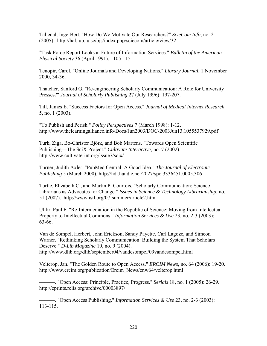Täljedal, Inge-Bert. "How Do We Motivate Our Researchers?" *ScieCom Info*, no. 2 (2005). http://hal.lub.lu.se/ojs/index.php/sciecom/article/view/32

"Task Force Report Looks at Future of Information Services." *Bulletin of the American Physical Society* 36 (April 1991): 1105-1151.

Tenopir, Carol. "Online Journals and Developing Nations." *Library Journal*, 1 November 2000, 34-36.

Thatcher, Sanford G. "Re-engineering Scholarly Communication: A Role for University Presses?" *Journal of Scholarly Publishing* 27 (July 1996): 197-207.

Till, James E. "Success Factors for Open Access." *Journal of Medical Internet Research*  5, no. 1 (2003).

"To Publish and Perish." *Policy Perspectives* 7 (March 1998): 1-12. http://www.thelearningalliance.info/Docs/Jun2003/DOC-2003Jun13.1055537929.pdf

Turk, Ziga, Bo-Christer Björk, and Bob Martens. "Towards Open Scientific Publishing—The SciX Project." *Cultivate Interactive*, no. 7 (2002). http://www.cultivate-int.org/issue7/scix/

Turner, Judith Axler. "PubMed Central: A Good Idea." *The Journal of Electronic Publishing* 5 (March 2000). http://hdl.handle.net/2027/spo.3336451.0005.306

Turtle, Elizabeth C., and Martin P. Courtois. "Scholarly Communication: Science Librarians as Advocates for Change." *Issues in Science & Technology Librarianship*, no. 51 (2007). http://www.istl.org/07-summer/article2.html

Uhlir, Paul F. "Re-Intermediation in the Republic of Science: Moving from Intellectual Property to Intellectual Commons." *Information Services & Use* 23, no. 2-3 (2003): 63-66.

Van de Sompel, Herbert, John Erickson, Sandy Payette, Carl Lagoze, and Simeon Warner. "Rethinking Scholarly Communication: Building the System That Scholars Deserve." *D-Lib Magazine* 10, no. 9 (2004). http://www.dlib.org/dlib/september04/vandesompel/09vandesompel.html

Velterop, Jan. "The Golden Route to Open Access." *ERCIM News*, no. 64 (2006): 19-20. http://www.ercim.org/publication/Ercim\_News/enw64/velterop.html

———. "Open Access: Principle, Practice, Progress." *Serials* 18, no. 1 (2005): 26-29. http://eprints.rclis.org/archive/00003897/

———. "Open Access Publishing." *Information Services & Use* 23, no. 2-3 (2003): 113-115.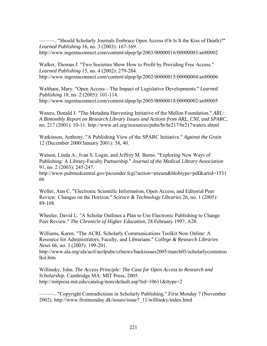———. "Should Scholarly Journals Embrace Open Access (Or Is It the Kiss of Death)?" *Learned Publishing* 16, no. 3 (2003): 167-169.

http://www.ingentaconnect.com/content/alpsp/lp/2003/00000016/00000003/art00002

Walker, Thomas J. "Two Societies Show How to Profit by Providing Free Access." *Learned Publishing* 15, no. 4 (2002): 279-284. http://www.ingentaconnect.com/content/alpsp/lp/2002/00000015/00000004/art00006

Waltham, Mary. "Open Access—The Impact of Legislative Developments." *Learned Publishing* 18, no. 2 (2005): 101-114. http://www.ingentaconnect.com/content/alpsp/lp/2005/00000018/00000002/art00005

Waters, Donald J. "The Metadata Harvesting Initiative of the Mellon Foundation." *ARL: A Bimonthly Report on Research Library Issues and Actions from ARL, CNI, and SPARC*, no. 217 (2001): 10-11. http://www.arl.org/resources/pubs/br/br217/br217waters.shtml

Watkinson, Anthony. "A Publishing View of the SPARC Initiative." *Against the Grain* 12 (December 2000/January 2001): 38, 40.

Watson, Linda A., Ivan S. Login, and Jeffrey M. Burns. "Exploring New Ways of Publishing: A Library-Faculty Partnership." *Journal of the Medical Library Association* 91, no. 2 (2003): 245-247.

http://www.pubmedcentral.gov/picrender.fcgi?action=stream&blobtype=pdf&artid=1531 66

Weller, Ann C. "Electronic Scientific Information, Open Access, and Editorial Peer Review: Changes on the Horizon." *Science & Technology Libraries* 26, no. 1 (2005): 89-108.

Wheeler, David L. "A Scholar Outlines a Plan to Use Electronic Publishing to Change Peer Review." *The Chronicle of Higher Education*, 28 February 1997, A28.

Williams, Karen. "The ACRL Scholarly Communications Toolkit Now Online: A Resource for Administrators, Faculty, and Librarians." *College & Research Libraries News* 66, no. 3 (2005): 199-201.

http://www.ala.org/ala/acrl/acrlpubs/crlnews/backissues2005/march05/scholarlycommtoo lkit.htm

Willinsky, John. *The Access Principle: The Case for Open Access to Research and Scholarship*. Cambridge MA: MIT Press, 2005. http://mitpress.mit.edu/catalog/item/default.asp?tid=10611&ttype=2

———. "Copyright Contradictions in Scholarly Publishing." *First Monday* 7 (November 2002). http://www.firstmonday.dk/issues/issue7\_11/willinsky/index.html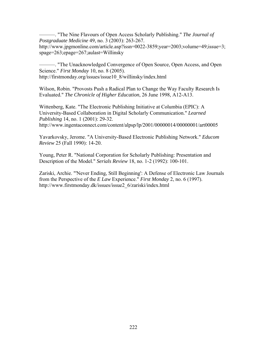———. "The Nine Flavours of Open Access Scholarly Publishing." *The Journal of Postgraduate Medicine* 49, no. 3 (2003): 263-267. http://www.jpgmonline.com/article.asp?issn=0022-3859;year=2003;volume=49;issue=3; spage=263;epage=267;aulast=Willinsky

———. "The Unacknowledged Convergence of Open Source, Open Access, and Open Science." *First Monday* 10, no. 8 (2005). http://firstmonday.org/issues/issue10\_8/willinsky/index.html

Wilson, Robin. "Provosts Push a Radical Plan to Change the Way Faculty Research Is Evaluated." *The Chronicle of Higher Education*, 26 June 1998, A12-A13.

Wittenberg, Kate. "The Electronic Publishing Initiative at Columbia (EPIC): A University-Based Collaboration in Digital Scholarly Communication." *Learned Publishing* 14, no. 1 (2001): 29-32. http://www.ingentaconnect.com/content/alpsp/lp/2001/00000014/00000001/art00005

Yavarkovsky, Jerome. "A University-Based Electronic Publishing Network." *Educom Review* 25 (Fall 1990): 14-20.

Young, Peter R. "National Corporation for Scholarly Publishing: Presentation and Description of the Model." *Serials Review* 18, no. 1-2 (1992): 100-101.

Zariski, Archie. "'Never Ending, Still Beginning': A Defense of Electronic Law Journals from the Perspective of the *E Law* Experience." *First Monday* 2, no. 6 (1997). http://www.firstmonday.dk/issues/issue2\_6/zariski/index.html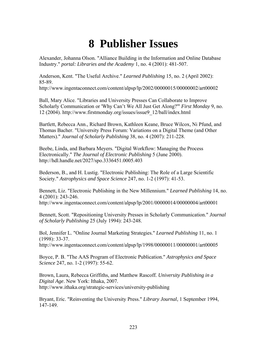## **8 Publisher Issues**

Alexander, Johanna Olson. "Alliance Building in the Information and Online Database Industry." *portal: Libraries and the Academy* 1, no. 4 (2001): 481-507.

Anderson, Kent. "The Useful Archive." *Learned Publishing* 15, no. 2 (April 2002): 85-89.

http://www.ingentaconnect.com/content/alpsp/lp/2002/00000015/00000002/art00002

Ball, Mary Alice. "Libraries and University Presses Can Collaborate to Improve Scholarly Communication or 'Why Can't We All Just Get Along?'" *First Monday* 9, no. 12 (2004). http://www.firstmonday.org/issues/issue9\_12/ball/index.html

Bartlett, Rebecca Ann., Richard Brown, Kathleen Keane, Bruce Wilcox, Ni Pfund, and Thomas Bacher. "University Press Forum: Variations on a Digital Theme (and Other Matters)." *Journal of Scholarly Publishing* 38, no. 4 (2007): 211-228.

Beebe, Linda, and Barbara Meyers. "Digital Workflow: Managing the Process Electronically." *The Journal of Electronic Publishing* 5 (June 2000). http://hdl.handle.net/2027/spo.3336451.0005.403

Bederson, B., and H. Lustig. "Electronic Publishing: The Role of a Large Scientific Society." *Astrophysics and Space Science* 247, no. 1-2 (1997): 41-53.

Bennett, Liz. "Electronic Publishing in the New Millennium." *Learned Publishing* 14, no. 4 (2001): 243-246. http://www.ingentaconnect.com/content/alpsp/lp/2001/00000014/00000004/art00001

Bennett, Scott. "Repositioning University Presses in Scholarly Communication." *Journal of Scholarly Publishing* 25 (July 1994): 243-248.

Bol, Jennifer L. "Online Journal Marketing Strategies." *Learned Publishing* 11, no. 1 (1998): 33-37.

http://www.ingentaconnect.com/content/alpsp/lp/1998/00000011/00000001/art00005

Boyce, P. B. "The AAS Program of Electronic Publication." *Astrophysics and Space Science* 247, no. 1-2 (1997): 55-62.

Brown, Laura, Rebecca Griffiths, and Matthew Rascoff. *University Publishing in a Digital Age*. New York: Ithaka, 2007. http://www.ithaka.org/strategic-services/university-publishing

Bryant, Eric. "Reinventing the University Press." *Library Journal*, 1 September 1994, 147-149.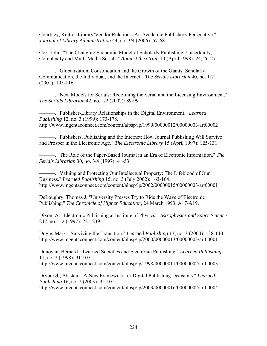Courtney, Keith. "Library/Vendor Relations: An Academic Publisher's Perspective." *Journal of Library Administration* 44, no. 3/4 (2006): 57-68.

Cox, John. "The Changing Economic Model of Scholarly Publishing: Uncertainty, Complexity and Multi-Media Serials." *Against the Grain* 10 (April 1998): 24, 26-27.

———. "Globalization, Consolidation and the Growth of the Giants: Scholarly Communication, the Individual, and the Internet." *The Serials Librarian* 40, no. 1/2 (2001): 105-116.

———. "New Models for Serials: Redefining the Serial and the Licensing Environment." *The Serials Librarian* 42, no. 1/2 (2002): 89-99.

———. "Publisher-Library Relationships in the Digital Environment." *Learned Publishing* 12, no. 3 (1999): 173-178.

http://www.ingentaconnect.com/content/alpsp/lp/1999/00000012/00000003/art00002

———. "Publishers, Publishing and the Internet: How Journal Publishing Will Survive and Prosper in the Electronic Age." *The Electronic Library* 15 (April 1997): 125-131.

———. "The Role of the Paper-Based Journal in an Era of Electronic Information." *The Serials Librarian* 30, no. 3/4 (1997): 41-53.

———. "Valuing and Protecting Our Intellectual Property: The Lifeblood of Our Business." *Learned Publishing* 15, no. 3 (July 2002): 163-164. http://www.ingentaconnect.com/content/alpsp/lp/2002/00000015/00000003/art00001

DeLoughry, Thomas J. "University Presses Try to Ride the Wave of Electronic Publishing." *The Chronicle of Higher Education*, 24 March 1993, A17-A19.

Dixon, A. "Electronic Publishing at Institute of Physics." *Astrophysics and Space Science* 247, no. 1-2 (1997): 221-239.

Doyle, Mark. "Surviving the Transition." *Learned Publishing* 13, no. 3 (2000): 138-140. http://www.ingentaconnect.com/content/alpsp/lp/2000/00000013/00000003/art00001

Donovan, Bernard. "Learned Societies and Electronic Publishing." *Learned Publishing* 11, no. 2 (1998): 91-107.

http://www.ingentaconnect.com/content/alpsp/lp/1998/00000011/00000002/art00003

Dryburgh, Alastair. "A New Framework for Digital Publishing Decisions." *Learned Publishing* 16, no. 2 (2003): 95-101. http://www.ingentaconnect.com/content/alpsp/lp/2003/00000016/00000002/art00004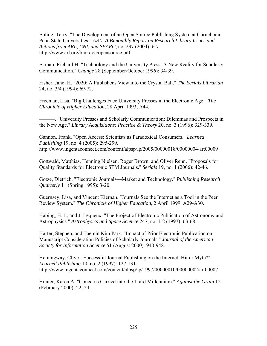Ehling, Terry. "The Development of an Open Source Publishing System at Cornell and Penn State Universities." *ARL: A Bimonthly Report on Research Library Issues and Actions from ARL, CNI, and SPARC*, no. 237 (2004): 6-7. http://www.arl.org/bm~doc/opensource.pdf

Ekman, Richard H. "Technology and the University Press: A New Reality for Scholarly Communication." *Change* 28 (September/October 1996): 34-39.

Fisher, Janet H. "2020: A Publisher's View into the Crystal Ball." *The Serials Librarian* 24, no. 3/4 (1994): 69-72.

Freeman, Lisa. "Big Challenges Face University Presses in the Electronic Age." *The Chronicle of Higher Education*, 28 April 1993, A44.

———. "University Presses and Scholarly Communication: Dilemmas and Prospects in the New Age." *Library Acquisitions: Practice & Theory* 20, no. 3 (1996): 329-339.

Gannon, Frank. "Open Access: Scientists as Paradoxical Consumers." *Learned Publishing* 19, no. 4 (2005): 295-299. http://www.ingentaconnect.com/content/alpsp/lp/2005/00000018/00000004/art00009

Gottwald, Matthias, Henning Nielsen, Roger Brown, and Oliver Renn. "Proposals for Quality Standards for Electronic STM Journals." *Serials* 19, no. 1 (2006): 42-46.

Gotze, Dietrich. "Electronic Journals—Market and Technology." *Publishing Research Quarterly* 11 (Spring 1995): 3-20.

Guernsey, Lisa, and Vincent Kiernan. "Journals See the Internet as a Tool in the Peer Review System." *The Chronicle of Higher Education*, 2 April 1999, A29-A30.

Habing, H. J., and J. Lequeux. "The Project of Electronic Publication of Astronomy and Astrophysics." *Astrophysics and Space Science* 247, no. 1-2 (1997): 63-68.

Harter, Stephen, and Taemin Kim Park. "Impact of Prior Electronic Publication on Manuscript Consideration Policies of Scholarly Journals." *Journal of the American Society for Information Science* 51 (August 2000): 940-948.

Hemingway, Clive. "Successful Journal Publishing on the Internet: Hit or Myth?" *Learned Publishing* 10, no. 2 (1997): 127-131. http://www.ingentaconnect.com/content/alpsp/lp/1997/00000010/00000002/art00007

Hunter, Karen A. "Concerns Carried into the Third Millennium." *Against the Grain* 12 (February 2000): 22, 24.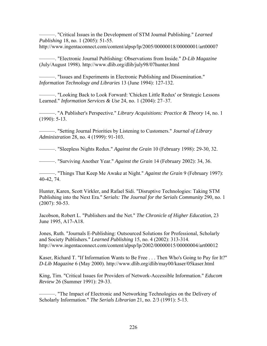———. "Critical Issues in the Development of STM Journal Publishing." *Learned Publishing* 18, no. 1 (2005): 51-55. http://www.ingentaconnect.com/content/alpsp/lp/2005/00000018/00000001/art00007

———. "Electronic Journal Publishing: Observations from Inside." *D-Lib Magazine*  (July/August 1998). http://www.dlib.org/dlib/july98/07hunter.html

———. "Issues and Experiments in Electronic Publishing and Dissemination." *Information Technology and Libraries* 13 (June 1994): 127-132.

———. "Looking Back to Look Forward: 'Chicken Little Redux' or Strategic Lessons Learned." *Information Services & Use* 24, no. 1 (2004): 27–37.

———. "A Publisher's Perspective." *Library Acquisitions: Practice & Theory* 14, no. 1 (1990): 5-13.

———. "Setting Journal Priorities by Listening to Customers." *Journal of Library Administration* 28, no. 4 (1999): 91-103.

———. "Sleepless Nights Redux." *Against the Grain* 10 (February 1998): 29-30, 32.

———. "Surviving Another Year." *Against the Grain* 14 (February 2002): 34, 36.

———. "Things That Keep Me Awake at Night." *Against the Grain* 9 (February 1997): 40-42, 74.

Hunter, Karen, Scott Virkler, and Rafael Sidi. "Disruptive Technologies: Taking STM Publishing into the Next Era." *Serials: The Journal for the Serials Community* 290, no. 1 (2007): 50-53.

Jacobson, Robert L. "Publishers and the Net." *The Chronicle of Higher Education*, 23 June 1995, A17-A18.

Jones, Ruth. "Journals E-Publishing: Outsourced Solutions for Professional, Scholarly and Society Publishers." *Learned Publishing* 15, no. 4 (2002): 313-314. http://www.ingentaconnect.com/content/alpsp/lp/2002/00000015/00000004/art00012

Kaser, Richard T. "If Information Wants to Be Free . . . Then Who's Going to Pay for It?" *D-Lib Magazine* 6 (May 2000). http://www.dlib.org/dlib/may00/kaser/05kaser.html

King, Tim. "Critical Issues for Providers of Network-Accessible Information." *Educom Review* 26 (Summer 1991): 29-33.

———. "The Impact of Electronic and Networking Technologies on the Delivery of Scholarly Information." *The Serials Librarian* 21, no. 2/3 (1991): 5-13.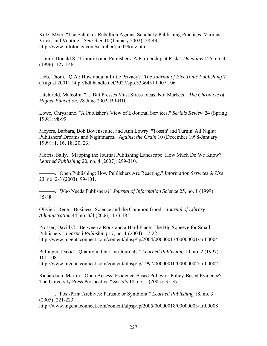Kutz, Myer. "The Scholars' Rebellion Against Scholarly Publishing Practices: Varmus, Vitek, and Venting." *Searcher* 10 (January 2002): 28-43. http://www.infotoday.com/searcher/jan02/kutz.htm

Lamm, Donald S. "Libraries and Publishers: A Partnership at Risk." *Daedalus* 125, no. 4 (1996): 127-146.

Lieb, Thom. "Q.A.: How about a Little Privacy?" *The Journal of Electronic Publishing* 7 (August 2001). http://hdl.handle.net/2027/spo.3336451.0007.106

Litchfield, Malcolm. ". . .But Presses Must Stress Ideas, Not Markets." *The Chronicle of Higher Education*, 28 June 2002, B9-B10.

Lowe, Chrysanne. "A Publisher's View of E-Journal Services." *Serials Review* 24 (Spring 1998): 98-99.

Meyers, Barbara, Bob Bovensculte, and Ann Lowry. "Tossin' and Turnin' All Night: Publishers' Dreams and Nightmares." *Against the Grain* 10 (December 1998-January 1999): 1, 16, 18, 20, 23.

Morris, Sally. "Mapping the Journal Publishing Landscape: How Much Do We Know?" *Learned Publishing* 20, no. 4 (2007): 299-310.

———. "Open Publishing: How Publishers Are Reacting." *Information Services & Use* 23, no. 2-3 (2003): 99-101.

———. "Who Needs Publishers?" *Journal of Information Science* 25, no. 1 (1999): 85-88.

Olivieri, René. "Business, Science and the Common Good." *Journal of Library Administration* 44, no. 3/4 (2006): 173-185.

Prosser, David C. "Between a Rock and a Hard Place: The Big Squeeze for Small Publishers." *Learned Publishing* 17, no. 1 (2004): 17-22. http://www.ingentaconnect.com/content/alpsp/lp/2004/00000017/00000001/art00004

Pullinger, David. "Quality in On-Line Journals." *Learned Publishing* 10, no. 2 (1997): 101-108.

http://www.ingentaconnect.com/content/alpsp/lp/1997/00000010/00000002/art00002

Richardson, Martin. "Open Access: Evidence-Based Policy or Policy-Based Evidence? The University Press Perspective." *Serials* 18, no. 1 (2005): 35-37.

———. "Post-Print Archives: Parasite or Symbiont." *Learned Publishing* 18, no. 3 (2005): 221-223.

http://www.ingentaconnect.com/content/alpsp/lp/2005/00000018/00000003/art00008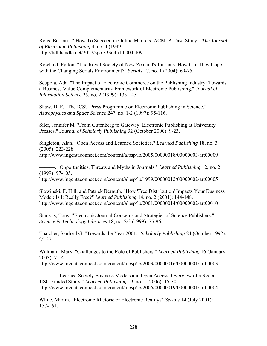Rous, Bernard. " How To Succeed in Online Markets: ACM: A Case Study." *The Journal of Electronic Publishing* 4, no. 4 (1999). http://hdl.handle.net/2027/spo.3336451.0004.409

Rowland, Fytton. "The Royal Society of New Zealand's Journals: How Can They Cope with the Changing Serials Environment?" *Serials* 17, no. 1 (2004): 69-75.

Scupola, Ada. "The Impact of Electronic Commerce on the Publishing Industry: Towards a Business Value Complementarity Framework of Electronic Publishing." *Journal of Information Science* 25, no. 2 (1999): 133-145.

Shaw, D. F. "The ICSU Press Programme on Electronic Publishing in Science." *Astrophysics and Space Science* 247, no. 1-2 (1997): 95-116.

Siler, Jennifer M. "From Gutenberg to Gateway: Electronic Publishing at University Presses." *Journal of Scholarly Publishing* 32 (October 2000): 9-23.

Singleton, Alan. "Open Access and Learned Societies." *Learned Publishing* 18, no. 3 (2005): 223-228.

http://www.ingentaconnect.com/content/alpsp/lp/2005/00000018/00000003/art00009

———. "Opportunities, Threats and Myths in Journals." *Learned Publishing* 12, no. 2 (1999): 97-105.

http://www.ingentaconnect.com/content/alpsp/lp/1999/00000012/00000002/art00005

Slowinski, F. Hill, and Patrick Bernuth. "How 'Free Distribution' Impacts Your Business Model: Is It Really Free?" *Learned Publishing* 14, no. 2 (2001): 144-148. http://www.ingentaconnect.com/content/alpsp/lp/2001/00000014/00000002/art00010

Stankus, Tony. "Electronic Journal Concerns and Strategies of Science Publishers." *Science & Technology Libraries* 18, no. 2/3 (1999): 75-96.

Thatcher, Sanford G. "Towards the Year 2001." *Scholarly Publishing* 24 (October 1992): 25-37.

Waltham, Mary. "Challenges to the Role of Publishers." *Learned Publishing* 16 (January 2003): 7-14.

http://www.ingentaconnect.com/content/alpsp/lp/2003/00000016/00000001/art00003

———. "Learned Society Business Models and Open Access: Overview of a Recent JISC-Funded Study." *Learned Publishing* 19, no. 1 (2006): 15-30. http://www.ingentaconnect.com/content/alpsp/lp/2006/00000019/00000001/art00004

White, Martin. "Electronic Rhetoric or Electronic Reality?" *Serials* 14 (July 2001): 157-161.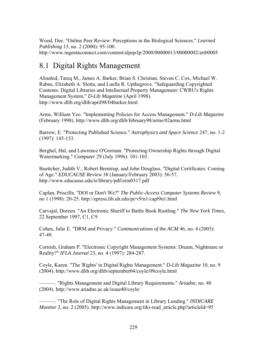Wood, Dee. "Online Peer Review: Perceptions in the Biological Sciences." *Learned Publishing* 13, no. 2 (2000): 95-100. http://www.ingentaconnect.com/content/alpsp/lp/2000/00000013/00000002/art00005

## 8.1 Digital Rights Management

Alrashid, Tareq M., James A. Barker, Brian S. Christian, Steven C. Cox, Michael W. Rabne, Elizabeth A. Slotta, and Luella R. Upthegrove. "Safeguarding Copyrighted Contents: Digital Libraries and Intellectual Property Management: CWRU's Rights Management System." *D-Lib Magazine* (April 1998). http://www.dlib.org/dlib/april98/04barker.html

Arms, William Yeo. "Implementing Policies for Access Management." *D-Lib Magazine* (February 1998). http://www.dlib.org/dlib/february98/arms/02arms.html

Barrow, E. "Protecting Published Science." *Astrophysics and Space Science* 247, no. 1-2 (1997): 145-153.

Berghel, Hal, and Lawrence O'Gorman. "Protecting Ownership Rights through Digital Watermarking." *Computer* 29 (July 1996): 101-103.

Boettcher, Judith V., Robert Brentrup, and John Douglass. "Digital Certificates: Coming of Age." *EDUCAUSE Review* 38 (January/February 2003): 56-57. http://www.educause.edu/ir/library/pdf/erm0317.pdf

Caplan, Priscilla. "DOI or Don't We?" *The Public-Access Computer Systems Review* 9, no 1 (1998): 20-25. http://epress.lib.uh.edu/pr/v9/n1/capl9n1.html

Carvajal, Doreen. "An Electronic Sheriff to Battle Book Rustling." *The New York Times*, 22 September 1997, C1, C9.

Cohen, Julie E. "DRM and Privacy." *Communications of the ACM* 46, no. 4 (2003): 47-49.

Cornish, Graham P. "Electronic Copyright Management Systems: Dream, Nightmare or Reality?" *IFLA Journal* 23, no. 4 (1997): 284-287.

Coyle, Karen. "The 'Rights' in Digital Rights Management." *D-Lib Magazine* 10, no. 9 (2004). http://www.dlib.org/dlib/september04/coyle/09coyle.html

———. "Rights Management and Digital Library Requirements." *Ariadne*, no. 40 (2004). http://www.ariadne.ac.uk/issue40/coyle/

———. "The Role of Digital Rights Management in Library Lending." *INDICARE Monitor* 2, no. 2 (2005). http://www.indicare.org/tiki-read\_article.php?articleId=95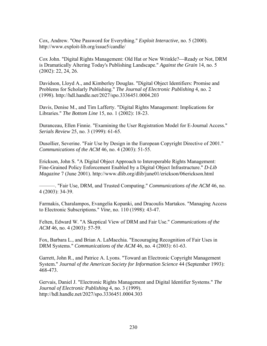Cox, Andrew. "One Password for Everything." *Exploit Interactive*, no. 5 (2000). http://www.exploit-lib.org/issue5/candle/

Cox John. "Digital Rights Management: Old Hat or New Wrinkle?—Ready or Not, DRM is Dramatically Altering Today's Publishing Landscape." *Against the Grain* 14, no. 5 (2002): 22, 24, 26.

Davidson, Lloyd A., and Kimberley Douglas. "Digital Object Identifiers: Promise and Problems for Scholarly Publishing." *The Journal of Electronic Publishing* 4, no. 2 (1998). http://hdl.handle.net/2027/spo.3336451.0004.203

Davis, Denise M., and Tim Lafferty. "Digital Rights Management: Implications for Libraries." *The Bottom Line* 15, no. 1 (2002): 18-23.

Duranceau, Ellen Finnie. "Examining the User Registration Model for E-Journal Access." *Serials Review* 25, no. 3 (1999): 61-65.

Dusollier, Severine. "Fair Use by Design in the European Copyright Directive of 2001." *Communications of the ACM* 46, no. 4 (2003): 51-55.

Erickson, John S. "A Digital Object Approach to Interoperable Rights Management: Fine-Grained Policy Enforcement Enabled by a Digital Object Infrastructure." *D-Lib Magazine* 7 (June 2001). http://www.dlib.org/dlib/june01/erickson/06erickson.html

———. "Fair Use, DRM, and Trusted Computing." *Communications of the ACM* 46, no. 4 (2003): 34-39.

Farmakis, Charalampos, Evangelia Kopanki, and Dracoulis Martakos. "Managing Access to Electronic Subscriptions." *Vine*, no. 110 (1998): 43-47.

Felten, Edward W. "A Skeptical View of DRM and Fair Use." *Communications of the ACM* 46, no. 4 (2003): 57-59.

Fox, Barbara L., and Brian A. LaMacchia. "Encouraging Recognition of Fair Uses in DRM Systems." *Communications of the ACM* 46, no. 4 (2003): 61-63.

Garrett, John R., and Patrice A. Lyons. "Toward an Electronic Copyright Management System." *Journal of the American Society for Information Science* 44 (September 1993): 468-473.

Gervais, Daniel J. "Electronic Rights Management and Digital Identifier Systems." *The Journal of Electronic Publishing* 4, no. 3 (1999). http://hdl.handle.net/2027/spo.3336451.0004.303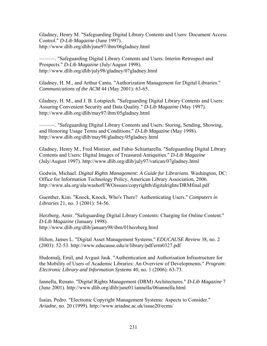Gladney, Henry M. "Safeguarding Digital Library Contents and Users: Document Access Control." *D-Lib Magazine* (June 1997). http://www.dlib.org/dlib/june97/ibm/06gladney.html

———. "Safeguarding Digital Library Contents and Users: Interim Retrospect and Prospects." *D-Lib Magazine* (July/August 1998). http://www.dlib.org/dlib/july98/gladney/07gladney.html

Gladney, H. M., and Arthur Cantu. "Authorization Management for Digital Libraries." *Communications of the ACM* 44 (May 2001): 63-65.

Gladney, H. M., and J. B. Lotspiech. "Safeguarding Digital Library Contents and Users: Assuring Convenient Security and Data Quality." *D-Lib Magazine* (May 1997). http://www.dlib.org/dlib/may97/ibm/05gladney.html

———. "Safeguarding Digital Library Contents and Users: Storing, Sending, Showing, and Honoring Usage Terms and Conditions." *D-Lib Magazine* (May 1998). http://www.dlib.org/dlib/may98/gladney/05gladney.html

Gladney, Henry M., Fred Mintzer, and Fabio Schiattarella. "Safeguarding Digital Library Contents and Users: Digital Images of Treasured Antiquities." *D-Lib Magazine* (July/August 1997). http://www.dlib.org/dlib/july97/vatican/07gladney.html

Godwin, Michael. *Digital Rights Management: A Guide for Librarians*. Washington, DC: Office for Information Technology Policy, American Library Association, 2006. http://www.ala.org/ala/washoff/WOissues/copyrightb/digitalrights/DRMfinal.pdf

Guenther, Kim. "Knock, Knock, Who's There? Authenticating Users." *Computers in Libraries* 21, no. 3 (2001): 54-56.

Herzberg, Amir. "Safeguarding Digital Library Contents: Charging for Online Content." *D-Lib Magazine* (January 1998). http://www.dlib.org/dlib/january98/ibm/01herzberg.html

Hilton, James L. "Digital Asset Management Systems." *EDUCAUSE Review* 38, no. 2 (2003): 52-53. http://www.educause.edu/ir/library/pdf/erm0327.pdf

Hudomalj, Emil, and Avgust Jauk. "Authentication and Authorisation Infrastructure for the Mobility of Users of Academic Libraries: An Overview of Developments." *Program: Electronic Library and Information Systems* 40, no. 1 (2006): 63-73.

Iannella, Renato. "Digital Rights Management (DRM) Architectures." *D-Lib Magazine* 7 (June 2001). http://www.dlib.org/dlib/june01/iannella/06iannella.html

Isaias, Pedro. "Electronic Copyright Management Systems: Aspects to Consider." *Ariadne*, no. 20 (1999). http://www.ariadne.ac.uk/issue20/ecms/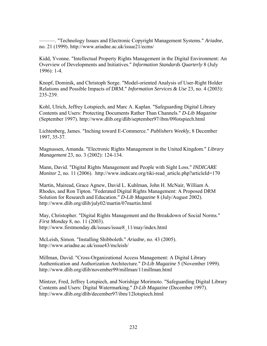———. "Technology Issues and Electronic Copyright Management Systems." *Ariadne*, no. 21 (1999). http://www.ariadne.ac.uk/issue21/ecms/

Kidd, Yvonne. "Intellectual Property Rights Management in the Digital Environment: An Overview of Developments and Initiatives." *Information Standards Quarterly* 8 (July 1996): 1-4.

Knopf, Dominik, and Christoph Sorge. "Model-oriented Analysis of User-Right Holder Relations and Possible Impacts of DRM." *Information Services & Use* 23, no. 4 (2003): 235-239.

Kohl, Ulrich, Jeffrey Lotspiech, and Marc A. Kaplan. "Safeguarding Digital Library Contents and Users: Protecting Documents Rather Than Channels." *D-Lib Magazine* (September 1997). http://www.dlib.org/dlib/september97/ibm/09lotspiech.html

Lichtenberg, James. "Inching toward E-Commerce." *Publishers Weekly*, 8 December 1997, 35-37.

Magnussen, Amanda. "Electronic Rights Management in the United Kingdom." *Library Management* 23, no. 3 (2002): 124-134.

Mann, David. "Digital Rights Management and People with Sight Loss." *INDICARE Monitor* 2, no. 11 (2006). http://www.indicare.org/tiki-read\_article.php?articleId=170

Martin, Mairead, Grace Agnew, David L. Kuhlman, John H. McNair, William A. Rhodes, and Ron Tipton. "Federated Digital Rights Management: A Proposed DRM Solution for Research and Education." *D-Lib Magazine* 8 (July/August 2002). http://www.dlib.org/dlib/july02/martin/07martin.html

May, Christopher. "Digital Rights Management and the Breakdown of Social Norms." *First Monday* 8, no. 11 (2003). http://www.firstmonday.dk/issues/issue8\_11/may/index.html

McLeish, Simon. "Installing Shibboleth." *Ariadne*, no. 43 (2005). http://www.ariadne.ac.uk/issue43/mcleish/

Millman, David. "Cross-Organizational Access Management: A Digital Library Authentication and Authorization Architecture." *D-Lib Magazine* 5 (November 1999). http://www.dlib.org/dlib/november99/millman/11millman.html

Mintzer, Fred, Jeffrey Lotspiech, and Norishige Morimoto. "Safeguarding Digital Library Contents and Users: Digital Watermarking." *D-Lib Magazine* (December 1997). http://www.dlib.org/dlib/december97/ibm/12lotspiech.html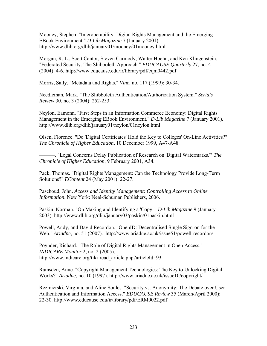Mooney, Stephen. "Interoperability: Digital Rights Management and the Emerging EBook Environment." *D-Lib Magazine* 7 (January 2001). http://www.dlib.org/dlib/january01/mooney/01mooney.html

Morgan, R. L., Scott Cantor, Steven Carmody, Walter Hoehn, and Ken Klingenstein. "Federated Security: The Shibboleth Approach." *EDUCAUSE Quarterly* 27, no. 4 (2004): 4-6. http://www.educause.edu/ir/library/pdf/eqm0442.pdf

Morris, Sally. "Metadata and Rights." *Vine*, no. 117 (1999): 30-34.

Needleman, Mark. "The Shibboleth Authentication/Authorization System." *Serials Review* 30, no. 3 (2004): 252-253.

Neylon, Eamonn. "First Steps in an Information Commerce Economy: Digital Rights Management in the Emerging EBook Environment." *D-Lib Magazine* 7 (January 2001). http://www.dlib.org/dlib/january01/neylon/01neylon.html

Olsen, Florence. "Do 'Digital Certificates' Hold the Key to Colleges' On-Line Activities?" *The Chronicle of Higher Education*, 10 December 1999, A47-A48.

———. "Legal Concerns Delay Publication of Research on 'Digital Watermarks.'" *The Chronicle of Higher Education*, 9 February 2001, A34.

Pack, Thomas. "Digital Rights Management: Can the Technology Provide Long-Term Solutions?" *EContent* 24 (May 2001): 22-27.

Paschoud, John. *Access and Identity Management: Controlling Access to Online Information*. New York: Neal-Schuman Publishers, 2006.

Paskin, Norman. "On Making and Identifying a 'Copy.'" *D-Lib Magazine* 9 (January 2003). http://www.dlib.org/dlib/january03/paskin/01paskin.html

Powell, Andy, and David Recordon. "OpenID: Decentralised Single Sign-on for the Web." *Ariadne*, no. 51 (2007). http://www.ariadne.ac.uk/issue51/powell-recordon/

Poynder, Richard. "The Role of Digital Rights Management in Open Access." *INDICARE Monitor* 2, no. 2 (2005). http://www.indicare.org/tiki-read\_article.php?articleId=93

Ramsden, Anne. "Copyright Management Technologies: The Key to Unlocking Digital Works?" *Ariadne*, no. 10 (1997). http://www.ariadne.ac.uk/issue10/copyright/

Rezmierski, Virginia, and Aline Soules. "Security vs. Anonymity: The Debate over User Authentication and Information Access." *EDUCAUSE Review* 35 (March/April 2000): 22-30. http://www.educause.edu/ir/library/pdf/ERM0022.pdf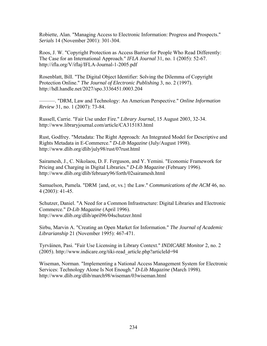Robiette, Alan. "Managing Access to Electronic Information: Progress and Prospects." *Serials* 14 (November 2001): 301-304.

Roos, J. W. "Copyright Protection as Access Barrier for People Who Read Differently: The Case for an International Approach." *IFLA Journal* 31, no. 1 (2005): 52-67. http://ifla.org/V/iflaj/IFLA-Journal-1-2005.pdf

Rosenblatt, Bill. "The Digital Object Identifier: Solving the Dilemma of Copyright Protection Online." *The Journal of Electronic Publishing* 3, no. 2 (1997). http://hdl.handle.net/2027/spo.3336451.0003.204

———. "DRM, Law and Technology: An American Perspective." *Online Information Review* 31, no. 1 (2007): 73-84.

Russell, Carrie. "Fair Use under Fire." *Library Journal*, 15 August 2003, 32-34. http://www.libraryjournal.com/article/CA315183.html

Rust, Godfrey. "Metadata: The Right Approach: An Integrated Model for Descriptive and Rights Metadata in E-Commerce." *D-Lib Magazine* (July/August 1998). http://www.dlib.org/dlib/july98/rust/07rust.html

Sairamesh, J., C. Nikolaou, D. F. Ferguson, and Y. Yemini. "Economic Framework for Pricing and Charging in Digital Libraries." *D-Lib Magazine* (February 1996). http://www.dlib.org/dlib/february96/forth/02sairamesh.html

Samuelson, Pamela. "DRM {and, or, vs.} the Law." *Communications of the ACM* 46, no. 4 (2003): 41-45.

Schutzer, Daniel. "A Need for a Common Infrastructure: Digital Libraries and Electronic Commerce." *D-Lib Magazine* (April 1996). http://www.dlib.org/dlib/april96/04schutzer.html

Sirbu, Marvin A. "Creating an Open Market for Information." *The Journal of Academic Librarianship* 21 (November 1995): 467-471.

Tyrväinen, Pasi. "Fair Use Licensing in Library Context." *INDICARE Monitor* 2, no. 2 (2005). http://www.indicare.org/tiki-read\_article.php?articleId=94

Wiseman, Norman. "Implementing a National Access Management System for Electronic Services: Technology Alone Is Not Enough." *D-Lib Magazine* (March 1998). http://www.dlib.org/dlib/march98/wiseman/03wiseman.html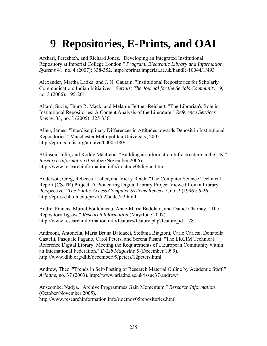## **9 Repositories, E-Prints, and OAI**

Afshari, Fereshteh, and Richard Jones. "Developing an Integrated Institutional Repository at Imperial College London." *Program: Electronic Library and Information Systems* 41, no. 4 (2007): 338-352. http://eprints.imperial.ac.uk/handle/10044/1/493

Alexander, Martha Latika, and J. N. Gautam. "Institutional Repositories for Scholarly Communication: Indian Initiatives." *Serials: The Journal for the Serials Community* 19, no. 3 (2006): 195-201.

Allard, Suzie, Thura R. Mack, and Melanie Feltner-Reichert. "The Librarian's Role in Institutional Repositories: A Content Analysis of the Literature." *Reference Services Review* 33, no. 3 (2005): 325-336.

Allen, James. "Interdisciplinary Differences in Attitudes towards Deposit in Institutional Repositories." Manchester Metropolitan University, 2005. http://eprints.rclis.org/archive/00005180/

Allinson, Julie, and Roddy MacLeod. "Building an Information Infrastructure in the UK." *Research Information* (October/November 2006). http://www.researchinformation.info/rioctnov06digital.html

Anderson, Greg, Rebecca Lasher, and Vicky Reich. "The Computer Science Technical Report (CS-TR) Project: A Pioneering Digital Library Project Viewed from a Library Perspective." *The Public-Access Computer Systems Review* 7, no. 2 (1996): 6-26. http://epress.lib.uh.edu/pr/v7/n2/ande7n2.html

André, Francis, Muriel Foulonneau, Anne-Marie Badolato, and Daniel Charnay. "The Repository Jigsaw." *Research Information* (May/June 2007). http://www.researchinformation.info/features/feature.php?feature\_id=128

Andreoni, Antonella, Maria Bruna Baldacci, Stefania Biagioni, Carlo Carlesi, Donatella Castelli, Pasquale Pagano, Carol Peters, and Serena Pisani. "The ERCIM Technical Reference Digital Library: Meeting the Requirements of a European Community within an International Federation." *D-Lib Magazine* 5 (December 1999). http://www.dlib.org/dlib/december99/peters/12peters.html

Andrew, Theo. "Trends in Self-Posting of Research Material Online by Academic Staff." *Ariadne*, no. 37 (2003). http://www.ariadne.ac.uk/issue37/andrew/

Anscombe, Nadya. "Archive Programmes Gain Momentum." *Research Information* (October/November 2005). http://www.researchinformation.info/rioctnov05repositories.html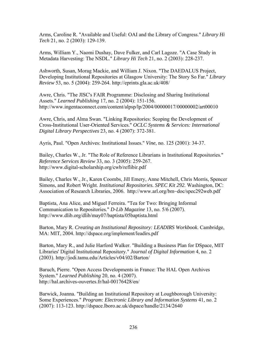Arms, Caroline R. "Available and Useful: OAI and the Library of Congress." *Library Hi Tech* 21, no. 2 (2003): 129-139.

Arms, William Y., Naomi Dushay, Dave Fulker, and Carl Lagoze. "A Case Study in Metadata Harvesting: The NSDL." *Library Hi Tech* 21, no. 2 (2003): 228-237.

Ashworth, Susan, Morag Mackie, and William J. Nixon. "The DAEDALUS Project, Developing Institutional Repositories at Glasgow University: The Story So Far." *Library Review* 53, no. 5 (2004): 259-264. http://eprints.gla.ac.uk/408/

Awre, Chris. "The JISC's FAIR Programme: Disclosing and Sharing Institutional Assets." *Learned Publishing* 17, no. 2 (2004): 151-156. http://www.ingentaconnect.com/content/alpsp/lp/2004/00000017/00000002/art00010

Awre, Chris, and Alma Swan. "Linking Repositories: Scoping the Development of Cross-Institutional User-Oriented Services." *OCLC Systems & Services: International Digital Library Perspectives* 23, no. 4 (2007): 372-381.

Ayris, Paul. "Open Archives: Institutional Issues." *Vine*, no. 125 (2001): 34-37.

Bailey, Charles W., Jr. "The Role of Reference Librarians in Institutional Repositories." *Reference Services Review* 33, no. 3 (2005): 259-267. http://www.digital-scholarship.org/cwb/reflibir.pdf

Bailey, Charles W., Jr., Karen Coombs, Jill Emery, Anne Mitchell, Chris Morris, Spencer Simons, and Robert Wright. *Institutional Repositories. SPEC Kit 292.* Washington, DC: Association of Research Libraries, 2006. http://www.arl.org/bm~doc/spec292web.pdf

Baptista, Ana Alice, and Miguel Ferreira. "Tea for Two: Bringing Informal Communication to Repositories." *D-Lib Magazine* 13, no. 5/6 (2007). http://www.dlib.org/dlib/may07/baptista/05baptista.html

Barton, Mary R. *Creating an Institutional Repository: LEADIRS Workbook*. Cambridge, MA: MIT, 2004. http://dspace.org/implement/leadirs.pdf

Barton, Mary R., and Julie Harford Walker. "Building a Business Plan for DSpace, MIT Libraries' Digital Institutional Repository." *Journal of Digital Information* 4, no. 2 (2003). http://jodi.tamu.edu/Articles/v04/i02/Barton/

Baruch, Pierre. "Open Access Developments in France: The HAL Open Archives System." *Learned Publishing* 20, no. 4 (2007). http://hal.archives-ouvertes.fr/hal-00176428/en/

Barwick, Joanna. "Building an Institutional Repository at Loughborough University: Some Experiences." *Program: Electronic Library and Information Systems* 41, no. 2 (2007): 113-123. http://dspace.lboro.ac.uk/dspace/handle/2134/2640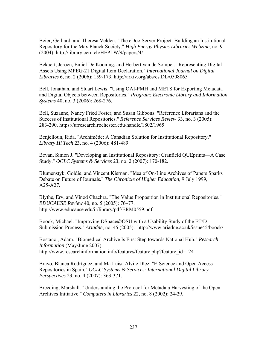Beier, Gerhard, and Theresa Velden. "The eDoc-Server Project: Building an Institutional Repository for the Max Planck Society." *High Energy Physics Libraries Webzine*, no. 9 (2004). http://library.cern.ch/HEPLW/9/papers/4/

Bekaert, Jeroen, Emiel De Kooning, and Herbert van de Sompel. "Representing Digital Assets Using MPEG-21 Digital Item Declaration." *International Journal on Digital Libraries* 6, no. 2 (2006): 159-173. http://arxiv.org/abs/cs.DL/0508065

Bell, Jonathan, and Stuart Lewis. "Using OAI-PMH and METS for Exporting Metadata and Digital Objects between Repositories." *Program: Electronic Library and Information Systems* 40, no. 3 (2006): 268-276.

Bell, Suzanne, Nancy Fried Foster, and Susan Gibbons. "Reference Librarians and the Success of Institutional Repositories." *Reference Services Review* 33, no. 3 (2005): 283-290. https://urresearch.rochester.edu/handle/1802/1965

Benjelloun, Rida. "Archimède: A Canadian Solution for Institutional Repository." *Library Hi Tech* 23, no. 4 (2006): 481-489.

Bevan, Simon J. "Developing an Institutional Repository: Cranfield QUEprints—A Case Study." *OCLC Systems & Services* 23, no. 2 (2007): 170-182.

Blumenstyk, Goldie, and Vincent Kiernan. "Idea of On-Line Archives of Papers Sparks Debate on Future of Journals." *The Chronicle of Higher Education*, 9 July 1999, A25-A27.

Blythe, Erv, and Vinod Chachra. "The Value Proposition in Institutional Repositories." *EDUCAUSE Review* 40, no. 5 (2005): 76–77. http://www.educause.edu/ir/library/pdf/ERM0559.pdf

Boock, Michael. "Improving DSpace@OSU with a Usability Study of the ET/D Submission Process." *Ariadne*, no. 45 (2005). http://www.ariadne.ac.uk/issue45/boock/

Bostanci, Adam. "Biomedical Archive Is First Step towards National Hub." *Research Information* (May/June 2007). http://www.researchinformation.info/features/feature.php?feature\_id=124

Bravo, Blanca Rodríguez, and Ma Luisa Alvite Díez. "E-Science and Open Access Repositories in Spain." *OCLC Systems & Services: International Digital Library Perspectives* 23, no. 4 (2007): 363-371.

Breeding, Marshall. "Understanding the Protocol for Metadata Harvesting of the Open Archives Initiative." *Computers in Libraries* 22, no. 8 (2002): 24-29.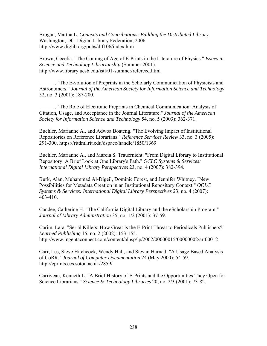Brogan, Martha L. *Contexts and Contributions: Building the Distributed Library*. Washington, DC: Digital Library Federation, 2006. http://www.diglib.org/pubs/dlf106/index.htm

Brown, Cecelia. "The Coming of Age of E-Prints in the Literature of Physics." *Issues in Science and Technology Librarianship* (Summer 2001). http://www.library.ucsb.edu/istl/01-summer/refereed.html

———. "The E-volution of Preprints in the Scholarly Communication of Physicists and Astronomers." *Journal of the American Society for Information Science and Technology* 52, no. 3 (2001): 187-200.

———. "The Role of Electronic Preprints in Chemical Communication: Analysis of Citation, Usage, and Acceptance in the Journal Literature." *Journal of the American Society for Information Science and Technology* 54, no. 5 (2003): 362-371.

Buehler, Marianne A., and Adwoa Boateng. "The Evolving Impact of Institutional Repositories on Reference Librarians." *Reference Services Review* 33, no. 3 (2005): 291-300. https://ritdml.rit.edu/dspace/handle/1850/1369

Buehler, Marianne A., and Marcia S. Trauernicht. "From Digital Library to Institutional Repository: A Brief Look at One Library's Path." *OCLC Systems & Services: International Digital Library Perspectives* 23, no. 4 (2007): 382-394.

Burk, Alan, Muhammad Al-Digeil, Dominic Forest, and Jennifer Whitney. "New Possibilities for Metadata Creation in an Institutional Repository Context." *OCLC Systems & Services: International Digital Library Perspectives* 23, no. 4 (2007): 403-410.

Candee, Catherine H. "The California Digital Library and the eScholarship Program." *Journal of Library Administration* 35, no. 1/2 (2001): 37-59.

Carim, Lara. "Serial Killers: How Great Is the E-Print Threat to Periodicals Publishers?" *Learned Publishing* 15, no. 2 (2002): 153-155. http://www.ingentaconnect.com/content/alpsp/lp/2002/00000015/00000002/art00012

Carr, Les, Steve Hitchcock, Wendy Hall, and Stevan Harnad. "A Usage Based Analysis of CoRR." *Journal of Computer Documentation* 24 (May 2000): 54-59. http://eprints.ecs.soton.ac.uk/2859/

Carriveau, Kenneth L. "A Brief History of E-Prints and the Opportunities They Open for Science Librarians." *Science & Technology Libraries* 20, no. 2/3 (2001): 73-82.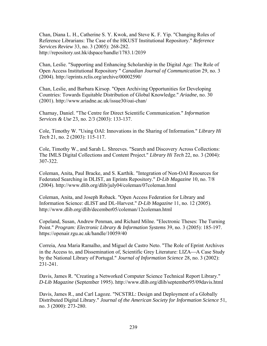Chan, Diana L. H., Catherine S. Y. Kwok, and Steve K. F. Yip. "Changing Roles of Reference Librarians: The Case of the HKUST Institutional Repository." *Reference Services Review* 33, no. 3 (2005): 268-282. http://repository.ust.hk/dspace/handle/1783.1/2039

Chan, Leslie. "Supporting and Enhancing Scholarship in the Digital Age: The Role of Open Access Institutional Repository " *Canadian Journal of Communication* 29, no. 3 (2004). http://eprints.rclis.org/archive/00002590/

Chan, Leslie, and Barbara Kirsop. "Open Archiving Opportunities for Developing Countries: Towards Equitable Distribution of Global Knowledge." *Ariadne*, no. 30 (2001). http://www.ariadne.ac.uk/issue30/oai-chan/

Charnay, Daniel. "The Centre for Direct Scientific Communication." *Information Services & Use* 23, no. 2/3 (2003): 133-137.

Cole, Timothy W. "Using OAI: Innovations in the Sharing of Information." *Library Hi Tech* 21, no. 2 (2003): 115-117.

Cole, Timothy W., and Sarah L. Shreeves. "Search and Discovery Across Collections: The IMLS Digital Collections and Content Project." *Library Hi Tech* 22, no. 3 (2004): 307-322.

Coleman, Anita, Paul Bracke, and S. Karthik. "Integration of Non-OAI Resources for Federated Searching in DLIST, an Eprints Repository." *D-Lib Magazine* 10, no. 7/8 (2004). http://www.dlib.org/dlib/july04/coleman/07coleman.html

Coleman, Anita, and Joseph Roback. "Open Access Federation for Library and Information Science: dLIST and DL-Harvest." *D-Lib Magazine* 11, no. 12 (2005). http://www.dlib.org/dlib/december05/coleman/12coleman.html

Copeland, Susan, Andrew Penman, and Richard Milne. "Electronic Theses: The Turning Point." *Program: Electronic Library & Information Systems* 39, no. 3 (2005): 185-197. https://openair.rgu.ac.uk/handle/10059/40

Correia, Ana Maria Ramalho, and Miguel de Castro Neto. "The Role of Eprint Archives in the Access to, and Dissemination of, Scientific Grey Literature: LIZA—A Case Study by the National Library of Portugal." *Journal of Information Science* 28, no. 3 (2002): 231-241.

Davis, James R. "Creating a Networked Computer Science Technical Report Library." *D-Lib Magazine* (September 1995). http://www.dlib.org/dlib/september95/09davis.html

Davis, James R., and Carl Lagoze. "NCSTRL: Design and Deployment of a Globally Distributed Digital Library." *Journal of the American Society for Information Science* 51, no. 3 (2000): 273-280.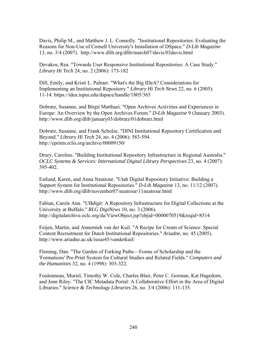Davis, Philip M., and Matthew J. L. Connolly. "Institutional Repositories: Evaluating the Reasons for Non-Use of Cornell University's Installation of DSpace." *D-Lib Magazine* 13, no. 3/4 (2007). http://www.dlib.org/dlib/march07/davis/03davis.html

Devakos, Rea. "Towards User Responsive Institutional Repositories: A Case Study." *Library Hi Tech* 24, no. 2 (2006): 173-182

Dill, Emily, and Kristi L. Palmer. "What's the Big IDeA? Considerations for Implementing an Institutional Repository." *Library Hi Tech News* 22, no. 6 (2005): 11-14. https://idea.iupui.edu/dspace/handle/1805/365

Dobratz, Susanne, and Birgit Matthaei. "Open Archives Activities and Experiences in Europe: An Overview by the Open Archives Forum." *D-Lib Magazine* 9 (January 2003). http://www.dlib.org/dlib/january03/dobratz/01dobratz.html

Dobratz, Susanne, and Frank Scholze. "DINI Institutional Repository Certification and Beyond." *Library Hi Tech* 24, no. 4 (2006): 583-594. http://eprints.rclis.org/archive/00009150/

Drury, Caroline. "Building Institutional Repository Infrastructure in Regional Australia." *OCLC Systems & Services: International Digital Library Perspectives* 23, no. 4 (2007): 395-402.

Estlund, Karen, and Anna Neatrour. "Utah Digital Repository Initiative: Building a Support System for Institutional Repositories." *D-Lib Magazine* 13, no. 11/12 (2007). http://www.dlib.org/dlib/november07/neatrour/11neatrour.html

Fabian, Carole Ann. "UB*digit*: A Repository Infrastructure for Digital Collections at the University at Buffalo." *RLG DigiNews* 10, no. 3 (2006). http://digitalarchive.oclc.org/da/ViewObject.jsp?objid=0000070519&reqid=8514

Feijen, Martin, and Annemiek van der Kuil. "A Recipe for Cream of Science: Special Content Recruitment for Dutch Institutional Repositories." *Ariadne*, no. 45 (2005). http://www.ariadne.ac.uk/issue45/vanderkuil/

Fleming, Dan. "The Garden of Forking Paths—Forms of Scholarship and the 'Formations' Pre-Print System for Cultural Studies and Related Fields." *Computers and the Humanities* 32, no. 4 (1998): 303-322.

Foulonneau, Muriel, Timothy W. Cole, Charles Blair, Peter C. Gorman, Kat Hagedorn, and Jenn Riley. "The CIC Metadata Portal: A Collaborative Effort in the Area of Digital Libraries." *Science & Technology Libraries* 26, no. 3/4 (2006): 111-135.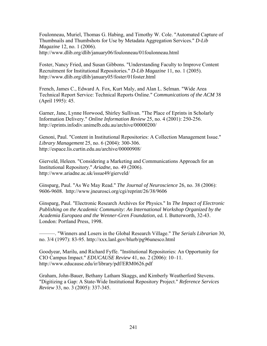Foulonneau, Muriel, Thomas G. Habing, and Timothy W. Cole. "Automated Capture of Thumbnails and Thumbshots for Use by Metadata Aggregation Services." *D-Lib Magazine* 12, no. 1 (2006). http://www.dlib.org/dlib/january06/foulonneau/01foulonneau.html

Foster, Nancy Fried, and Susan Gibbons. "Understanding Faculty to Improve Content Recruitment for Institutional Repositories." *D-Lib Magazine* 11, no. 1 (2005). http://www.dlib.org/dlib/january05/foster/01foster.html

French, James C., Edward A. Fox, Kurt Maly, and Alan L. Selman. "Wide Area Technical Report Service: Technical Reports Online." *Communications of the ACM* 38 (April 1995): 45.

Garner, Jane, Lynne Horwood, Shirley Sullivan. "The Place of Eprints in Scholarly Information Delivery." *Online Information Review* 25, no. 4 (2001): 250-256. http://eprints.infodiv.unimelb.edu.au/archive/00000200/

Genoni, Paul. "Content in Institutional Repositories: A Collection Management Issue." *Library Management* 25, no. 6 (2004): 300-306. http://espace.lis.curtin.edu.au/archive/00000908/

Gierveld, Heleen. "Considering a Marketing and Communications Approach for an Institutional Repository." *Ariadne*, no. 49 (2006). http://www.ariadne.ac.uk/issue49/gierveld/

Ginsparg, Paul. "As We May Read." *The Journal of Neuroscience* 26, no. 38 (2006): 9606-9608. http://www.jneurosci.org/cgi/reprint/26/38/9606

Ginsparg, Paul. "Electronic Research Archives for Physics." In *The Impact of Electronic Publishing on the Academic Community: An International Workshop Organized by the Academia Europaea and the Wenner-Gren Foundation*, ed. I. Butterworth, 32-43. London: Portland Press, 1998.

———. "Winners and Losers in the Global Research Village." *The Serials Librarian* 30, no. 3/4 (1997): 83-95. http://xxx.lanl.gov/blurb/pg96unesco.html

Goodyear, Marilu, and Richard Fyffe. "Institutional Repositories: An Opportunity for CIO Campus Impact." *EDUCAUSE Review* 41, no. 2 (2006): 10–11. http://www.educause.edu/ir/library/pdf/ERM0626.pdf

Graham, John-Bauer, Bethany Latham Skaggs, and Kimberly Weatherford Stevens. "Digitizing a Gap: A State-Wide Institutional Repository Project." *Reference Services Review* 33, no. 3 (2005): 337-345.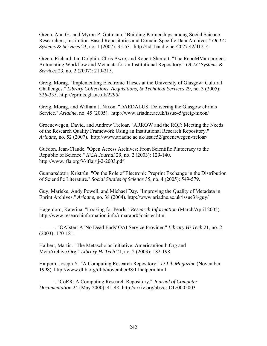Green, Ann G., and Myron P. Gutmann. "Building Partnerships among Social Science Researchers, Institution-Based Repositories and Domain Specific Data Archives." *OCLC Systems & Services* 23, no. 1 (2007): 35-53. http://hdl.handle.net/2027.42/41214

Green, Richard, Ian Dolphin, Chris Awre, and Robert Sherratt. "The RepoMMan project: Automating Workflow and Metadata for an Institutional Repository." *OCLC Systems & Services* 23, no. 2 (2007): 210-215.

Greig, Morag. "Implementing Electronic Theses at the University of Glasgow: Cultural Challenges." *Library Collections, Acquisitions, & Technical Services* 29, no. 3 (2005): 326-335. http://eprints.gla.ac.uk/2295/

Greig, Morag, and William J. Nixon. "DAEDALUS: Delivering the Glasgow ePrints Service." *Ariadne*, no. 45 (2005). http://www.ariadne.ac.uk/issue45/greig-nixon/

Groenewegen, David, and Andrew Treloar. "ARROW and the RQF: Meeting the Needs of the Research Quality Framework Using an Institutional Research Repository." *Ariadne*, no. 52 (2007). http://www.ariadne.ac.uk/issue52/groenewegen-treloar/

Guédon, Jean-Claude. "Open Access Archives: From Scientific Plutocracy to the Republic of Science." *IFLA Journal* 29, no. 2 (2003): 129-140. http://www.ifla.org/V/iflaj/ij-2-2003.pdf

Gunnarsdóttir, Kristrún. "On the Role of Electronic Preprint Exchange in the Distribution of Scientific Literature." *Social Studies of Science* 35, no. 4 (2005): 549-579.

Guy, Marieke, Andy Powell, and Michael Day. "Improving the Quality of Metadata in Eprint Archives." *Ariadne*, no. 38 (2004). http://www.ariadne.ac.uk/issue38/guy/

Hagerdorn, Katerina. "Looking for Pearls." *Research Information* (March/April 2005). http://www.researchinformation.info/rimarapr05oaister.html

———. "OAIster: A 'No Dead Ends' OAI Service Provider." *Library Hi Tech* 21, no. 2 (2003): 170-181.

Halbert, Martin. "The Metascholar Initiative: AmericanSouth.Org and MetaArchive.Org." *Library Hi Tech* 21, no. 2 (2003): 182-198.

Halpern, Joseph Y. "A Computing Research Repository." *D-Lib Magazine* (November 1998). http://www.dlib.org/dlib/november98/11halpern.html

———. "CoRR: A Computing Research Repository." *Journal of Computer Documentation* 24 (May 2000): 41-48. http://arxiv.org/abs/cs.DL/0005003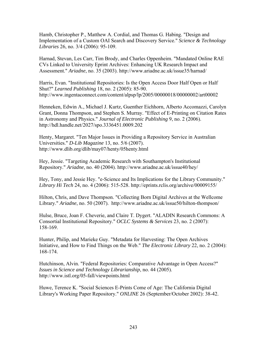Hamb, Christopher P., Matthew A. Cordial, and Thomas G. Habing. "Design and Implementation of a Custom OAI Search and Discovery Service." *Science & Technology Libraries* 26, no. 3/4 (2006): 95-109.

Harnad, Stevan, Les Carr, Tim Brody, and Charles Oppenheim. "Mandated Online RAE CVs Linked to University Eprint Archives: Enhancing UK Research Impact and Assessment." *Ariadne*, no. 35 (2003). http://www.ariadne.ac.uk/issue35/harnad/

Harris, Evan. "Institutional Repositories: Is the Open Access Door Half Open or Half Shut?" *Learned Publishing* 18, no. 2 (2005): 85-90. http://www.ingentaconnect.com/content/alpsp/lp/2005/00000018/00000002/art00002

Henneken, Edwin A., Michael J. Kurtz, Guenther Eichhorn, Alberto Accomazzi, Carolyn Grant, Donna Thompson, and Stephen S. Murray. "Effect of E-Printing on Citation Rates in Astronomy and Physics." *Journal of Electronic Publishing* 9, no. 2 (2006). http://hdl.handle.net/2027/spo.3336451.0009.202

Henty, Margaret. "Ten Major Issues in Providing a Repository Service in Australian Universities." *D-Lib Magazine* 13, no. 5/6 (2007). http://www.dlib.org/dlib/may07/henty/05henty.html

Hey, Jessie. "Targeting Academic Research with Southampton's Institutional Repository." *Ariadne*, no. 40 (2004). http://www.ariadne.ac.uk/issue40/hey/

Hey, Tony, and Jessie Hey. "e-Science and Its Implications for the Library Community." *Library Hi Tech* 24, no. 4 (2006): 515-528. http://eprints.rclis.org/archive/00009155/

Hilton, Chris, and Dave Thompson. "Collecting Born Digital Archives at the Wellcome Library." *Ariadne*, no. 50 (2007). http://www.ariadne.ac.uk/issue50/hilton-thompson/

Hulse, Bruce, Joan F. Cheverie, and Claire T. Dygert. "ALADIN Research Commons: A Consortial Institutional Repository." *OCLC Systems & Services* 23, no. 2 (2007): 158-169.

Hunter, Philip, and Marieke Guy. "Metadata for Harvesting: The Open Archives Initiative, and How to Find Things on the Web." *The Electronic Library* 22, no. 2 (2004): 168-174.

Hutchinson, Alvin. "Federal Repositories: Comparative Advantage in Open Access?" *Issues in Science and Technology Librarianship*, no. 44 (2005). http://www.istl.org/05-fall/viewpoints.html

Huwe, Terence K. "Social Sciences E-Prints Come of Age: The California Digital Library's Working Paper Repository." *ONLINE* 26 (September/October 2002): 38-42.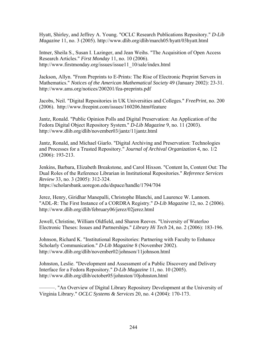Hyatt, Shirley, and Jeffrey A. Young. "OCLC Research Publications Repository." *D-Lib Magazine* 11, no. 3 (2005). http://www.dlib.org/dlib/march05/hyatt/03hyatt.html

Intner, Sheila S., Susan I. Lazinger, and Jean Weihs. "The Acquisition of Open Access Research Articles." *First Monday* 11, no. 10 (2006). http://www.firstmonday.org/issues/issue11\_10/sale/index.html

Jackson, Allyn. "From Preprints to E-Prints: The Rise of Electronic Preprint Servers in Mathematics." *Notices of the American Mathematical Society* 49 (January 2002): 23-31. http://www.ams.org/notices/200201/fea-preprints.pdf

Jacobs, Neil. "Digital Repositories in UK Universities and Colleges." *FreePrint*, no. 200 (2006). http://www.freepint.com/issues/160206.htm#feature

Jantz, Ronald. "Public Opinion Polls and Digital Preservation: An Application of the Fedora Digital Object Repository System." *D-Lib Magazine* 9, no. 11 (2003). http://www.dlib.org/dlib/november03/jantz/11jantz.html

Jantz, Ronald, and Michael Giarlo. "Digital Archiving and Preservation: Technologies and Processes for a Trusted Repository." *Journal of Archival Organization* 4, no. 1/2 (2006): 193-213.

Jenkins, Barbara, Elizabeth Breakstone, and Carol Hixson. "Content In, Content Out: The Dual Roles of the Reference Librarian in Institutional Repositories." *Reference Services Review* 33, no. 3 (2005): 312-324. https://scholarsbank.uoregon.edu/dspace/handle/1794/704

Jerez, Henry, Giridhar Manepalli, Christophe Blanchi, and Laurence W. Lannom. "ADL-R: The First Instance of a CORDRA Registry." *D-Lib Magazine* 12, no. 2 (2006). http://www.dlib.org/dlib/february06/jerez/02jerez.html

Jewell, Christine, William Oldfield, and Sharon Reeves. "University of Waterloo Electronic Theses: Issues and Partnerships." *Library Hi Tech* 24, no. 2 (2006): 183-196.

Johnson, Richard K. "Institutional Repositories: Partnering with Faculty to Enhance Scholarly Communication." *D-Lib Magazine* 8 (November 2002). http://www.dlib.org/dlib/november02/johnson/11johnson.html

Johnston, Leslie. "Development and Assessment of a Public Discovery and Delivery Interface for a Fedora Repository." *D-Lib Magazine* 11, no. 10 (2005). http://www.dlib.org/dlib/october05/johnston/10johnston.html

———. "An Overview of Digital Library Repository Development at the University of Virginia Library." *OCLC Systems & Services* 20, no. 4 (2004): 170-173.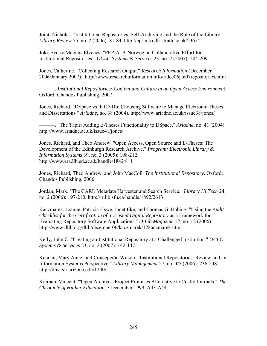Joint, Nicholas. "Institutional Repositories, Self-Archiving and the Role of the Library." *Library Review* 55, no. 2 (2006): 81-84. http://eprints.cdlr.strath.ac.uk/2367/

Joki, Sverre Magnus Elvenes. "PEPIA: A Norwegian Collaborative Effort for Institutional Repositories." *OCLC Systems & Services* 23, no. 2 (2007): 204-209.

Jones, Catherine. "Collecting Research Output." *Research Information* (December 2006/January 2007). http://www.researchinformation.info/ridec06jan07repositories.html

———. *Institutional Repositories: Content and Culture in an Open Access Environment*. Oxford: Chandos Publishing, 2007.

Jones, Richard. "DSpace vs. ETD-Db: Choosing Software to Manage Electronic Theses and Dissertations." *Ariadne*, no. 38 (2004). http://www.ariadne.ac.uk/issue38/jones/

———. "The Tapir: Adding E-Theses Functionality to DSpace." *Ariadne*, no. 41 (2004). http://www.ariadne.ac.uk/issue41/jones/

Jones, Richard, and Theo Andrew. "Open Access, Open Source and E-Theses: The Development of the Edinburgh Research Archive." *Program: Electronic Library & Information Systems* 39, no. 3 (2005): 198-212. http://www.era.lib.ed.ac.uk/handle/1842/811

Jones, Richard, Theo Andrew, and John MacColl. *The Institutional Repository*. Oxford: Chandos Publishing, 2006.

Jordan, Mark. "The CARL Metadata Harvester and Search Service." *Library Hi Tech* 24, no. 2 (2006): 197-210. http://ir.lib.sfu.ca/handle/1892/2613

Kaczmarek, Joanne, Patricia Hswe, Janet Eke, and Thomas G. Habing. "Using the *Audit Checklist for the Certification of a Trusted Digital Repository* as a Framework for Evaluating Repository Software Applications." *D-Lib Magazine* 12, no. 12 (2006). http://www.dlib.org/dlib/december06/kaczmarek/12kaczmarek.html

Kelly, John C. "Creating an Institutional Repository at a Challenged Institution." *OCLC Systems & Services* 23, no. 2 (2007): 142-147.

Kennan, Mary Anne, and Concepción Wilson. "Institutional Repositories: Review and an Information Systems Perspective." *Library Management* 27, no. 4/5 (2006): 236-248. http://dlist.sir.arizona.edu/1200/

Kiernan, Vincent. "'Open Archives' Project Promises Alternative to Costly Journals." *The Chronicle of Higher Education*, 3 December 1999, A43-A44.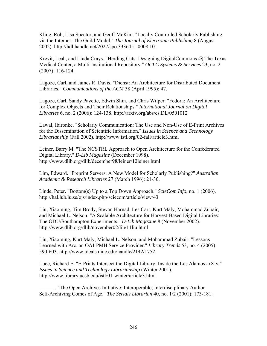Kling, Rob, Lisa Spector, and Geoff McKim. "Locally Controlled Scholarly Publishing via the Internet: The Guild Model." *The Journal of Electronic Publishing* 8 (August 2002). http://hdl.handle.net/2027/spo.3336451.0008.101

Krevit, Leah, and Linda Crays. "Herding Cats: Designing DigitalCommons @ The Texas Medical Center, a Multi-institutional Repository." *OCLC Systems & Services* 23, no. 2 (2007): 116-124.

Lagoze, Carl, and James R. Davis. "Dienst: An Architecture for Distributed Document Libraries." *Communications of the ACM* 38 (April 1995): 47.

Lagoze, Carl, Sandy Payette, Edwin Shin, and Chris Wilper. "Fedora: An Architecture for Complex Objects and Their Relationships." *International Journal on Digital Libraries* 6, no. 2 (2006): 124-138. http://arxiv.org/abs/cs.DL/0501012

Lawal, Ibironke. "Scholarly Communication: The Use and Non-Use of E-Print Archives for the Dissemination of Scientific Information." *Issues in Science and Technology Librarianship* (Fall 2002). http://www.istl.org/02-fall/article3.html

Leiner, Barry M. "The NCSTRL Approach to Open Architecture for the Confederated Digital Library." *D-Lib Magazine* (December 1998). http://www.dlib.org/dlib/december98/leiner/12leiner.html

Lim, Edward. "Preprint Servers: A New Model for Scholarly Publishing?" *Australian Academic & Research Libraries* 27 (March 1996): 21-30.

Linde, Peter. "Bottom(s) Up to a Top Down Approach." *ScieCom Info*, no. 1 (2006). http://hal.lub.lu.se/ojs/index.php/sciecom/article/view/43

Liu, Xiaoming, Tim Brody, Stevan Harnad, Les Carr, Kurt Maly, Mohammad Zubair, and Michael L. Nelson. "A Scalable Architecture for Harvest-Based Digital Libraries: The ODU/Southampton Experiments." *D-Lib Magazine* 8 (November 2002). http://www.dlib.org/dlib/november02/liu/11liu.html

Liu, Xiaoming, Kurt Maly, Michael L. Nelson, and Mohammad Zubair. "Lessons Learned with Arc, an OAI-PMH Service Provider." *Library Trends* 53, no. 4 (2005): 590-603. http://www.ideals.uiuc.edu/handle/2142/1752

Luce, Richard E. "E-Prints Intersect the Digital Library: Inside the Los Alamos arXiv." *Issues in Science and Technology Librarianship* (Winter 2001). http://www.library.ucsb.edu/istl/01-winter/article3.html

———. "The Open Archives Initiative: Interoperable, Interdisciplinary Author Self-Archiving Comes of Age." *The Serials Librarian* 40, no. 1/2 (2001): 173-181.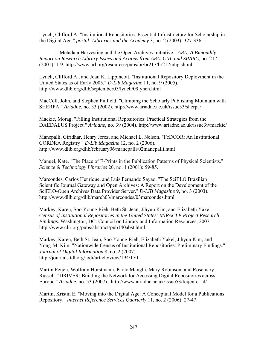Lynch, Clifford A. "Institutional Repositories: Essential Infrastructure for Scholarship in the Digital Age." *portal: Libraries and the Academy* 3, no. 2 (2003): 327-336.

———. "Metadata Harvesting and the Open Archives Initiative." *ARL: A Bimonthly Report on Research Library Issues and Actions from ARL, CNI, and SPARC*, no. 217 (2001): 1-9. http://www.arl.org/resources/pubs/br/br217/br217mhp.shtml

Lynch, Clifford A., and Joan K. Lippincott. "Institutional Repository Deployment in the United States as of Early 2005." *D-Lib Magazine* 11, no. 9 (2005). http://www.dlib.org/dlib/september05/lynch/09lynch.html

MacColl, John, and Stephen Pinfield. "Climbing the Scholarly Publishing Mountain with SHERPA." *Ariadne*, no. 33 (2002). http://www.ariadne.ac.uk/issue33/sherpa/

Mackie, Morag. "Filling Institutional Repositories: Practical Strategies from the DAEDALUS Project." *Ariadne*, no. 39 (2004). http://www.ariadne.ac.uk/issue39/mackie/

Manepalli, Giridhar, Henry Jerez, and Michael L. Nelson. "FeDCOR: An Institutional CORDRA Registry " *D-Lib Magazine* 12, no. 2 (2006). http://www.dlib.org/dlib/february06/manepalli/02manepalli.html

Manuel, Kate. "The Place of E-Prints in the Publication Patterns of Physical Scientists." *Science & Technology Libraries* 20, no. 1 (2001): 59-85.

Marcondes, Carlos Henrique, and Luis Fernando Sayao. "The SciELO Brazilian Scientific Journal Gateway and Open Archives: A Report on the Development of the SciELO-Open Archives Data Provider Server." *D-LIB Magazine* 9, no. 3 (2003). http://www.dlib.org/dlib/march03/marcondes/03marcondes.html

Markey, Karen, Soo Young Rieh, Beth St. Jean, Jihyun Kim, and Elizabeth Yakel. *Census of Institutional Repositories in the United States: MIRACLE Project Research Findings.* Washington, DC: Council on Library and Information Resources, 2007. http://www.clir.org/pubs/abstract/pub140abst.html

Markey, Karen, Beth St. Jean, Soo Young Rieh, Elizabeth Yakel, Jihyun Kim, and Yong-Mi Kim. "Nationwide Census of Institutional Repositories: Preliminary Findings." *Journal of Digital Information* 8, no. 2 (2007). http://journals.tdl.org/jodi/article/view/194/170

Martin Feijen, Wolfram Horstmann, Paolo Manghi, Mary Robinson, and Rosemary Russell. "DRIVER: Building the Network for Accessing Digital Repositories across Europe." *Ariadne*, no. 53 (2007). http://www.ariadne.ac.uk/issue53/feijen-et-al/

Martin, Kristin E. "Moving into the Digital Age: A Conceptual Model for a Publications Repository." *Internet Reference Services Quarterly* 11, no. 2 (2006): 27-47.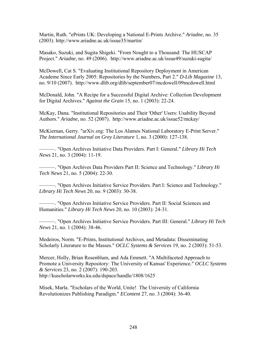Martin, Ruth. "ePrints UK: Developing a National E-Prints Archive." *Ariadne*, no. 35 (2003). http://www.ariadne.ac.uk/issue35/martin/

Masako, Suzuki, and Sugita Shigeki. "From Nought to a Thousand: The HUSCAP Project." *Ariadne*, no. 49 (2006). http://www.ariadne.ac.uk/issue49/suzuki-sugita/

McDowell, Cat S. "Evaluating Institutional Repository Deployment in American Academe Since Early 2005: Repositories by the Numbers, Part 2." *D-Lib Magazine* 13, no. 9/10 (2007). http://www.dlib.org/dlib/september07/mcdowell/09mcdowell.html

McDonald, John. "A Recipe for a Successful Digital Archive: Collection Development for Digital Archives." *Against the Grain* 15, no. 1 (2003): 22-24.

McKay, Dana. "Institutional Repositories and Their 'Other' Users: Usability Beyond Authors." *Ariadne*, no. 52 (2007). http://www.ariadne.ac.uk/issue52/mckay/

McKiernan, Gerry. "arXiv.org: The Los Alamos National Laboratory E-Print Server." *The International Journal on Grey Literature* 1, no. 3 (2000): 127-138.

———. "Open Archives Initiative Data Providers. Part I: General." *Library Hi Tech News* 21, no. 3 (2004): 11-19.

———. "Open Archives Data Providers Part II: Science and Technology." *Library Hi Tech News* 21, no. 5 (2004): 22-30.

———. "Open Archives Initiative Service Providers. Part I: Science and Technology." *Library Hi Tech News* 20, no. 9 (2003): 30-38.

———. "Open Archives Initiative Service Providers. Part II: Social Sciences and Humanities." *Library Hi Tech News* 20, no. 10 (2003): 24-31.

———. "Open Archives Initiative Service Providers. Part III: General." *Library Hi Tech News* 21, no. 1 (2004): 38-46.

Medeiros, Norm. "E-Prints, Institutional Archives, and Metadata: Disseminating Scholarly Literature to the Masses." *OCLC Systems & Services* 19, no. 2 (2003): 51-53.

Mercer, Holly, Brian Rosenblum, and Ada Emmett. "A Multifaceted Approach to Promote a University Repository: The University of Kansas' Experience." *OCLC Systems & Services* 23, no. 2 (2007): 190-203. http://kuscholarworks.ku.edu/dspace/handle/1808/1625

Misek, Marla. "Escholars of the World, Unite! The University of California Revolutionizes Publishing Paradigm." *EContent* 27, no. 3 (2004): 36-40.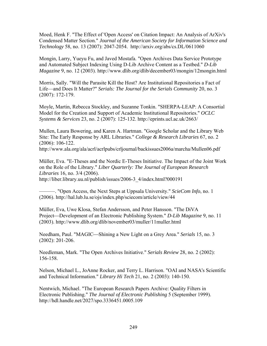Moed, Henk F. "The Effect of 'Open Access' on Citation Impact: An Analysis of ArXiv's Condensed Matter Section." *Journal of the American Society for Information Science and Technology* 58, no. 13 (2007): 2047-2054. http://arxiv.org/abs/cs.DL/0611060

Mongin, Larry, Yueyu Fu, and Javed Mostafa. "Open Archives Data Service Prototype and Automated Subject Indexing Using D-Lib Archive Content as a Testbed." *D-Lib Magazine* 9, no. 12 (2003). http://www.dlib.org/dlib/december03/mongin/12mongin.html

Morris, Sally. "Will the Parasite Kill the Host? Are Institutional Repositories a Fact of Life—and Does It Matter?" *Serials: The Journal for the Serials Community* 20, no. 3 (2007): 172-179.

Moyle, Martin, Rebecca Stockley, and Suzanne Tonkin. "SHERPA-LEAP: A Consortial Model for the Creation and Support of Academic Institutional Repositories." *OCLC Systems & Services* 23, no. 2 (2007): 125-132. http://eprints.ucl.ac.uk/2663/

Mullen, Laura Bowering, and Karen A. Hartman. "Google Scholar and the Library Web Site: The Early Response by ARL Libraries." *College & Research Libraries* 67, no. 2 (2006): 106-122.

http://www.ala.org/ala/acrl/acrlpubs/crljournal/backissues2006a/marcha/Mullen06.pdf

Müller, Eva. "E-Theses and the Nordic E-Theses Initiative. The Impact of the Joint Work on the Role of the Library." *Liber Quarterly: The Journal of European Research Libraries* 16, no. 3/4 (2006). http://liber.library.uu.nl/publish/issues/2006-3\_4/index.html?000191

———. "Open Access, the Next Steps at Uppsala University." *ScieCom Info*, no. 1 (2006). http://hal.lub.lu.se/ojs/index.php/sciecom/article/view/44

Müller, Eva, Uwe Klosa, Stefan Andersson, and Peter Hansson. "The DiVA Project—Development of an Electronic Publishing System." *D-Lib Magazine* 9, no. 11 (2003). http://www.dlib.org/dlib/november03/muller/11muller.html

Needham, Paul. "MAGIC—Shining a New Light on a Grey Area." *Serials* 15, no. 3 (2002): 201-206.

Needleman, Mark. "The Open Archives Initiative." *Serials Review* 28, no. 2 (2002): 156-158.

Nelson, Michael L., JoAnne Rocker, and Terry L. Harrison. "OAI and NASA's Scientific and Technical Information." *Library Hi Tech* 21, no. 2 (2003): 140-150.

Nentwich, Michael. "The European Research Papers Archive: Quality Filters in Electronic Publishing." *The Journal of Electronic Publishing* 5 (September 1999). http://hdl.handle.net/2027/spo.3336451.0005.109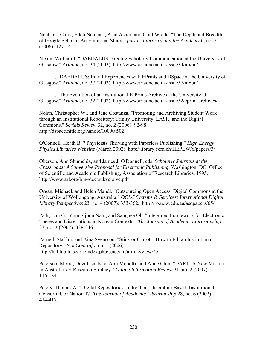Neuhaus, Chris, Ellen Neuhaus, Alan Asher, and Clint Wrede. "The Depth and Breadth of Google Scholar: An Empirical Study." *portal: Libraries and the Academy* 6, no. 2 (2006): 127-141.

Nixon, William J. "DAEDALUS: Freeing Scholarly Communication at the University of Glasgow." *Ariadne*, no. 34 (2003). http://www.ariadne.ac.uk/issue34/nixon/

———. "DAEDALUS: Initial Experiences with EPrints and DSpace at the University of Glasgow." *Ariadne*, no. 37 (2003). http://www.ariadne.ac.uk/issue37/nixon/

———. "The Evolution of an Institutional E-Prints Archive at the University Of Glasgow." *Ariadne*, no. 32 (2002). http://www.ariadne.ac.uk/issue32/eprint-archives/

Nolan, Christopher W., and Jane Costanza. "Promoting and Archiving Student Work through an Institutional Repository: Trinity University, LASR, and the Digital Commons." *Serials Review* 32, no. 2 (2006): 92-98. http://dspace.nitle.org/handle/10090/502

O'Connell, Heath B. " Physicists Thriving with Paperless Publishing." *High Energy Physics Libraries Webzine* (March 2002). http://library.cern.ch/HEPLW/6/papers/3/

Okerson, Ann Shumelda, and James J. O'Donnell, eds. *Scholarly Journals at the Crossroads: A Subversive Proposal for Electronic Publishing*. Washington, DC: Office of Scientific and Academic Publishing, Association of Research Libraries, 1995. http://www.arl.org/bm~doc/subversive.pdf

Organ, Michael, and Helen Mandl. "Outsourcing Open Access: Digital Commons at the University of Wollongong, Australia." *OCLC Systems & Services: International Digital Library Perspectives* 23, no. 4 (2007): 353-362. http://ro.uow.edu.au/asdpapers/65/

Park, Eun G., Young-joon Nam, and Sanghee Oh. "Integrated Framework for Electronic Theses and Dissertations in Korean Contexts." *The Journal of Academic Librarianship* 33, no. 3 (2007): 338-346.

Parnell, Staffan, and Aina Svensson. "Stick or Carrot—How to Fill an Institutional Repository." *ScieCom Info*, no. 1 (2006). http://hal.lub.lu.se/ojs/index.php/sciecom/article/view/45

Paterson, Moira, David Lindsay, Ann Monotti, and Anne Chin. "DART: A New Missile in Australia's E-Research Strategy." *Online Information Review* 31, no. 2 (2007): 116-134.

Peters, Thomas A. "Digital Repositories: Individual, Discipline-Based, Institutional, Consortial, or National?" *The Journal of Academic Librarianship* 28, no. 6 (2002): 414-417.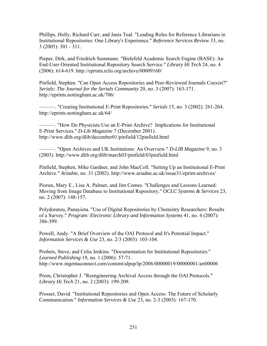Phillips, Holly, Richard Carr, and Janis Teal. "Leading Roles for Reference Librarians in Institutional Repositories: One Library's Experience." *Reference Services Review* 33, no. 3 (2005): 301 - 311.

Pieper, Dirk, and Friedrich Summann. "Bielefeld Academic Search Engine (BASE): An End-User Oriented Institutional Repository Search Service." *Library Hi Tech* 24, no. 4 (2006): 614-619. http://eprints.rclis.org/archive/00009160/

Pinfield, Stephen. "Can Open Access Repositories and Peer-Reviewed Journals Coexist?" *Serials: The Journal for the Serials Community* 20, no. 3 (2007): 163-171. http://eprints.nottingham.ac.uk/706/

———. "Creating Institutional E-Print Repositories." *Serials* 15, no. 3 (2002): 261-264. http://eprints.nottingham.ac.uk/64/

———. "How Do Physicists Use an E-Print Archive? Implications for Institutional E-Print Services." *D-Lib Magazine* 7 (December 2001). http://www.dlib.org/dlib/december01/pinfield/12pinfield.html

———. "Open Archives and UK Institutions: An Overview." *D-LIB Magazine* 9, no. 3 (2003). http://www.dlib.org/dlib/march03/pinfield/03pinfield.html

Pinfield, Stephen, Mike Gardner, and John MacColl. "Setting Up an Institutional E-Print Archive." *Ariadne*, no. 31 (2002). http://www.ariadne.ac.uk/issue31/eprint-archives/

Piorun, Mary E., Lisa A. Palmer, and Jim Comes. "Challenges and Lessons Learned: Moving from Image Database to Institutional Repository." *OCLC Systems & Services* 23, no. 2 (2007): 148-157.

Polydoratou, Panayiota. "Use of Digital Repositories by Chemistry Researchers: Results of a Survey." *Program: Electronic Library and Information Systems* 41, no. 4 (2007): 386-399.

Powell, Andy. "A Brief Overview of the OAI Protocol and It's Potential Impact." *Information Services & Use* 23, no. 2/3 (2003): 103-104.

Probets, Steve, and Celia Jenkins. "Documentation for Institutional Repositories." *Learned Publishing* 19, no. 1 (2006): 57-71. http://www.ingentaconnect.com/content/alpsp/lp/2006/00000019/00000001/art00006

Prom, Christopher J. "Reengineering Archival Access through the OAI Protocols." *Library Hi Tech* 21, no. 2 (2003): 199-209.

Prosser, David. "Institutional Repositories and Open Access: The Future of Scholarly Communication." *Information Services & Use* 23, no. 2-3 (2003): 167-170.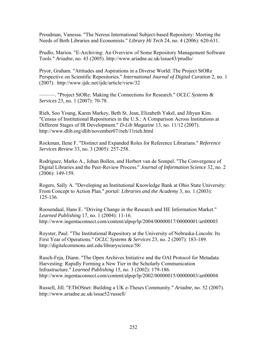Proudman, Vanessa. "The Nereus International Subject-based Repository: Meeting the Needs of Both Libraries and Economists." *Library Hi Tech* 24, no. 4 (2006): 620-631.

Prudlo, Marion. "E-Archiving: An Overview of Some Repository Management Software Tools." *Ariadne*, no. 43 (2005). http://www.ariadne.ac.uk/issue43/prudlo/

Pryor, Graham. "Attitudes and Aspirations in a Diverse World: The Project StORe Perspective on Scientific Repositories." *International Journal of Digital Curation* 2, no. 1 (2007). http://www.ijdc.net/ijdc/article/view/32

———. "Project StORe: Making the Connections for Research." *OCLC Systems & Services* 23, no. 1 (2007): 70-78.

Rieh, Soo Young, Karen Markey, Beth St. Jean, Elizabeth Yakel, and Jihyun Kim. "Census of Institutional Repositories in the U.S.: A Comparison Across Institutions at Different Stages of IR Development." *D-Lib Magazine* 13, no. 11/12 (2007). http://www.dlib.org/dlib/november07/rieh/11rieh.html

Rockman, Ilene F. "Distinct and Expanded Roles for Reference Librarians." *Reference Services Review* 33, no. 3 (2005): 257-258.

Rodriguez, Marko A., Johan Bollen, and Herbert van de Sompel. "The Convergence of Digital Libraries and the Peer-Review Process." *Journal of Information Science* 32, no. 2 (2006): 149-159.

Rogers, Sally A. "Developing an Institutional Knowledge Bank at Ohio State University: From Concept to Action Plan." *portal: Libraries and the Academy* 3, no. 1 (2003): 125-136.

Roosendaal, Hans E. "Driving Change in the Research and HE Information Market." *Learned Publishing* 17, no. 1 (2004): 11-16. http://www.ingentaconnect.com/content/alpsp/lp/2004/00000017/00000001/art00003

Royster, Paul. "The Institutional Repository at the University of Nebraska-Lincoln: Its First Year of Operations." *OCLC Systems & Services* 23, no. 2 (2007): 183-189. http://digitalcommons.unl.edu/libraryscience/58/

Rusch-Feja, Diann. "The Open Archives Initiative and the OAI Protocol for Metadata Harvesting: Rapidly Forming a New Tier in the Scholarly Communication Infrastructure." *Learned Publishing* 15, no. 3 (2002): 179-186. http://www.ingentaconnect.com/content/alpsp/lp/2002/00000015/00000003/art00004

Russell, Jill. "EThOSnet: Building a UK e-Theses Community." *Ariadne*, no. 52 (2007). http://www.ariadne.ac.uk/issue52/russell/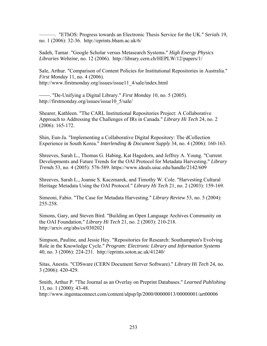———. "EThOS: Progress towards an Electronic Thesis Service for the UK." *Serials* 19, no. 1 (2006): 32-36. http://eprints.bham.ac.uk/6/

Sadeh, Tamar. "Google Scholar versus Metasearch Systems." *High Energy Physics Libraries Webzine*, no. 12 (2006). http://library.cern.ch/HEPLW/12/papers/1/

Sale, Arthur. "Comparison of Content Policies for Institutional Repositories in Australia." *First Monday* 11, no. 4 (2006). http://www.firstmonday.org/issues/issue11\_4/sale/index.html

- "De-Unifying a Digital Library." *First Monday* 10, no. 5 (2005). http://firstmonday.org/issues/issue10\_5/sale/

Shearer, Kathleen. "The CARL Institutional Repositories Project: A Collaborative Approach to Addressing the Challenges of IRs in Canada." *Library Hi Tech* 24, no. 2 (2006): 165-172.

Shin, Eun-Ja. "Implementing a Collaborative Digital Repository: The dCollection Experience in South Korea." *Interlending & Document Supply* 34, no. 4 (2006): 160-163.

Shreeves, Sarah L., Thomas G. Habing, Kat Hagedorn, and Jeffrey A. Young. "Current Developments and Future Trends for the OAI Protocol for Metadata Harvesting." *Library Trends* 53, no. 4 (2005): 576-589. https://www.ideals.uiuc.edu/handle/2142/609

Shreeves, Sarah L., Joanne S. Kaczmarek, and Timothy W. Cole. "Harvesting Cultural Heritage Metadata Using the OAI Protocol." *Library Hi Tech* 21, no. 2 (2003): 159-169.

Simeoni, Fabio. "The Case for Metadata Harvesting." *Library Review* 53, no. 5 (2004): 255-258.

Simons, Gary, and Steven Bird. "Building an Open Language Archives Community on the OAI Foundation." *Library Hi Tech* 21, no. 2 (2003): 210-218. http://arxiv.org/abs/cs/0302021

Simpson, Pauline, and Jessie Hey. "Repositories for Research: Southampton's Evolving Role in the Knowledge Cycle." *Program: Electronic Library and Information Systems* 40, no. 3 (2006): 224-231. http://eprints.soton.ac.uk/41240/

Sitas, Anestis. "CDSware (CERN Document Server Software)." *Library Hi Tech* 24, no. 3 (2006): 420-429.

Smith, Arthur P. "The Journal as an Overlay on Preprint Databases." *Learned Publishing*  13, no. 1 (2000): 43-48.

http://www.ingentaconnect.com/content/alpsp/lp/2000/00000013/00000001/art00006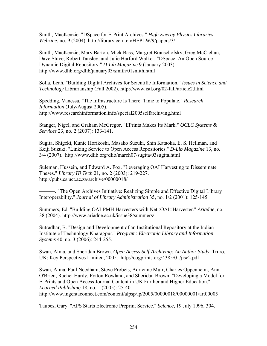Smith, MacKenzie. "DSpace for E-Print Archives." *High Energy Physics Libraries Webzine*, no. 9 (2004). http://library.cern.ch/HEPLW/9/papers/3/

Smith, MacKenzie, Mary Barton, Mick Bass, Margret Branschofsky, Greg McClellan, Dave Stuve, Robert Tansley, and Julie Harford Walker. "DSpace: An Open Source Dynamic Digital Repository." *D-Lib Magazine* 9 (January 2003). http://www.dlib.org/dlib/january03/smith/01smith.html

Solla, Leah. "Building Digital Archives for Scientific Information." *Issues in Science and Technology* Librarianship (Fall 2002). http://www.istl.org/02-fall/article2.html

Spedding, Vanessa. "The Infrastructure Is There: Time to Populate." *Research Information* (July/August 2005). http://www.researchinformation.info/special2005selfarchiving.html

Stanger, Nigel, and Graham McGregor. "EPrints Makes Its Mark." *OCLC Systems & Services* 23, no. 2 (2007): 133-141.

Sugita, Shigeki, Kunie Horikoshi, Masako Suzuki, Shin Kataoka, E. S. Hellman, and Keiji Suzuki. "Linking Service to Open Access Repositories." *D-Lib Magazine* 13, no. 3/4 (2007). http://www.dlib.org/dlib/march07/sugita/03sugita.html

Suleman, Hussein, and Edward A. Fox. "Leveraging OAI Harvesting to Disseminate Theses." *Library Hi Tech* 21, no. 2 (2003): 219-227. http://pubs.cs.uct.ac.za/archive/00000018/

———. "The Open Archives Initiative: Realizing Simple and Effective Digital Library Interoperability." *Journal of Library Administration* 35, no. 1/2 (2001): 125-145.

Summers, Ed. "Building OAI-PMH Harvesters with Net::OAI::Harvester." *Ariadne*, no. 38 (2004). http://www.ariadne.ac.uk/issue38/summers/

Sutradhar, B. "Design and Development of an Institutional Repository at the Indian Institute of Technology Kharagpur." *Program: Electronic Library and Information Systems* 40, no. 3 (2006): 244-255.

Swan, Alma, and Sheridan Brown. *Open Access Self-Archiving: An Author Study*. Truro, UK: Key Perspectives Limited, 2005. http://cogprints.org/4385/01/jisc2.pdf

Swan, Alma, Paul Needham, Steve Probets, Adrienne Muir, Charles Oppenheim, Ann O'Brien, Rachel Hardy, Fytton Rowland, and Sheridan Brown. "Developing a Model for E-Prints and Open Access Journal Content in UK Further and Higher Education." *Learned Publishing* 18, no. 1 (2005): 25-40. http://www.ingentaconnect.com/content/alpsp/lp/2005/00000018/00000001/art00005

Taubes, Gary. "APS Starts Electronic Preprint Service." *Science*, 19 July 1996, 304.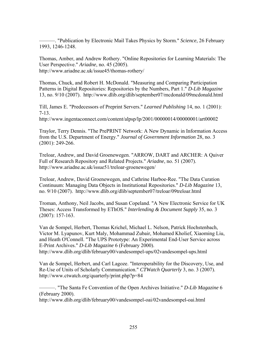———. "Publication by Electronic Mail Takes Physics by Storm." *Science*, 26 February 1993, 1246-1248.

Thomas, Amber, and Andrew Rothery. "Online Repositories for Learning Materials: The User Perspective." *Ariadne*, no. 45 (2005). http://www.ariadne.ac.uk/issue45/thomas-rothery/

Thomas, Chuck, and Robert H. McDonald. "Measuring and Comparing Participation Patterns in Digital Repositories: Repositories by the Numbers, Part 1." *D-Lib Magazine* 13, no. 9/10 (2007). http://www.dlib.org/dlib/september07/mcdonald/09mcdonald.html

Till, James E. "Predecessors of Preprint Servers." *Learned Publishing* 14, no. 1 (2001): 7-13.

http://www.ingentaconnect.com/content/alpsp/lp/2001/00000014/00000001/art00002

Traylor, Terry Dennis. "The PrePRINT Network: A New Dynamic in Information Access from the U.S. Department of Energy." *Journal of Government Information* 28, no. 3 (2001): 249-266.

Treloar, Andrew, and David Groenewegen. "ARROW, DART and ARCHER: A Quiver Full of Research Repository and Related Projects." *Ariadne*, no. 51 (2007). http://www.ariadne.ac.uk/issue51/treloar-groenewegen/

Treloar, Andrew, David Groenewegen, and Cathrine Harboe-Ree. "The Data Curation Continuum: Managing Data Objects in Institutional Repositories." *D-Lib Magazine* 13, no. 9/10 (2007). http://www.dlib.org/dlib/september07/treloar/09treloar.html

Troman, Anthony, Neil Jacobs, and Susan Copeland. "A New Electronic Service for UK Theses: Access Transformed by EThOS." *Interlending & Document Supply* 35, no. 3 (2007): 157-163.

Van de Sompel, Herbert, Thomas Krichel, Michael L. Nelson, Patrick Hochstenbach, Victor M. Lyapunov, Kurt Maly, Mohammad Zubair, Mohamed Kholief, Xiaoming Liu, and Heath O'Connell. "The UPS Prototype: An Experimental End-User Service across E-Print Archives." *D-Lib Magazine* 6 (February 2000). http://www.dlib.org/dlib/february00/vandesompel-ups/02vandesompel-ups.html

Van de Sompel, Herbert, and Carl Lagoze. "Interoperability for the Discovery, Use, and Re-Use of Units of Scholarly Communication." *CTWatch Quarterly* 3, no. 3 (2007). http://www.ctwatch.org/quarterly/print.php?p=84

———. "The Santa Fe Convention of the Open Archives Initiative." *D-Lib Magazine* 6 (February 2000).

http://www.dlib.org/dlib/february00/vandesompel-oai/02vandesompel-oai.html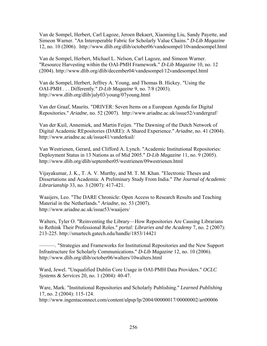Van de Sompel, Herbert, Carl Lagoze, Jeroen Bekaert, Xiaoming Liu, Sandy Payette, and Simeon Warner. "An Interoperable Fabric for Scholarly Value Chains." *D-Lib Magazine* 12, no. 10 (2006). http://www.dlib.org/dlib/october06/vandesompel/10vandesompel.html

Van de Sompel, Herbert, Michael L. Nelson, Carl Lagoze, and Simeon Warner. "Resource Harvesting within the OAI-PMH Framework." *D-Lib Magazine* 10, no. 12 (2004). http://www.dlib.org/dlib/december04/vandesompel/12vandesompel.html

Van de Sompel, Herbert, Jeffrey A. Young, and Thomas B. Hickey. "Using the OAI-PMH . . . Differently." *D-Lib Magazine* 9, no. 7/8 (2003). http://www.dlib.org/dlib/july03/young/07young.html

Van der Graaf, Maurits. "DRIVER: Seven Items on a European Agenda for Digital Repositories." *Ariadne*, no. 52 (2007). http://www.ariadne.ac.uk/issue52/vandergraf/

Van der Kuil, Annemiek, and Martin Feijen. "The Dawning of the Dutch Network of Digital Academic REpositories (DARE): A Shared Experience." *Ariadne*, no. 41 (2004). http://www.ariadne.ac.uk/issue41/vanderkuil/

Van Westrienen, Gerard, and Clifford A. Lynch. "Academic Institutional Repositories: Deployment Status in 13 Nations as of Mid 2005." *D-Lib Magazine* 11, no. 9 (2005). http://www.dlib.org/dlib/september05/westrienen/09westrienen.html

Vijayakumar, J. K., T. A. V. Murthy, and M. T. M. Khan. "Electronic Theses and Dissertations and Academia: A Preliminary Study From India." *The Journal of Academic Librarianship* 33, no. 3 (2007): 417-421.

Waaijers, Leo. "The DARE Chronicle: Open Access to Research Results and Teaching Material in the Netherlands." *Ariadne*, no. 53 (2007). http://www.ariadne.ac.uk/issue53/waaijers/

Walters, Tyler O. "Reinventing the Library—How Repositories Are Causing Librarians to Rethink Their Professional Roles." *portal: Libraries and the Academy* 7, no. 2 (2007): 213-225. http://smartech.gatech.edu/handle/1853/14421

———. "Strategies and Frameworks for Institutional Repositories and the New Support Infrastructure for Scholarly Communications." *D-Lib Magazine* 12, no. 10 (2006). http://www.dlib.org/dlib/october06/walters/10walters.html

Ward, Jewel. "Unqualified Dublin Core Usage in OAI-PMH Data Providers." *OCLC Systems & Services* 20, no. 1 (2004): 40-47.

Ware, Mark. "Institutional Repositories and Scholarly Publishing." *Learned Publishing* 17, no. 2 (2004): 115-124.

http://www.ingentaconnect.com/content/alpsp/lp/2004/00000017/00000002/art00006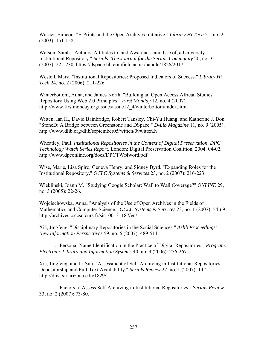Warner, Simeon. "E-Prints and the Open Archives Initiative." *Library Hi Tech* 21, no. 2 (2003): 151-158.

Watson, Sarah. "Authors' Attitudes to, and Awareness and Use of, a University Institutional Repository." *Serials: The Journal for the Serials Community* 20, no. 3 (2007): 225-230. https://dspace.lib.cranfield.ac.uk/handle/1826/2017

Westell, Mary. "Institutional Repositories: Proposed Indicators of Success." *Library Hi Tech* 24, no. 2 (2006): 211-226.

Winterbottom, Anna, and James North. "Building an Open Access African Studies Repository Using Web 2.0 Principles." *First Monday* 12, no. 4 (2007). http://www.firstmonday.org/issues/issue12\_4/winterbottom/index.html

Witten, Ian H., David Bainbridge, Robert Tansley, Chi-Yu Huang, and Katherine J. Don. "StoneD: A Bridge between Greenstone and DSpace." *D-Lib Magazine* 11, no. 9 (2005). http://www.dlib.org/dlib/september05/witten/09witten.h

Wheatley, Paul. *Institutional Repositories in the Context of Digital Preservation*, *DPC Technology Watch Series Report*. London: Digital Preservation Coalition, 2004. 04-02. http://www.dpconline.org/docs/DPCTWf4word.pdf

Wise, Marie, Lisa Spiro, Geneva Henry, and Sidney Byrd. "Expanding Roles for the Institutional Repository." *OCLC Systems & Services* 23, no. 2 (2007): 216-223.

Wleklinski, Joann M. "Studying Google Scholar: Wall to Wall Coverage?" *ONLINE* 29, no. 3 (2005): 22-26.

Wojciechowska, Anna. "Analysis of the Use of Open Archives in the Fields of Mathematics and Computer Science." *OCLC Systems & Services* 23, no. 1 (2007): 54-69. http://archivesic.ccsd.cnrs.fr/sic\_00131187/en/

Xia, Jingfeng. "Disciplinary Repositories in the Social Sciences." *Aslib Proceedings: New Information Perspectives* 59, no. 6 (2007): 489-511.

———. "Personal Name Identification in the Practice of Digital Repositories." *Program: Electronic Library and Information Systems* 40, no. 3 (2006): 256-267.

Xia, Jingfeng, and Li Sun. "Assessment of Self-Archiving in Institutional Repositories: Depositorship and Full-Text Availability." *Serials Review* 22, no. 1 (2007): 14-21. http://dlist.sir.arizona.edu/1829/

———. "Factors to Assess Self-Archiving in Institutional Repositories." *Serials Review* 33, no. 2 (2007): 73-80.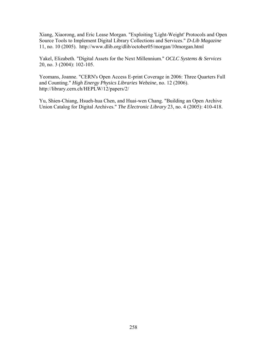Xiang, Xiaorong, and Eric Lease Morgan. "Exploiting 'Light-Weight' Protocols and Open Source Tools to Implement Digital Library Collections and Services." *D-Lib Magazine* 11, no. 10 (2005). http://www.dlib.org/dlib/october05/morgan/10morgan.html

Yakel, Elizabeth. "Digital Assets for the Next Millennium." *OCLC Systems & Services* 20, no. 3 (2004): 102-105.

Yeomans, Joanne. "CERN's Open Access E-print Coverage in 2006: Three Quarters Full and Counting." *High Energy Physics Libraries Webzine*, no. 12 (2006). http://library.cern.ch/HEPLW/12/papers/2/

Yu, Shien-Chiang, Hsueh-hua Chen, and Huai-wen Chang. "Building an Open Archive Union Catalog for Digital Archives." *The Electronic Library* 23, no. 4 (2005): 410-418.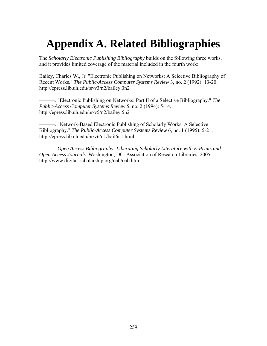## **Appendix A. Related Bibliographies**

The *Scholarly Electronic Publishing Bibliography* builds on the following three works, and it provides limited coverage of the material included in the fourth work:

Bailey, Charles W., Jr. "Electronic Publishing on Networks: A Selective Bibliography of Recent Works." *The Public-Access Computer Systems Review* 3, no. 2 (1992): 13-20. http://epress.lib.uh.edu/pr/v3/n2/bailey.3n2

———. "Electronic Publishing on Networks: Part II of a Selective Bibliography." *The Public-Access Computer Systems Review* 5, no. 2 (1994): 5-14. http://epress.lib.uh.edu/pr/v5/n2/bailey.5n2

———. "Network-Based Electronic Publishing of Scholarly Works: A Selective Bibliography." *The Public-Access Computer Systems Review* 6, no. 1 (1995): 5-21. http://epress.lib.uh.edu/pr/v6/n1/bail6n1.html

———. *Open Access Bibliography: Liberating Scholarly Literature with E-Prints and Open Access Journals*. Washington, DC: Association of Research Libraries, 2005. http://www.digital-scholarship.org/oab/oab.htm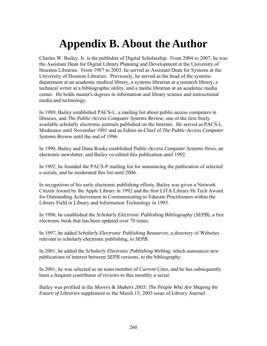## **Appendix B. About the Author**

Charles W. Bailey, Jr. is the publisher of Digital Scholarship. From 2004 to 2007, he was the Assistant Dean for Digital Library Planning and Development at the University of Houston Libraries. From 1987 to 2003, he served as Assistant Dean for Systems at the University of Houston Libraries. Previously, he served as the head of the systems department at an academic medical library, a systems librarian at a research library, a technical writer at a bibliographic utility, and a media librarian at an academic media center. He holds master's degrees in information and library science and instructional media and technology.

In 1989, Bailey established PACS-L, a mailing list about public-access computers in libraries, and *The Public-Access Computer Systems Review*, one of the first freely available scholarly electronic journals published on the Internet. He served as PACS-L Moderator until November 1991 and as Editor-in-Chief of *The Public-Access Computer Systems Review* until the end of 1996.

In 1990, Bailey and Dana Rooks established *Public-Access Computer Systems News*, an electronic newsletter, and Bailey co-edited this publication until 1992.

In 1992, he founded the PACS-P mailing list for announcing the publication of selected e-serials, and he moderated this list until 2006.

In recognition of his early electronic publishing efforts, Bailey was given a Network Citizen Award by the Apple Library in 1992 and the first LITA/Library Hi Tech Award for Outstanding Achievement in Communicating to Educate Practitioners within the Library Field in Library and Information Technology in 1993.

In 1996, he established the *Scholarly Electronic Publishing Bibliography* (*SEPB*), a free electronic book that has been updated over 70 times.

In 1997, he added *Scholarly Electronic Publishing Resources*, a directory of Websites relevant to scholarly electronic publishing, to *SEPB*.

In 2001, he added the *Scholarly Electronic Publishing Weblog*, which announces new publications of interest between *SEPB* versions, to the bibliography.

In 2001, he was selected as an team member of *Current Cites*, and he has subsequently been a frequent contributor of reviews to this monthly e-serial.

Bailey was profiled in the *Movers & Shakers 2003: The People Who Are Shaping the Future of Libraries* supplement to the March 15, 2003 issue of *Library Journal*.